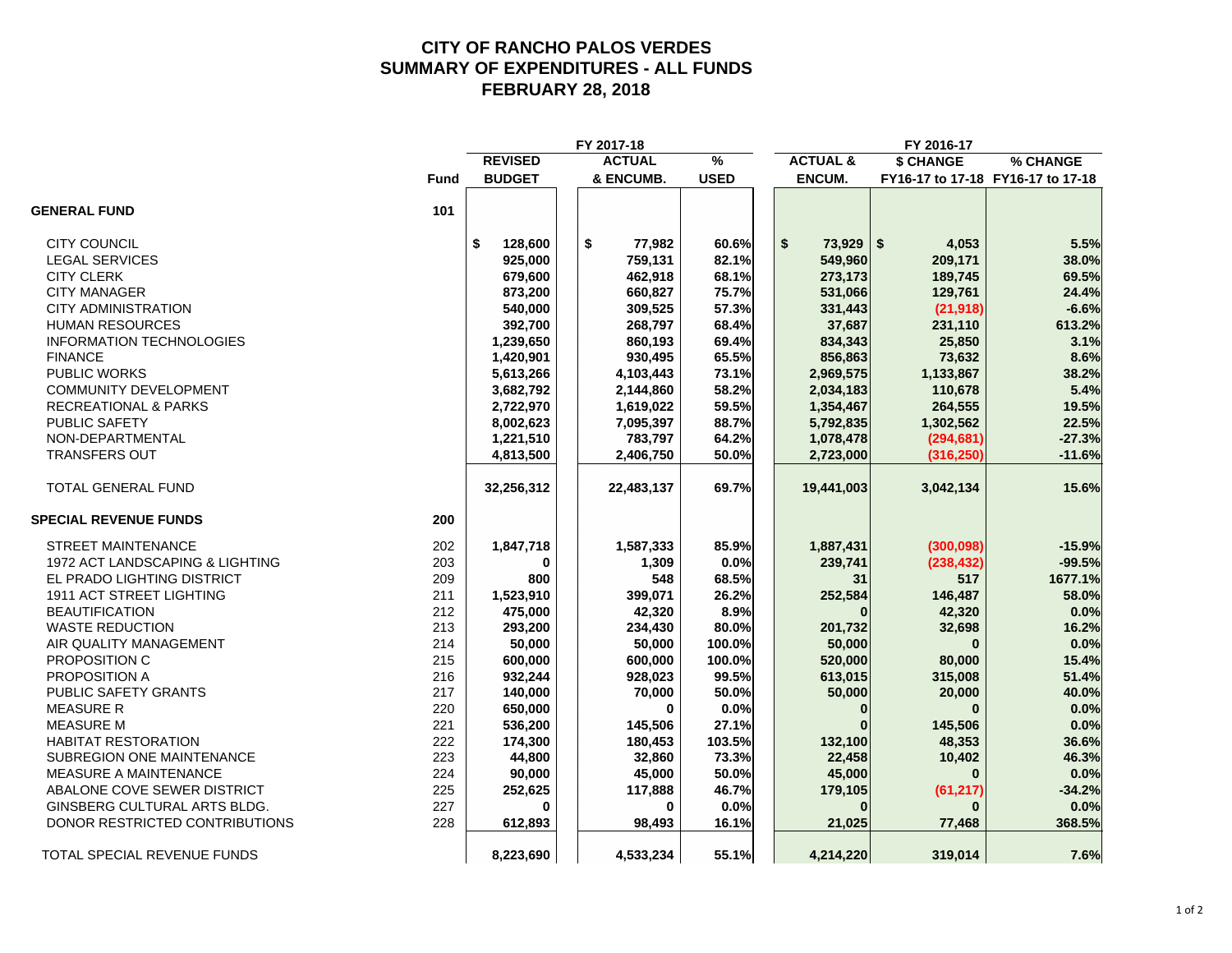#### **CITY OF RANCHO PALOS VERDES SUMMARY OF EXPENDITURES - ALL FUNDS FEBRUARY 28, 2018**

|                                 |             |                | FY 2017-18    |             |                     | FY 2016-17   |                                   |
|---------------------------------|-------------|----------------|---------------|-------------|---------------------|--------------|-----------------------------------|
|                                 |             | <b>REVISED</b> | <b>ACTUAL</b> | %           | <b>ACTUAL &amp;</b> | \$ CHANGE    | % CHANGE                          |
|                                 | <b>Fund</b> | <b>BUDGET</b>  | & ENCUMB.     | <b>USED</b> | <b>ENCUM.</b>       |              | FY16-17 to 17-18 FY16-17 to 17-18 |
| <b>GENERAL FUND</b>             | 101         |                |               |             |                     |              |                                   |
| <b>CITY COUNCIL</b>             |             | \$<br>128,600  | \$<br>77,982  | 60.6%       | \$<br>$73,929$ \$   | 4,053        | 5.5%                              |
| <b>LEGAL SERVICES</b>           |             | 925,000        | 759,131       | 82.1%       | 549,960             | 209,171      | 38.0%                             |
| <b>CITY CLERK</b>               |             | 679,600        | 462,918       | 68.1%       | 273,173             | 189,745      | 69.5%                             |
| <b>CITY MANAGER</b>             |             | 873,200        | 660,827       | 75.7%       | 531,066             | 129,761      | 24.4%                             |
| <b>CITY ADMINISTRATION</b>      |             | 540,000        | 309,525       | 57.3%       | 331,443             | (21, 918)    | $-6.6%$                           |
| <b>HUMAN RESOURCES</b>          |             | 392,700        | 268,797       | 68.4%       | 37,687              | 231,110      | 613.2%                            |
| <b>INFORMATION TECHNOLOGIES</b> |             | 1,239,650      | 860,193       | 69.4%       | 834,343             | 25,850       | 3.1%                              |
| <b>FINANCE</b>                  |             | 1,420,901      | 930,495       | 65.5%       | 856,863             | 73,632       | 8.6%                              |
| <b>PUBLIC WORKS</b>             |             | 5,613,266      | 4,103,443     | 73.1%       | 2,969,575           | 1,133,867    | 38.2%                             |
| <b>COMMUNITY DEVELOPMENT</b>    |             | 3,682,792      | 2,144,860     | 58.2%       | 2,034,183           | 110,678      | 5.4%                              |
| <b>RECREATIONAL &amp; PARKS</b> |             | 2,722,970      | 1,619,022     | 59.5%       | 1,354,467           | 264,555      | 19.5%                             |
| PUBLIC SAFETY                   |             | 8,002,623      | 7,095,397     | 88.7%       | 5,792,835           | 1,302,562    | 22.5%                             |
| NON-DEPARTMENTAL                |             | 1,221,510      | 783,797       | 64.2%       | 1,078,478           | (294, 681)   | $-27.3%$                          |
| <b>TRANSFERS OUT</b>            |             | 4,813,500      | 2,406,750     | 50.0%       | 2,723,000           | (316, 250)   | $-11.6%$                          |
| <b>TOTAL GENERAL FUND</b>       |             | 32,256,312     | 22,483,137    | 69.7%       | 19,441,003          | 3,042,134    | 15.6%                             |
| <b>SPECIAL REVENUE FUNDS</b>    | 200         |                |               |             |                     |              |                                   |
| <b>STREET MAINTENANCE</b>       | 202         | 1,847,718      | 1,587,333     | 85.9%       | 1,887,431           | (300, 098)   | $-15.9%$                          |
| 1972 ACT LANDSCAPING & LIGHTING | 203         | 0              | 1,309         | 0.0%        | 239,741             | (238, 432)   | $-99.5%$                          |
| EL PRADO LIGHTING DISTRICT      | 209         | 800            | 548           | 68.5%       | 31                  | 517          | 1677.1%                           |
| 1911 ACT STREET LIGHTING        | 211         | 1,523,910      | 399,071       | 26.2%       | 252,584             | 146,487      | 58.0%                             |
| <b>BEAUTIFICATION</b>           | 212         | 475,000        | 42,320        | 8.9%        |                     | 42,320       | 0.0%                              |
| <b>WASTE REDUCTION</b>          | 213         | 293,200        | 234,430       | 80.0%       | 201,732             | 32,698       | 16.2%                             |
| AIR QUALITY MANAGEMENT          | 214         | 50,000         | 50,000        | 100.0%      | 50,000              | $\bf{0}$     | 0.0%                              |
| PROPOSITION C                   | 215         | 600,000        | 600,000       | 100.0%      | 520,000             | 80,000       | 15.4%                             |
| PROPOSITION A                   | 216         | 932,244        | 928,023       | 99.5%       | 613,015             | 315,008      | 51.4%                             |
| <b>PUBLIC SAFETY GRANTS</b>     | 217         | 140,000        | 70,000        | 50.0%       | 50,000              | 20,000       | 40.0%                             |
| <b>MEASURE R</b>                | 220         | 650,000        | $\bf{0}$      | 0.0%        | $\bf{0}$            | $\mathbf{0}$ | 0.0%                              |
| <b>MEASURE M</b>                | 221         | 536,200        | 145,506       | 27.1%       |                     | 145,506      | 0.0%                              |
| <b>HABITAT RESTORATION</b>      | 222         | 174,300        | 180,453       | 103.5%      | 132,100             | 48,353       | 36.6%                             |
| SUBREGION ONE MAINTENANCE       | 223         | 44,800         | 32,860        | 73.3%       | 22,458              | 10,402       | 46.3%                             |
| MEASURE A MAINTENANCE           | 224         | 90,000         | 45,000        | 50.0%       | 45,000              | $\bf{0}$     | 0.0%                              |
| ABALONE COVE SEWER DISTRICT     | 225         | 252,625        | 117,888       | 46.7%       | 179,105             | (61, 217)    | $-34.2%$                          |
| GINSBERG CULTURAL ARTS BLDG.    | 227         | O              | $\bf{0}$      | 0.0%        |                     |              | 0.0%                              |
| DONOR RESTRICTED CONTRIBUTIONS  | 228         | 612,893        | 98,493        | 16.1%       | 21,025              | 77,468       | 368.5%                            |
| TOTAL SPECIAL REVENUE FUNDS     |             | 8,223,690      | 4,533,234     | 55.1%       | 4,214,220           | 319,014      | 7.6%                              |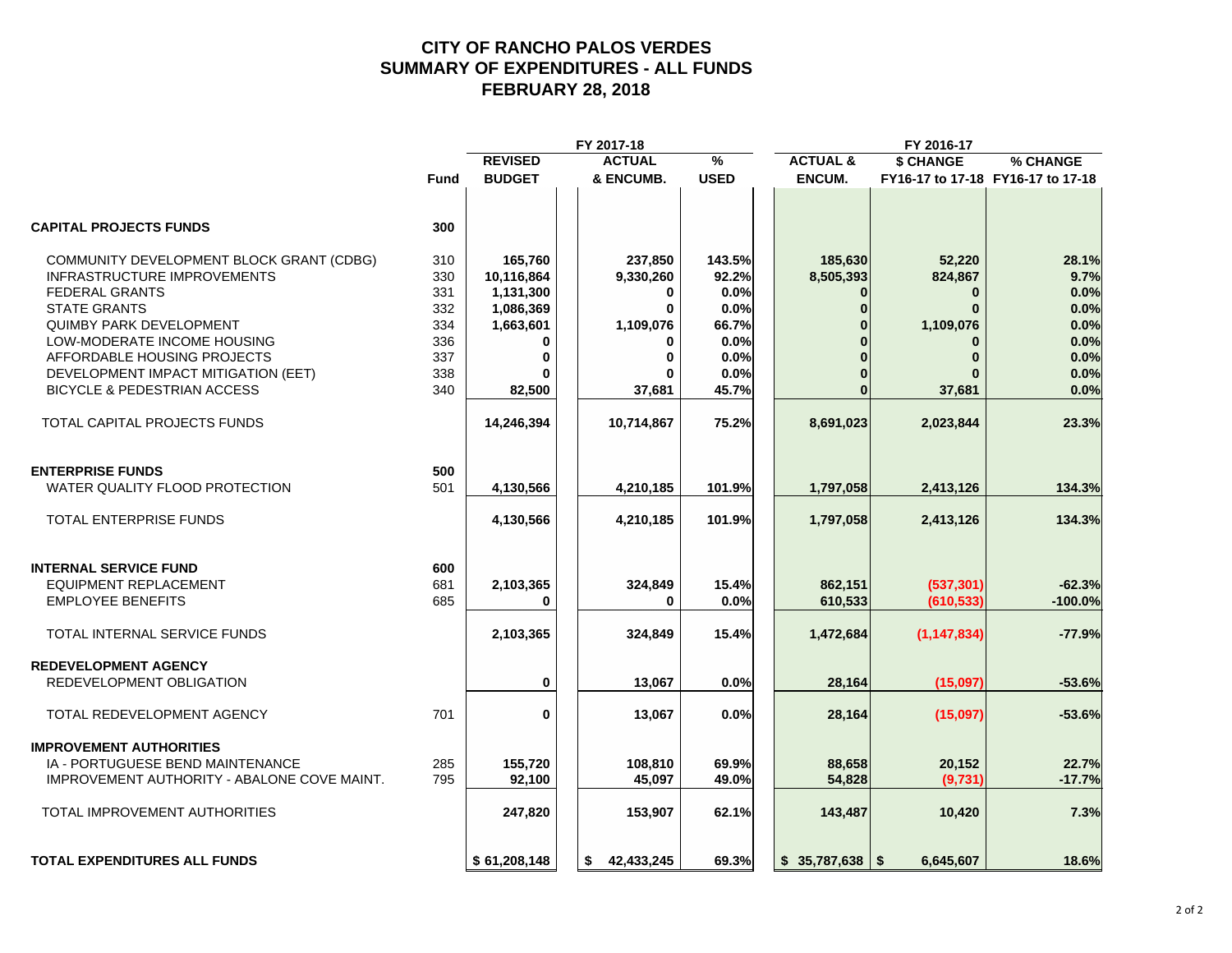#### **CITY OF RANCHO PALOS VERDES SUMMARY OF EXPENDITURES - ALL FUNDS FEBRUARY 28, 2018**

|                                             |      |                | FY 2017-18       |               |                     | FY 2016-17    |                                   |
|---------------------------------------------|------|----------------|------------------|---------------|---------------------|---------------|-----------------------------------|
|                                             |      | <b>REVISED</b> | <b>ACTUAL</b>    | $\frac{9}{6}$ | <b>ACTUAL &amp;</b> | \$ CHANGE     | % CHANGE                          |
|                                             | Fund | <b>BUDGET</b>  | & ENCUMB.        | <b>USED</b>   | ENCUM.              |               | FY16-17 to 17-18 FY16-17 to 17-18 |
| <b>CAPITAL PROJECTS FUNDS</b>               | 300  |                |                  |               |                     |               |                                   |
| COMMUNITY DEVELOPMENT BLOCK GRANT (CDBG)    | 310  | 165,760        | 237,850          | 143.5%        | 185,630             | 52,220        | 28.1%                             |
| <b>INFRASTRUCTURE IMPROVEMENTS</b>          | 330  | 10,116,864     | 9,330,260        | 92.2%         | 8,505,393           | 824,867       | 9.7%                              |
| <b>FEDERAL GRANTS</b>                       | 331  | 1,131,300      | 0                | 0.0%          |                     | $\bf{0}$      | 0.0%                              |
| <b>STATE GRANTS</b>                         | 332  | 1,086,369      | 0                | 0.0%          | $\Omega$            | $\bf{0}$      | 0.0%                              |
| <b>QUIMBY PARK DEVELOPMENT</b>              | 334  | 1,663,601      | 1,109,076        | 66.7%         |                     | 1,109,076     | 0.0%                              |
| LOW-MODERATE INCOME HOUSING                 | 336  | 0              |                  | 0.0%          |                     |               | 0.0%                              |
| AFFORDABLE HOUSING PROJECTS                 | 337  | $\mathbf 0$    |                  | 0.0%          |                     | $\bf{0}$      | 0.0%                              |
|                                             |      |                |                  |               |                     |               |                                   |
| DEVELOPMENT IMPACT MITIGATION (EET)         | 338  |                |                  | 0.0%          |                     |               | 0.0%                              |
| <b>BICYCLE &amp; PEDESTRIAN ACCESS</b>      | 340  | 82,500         | 37,681           | 45.7%         | $\bf{0}$            | 37,681        | 0.0%                              |
| TOTAL CAPITAL PROJECTS FUNDS                |      | 14,246,394     | 10,714,867       | 75.2%         | 8,691,023           | 2,023,844     | 23.3%                             |
|                                             |      |                |                  |               |                     |               |                                   |
| <b>ENTERPRISE FUNDS</b>                     | 500  |                |                  |               |                     |               |                                   |
| WATER QUALITY FLOOD PROTECTION              | 501  | 4,130,566      | 4,210,185        | 101.9%        | 1,797,058           | 2,413,126     | 134.3%                            |
| TOTAL ENTERPRISE FUNDS                      |      | 4,130,566      | 4,210,185        | 101.9%        | 1,797,058           | 2,413,126     | 134.3%                            |
| <b>INTERNAL SERVICE FUND</b>                | 600  |                |                  |               |                     |               |                                   |
| <b>EQUIPMENT REPLACEMENT</b>                | 681  |                |                  |               |                     |               | $-62.3%$                          |
|                                             | 685  | 2,103,365      | 324,849          | 15.4%         | 862,151             | (537, 301)    |                                   |
| <b>EMPLOYEE BENEFITS</b>                    |      | 0              | <sup>0</sup>     | 0.0%          | 610,533             | (610, 533)    | $-100.0%$                         |
| TOTAL INTERNAL SERVICE FUNDS                |      | 2,103,365      | 324,849          | 15.4%         | 1,472,684           | (1, 147, 834) | $-77.9%$                          |
| <b>REDEVELOPMENT AGENCY</b>                 |      |                |                  |               |                     |               |                                   |
| REDEVELOPMENT OBLIGATION                    |      | 0              | 13,067           | 0.0%          | 28,164              | (15,097)      | $-53.6%$                          |
| TOTAL REDEVELOPMENT AGENCY                  | 701  | 0              | 13,067           | 0.0%          | 28,164              | (15,097)      | $-53.6%$                          |
| <b>IMPROVEMENT AUTHORITIES</b>              |      |                |                  |               |                     |               |                                   |
| IA - PORTUGUESE BEND MAINTENANCE            | 285  | 155,720        | 108,810          | 69.9%         | 88,658              | 20,152        | 22.7%                             |
| IMPROVEMENT AUTHORITY - ABALONE COVE MAINT. | 795  | 92,100         | 45,097           | 49.0%         | 54,828              | (9,731)       | $-17.7%$                          |
|                                             |      |                |                  |               |                     |               |                                   |
| <b>TOTAL IMPROVEMENT AUTHORITIES</b>        |      | 247,820        | 153,907          | 62.1%         | 143,487             | 10,420        | 7.3%                              |
| <b>TOTAL EXPENDITURES ALL FUNDS</b>         |      | \$61,208,148   | 42,433,245<br>s. | 69.3%         | $$35,787,638$ \\$   | 6,645,607     | 18.6%                             |
|                                             |      |                |                  |               |                     |               |                                   |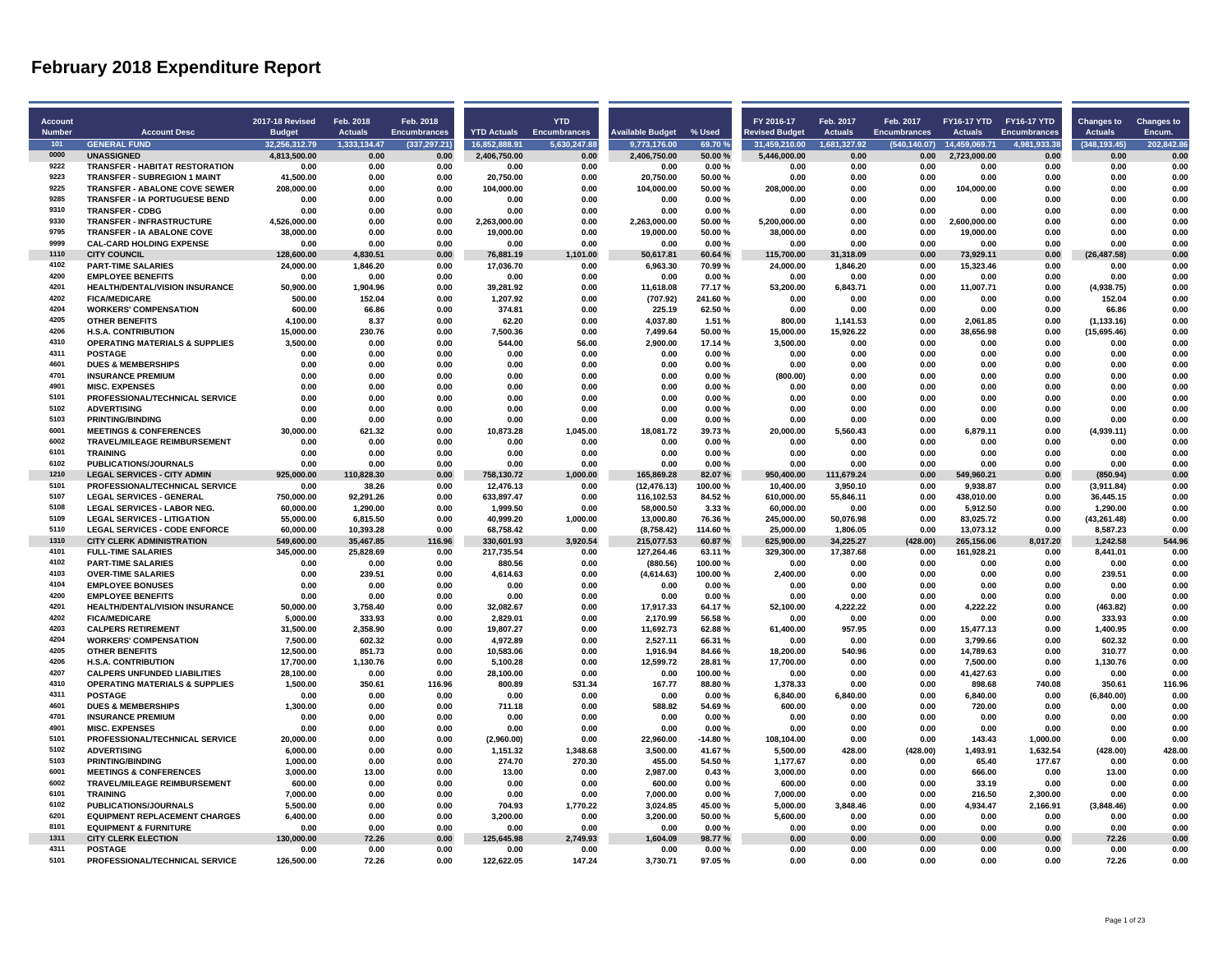| Account              |                                                                   | 2017-18 Revised               | Feb. 2018                      | Feb. 2018             |                                 | <b>YTD</b>       |                              |                  | FY 2016-17                    | Feb. 2017              | Feb. 2017            | FY16-17 YTD FY16-17 YTD       |                      | <b>Changes to</b>    | <b>Changes to</b>    |
|----------------------|-------------------------------------------------------------------|-------------------------------|--------------------------------|-----------------------|---------------------------------|------------------|------------------------------|------------------|-------------------------------|------------------------|----------------------|-------------------------------|----------------------|----------------------|----------------------|
| <b>Number</b><br>101 | <b>Account Desc</b><br><b>GENERAL FUND</b>                        | <b>Budget</b>                 | <b>Actuals</b><br>1.333.134.47 | <b>Encumbrances</b>   | <b>YTD Actuals</b> Encumbrances | 5.630.247.88     | <b>Available Budget</b>      | % Used           | <b>Revised Budget</b>         | <b>Actuals</b>         | <b>Encumbrances</b>  | <b>Actuals</b>                | <b>Encumbrances</b>  | <b>Actuals</b>       | Encum.<br>202.842.86 |
| 0000                 | <b>UNASSIGNED</b>                                                 | 32.256.312.79<br>4,813,500.00 | 0.00                           | (337, 297.21)<br>0.00 | 16.852.888.91<br>2,406,750.00   | 0.00             | 9,773,176.00<br>2,406,750.00 | 69.70%<br>50.00% | 31.459.210.00<br>5,446,000.00 | 1.681.327.92<br>0.00   | (540.140.07)<br>0.00 | 14.459.069.71<br>2,723,000.00 | 4.981.933.38<br>0.00 | (348.193.45)<br>0.00 | 0.00                 |
| 9222                 | <b>TRANSFER - HABITAT RESTORATION</b>                             | 0.00                          | 0.00                           | 0.00                  | 0.00                            | 0.00             | 0.00                         | 0.00%            | 0.00                          | 0.00                   | 0.00                 | 0.00                          | 0.00                 | 0.00                 | 0.00                 |
| 9223                 | <b>TRANSFER - SUBREGION 1 MAINT</b>                               | 41,500.00                     | 0.00                           | 0.00                  | 20,750.00                       | 0.00             | 20,750.00                    | 50.00%           | 0.00                          | 0.00                   | 0.00                 | 0.00                          | 0.00                 | 0.00                 | 0.00                 |
| 9225                 | <b>TRANSFER - ABALONE COVE SEWER</b>                              | 208,000.00                    | 0.00                           | 0.00                  | 104,000.00                      | 0.00             | 104,000.00                   | 50.00%           | 208,000.00                    | 0.00                   | 0.00                 | 104,000.00                    | 0.00                 | 0.00                 | 0.00                 |
| 9285                 | TRANSFER - IA PORTUGUESE BEND                                     | 0.00                          | 0.00                           | 0.00                  | 0.00                            | 0.00             | 0.00                         | 0.00%            | 0.00                          | 0.00                   | 0.00                 | 0.00                          | 0.00                 | 0.00                 | 0.00                 |
| 9310                 | <b>TRANSFER - CDBG</b>                                            | 0.00                          | 0.00                           | 0.00                  | 0.00                            | 0.00             | 0.00                         | 0.00%            | 0.00                          | 0.00                   | 0.00                 | 0.00                          | 0.00                 | 0.00                 | 0.00                 |
| 9330                 | <b>TRANSFER - INFRASTRUCTURE</b>                                  | 4,526,000.00                  | 0.00                           | 0.00                  | 2,263,000.00                    | 0.00             | 2,263,000.00                 | 50.00%           | 5,200,000.00                  | 0.00                   | 0.00                 | 2.600.000.00                  | 0.00                 | 0.00                 | 0.00                 |
| 9795                 | TRANSFER - IA ABALONE COVE                                        | 38,000.00                     | 0.00                           | 0.00                  | 19,000.00                       | 0.00             | 19,000.00                    | 50.00%           | 38,000.00                     | 0.00                   | 0.00                 | 19,000.00                     | 0.00                 | 0.00                 | 0.00                 |
| 9999                 | <b>CAL-CARD HOLDING EXPENSE</b>                                   | 0.00                          | 0.00                           | 0.00                  | 0.00                            | 0.00             | 0.00                         | 0.00%            | 0.00                          | 0.00                   | 0.00                 | 0.00                          | 0.00                 | 0.00                 | 0.00                 |
| 1110                 | <b>CITY COUNCIL</b>                                               | 128,600.00                    | 4,830.51                       | 0.00                  | 76,881.19                       | 1,101.00         | 50,617.81                    | 60.64%           | 115,700.00                    | 31,318.09              | 0.00                 | 73,929.11                     | 0.00                 | (26, 487.58)         | 0.00                 |
| 4102<br>4200         | <b>PART-TIME SALARIES</b>                                         | 24,000.00                     | 1,846.20                       | 0.00                  | 17,036.70                       | 0.00             | 6,963.30                     | 70.99%           | 24,000.00                     | 1,846.20               | 0.00                 | 15,323.46                     | 0.00                 | 0.00                 | 0.00                 |
| 4201                 | <b>EMPLOYEE BENEFITS</b><br><b>HEALTH/DENTAL/VISION INSURANCE</b> | 0.00<br>50.900.00             | 0.00<br>1,904.96               | 0.00<br>0.00          | 0.00<br>39,281.92               | 0.00<br>0.00     | 0.00<br>11,618.08            | 0.00%<br>77.17%  | 0.00<br>53,200.00             | 0.00<br>6.843.71       | 0.00<br>0.00         | 0.00<br>11.007.71             | 0.00<br>0.00         | 0.00<br>(4,938.75)   | 0.00<br>0.00         |
| 4202                 | <b>FICA/MEDICARE</b>                                              | 500.00                        | 152.04                         | 0.00                  | 1,207.92                        | 0.00             | (707.92)                     | 241.60%          | 0.00                          | 0.00                   | 0.00                 | 0.00                          | 0.00                 | 152.04               | 0.00                 |
| 4204                 | <b>WORKERS' COMPENSATION</b>                                      | 600.00                        | 66.86                          | 0.00                  | 374.81                          | 0.00             | 225.19                       | 62.50%           | 0.00                          | 0.00                   | 0.00                 | 0.00                          | 0.00                 | 66.86                | 0.00                 |
| 4205                 | <b>OTHER BENEFITS</b>                                             | 4.100.00                      | 8.37                           | 0.00                  | 62.20                           | 0.00             | 4,037.80                     | 1.51%            | 800.00                        | 1.141.53               | 0.00                 | 2.061.85                      | 0.00                 | (1, 133.16)          | 0.00                 |
| 4206                 | <b>H.S.A. CONTRIBUTION</b>                                        | 15,000.00                     | 230.76                         | 0.00                  | 7,500.36                        | 0.00             | 7,499.64                     | 50.00%           | 15,000.00                     | 15,926.22              | 0.00                 | 38,656.98                     | 0.00                 | (15,695.46)          | 0.00                 |
| 4310                 | <b>OPERATING MATERIALS &amp; SUPPLIES</b>                         | 3.500.00                      | 0.00                           | 0.00                  | 544.00                          | 56.00            | 2,900.00                     | 17.14%           | 3,500.00                      | 0.00                   | 0.00                 | 0.00                          | 0.00                 | 0.00                 | 0.00                 |
| 4311                 | <b>POSTAGE</b>                                                    | 0.00                          | 0.00                           | 0.00                  | 0.00                            | 0.00             | 0.00                         | 0.00%            | 0.00                          | 0.00                   | 0.00                 | 0.00                          | 0.00                 | 0.00                 | 0.00                 |
| 4601                 | <b>DUES &amp; MEMBERSHIPS</b>                                     | 0.00                          | 0.00                           | 0.00                  | 0.00                            | 0.00             | 0.00                         | 0.00%            | 0.00                          | 0.00                   | 0.00                 | 0.00                          | 0.00                 | 0.00                 | 0.00                 |
| 4701                 | <b>INSURANCE PREMIUM</b>                                          | 0.00                          | 0.00                           | 0.00                  | 0.00                            | 0.00             | 0.00                         | 0.00%            | (800.00)                      | 0.00                   | 0.00                 | 0.00                          | 0.00                 | 0.00                 | 0.00                 |
| 4901                 | <b>MISC. EXPENSES</b>                                             | 0.00                          | 0.00                           | 0.00                  | 0.00                            | 0.00             | 0.00                         | 0.00%            | 0.00                          | 0.00                   | 0.00                 | 0.00                          | 0.00                 | 0.00                 | 0.00                 |
| 5101<br>5102         | PROFESSIONAL/TECHNICAL SERVICE                                    | 0.00                          | 0.00                           | 0.00                  | 0.00                            | 0.00             | 0.00                         | 0.00%            | 0.00                          | 0.00                   | 0.00                 | 0.00                          | 0.00                 | 0.00                 | 0.00                 |
| 5103                 | <b>ADVERTISING</b><br><b>PRINTING/BINDING</b>                     | 0.00<br>0.00                  | 0.00<br>0.00                   | 0.00<br>0.00          | 0.00<br>0.00                    | 0.00<br>0.00     | 0.00<br>0.00                 | 0.00%<br>0.00%   | 0.00<br>0.00                  | 0.00<br>0.00           | 0.00<br>0.00         | 0.00<br>0.00                  | 0.00<br>0.00         | 0.00<br>0.00         | 0.00<br>0.00         |
| 6001                 | <b>MEETINGS &amp; CONFERENCES</b>                                 | 30,000.00                     | 621.32                         | 0.00                  | 10,873.28                       | 1,045.00         | 18,081.72                    | 39.73%           | 20,000.00                     | 5,560.43               | 0.00                 | 6,879.11                      | 0.00                 | (4,939.11)           | 0.00                 |
| 6002                 | TRAVEL/MILEAGE REIMBURSEMENT                                      | 0.00                          | 0.00                           | 0.00                  | 0.00                            | 0.00             | 0.00                         | 0.00%            | 0.00                          | 0.00                   | 0.00                 | 0.00                          | 0.00                 | 0.00                 | 0.00                 |
| 6101                 | <b>TRAINING</b>                                                   | 0.00                          | 0.00                           | 0.00                  | 0.00                            | 0.00             | 0.00                         | 0.00%            | 0.00                          | 0.00                   | 0.00                 | 0.00                          | 0.00                 | 0.00                 | 0.00                 |
| 6102                 | PUBLICATIONS/JOURNALS                                             | 0.00                          | 0.00                           | 0.00                  | 0.00                            | 0.00             | 0.00                         | 0.00%            | 0.00                          | 0.00                   | 0.00                 | 0.00                          | 0.00                 | 0.00                 | 0.00                 |
| 1210                 | <b>LEGAL SERVICES - CITY ADMIN</b>                                | 925,000.00                    | 110,828.30                     | 0.00                  | 758,130.72                      | 1,000.00         | 165,869.28                   | 82.07%           | 950,400.00                    | 111,679.24             | 0.00                 | 549,960.21                    | 0.00                 | (850.94)             | 0.00                 |
| 5101                 | PROFESSIONAL/TECHNICAL SERVICE                                    | 0.00                          | 38.26                          | 0.00                  | 12,476.13                       | 0.00             | (12, 476.13)                 | 100.00%          | 10,400.00                     | 3,950.10               | 0.00                 | 9,938.87                      | 0.00                 | (3,911.84)           | 0.00                 |
| 5107                 | <b>LEGAL SERVICES - GENERAL</b>                                   | 750.000.00                    | 92.291.26                      | 0.00                  | 633.897.47                      | 0.00             | 116.102.53                   | 84.52%           | 610.000.00                    | 55.846.11              | 0.00                 | 438.010.00                    | 0.00                 | 36.445.15            | 0.00                 |
| 5108                 | <b>LEGAL SERVICES - LABOR NEG</b>                                 | 60,000.00                     | 1,290.00                       | 0.00                  | 1,999.50                        | 0.00             | 58,000.50                    | 3.33%            | 60,000.00                     | 0.00                   | 0.00                 | 5,912.50                      | 0.00                 | 1,290.00             | 0.00                 |
| 5109                 | <b>LEGAL SERVICES - LITIGATION</b>                                | 55,000.00                     | 6,815.50                       | 0.00                  | 40,999.20                       | 1,000.00         | 13,000.80                    | 76.36%           | 245,000.00                    | 50,076.98              | 0.00                 | 83,025.72                     | 0.00                 | (43, 261.48)         | 0.00                 |
| 5110<br>1310         | <b>LEGAL SERVICES - CODE ENFORCE</b>                              | 60.000.00                     | 10.393.28                      | 0.00                  | 68.758.42                       | 0.00             | (8.758.42)                   | 114.60%          | 25.000.00                     | 1.806.05               | 0.00                 | 13.073.12                     | 0.00                 | 8.587.23             | 0.00                 |
| 4101                 | <b>CITY CLERK ADMINISTRATION</b><br><b>FULL-TIME SALARIES</b>     | 549,600.00<br>345,000.00      | 35,467.85<br>25,828.69         | 116.96<br>0.00        | 330,601.93<br>217,735.54        | 3,920.54<br>0.00 | 215,077.53<br>127,264.46     | 60.87%<br>63.11% | 625,900.00<br>329,300.00      | 34,225.27<br>17,387.68 | (428.00)<br>0.00     | 265,156.06<br>161,928.21      | 8,017.20<br>0.00     | 1,242.58<br>8,441.01 | 544.96<br>0.00       |
| 4102                 | <b>PART-TIME SALARIES</b>                                         | 0.00                          | 0.00                           | 0.00                  | 880.56                          | 0.00             | (880.56)                     | 100.00%          | 0.00                          | 0.00                   | 0.00                 | 0.00                          | 0.00                 | 0.00                 | 0.00                 |
| 4103                 | <b>OVER-TIME SALARIES</b>                                         | 0.00                          | 239.51                         | 0.00                  | 4,614.63                        | 0.00             | (4,614.63)                   | 100.00%          | 2,400.00                      | 0.00                   | 0.00                 | 0.00                          | 0.00                 | 239.51               | 0.00                 |
| 4104                 | <b>EMPLOYEE BONUSES</b>                                           | 0.00                          | 0.00                           | 0.00                  | 0.00                            | 0.00             | 0.00                         | 0.00%            | 0.00                          | 0.00                   | 0.00                 | 0.00                          | 0.00                 | 0.00                 | 0.00                 |
| 4200                 | <b>EMPLOYEE BENEFITS</b>                                          | 0.00                          | 0.00                           | 0.00                  | 0.00                            | 0.00             | 0.00                         | 0.00%            | 0.00                          | 0.00                   | 0.00                 | 0.00                          | 0.00                 | 0.00                 | 0.00                 |
| 4201                 | <b>HEALTH/DENTAL/VISION INSURANCE</b>                             | 50,000.00                     | 3.758.40                       | 0.00                  | 32.082.67                       | 0.00             | 17,917.33                    | 64.17%           | 52.100.00                     | 4.222.22               | 0.00                 | 4.222.22                      | 0.00                 | (463.82)             | 0.00                 |
| 4202                 | <b>FICA/MEDICARE</b>                                              | 5,000.00                      | 333.93                         | 0.00                  | 2,829.01                        | 0.00             | 2,170.99                     | 56.58%           | 0.00                          | 0.00                   | 0.00                 | 0.00                          | 0.00                 | 333.93               | 0.00                 |
| 4203                 | <b>CALPERS RETIREMENT</b>                                         | 31,500.00                     | 2,358.90                       | 0.00                  | 19,807.27                       | 0.00             | 11,692.73                    | 62.88%           | 61,400.00                     | 957.95                 | 0.00                 | 15,477.13                     | 0.00                 | 1,400.95             | 0.00                 |
| 4204<br>4205         | <b>WORKERS' COMPENSATION</b>                                      | 7.500.00                      | 602.32                         | 0.00                  | 4.972.89                        | 0.00             | 2.527.11                     | 66.31%           | 0.00                          | 0.00                   | 0.00                 | 3.799.66                      | 0.00                 | 602.32               | 0.00                 |
| 4206                 | <b>OTHER BENEFITS</b><br><b>H.S.A. CONTRIBUTION</b>               | 12,500.00<br>17,700.00        | 851.73<br>1,130.76             | 0.00<br>0.00          | 10,583.06<br>5,100.28           | 0.00<br>0.00     | 1,916.94<br>12,599.72        | 84.66%<br>28.81% | 18,200.00<br>17,700.00        | 540.96<br>0.00         | 0.00<br>0.00         | 14,789.63<br>7,500.00         | 0.00<br>0.00         | 31077<br>1,130.76    | 0.00<br>0.00         |
| 4207                 | <b>CALPERS UNFUNDED LIABILITIES</b>                               | 28,100.00                     | 0.00                           | 0.00                  | 28,100.00                       | 0.00             | 0.00                         | 100.00%          | 0.00                          | 0.00                   | 0.00                 | 41,427.63                     | 0.00                 | 0.00                 | 0.00                 |
| 4310                 | <b>OPERATING MATERIALS &amp; SUPPLIES</b>                         | 1,500.00                      | 350.61                         | 116.96                | 800.89                          | 531.34           | 167.77                       | 88.80%           | 1,378.33                      | 0.00                   | 0.00                 | 898.68                        | 740.08               | 350.61               | 116.96               |
| 4311                 | <b>POSTAGE</b>                                                    | 0.00                          | 0.00                           | 0.00                  | 0.00                            | 0.00             | 0.00                         | 0.00%            | 6,840.00                      | 6,840.00               | 0.00                 | 6,840.00                      | 0.00                 | (6,840.00)           | 0.00                 |
| 4601                 | <b>DUES &amp; MEMBERSHIPS</b>                                     | 1,300.00                      | 0.00                           | 0.00                  | 711.18                          | 0.00             | 588.82                       | 54.69%           | 600.00                        | 0.00                   | 0.00                 | 720.00                        | 0.00                 | 0.00                 | 0.00                 |
| 4701                 | <b>INSURANCE PREMIUM</b>                                          | 0.00                          | 0.00                           | 0.00                  | 0.00                            | 0.00             | 0.00                         | 0.00%            | 0.00                          | 0.00                   | 0.00                 | 0.00                          | 0.00                 | 0.00                 | 0.00                 |
| 4901                 | <b>MISC. EXPENSES</b>                                             | 0.00                          | 0.00                           | 0.00                  | 0.00                            | 0.00             | 0.00                         | 0.00%            | 0.00                          | 0.00                   | 0.00                 | 0.00                          | 0.00                 | 0.00                 | 0.00                 |
| 5101                 | PROFESSIONAL/TECHNICAL SERVICE                                    | 20,000.00                     | 0.00                           | 0.00                  | (2,960.00)                      | 0.00             | 22,960.00                    | -14.80%          | 108,104.00                    | 0.00                   | 0.00                 | 143.43                        | 1,000.00             | 0.00                 | 0.00                 |
| 5102                 | <b>ADVERTISING</b>                                                | 6.000.00                      | 0.00                           | 0.00                  | 1,151.32                        | 1.348.68         | 3.500.00                     | 41.67%           | 5.500.00                      | 428.00                 | (428.00)             | 1.493.91                      | 1.632.54             | (428.00)             | 428.00               |
| 5103                 | PRINTING/BINDING                                                  | 1,000.00                      | 0.00                           | 0.00                  | 274.70                          | 270.30           | 455.00                       | 54.50%           | 1,177.67                      | 0.00                   | 0.00                 | 65.40                         | 177.67               | 0.00                 | 0.00                 |
| 6001                 | <b>MEETINGS &amp; CONFERENCES</b>                                 | 3,000.00                      | 13.00                          | 0.00                  | 13.00                           | 0.00             | 2,987.00                     | 0.43%            | 3,000.00                      | 0.00                   | 0.00                 | 666.00                        | 0.00                 | 13.00                | 0.00                 |
| 6002                 | <b>TRAVEL/MILEAGE REIMBURSEMENT</b>                               | 600.00                        | 0.00                           | 0.00                  | 0.00                            | 0.00             | 600.00                       | 0.00%            | 600.00                        | 0.00                   | 0.00                 | 33.19                         | 0.00                 | 0.00                 | 0.00                 |
| 6101<br>6102         | <b>TRAINING</b><br><b>PUBLICATIONS/JOURNALS</b>                   | 7,000.00<br>5,500.00          | 0.00<br>0.00                   | 0.00<br>0.00          | 0.00<br>704.93                  | 0.00<br>1,770.22 | 7,000.00<br>3,024.85         | 0.00%<br>45.00%  | 7,000.00<br>5,000.00          | 0.00<br>3,848.46       | 0.00<br>0.00         | 216.50<br>4,934.47            | 2,300.00<br>2,166.91 | 0.00<br>(3,848.46)   | 0.00<br>0.00         |
| 6201                 | <b>EQUIPMENT REPLACEMENT CHARGES</b>                              | 6.400.00                      | 0.00                           | 0.00                  | 3.200.00                        | 0.00             | 3.200.00                     | 50.00%           | 5.600.00                      | 0.00                   | 0.00                 | 0.00                          | 0.00                 | 0.00                 | 0.00                 |
| 8101                 | <b>EQUIPMENT &amp; FURNITURE</b>                                  | 0.00                          | 0.00                           | 0.00                  | 0.00                            | 0.00             | 0.00                         | 0.00%            | 0.00                          | 0.00                   | 0.00                 | 0.00                          | 0.00                 | 0.00                 | 0.00                 |
| 1311                 | <b>CITY CLERK ELECTION</b>                                        | 130,000.00                    | 72.26                          | 0.00                  | 125,645.98                      | 2,749.93         | 1,604.09                     | 98.77%           | 0.00                          | 0.00                   | 0.00                 | 0.00                          | 0.00                 | 72.26                | 0.00                 |
| 4311                 | <b>POSTAGE</b>                                                    | 0.00                          | 0.00                           | 0.00                  | 0.00                            | 0.00             | 0.00                         | 0.00%            | 0.00                          | 0.00                   | 0.00                 | 0.00                          | 0.00                 | 0.00                 | 0.00                 |
| 5101                 | PROFESSIONAL/TECHNICAL SERVICE                                    | 126.500.00                    | 72.26                          | 0.00                  | 122.622.05                      | 147.24           | 3.730.71                     | 97.05%           | 0.00                          | 0.00                   | 0.00                 | 0.00                          | 0.00                 | 72.26                | 0.00                 |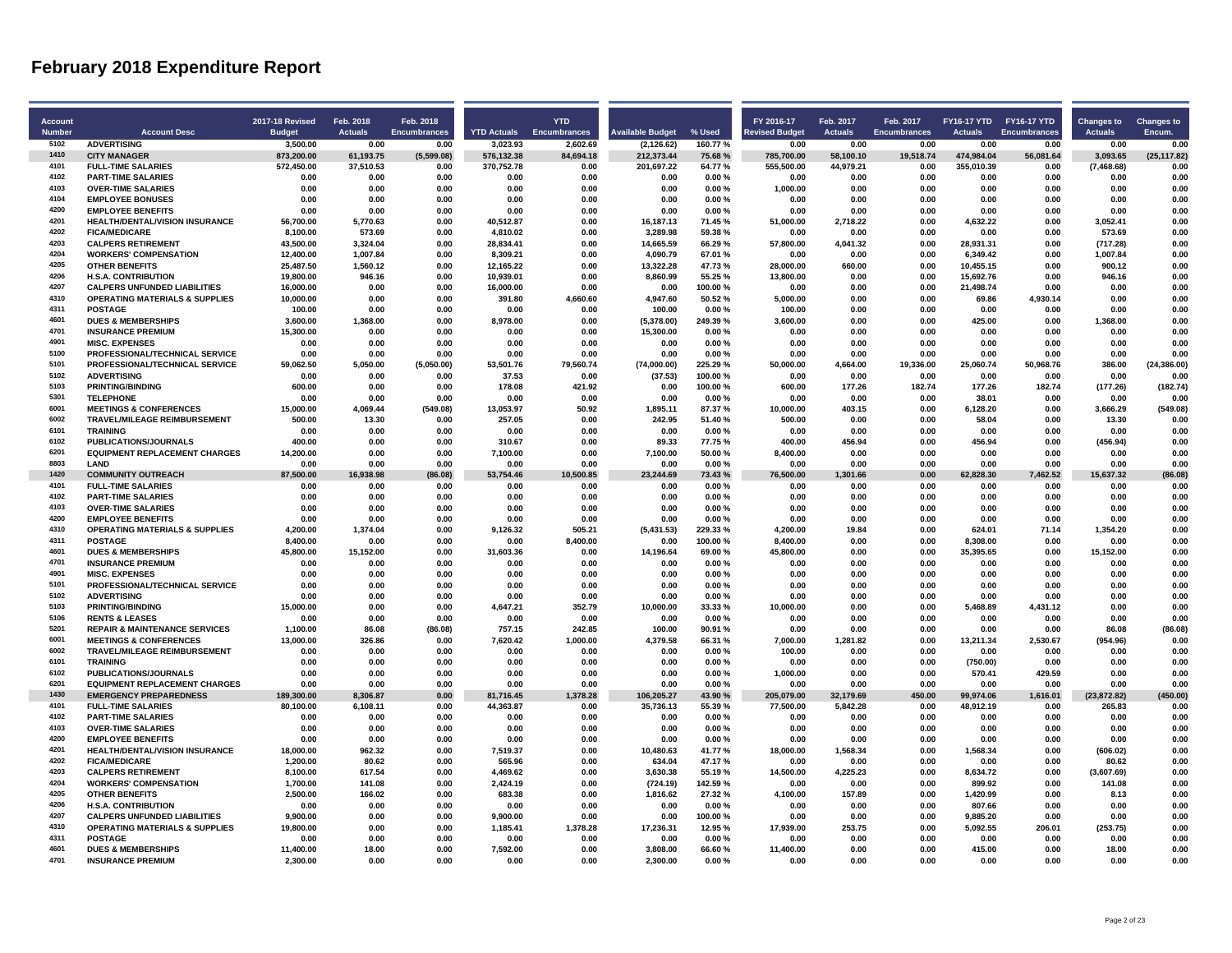| <b>Account</b> |                                                                          | <b>2017-18 Revised</b> | Feb. 2018        | Feb. 2018           |                    | <b>YTD</b>        |                         |                    | FY 2016-17            | Feb. 2017        | Feb. 2017           |                   | FY16-17 YTD FY16-17 YTD | <b>Changes to</b> | <b>Changes to</b>    |
|----------------|--------------------------------------------------------------------------|------------------------|------------------|---------------------|--------------------|-------------------|-------------------------|--------------------|-----------------------|------------------|---------------------|-------------------|-------------------------|-------------------|----------------------|
| <b>Number</b>  | <b>Account Desc</b>                                                      | <b>Budget</b>          | <b>Actuals</b>   | <b>Encumbrances</b> | <b>YTD Actuals</b> | Encumbrances      | <b>Available Budget</b> | % Used             | <b>Revised Budget</b> | <b>Actuals</b>   | <b>Encumbrances</b> | <b>Actuals</b>    | <b>Encumbrances</b>     | <b>Actuals</b>    | Encum.               |
| 5102           | <b>ADVERTISING</b>                                                       | 3.500.00               | 0.00             | 0.00                | 3.023.93           | 2.602.69          | (2.126.62)              | 160.77%            | 0.00                  | 0.00             | 0.00                | 0.00              | 0.00                    | 0.00              | 0.00                 |
| 1410           | <b>CITY MANAGER</b>                                                      | 873,200.00             | 61,193.75        | (5,599.08)          | 576,132.38         | 84,694.18         | 212,373.44              | 75.68%             | 785,700.00            | 58,100.10        | 19,518.74           | 474,984.04        | 56,081.64               | 3,093.65          | (25, 117.82)         |
| 4101           | <b>FULL-TIME SALARIES</b>                                                | 572,450.00             | 37,510.53        | 0.00                | 370,752.78         | 0.00              | 201,697.22              | 64.77%             | 555,500.00            | 44,979.21        | 0.00                | 355,010.39        | 0.00                    | (7,468.68)        | 0.00                 |
| 4102           | <b>PART-TIME SALARIES</b>                                                | 0.00                   | 0.00             | 0.00                | 0.00               | 0.00              | 0.00                    | 0.00%              | 0.00                  | 0.00             | 0.00                | 0.00              | 0.00                    | 0.00              | 0.00                 |
| 4103           | <b>OVER-TIME SALARIES</b>                                                | 0.00                   | 0.00             | 0.00                | 0.00               | 0.00              | 0.00                    | 0.00%              | 1,000.00              | 0.00             | 0.00                | 0.00              | 0.00                    | 0.00              | 0.00                 |
| 4104           | <b>EMPLOYEE BONUSES</b>                                                  | 0.00                   | 0.00             | 0.00                | 0.00               | 0.00              | 0.00                    | 0.00%              | 0.00                  | 0.00             | 0.00                | 0.00              | 0.00                    | 0.00              | 0.00                 |
| 4200           | <b>EMPLOYEE BENEFITS</b>                                                 | 0.00                   | 0.00             | 0.00                | 0.00               | 0.00              | 0.00                    | 0.00%              | 0.00                  | 0.00             | 0.00                | 0.00              | 0.00                    | 0.00              | 0.00                 |
| 4201           | <b>HEALTH/DENTAL/VISION INSURANCE</b>                                    | 56.700.00              | 5.770.63         | 0.00                | 40.512.87          | 0.00              | 16.187.13               | 71.45%             | 51.000.00             | 2.718.22         | 0.00                | 4.632.22          | 0.00                    | 3.052.41          | 0.00                 |
| 4202           | <b>FICA/MEDICARE</b>                                                     | 8,100.00               | 573.69           | 0.00                | 4,810.02           | 0.00              | 3,289.98                | 59.38%             | 0.00                  | 0.00             | 0.00                | 0.00              | 0.00                    | 573.69            | 0.00                 |
| 4203           | <b>CALPERS RETIREMENT</b>                                                | 43,500.00              | 3,324.04         | 0.00                | 28,834.41          | 0.00              | 14,665.59               | 66.29%             | 57,800.00             | 4,041.32         | 0.00                | 28,931.31         | 0.00                    | (717.28)          | 0.00                 |
| 4204           | <b>WORKERS' COMPENSATION</b>                                             | 12,400.00              | 1,007.84         | 0.00                | 8,309.21           | 0.00              | 4,090.79                | 67.01%             | 0.00                  | 0.00             | 0.00                | 6,349.42          | 0.00                    | 1,007.84          | 0.00                 |
| 4205           | <b>OTHER BENEFITS</b>                                                    | 25.487.50              | 1,560.12         | 0.00                | 12,165.22          | 0.00              | 13.322.28               | 47.73%             | 28,000.00             | 660.00           | 0.00                | 10,455.15         | 0.00                    | 900.12            | 0.00                 |
| 4206           | <b>H.S.A. CONTRIBUTION</b>                                               | 19,800.00              | 946.16           | 0.00                | 10,939.01          | 0.00              | 8,860.99                | 55.25 %            | 13,800.00             | 0.00             | 0.00                | 15,692.76         | 0.00                    | 946.16            | 0.00                 |
| 4207           | <b>CALPERS UNFUNDED LIABILITIES</b>                                      | 16,000.00              | 0.00             | 0.00                | 16,000.00          | 0.00              | 0.00                    | 100.00%            | 0.00                  | 0.00             | 0.00                | 21,498.74         | 0.00                    | 0.00              | 0.00                 |
| 4310           | <b>OPERATING MATERIALS &amp; SUPPLIES</b>                                | 10.000.00              | 0.00             | 0.00                | 391.80             | 4.660.60          | 4.947.60                | 50.52%             | 5.000.00              | 0.00             | 0.00                | 69.86             | 4.930.14                | 0.00              | 0.00                 |
| 4311           | <b>POSTAGE</b>                                                           | 100.00                 | 0.00             | 0.00                | 0.00               | 0.00              | 100.00                  | 0.00%              | 100.00                | 0.00             | 0.00                | 0.00              | 0.00                    | 0.00              | 0.00                 |
| 4601           | <b>DUES &amp; MEMBERSHIPS</b>                                            | 3,600.00               | 1,368.00         | 0.00                | 8,978.00           | 0.00              | (5,378.00)              | 249.39%            | 3,600.00              | 0.00             | 0.00                | 425.00            | 0.00                    | 1,368.00          | 0.00                 |
| 4701           | <b>INSURANCE PREMIUM</b>                                                 | 15,300.00              | 0.00             | 0.00                | 0.00               | 0.00              | 15,300.00               | 0.00%              | 0.00                  | 0.00             | 0.00                | 0.00              | 0.00                    | 0.00              | 0.00                 |
| 4901<br>5100   | <b>MISC. EXPENSES</b>                                                    | 0.00                   | 0.00             | 0.00                | 0.00               | 0.00              | 0.00                    | 0.00%              | 0.00                  | 0.00             | 0.00                | 0.00              | 0.00                    | 0.00              | 0.00                 |
|                | PROFESSIONAL/TECHNICAL SERVICE                                           | 0.00                   | 0.00             | 0.00                | 0.00               | 0.00              | 0.00                    | 0.00%              | 0.00                  | 0.00             | 0.00                | 0.00              | 0.00                    | 0.00              | 0.00                 |
| 5101<br>5102   | PROFESSIONAL/TECHNICAL SERVICE<br><b>ADVERTISING</b>                     | 59,062.50<br>0.00      | 5,050.00<br>0.00 | (5,050.00)<br>0.00  | 53,501.76<br>37.53 | 79,560.74<br>0.00 | (74,000.00)<br>(37.53)  | 225.29%<br>100.00% | 50,000.00<br>0.00     | 4,664.00<br>0.00 | 19,336.00<br>0.00   | 25,060.74<br>0.00 | 50,968.76<br>0.00       | 386.00<br>0.00    | (24, 386.00)<br>0.00 |
| 5103           | <b>PRINTING/BINDING</b>                                                  | 600.00                 | 0.00             | 0.00                | 178.08             | 421.92            | 0.00                    | 100.00%            | 600.00                | 177.26           | 182.74              | 177.26            | 182.74                  | (177.26)          | (182.74)             |
| 5301           | <b>TELEPHONE</b>                                                         | 0.00                   | 0.00             | 0.00                | 0.00               | 0.00              | 0.00                    | 0.00%              | 0.00                  | 0.00             | 0.00                | 38.01             | 0.00                    | 0.00              | 0.00                 |
| 6001           | <b>MEETINGS &amp; CONFERENCES</b>                                        | 15,000.00              | 4,069.44         | (549.08)            | 13,053.97          | 50.92             | 1,895.11                | 87.37%             | 10,000.00             | 403.15           | 0.00                | 6,128.20          | 0.00                    | 3,666.29          | (549.08)             |
| 6002           | <b>TRAVEL/MILEAGE REIMBURSEMENT</b>                                      | 500.00                 | 13.30            | 0.00                | 257.05             | 0.00              | 242.95                  | 51.40%             | 500.00                | 0.00             | 0.00                | 58.04             | 0.00                    | 13.30             | 0.00                 |
| 6101           | <b>TRAINING</b>                                                          | 0.00                   | 0.00             | 0.00                | 0.00               | 0.00              | 0.00                    | 0.00%              | 0.00                  | 0.00             | 0.00                | 0.00              | 0.00                    | 0.00              | 0.00                 |
| 6102           | PUBLICATIONS/JOURNALS                                                    | 400.00                 | 0.00             | 0.00                | 310.67             | 0.00              | 89.33                   | 77.75%             | 400.00                | 456.94           | 0.00                | 456.94            | 0.00                    | (456.94)          | 0.00                 |
| 6201           | <b>EQUIPMENT REPLACEMENT CHARGES</b>                                     | 14,200.00              | 0.00             | 0.00                | 7,100.00           | 0.00              | 7,100.00                | 50.00%             | 8,400.00              | 0.00             | 0.00                | 0.00              | 0.00                    | 0.00              | 0.00                 |
| 8803           | LAND                                                                     | 0.00                   | 0.00             | 0.00                | 0.00               | 0.00              | 0.00                    | 0.00%              | 0.00                  | 0.00             | 0.00                | 0.00              | 0.00                    | 0.00              | 0.00                 |
| 1420           | <b>COMMUNITY OUTREACH</b>                                                | 87,500.00              | 16,938.98        | (86.08)             | 53,754.46          | 10,500.85         | 23,244.69               | 73.43%             | 76,500.00             | 1,301.66         | 0.00                | 62,828.30         | 7,462.52                | 15,637.32         | (86.08)              |
| 4101           | <b>FULL-TIME SALARIES</b>                                                | 0.00                   | 0.00             | 0.00                | 0.00               | 0.00              | 0.00                    | 0.00%              | 0.00                  | 0.00             | 0.00                | 0.00              | 0.00                    | 0.00              | 0.00                 |
| 4102           | <b>PART-TIME SALARIES</b>                                                | 0.00                   | 0.00             | 0.00                | 0.00               | 0.00              | 0.00                    | 0.00%              | 0.00                  | 0.00             | 0.00                | 0.00              | 0.00                    | 0.00              | 0.00                 |
| 4103           | <b>OVER-TIME SALARIES</b>                                                | 0.00                   | 0.00             | 0.00                | 0.00               | 0.00              | 0.00                    | 0.00%              | 0.00                  | 0.00             | 0.00                | 0.00              | 0.00                    | 0.00              | 0.00                 |
| 4200           | <b>EMPLOYEE BENEFITS</b>                                                 | 0.00                   | 0.00             | 0.00                | 0.00               | 0.00              | 0.00                    | 0.00%              | 0.00                  | 0.00             | 0.00                | 0.00              | 0.00                    | 0.00              | 0.00                 |
| 4310           | <b>OPERATING MATERIALS &amp; SUPPLIES</b>                                | 4.200.00               | 1,374.04         | 0.00                | 9.126.32           | 505.21            | (5,431.53)              | 229.33%            | 4,200.00              | 19.84            | 0.00                | 624.01            | 71.14                   | 1.354.20          | 0.00                 |
| 4311           | <b>POSTAGE</b>                                                           | 8,400.00               | 0.00             | 0.00                | 0.00               | 8,400.00          | 0.00                    | 100.00%            | 8,400.00              | 0.00             | 0.00                | 8,308.00          | 0.00                    | 0.00              | 0.00                 |
| 4601           | <b>DUES &amp; MEMBERSHIPS</b>                                            | 45,800.00              | 15,152.00        | 0.00                | 31,603.36          | 0.00              | 14,196.64               | 69.00%             | 45,800.00             | 0.00             | 0.00                | 35,395.65         | 0.00                    | 15,152.00         | 0.00                 |
| 4701           | <b>INSURANCE PREMIUM</b>                                                 | 0.00                   | 0.00             | 0.00                | 0.00               | 0.00              | 0.00                    | 0.00%              | 0.00                  | 0.00             | 0.00                | 0.00              | 0.00                    | 0.00              | 0.00                 |
| 4901           | <b>MISC. EXPENSES</b>                                                    | 0.00                   | 0.00             | 0.00                | 0.00               | 0.00              | 0.00                    | 0.00%              | 0.00                  | 0.00             | 0.00                | 0.00              | 0.00                    | 0.00              | 0.00                 |
| 5101           | PROFESSIONAL/TECHNICAL SERVICE                                           | 0.00                   | 0.00             | 0.00                | 0.00               | 0.00              | 0.00                    | 0.00%              | 0.00                  | 0.00             | 0.00                | 0.00              | 0.00                    | 0.00              | 0.00                 |
| 5102           | <b>ADVERTISING</b>                                                       | 0.00                   | 0.00             | 0.00                | 0.00               | 0.00              | 0.00                    | 0.00%              | 0.00                  | 0.00             | 0.00                | 0.00              | 0.00                    | 0.00              | 0.00                 |
| 5103           | <b>PRINTING/BINDING</b>                                                  | 15.000.00              | 0.00             | 0.00                | 4.647.21           | 352.79            | 10,000.00               | 33.33%             | 10,000.00             | 0.00             | 0.00                | 5,468.89          | 4,431.12                | 0.00              | 0.00                 |
| 5106           | <b>RENTS &amp; LEASES</b>                                                | 0.00                   | 0.00             | 0.00                | 0.00               | 0.00              | 0.00                    | 0.00%              | 0.00                  | 0.00             | 0.00                | 0.00              | 0.00                    | 0.00              | 0.00                 |
| 5201           | <b>REPAIR &amp; MAINTENANCE SERVICES</b>                                 | 1,100.00               | 86.08            | (86.08)             | 757.15             | 242.85            | 100.00                  | 90.91%             | 0.00                  | 0.00             | 0.00                | 0.00              | 0.00                    | 86.08             | (86.08)              |
| 6001<br>6002   | <b>MEETINGS &amp; CONFERENCES</b><br><b>TRAVEL/MILEAGE REIMBURSEMENT</b> | 13,000.00              | 326.86<br>0.00   | 0.00<br>0.00        | 7,620.42           | 1,000.00          | 4,379.58<br>0.00        | 66.31%             | 7,000.00<br>100.00    | 1,281.82<br>0.00 | 0.00<br>0.00        | 13,211.34<br>0.00 | 2,530.67                | (954.96)<br>0.00  | 0.00<br>0.00         |
| 6101           | <b>TRAINING</b>                                                          | 0.00<br>0.00           | 0.00             | 0.00                | 0.00<br>0.00       | 0.00<br>0.00      | 0.00                    | 0.00%<br>0.00%     | 0.00                  | 0.00             | 0.00                | (750.00)          | 0.00<br>0.00            | 0.00              | 0.00                 |
| 6102           | PUBLICATIONS/JOURNALS                                                    | 0.00                   | 0.00             | 0.00                | 0.00               | 0.00              | 0.00                    | 0.00%              | 1,000.00              | 0.00             | 0.00                | 570.41            | 429.59                  | 0.00              | 0.00                 |
| 6201           | <b>EQUIPMENT REPLACEMENT CHARGES</b>                                     | 0.00                   | 0.00             | 0.00                | 0.00               | 0.00              | 0.00                    | 0.00%              | 0.00                  | 0.00             | 0.00                | 0.00              | 0.00                    | 0.00              | 0.00                 |
| 1430           | <b>EMERGENCY PREPAREDNESS</b>                                            | 189,300.00             | 8,306.87         | 0.00                | 81,716.45          | 1,378.28          | 106,205.27              | 43.90%             | 205,079.00            | 32,179.69        | 450.00              | 99,974.06         | 1,616.01                | (23, 872.82)      | (450.00)             |
| 4101           | <b>FULL-TIME SALARIES</b>                                                | 80,100.00              | 6,108.11         | 0.00                | 44,363.87          | 0.00              | 35,736.13               | 55.39%             | 77,500.00             | 5,842.28         | 0.00                | 48,912.19         | 0.00                    | 265.83            | 0.00                 |
| 4102           | <b>PART-TIME SALARIES</b>                                                | 0.00                   | 0.00             | 0.00                | 0.00               | 0.00              | 0.00                    | 0.00%              | 0.00                  | 0.00             | 0.00                | 0.00              | 0.00                    | 0.00              | 0.00                 |
| 4103           | <b>OVER-TIME SALARIES</b>                                                | 0.00                   | 0.00             | 0.00                | 0.00               | 0.00              | 0.00                    | 0.00%              | 0.00                  | 0.00             | 0.00                | 0.00              | 0.00                    | 0.00              | 0.00                 |
| 4200           | <b>EMPLOYEE BENEFITS</b>                                                 | 0.00                   | 0.00             | 0.00                | 0.00               | 0.00              | 0.00                    | 0.00%              | 0.00                  | 0.00             | 0.00                | 0.00              | 0.00                    | 0.00              | 0.00                 |
| 4201           | <b>HEALTH/DENTAL/VISION INSURANCE</b>                                    | 18,000.00              | 962.32           | 0.00                | 7,519.37           | 0.00              | 10,480.63               | 41.77%             | 18,000.00             | 1,568.34         | 0.00                | 1,568.34          | 0.00                    | (606.02)          | 0.00                 |
| 4202           | <b>FICA/MEDICARE</b>                                                     | 1.200.00               | 80.62            | 0.00                | 565.96             | 0.00              | 634.04                  | 47.17%             | 0.00                  | 0.00             | 0.00                | 0.00              | 0.00                    | 80.62             | 0.00                 |
| 4203           | <b>CALPERS RETIREMENT</b>                                                | 8,100.00               | 617.54           | 0.00                | 4,469.62           | 0.00              | 3,630.38                | 55.19%             | 14,500.00             | 4,225.23         | 0.00                | 8,634.72          | 0.00                    | (3,607.69)        | 0.00                 |
| 4204           | <b>WORKERS' COMPENSATION</b>                                             | 1,700.00               | 141.08           | 0.00                | 2,424.19           | 0.00              | (724.19)                | 142.59%            | 0.00                  | 0.00             | 0.00                | 899.92            | 0.00                    | 141.08            | 0.00                 |
| 4205           | OTHER RENEFITS                                                           | 2,500.00               | 166.02           | 0.00                | 683.38             | 0.00              | 1,816.62                | 27.32%             | 4,100.00              | 157.89           | 0.00                | 1,420.99          | 0.00                    | 8.13              | 0.00                 |
| 4206           | <b>H.S.A. CONTRIBUTION</b>                                               | 0.00                   | 0.00             | 0.00                | 0.00               | 0.00              | 0.00                    | 0.00%              | 0.00                  | 0.00             | 0.00                | 807.66            | 0.00                    | 0.00              | 0.00                 |
| 4207           | <b>CALPERS UNFUNDED LIABILITIES</b>                                      | 9.900.00               | 0.00             | 0.00                | 9,900.00           | 0.00              | 0.00                    | 100.00%            | 0.00                  | 0.00             | 0.00                | 9,885.20          | 0.00                    | 0.00              | 0.00                 |
| 4310           | <b>OPERATING MATERIALS &amp; SUPPLIES</b>                                | 19.800.00              | 0.00             | 0.00                | 1,185.41           | 1,378.28          | 17,236.31               | 12.95%             | 17.939.00             | 253.75           | 0.00                | 5,092.55          | 206.01                  | (253.75)          | 0.00                 |
| 4311           | <b>POSTAGE</b>                                                           | 0.00                   | 0.00             | 0.00                | 0.00               | 0.00              | 0.00                    | $0.00 \%$          | 0.00                  | 0.00             | 0.00                | 0.00              | 0.00                    | 0.00              | 0.00                 |
| 4601           | <b>DUES &amp; MEMBERSHIPS</b>                                            | 11,400.00              | 18.00            | 0.00                | 7,592.00           | 0.00              | 3,808.00                | 66.60%             | 11,400.00             | 0.00             | 0.00                | 415.00            | 0.00                    | 18.00             | 0.00                 |
| 4701           | <b>INSURANCE PREMIUM</b>                                                 | 2,300.00               | 0.00             | 0.00                | 0.00               | 0.00              | 2,300.00                | 0.00%              | 0.00                  | 0.00             | 0.00                | 0.00              | 0.00                    | 0.00              | 0.00                 |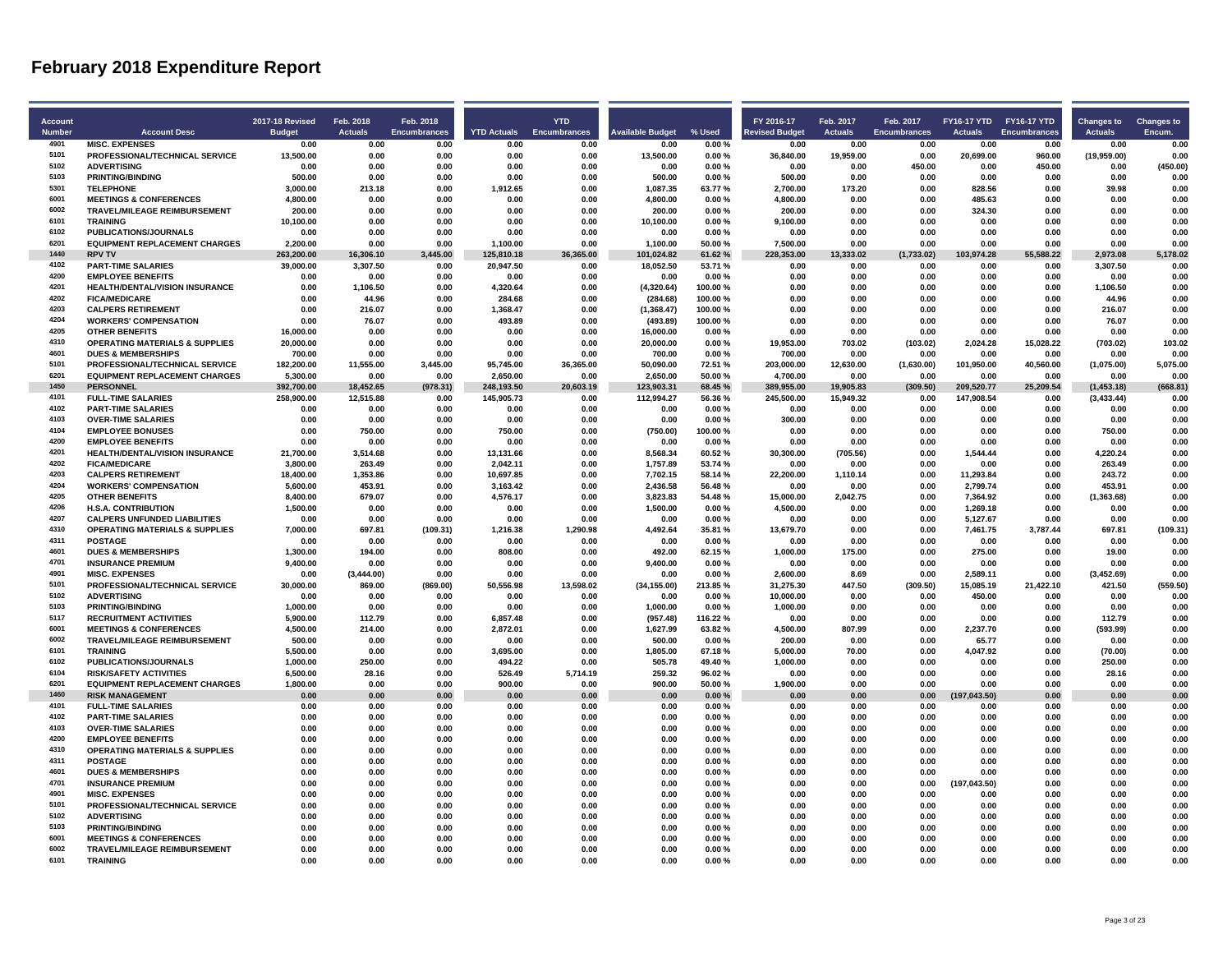| Account       |                                                               | 2017-18 Revised       | Feb. 2018          | Feb. 2018    |                       | <b>YTD</b>   |                         |                  | FY 2016-17            | Feb. 2017        | Feb. 2017           | FY16-17 YTD FY16-17 YTD |                     | <b>Changes to</b>  | <b>Changes to</b> |
|---------------|---------------------------------------------------------------|-----------------------|--------------------|--------------|-----------------------|--------------|-------------------------|------------------|-----------------------|------------------|---------------------|-------------------------|---------------------|--------------------|-------------------|
| <b>Number</b> | <b>Account Desc</b>                                           | <b>Budget</b>         | <b>Actuals</b>     | Encumbrances | <b>YTD Actuals</b>    | Encumbrances | <b>Available Budget</b> | % Used           | <b>Revised Budget</b> | <b>Actuals</b>   | <b>Encumbrances</b> | <b>Actuals</b>          | <b>Encumbrances</b> | <b>Actuals</b>     | Encum.            |
| 4901          | <b>MISC. EXPENSES</b>                                         | 0.00                  | 0.00               | 0.00         | 0.00                  | 0.00         | 0.00                    | 0.00%            | 0.00                  | 0.00             | 0.00                | 0.00                    | 0.00                | 0.00               | 0.00              |
| 5101          | PROFESSIONAL/TECHNICAL SERVICE                                | 13,500.00             | 0.00               | 0.00         | 0.00                  | 0.00         | 13,500.00               | 0.00%            | 36,840.00             | 19,959.00        | 0.00                | 20,699.00               | 960.00              | (19,959.00)        | 0.00              |
| 5102          | <b>ADVERTISING</b>                                            | 0.00                  | 0.00               | 0.00         | 0.00                  | 0.00         | 0.00                    | 0.00%            | 0.00                  | 0.00             | 450.00              | 0.00                    | 450.00              | 0.00               | (450.00)          |
| 5103          | <b>PRINTING/BINDING</b>                                       | 500.00                | 0.00               | 0.00         | 0.00                  | 0.00         | 500.00                  | 0.00%            | 500.00                | 0.00             | 0.00                | 0.00                    | 0.00                | 0.00               | 0.00              |
| 5301          | <b>TELEPHONE</b>                                              | 3.000.00              | 213.18             | 0.00         | 1.912.65              | 0.00         | 1.087.35                | 63.77%           | 2.700.00              | 173.20           | 0.00                | 828.56                  | 0.00                | 39.98              | 0.00              |
| 6001          | <b>MEETINGS &amp; CONFERENCES</b>                             | 4.800.00              | 0.00               | 0.00         | 0.00                  | 0.00         | 4,800.00                | 0.00%            | 4,800.00              | 0.00             | 0.00                | 485.63                  | 0.00                | 0.00               | 0.00              |
| 6002          | TRAVEL/MILEAGE REIMBURSEMENT                                  | 200.00                | 0.00               | 0.00         | 0.00                  | 0.00         | 200.00                  | 0.00%            | 200.00                | 0.00             | 0.00                | 324.30                  | 0.00                | 0.00               | 0.00              |
| 6101          | <b>TRAINING</b>                                               | 10,100.00             | 0.00               | 0.00         | 0.00                  | 0.00         | 10,100.00               | 0.00%            | 9,100.00              | 0.00             | 0.00                | 0.00                    | 0.00                | 0.00               | 0.00              |
| 6102          | <b>PUBLICATIONS/JOURNALS</b>                                  | 0.00                  | 0.00               | 0.00         | 0.00                  | 0.00         | 0.00                    | 0.00%            | 0.00                  | 0.00             | 0.00                | 0.00                    | 0.00                | 0.00               | 0.00              |
| 6201          | <b>EQUIPMENT REPLACEMENT CHARGES</b>                          | 2,200.00              | 0.00               | 0.00         | 1,100.00              | 0.00         | 1,100.00                | 50.00%           | 7,500.00              | 0.00             | 0.00                | 0.00                    | 0.00                | 0.00               | 0.00              |
| 1440          | <b>RPV TV</b>                                                 | 263,200.00            | 16,306.10          | 3,445.00     | 125,810.18            | 36,365.00    | 101,024.82              | 61.62%           | 228,353.00            | 13,333.02        | (1,733.02)          | 103,974.28              | 55,588.22           | 2,973.08           | 5,178.02          |
| 4102          | <b>PART-TIME SALARIES</b>                                     | 39,000.00             | 3,307.50           | 0.00         | 20,947.50             | 0.00         | 18,052.50               | 53.71%           | 0.00                  | 0.00             | 0.00                | 0.00                    | 0.00                | 3,307.50           | 0.00              |
| 4200          | <b>EMPLOYEE BENEFITS</b>                                      | 0.00                  | 0.00               | 0.00         | 0.00                  | 0.00         | 0.00                    | 0.00%            | 0.00                  | 0.00             | 0.00                | 0.00                    | 0.00                | 0.00               | 0.00              |
| 4201          | HEALTH/DENTAL/VISION INSURANCE                                | 0.00                  | 1,106.50           | 0.00         | 4,320.64              | 0.00         | (4,320.64)              | 100.00%          | 0.00                  | 0.00             | 0.00                | 0.00                    | 0.00                | 1,106.50           | 0.00              |
| 4202          | <b>FICA/MEDICARE</b>                                          | 0.00                  | 44.96              | 0.00         | 284.68                | 0.00         | (284.68)                | 100.00%          | 0.00                  | 0.00             | 0.00                | 0.00                    | 0.00                | 44.96              | 0.00              |
| 4203          | <b>CALPERS RETIREMENT</b>                                     | 0.00                  | 216.07             | 0.00         | 1,368.47              | 0.00         | (1,368.47)              | 100.00%          | 0.00                  | 0.00             | 0.00                | 0.00                    | 0.00                | 216.07             | 0.00              |
| 4204          | <b>WORKERS' COMPENSATION</b>                                  | 0.00                  | 76.07              | 0.00         | 493.89                | 0.00         | (493.89)                | 100.00%          | 0.00                  | 0.00             | 0.00                | 0.00                    | 0.00                | 76.07              | 0.00              |
| 4205          | <b>OTHER BENEFITS</b>                                         | 16,000.00             | 0.00               | 0.00         | 0.00                  | 0.00         | 16,000.00               | 0.00%            | 0.00                  | 0.00             | 0.00                | 0.00                    | 0.00                | 0.00               | 0.00              |
| 4310          | <b>OPERATING MATERIALS &amp; SUPPLIES</b>                     | 20,000.00             | 0.00               | 0.00         | 0.00                  | 0.00         | 20,000.00               | 0.00%            | 19,953.00             | 703.02           | (103.02)            | 2,024.28                | 15,028.22           | (703.02)           | 103.02            |
| 4601          | <b>DUES &amp; MEMBERSHIPS</b>                                 | 700.00                | 0.00               | 0.00         | 0.00                  | 0.00         | 700.00                  | 0.00%            | 700.00                | 0.00             | 0.00                | 0.00                    | 0.00                | 0.00               | 0.00              |
| 5101          | PROFESSIONAL/TECHNICAL SERVICE                                | 182.200.00            | 11,555.00          | 3.445.00     | 95.745.00             | 36.365.00    | 50,090.00               | 72.51%           | 203,000.00            | 12,630.00        | (1,630.00)          | 101,950.00              | 40,560.00           | (1,075.00)         | 5,075.00          |
| 6201          | <b>EQUIPMENT REPLACEMENT CHARGES</b>                          | 5,300.00              | 0.00               | 0.00         | 2,650.00              | 0.00         | 2,650.00                | 50.00%           | 4,700.00              | 0.00             | 0.00                | 0.00                    | 0.00                | 0.00               | 0.00              |
| 1450          | <b>PERSONNEL</b>                                              | 392,700.00            | 18,452.65          | (978.31)     | 248,193.50            | 20,603.19    | 123,903.31              | 68.45%           | 389,955.00            | 19,905.83        | (309.50)            | 209,520.77              | 25,209.54           | (1,453.18)         | (668.81)          |
| 4101          | <b>FULL-TIME SALARIES</b>                                     | 258,900.00            | 12,515.88          | 0.00         | 145,905.73            | 0.00         | 112,994.27              | 56.36%           | 245,500.00            | 15,949.32        | 0.00                | 147,908.54              | 0.00                | (3, 433.44)        | 0.00              |
| 4102          | <b>PART-TIME SALARIES</b>                                     | 0.00                  | 0.00               | 0.00         | 0.00                  | 0.00         | 0.00                    | 0.00%            | 0.00                  | 0.00             | 0.00                | 0.00                    | 0.00                | 0.00               | 0.00              |
| 4103<br>4104  | <b>OVER-TIME SALARIES</b>                                     | 0.00                  | 0.00               | 0.00         | 0.00                  | 0.00         | 0.00                    | 0.00%            | 300.00                | 0.00             | 0.00                | 0.00                    | 0.00                | 0.00               | 0.00              |
|               | <b>EMPLOYEE BONUSES</b>                                       | 0.00                  | 750.00             | 0.00         | 750.00                | 0.00         | (750.00)                | 100.00%          | 0.00                  | 0.00             | 0.00                | 0.00                    | 0.00                | 750.00             | 0.00              |
| 4200<br>4201  | <b>EMPLOYEE BENEFITS</b>                                      | 0.00                  | 0.00               | 0.00         | 0.00                  | 0.00         | 0.00                    | 0.00%            | 0.00                  | 0.00             | 0.00                | 0.00                    | 0.00                | 0.00               | 0.00              |
| 4202          | <b>HEALTH/DENTAL/VISION INSURANCE</b><br><b>FICA/MEDICARE</b> | 21.700.00<br>3,800.00 | 3.514.68<br>263.49 | 0.00<br>0.00 | 13.131.66<br>2,042.11 | 0.00<br>0.00 | 8.568.34<br>1,757.89    | 60.52%<br>53.74% | 30.300.00<br>0.00     | (705.56)         | 0.00<br>0.00        | 1.544.44<br>0.00        | 0.00<br>0.00        | 4.220.24<br>263.49 | 0.00<br>0.00      |
| 4203          | <b>CALPERS RETIREMENT</b>                                     |                       |                    |              |                       | 0.00         |                         | 58.14%           |                       | 0.00             |                     |                         | 0.00                |                    | 0.00              |
| 4204          | <b>WORKERS' COMPENSATION</b>                                  | 18,400.00<br>5.600.00 | 1,353.86<br>453.91 | 0.00<br>0.00 | 10,697.85<br>3,163.42 | 0.00         | 7,702.15<br>2,436.58    | 56.48%           | 22,200.00<br>0.00     | 1,110.14<br>0.00 | 0.00<br>0.00        | 11,293.84<br>2,799.74   | 0.00                | 243.72<br>453.91   | 0.00              |
| 4205          | <b>OTHER BENEFITS</b>                                         | 8.400.00              | 679.07             | 0.00         | 4,576.17              | 0.00         | 3.823.83                | 54.48%           | 15.000.00             | 2,042.75         | 0.00                | 7.364.92                | 0.00                | (1,363.68)         | 0.00              |
| 4206          | <b>H.S.A. CONTRIBUTION</b>                                    | 1,500.00              | 0.00               | 0.00         | 0.00                  | 0.00         | 1,500.00                | 0.00%            | 4,500.00              | 0.00             | 0.00                | 1,269.18                | 0.00                | 0.00               | 0.00              |
| 4207          | <b>CALPERS UNFUNDED LIABILITIES</b>                           | 0.00                  | 0.00               | 0.00         | 0.00                  | 0.00         | 0.00                    | 0.00%            | 0.00                  | 0.00             | 0.00                | 5,127.67                | 0.00                | 0.00               | 0.00              |
| 4310          | <b>OPERATING MATERIALS &amp; SUPPLIES</b>                     | 7.000.00              | 697.81             | (109.31)     | 1.216.38              | 1.290.98     | 4.492.64                | 35.81%           | 13.679.70             | 0.00             | 0.00                | 7.461.75                | 3.787.44            | 697.81             | (109.31           |
| 4311          | <b>POSTAGE</b>                                                | 0.00                  | 0.00               | 0.00         | 0.00                  | 0.00         | 0.00                    | 0.00%            | 0.00                  | 0.00             | 0.00                | 0.00                    | 0.00                | 0.00               | 0.00              |
| 4601          | <b>DUES &amp; MEMBERSHIPS</b>                                 | 1,300.00              | 194.00             | 0.00         | 808.00                | 0.00         | 492.00                  | 62.15%           | 1,000.00              | 175.00           | 0.00                | 275.00                  | 0.00                | 19.00              | 0.00              |
| 4701          | <b>INSURANCE PREMIUM</b>                                      | 9,400.00              | 0.00               | 0.00         | 0.00                  | 0.00         | 9,400.00                | 0.00%            | 0.00                  | 0.00             | 0.00                | 0.00                    | 0.00                | 0.00               | 0.00              |
| 4901          | <b>MISC. EXPENSES</b>                                         | 0.00                  | (3.444.00)         | 0.00         | 0.00                  | 0.00         | 0.00                    | 0.00%            | 2.600.00              | 8.69             | 0.00                | 2.589.11                | 0.00                | (3.452.69)         | 0.00              |
| 5101          | PROFESSIONAL/TECHNICAL SERVICE                                | 30,000.00             | 869.00             | (869.00)     | 50,556.98             | 13,598.02    | (34, 155.00)            | 213.85%          | 31,275.30             | 447.50           | (309.50)            | 15,085.19               | 21,422.10           | 421.50             | (559.50)          |
| 5102          | <b>ADVERTISING</b>                                            | 0.00                  | 0.00               | 0.00         | 0.00                  | 0.00         | 0.00                    | 0.00%            | 10,000.00             | 0.00             | 0.00                | 450.00                  | 0.00                | 0.00               | 0.00              |
| 5103          | <b>PRINTING/BINDING</b>                                       | 1,000.00              | 0.00               | 0.00         | 0.00                  | 0.00         | 1,000.00                | 0.00%            | 1,000.00              | 0.00             | 0.00                | 0.00                    | 0.00                | 0.00               | 0.00              |
| 5117          | <b>RECRUITMENT ACTIVITIES</b>                                 | 5,900.00              | 112.79             | 0.00         | 6,857.48              | 0.00         | (957.48)                | 116.22%          | 0.00                  | 0.00             | 0.00                | 0.00                    | 0.00                | 112.79             | 0.00              |
| 6001          | <b>MEETINGS &amp; CONFERENCES</b>                             | 4,500.00              | 214.00             | 0.00         | 2,872.01              | 0.00         | 1,627.99                | 63.82%           | 4,500.00              | 807.99           | 0.00                | 2,237.70                | 0.00                | (593.99)           | 0.00              |
| 6002          | <b>TRAVEL/MILEAGE REIMBURSEMENT</b>                           | 500.00                | 0.00               | 0.00         | 0.00                  | 0.00         | 500.00                  | 0.00%            | 200.00                | 0.00             | 0.00                | 65.77                   | 0.00                | 0.00               | 0.00              |
| 6101          | <b>TRAINING</b>                                               | 5,500.00              | 0.00               | 0.00         | 3,695.00              | 0.00         | 1,805.00                | 67.18%           | 5,000.00              | 70.00            | 0.00                | 4,047.92                | 0.00                | (70.00)            | 0.00              |
| 6102          | <b>PUBLICATIONS/JOURNALS</b>                                  | 1,000.00              | 250.00             | 0.00         | 494.22                | 0.00         | 505.78                  | 49.40%           | 1,000.00              | 0.00             | 0.00                | 0.00                    | 0.00                | 250.00             | 0.00              |
| 6104          | <b>RISK/SAFETY ACTIVITIES</b>                                 | 6,500.00              | 28.16              | 0.00         | 526.49                | 5,714.19     | 259.32                  | 96.02%           | 0.00                  | 0.00             | 0.00                | 0.00                    | 0.00                | 28.16              | 0.00              |
| 6201          | <b>EQUIPMENT REPLACEMENT CHARGES</b>                          | 1,800.00              | 0.00               | 0.00         | 900.00                | 0.00         | 900.00                  | 50.00%           | 1,900.00              | 0.00             | 0.00                | 0.00                    | 0.00                | 0.00               | 0.00              |
| 1460          | <b>RISK MANAGEMENT</b>                                        | 0.00                  | 0.00               | 0.00         | 0.00                  | 0.00         | 0.00                    | 0.00%            | 0.00                  | 0.00             | 0.00                | (197, 043.50)           | 0.00                | 0.00               | 0.00              |
| 4101          | <b>FULL-TIME SALARIES</b>                                     | 0.00                  | 0.00               | 0.00         | 0.00                  | 0.00         | 0.00                    | 0.00%            | 0.00                  | 0.00             | 0.00                | 0.00                    | 0.00                | 0.00               | 0.00              |
| 4102          | <b>PART-TIME SALARIES</b>                                     | 0.00                  | 0.00               | 0.00         | 0.00                  | 0.00         | 0.00                    | 0.00%            | 0.00                  | 0.00             | 0.00                | 0.00                    | 0.00                | 0.00               | 0.00              |
| 4103          | <b>OVER-TIME SALARIES</b>                                     | 0.00                  | 0.00               | 0.00         | 0.00                  | 0.00         | 0.00                    | 0.00%            | 0.00                  | 0.00             | 0.00                | 0.00                    | 0.00                | 0.00               | 0.00              |
| 4200          | <b>EMPLOYEE BENEFITS</b>                                      | 0.00                  | 0.00               | 0.00         | 0.00                  | 0.00         | 0.00                    | 0.00%            | 0.00                  | 0.00             | 0.00                | 0.00                    | 0.00                | 0.00               | 0.00              |
| 4310          | <b>OPERATING MATERIALS &amp; SUPPLIES</b>                     | 0.00                  | 0.00               | 0.00         | 0.00                  | 0.00         | 0.00                    | 0.00%            | 0.00                  | 0.00             | 0.00                | 0.00                    | 0.00                | 0.00               | 0.00              |
| 4311          | <b>POSTAGE</b>                                                | 0.00                  | 0.00               | 0.00         | 0.00                  | 0.00         | 0.00                    | 0.00%            | 0.00                  | 0.00             | 0.00                | 0.00                    | 0.00                | 0.00               | 0.00              |
| 4601          | <b>DUES &amp; MEMBERSHIPS</b>                                 | 0.00                  | 0.00               | 0.00         | 0.00                  | 0.00         | 0.00                    | 0.00%            | 0.00                  | 0.00             | 0.00                | 0.00                    | 0.00                | 0.00               | 0.00              |
| 4701          | <b>INSURANCE PREMIUM</b>                                      | 0.00                  | 0.00               | 0.00         | 0.00                  | 0.00         | 0.00                    | 0.00%            | 0.00                  | 0.00             | 0.00                | (197, 043.50)           | 0.00                | 0.00               | 0.00              |
| 4901          | <b>MISC. EXPENSES</b>                                         | 0.00                  | 0.00               | 0.00         | 0.00                  | 0.00         | 0.00                    | 0.00%            | 0.00                  | 0.00             | 0.00                | 0.00                    | 0.00                | 0.00               | 0.00              |
| 5101          | PROFESSIONAL/TECHNICAL SERVICE                                | 0.00                  | 0.00               | 0.00         | 0.00                  | 0.00         | 0.00                    | 0.00%            | 0.00                  | 0.00             | 0.00                | 0.00                    | 0.00                | 0.00               | 0.00              |
| 5102          | <b>ADVERTISING</b>                                            | 0.00                  | 0.00               | 0.00         | 0.00                  | 0.00         | 0.00                    | 0.00%            | 0.00                  | 0.00             | 0.00                | 0.00                    | 0.00                | 0.00               | 0.00              |
| 5103          | <b>PRINTING/BINDING</b>                                       | 0.00                  | 0.00               | 0.00         | 0.00                  | 0.00         | 0.00                    | 0.00%            | 0.00                  | 0.00             | 0.00                | 0.00                    | 0.00                | 0.00               | 0.00              |
| 6001          | <b>MEETINGS &amp; CONFERENCES</b>                             | 0.00                  | 0.00               | 0.00         | 0.00                  | 0.00         | 0.00                    | 0.00%            | 0.00                  | 0.00             | 0.00                | 0.00                    | 0.00                | 0.00               | 0.00              |
| 6002          | TRAVEL/MILEAGE REIMBURSEMENT                                  | 0.00                  | 0.00               | 0.00         | 0.00                  | 0.00         | 0.00                    | 0.00%            | 0.00                  | 0.00             | 0.00                | 0.00                    | 0.00                | 0.00               | 0.00              |
| 6101          | <b>TRAINING</b>                                               | 0.00                  | 0.00               | 0.00         | 0.00                  | 0.00         | 0.00                    | 0.00%            | 0.00                  | 0.00             | 0.00                | 0.00                    | 0.00                | 0.00               | 0.00              |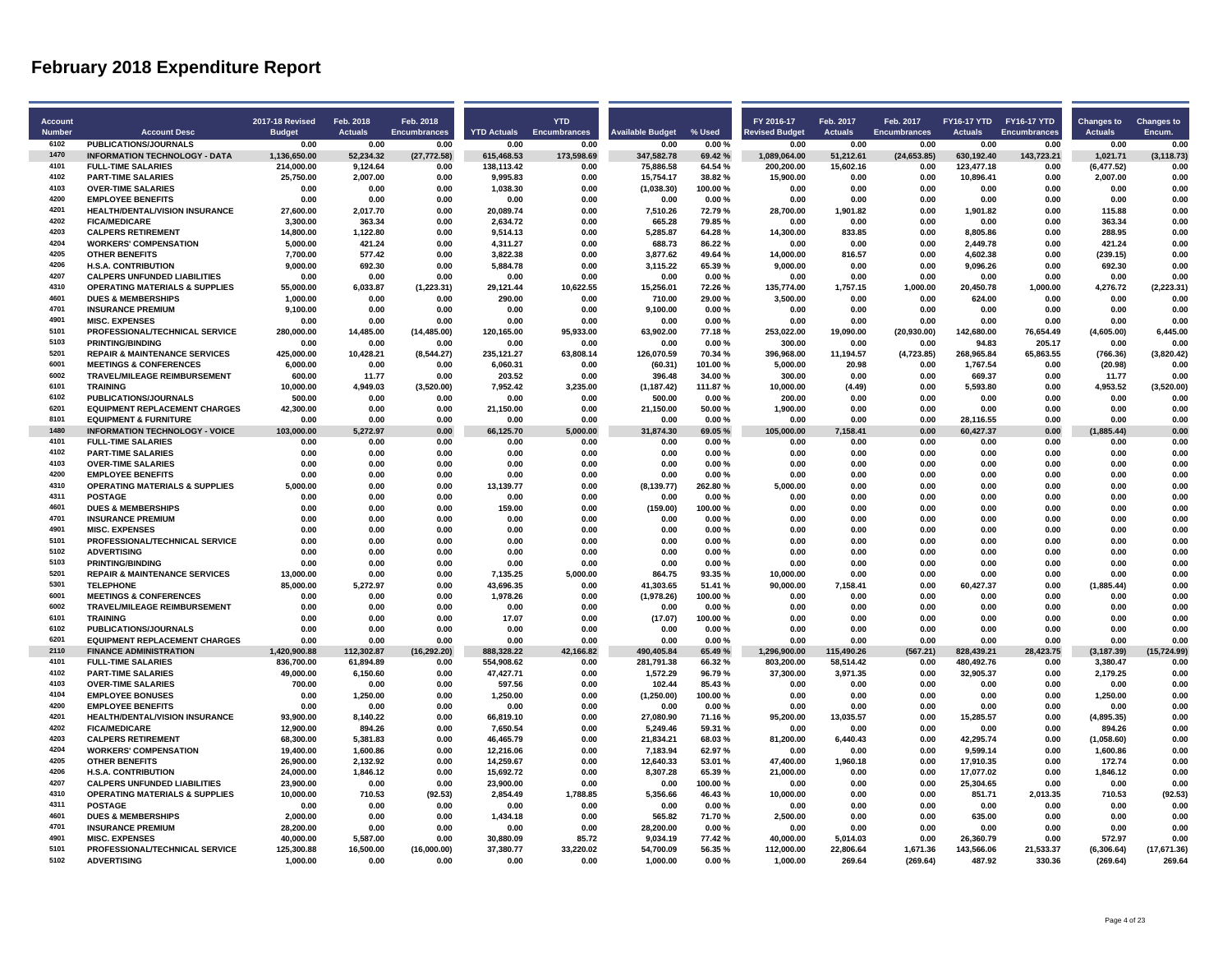| <b>Account</b><br><b>Number</b> | <b>Account Desc</b>                                                        | <b>2017-18 Revised</b><br><b>Budget</b> | Feb. 2018<br><b>Actuals</b> | Feb. 2018<br><b>Encumbrances</b> | <b>YTD Actuals</b>  | <b>YTD</b><br><b>Encumbrances</b> | <b>Available Budget</b> | % Used           | FY 2016-17<br><b>Revised Budget</b> | Feb. 2017<br><b>Actuals</b> | Feb. 2017<br><b>Encumbrances</b> | FY16-17 YTD FY16-17 YTD<br><b>Actuals</b> | Encumbrances     | <b>Changes to</b><br><b>Actuals</b> | <b>Changes to</b><br>Encum. |
|---------------------------------|----------------------------------------------------------------------------|-----------------------------------------|-----------------------------|----------------------------------|---------------------|-----------------------------------|-------------------------|------------------|-------------------------------------|-----------------------------|----------------------------------|-------------------------------------------|------------------|-------------------------------------|-----------------------------|
| 6102                            | <b>PUBLICATIONS/JOURNALS</b>                                               | 0.00                                    | 0.00                        | 0.00                             | 0.00                | 0.00                              | 0.00                    | 0.00%            | 0.00                                | 0.00                        | 0.00                             | 0.00                                      | 0.00             | 0.00                                | 0.00                        |
| 1470                            | <b>INFORMATION TECHNOLOGY - DATA</b>                                       | 1,136,650.00                            | 52,234.32                   | (27, 772.58)                     | 615,468.53          | 173,598.69                        | 347,582.78              | 69.42%           | 1,089,064.00                        | 51,212.61                   | (24, 653.85)                     | 630,192.40                                | 143,723.21       | 1,021.71                            | (3, 118.73)                 |
| 4101                            | <b>FULL-TIME SALARIES</b>                                                  | 214,000.00                              | 9,124.64                    | 0.00                             | 138,113.42          | 0.00                              | 75,886.58               | 64.54%           | 200,200.00                          | 15,602.16                   | 0.00                             | 123,477.18                                | 0.00             | (6, 477.52)                         | 0.00                        |
| 4102                            | <b>PART-TIME SALARIES</b>                                                  | 25.750.00                               | 2.007.00                    | 0.00                             | 9.995.83            | 0.00                              | 15.754.17               | 38.82%           | 15.900.00                           | 0.00                        | 0.00                             | 10.896.41                                 | 0.00             | 2.007.00                            | 0.00                        |
| 4103                            | <b>OVER-TIME SALARIES</b>                                                  | 0.00                                    | 0.00                        | 0.00                             | 1,038.30            | 0.00                              | (1,038.30)              | 100.00%          | 0.00                                | 0.00                        | 0.00                             | 0.00                                      | 0.00             | 0.00                                | 0.00                        |
| 4200                            | <b>EMPLOYEE BENEFITS</b>                                                   | 0.00                                    | 0.00                        | 0.00                             | 0.00                | 0.00                              | 0.00                    | 0.00%            | 0.00                                | 0.00                        | 0.00                             | 0.00                                      | 0.00             | 0.00                                | 0.00                        |
| 4201                            | HEALTH/DENTAL/VISION INSURANCE                                             | 27.600.00                               | 2,017.70                    | 0.00                             | 20.089.74           | 0.00                              | 7,510.26                | 72.79%           | 28,700.00                           | 1,901.82                    | 0.00                             | 1.901.82                                  | 0.00             | 115.88                              | 0.00                        |
| 4202                            | <b>FICA/MEDICARE</b>                                                       | 3.300.00                                | 363.34                      | 0.00                             | 2.634.72            | 0.00                              | 665.28                  | 79.85%           | 0.00                                | 0.00                        | 0.00                             | 0.00                                      | 0.00             | 363.34                              | 0.00                        |
| 4203                            | <b>CALPERS RETIREMENT</b>                                                  | 14,800.00                               | 1,122.80                    | 0.00                             | 9,514.13            | 0.00                              | 5,285.87                | 64.28%           | 14,300.00                           | 833.85                      | 0.00                             | 8,805.86                                  | 0.00             | 288.95                              | 0.00                        |
| 4204                            | <b>WORKERS' COMPENSATION</b>                                               | 5,000.00                                | 421.24                      | 0.00                             | 4,311.27            | 0.00                              | 688.73                  | 86.22%           | 0.00                                | 0.00                        | 0.00                             | 2,449.78                                  | 0.00             | 421.24                              | 0.00                        |
| 4205                            | <b>OTHER BENEFITS</b>                                                      | 7.700.00                                | 577.42                      | 0.00                             | 3.822.38            | 0.00                              | 3.877.62                | 49.64%           | 14.000.00                           | 816.57                      | 0.00                             | 4.602.38                                  | 0.00             | (239.15)                            | 0.00                        |
| 4206                            | <b>H.S.A. CONTRIBUTION</b>                                                 | 9,000.00                                | 692.30                      | 0.00                             | 5,884.78            | 0.00                              | 3,115.22                | 65.39%           | 9,000.00                            | 0.00                        | 0.00                             | 9,096.26                                  | 0.00             | 692.30                              | 0.00                        |
| 4207<br>4310                    | <b>CALPERS UNFUNDED LIABILITIES</b>                                        | 0.00<br>55.000.00                       | 0.00                        | 0.00                             | 0.00                | 0.00<br>10.622.55                 | 0.00                    | 0.00%            | 0.00                                | 0.00                        | 0.00                             | 0.00                                      | 0.00<br>1.000.00 | 0.00                                | 0.00                        |
| 4601                            | <b>OPERATING MATERIALS &amp; SUPPLIES</b><br><b>DUES &amp; MEMBERSHIPS</b> | 1.000.00                                | 6,033.87<br>0.00            | (1, 223.31)<br>0.00              | 29,121.44<br>290.00 | 0.00                              | 15,256.01<br>710.00     | 72.26%<br>29.00% | 135,774.00<br>3.500.00              | 1,757.15<br>0.00            | 1,000.00<br>0.00                 | 20,450.78<br>624.00                       | 0.00             | 4,276.72<br>0.00                    | (2, 223.31)<br>0.00         |
| 4701                            |                                                                            |                                         |                             |                                  |                     |                                   |                         |                  |                                     |                             |                                  |                                           |                  |                                     |                             |
| 4901                            | <b>INSURANCE PREMIUM</b><br><b>MISC. EXPENSES</b>                          | 9,100.00<br>0.00                        | 0.00<br>0.00                | 0.00<br>0.00                     | 0.00<br>0.00        | 0.00<br>0.00                      | 9,100.00<br>0.00        | 0.00%<br>0.00%   | 0.00<br>0.00                        | 0.00<br>0.00                | 0.00<br>0.00                     | 0.00<br>0.00                              | 0.00<br>0.00     | 0.00<br>0.00                        | 0.00<br>0.00                |
| 5101                            | PROFESSIONAL/TECHNICAL SERVICE                                             | 280.000.00                              | 14.485.00                   | (14, 485.00)                     | 120.165.00          | 95.933.00                         | 63,902.00               | 77.18%           | 253.022.00                          | 19.090.00                   | (20, 930.00)                     | 142.680.00                                | 76.654.49        | (4,605.00)                          | 6.445.00                    |
| 5103                            | <b>PRINTING/BINDING</b>                                                    | 0.00                                    | 0.00                        | 0.00                             | 0.00                | 0.00                              | 0.00                    | 0.00%            | 300.00                              | 0.00                        | 0.00                             | 94.83                                     | 205.17           | 0.00                                | 0.00                        |
| 5201                            | <b>REPAIR &amp; MAINTENANCE SERVICES</b>                                   | 425,000.00                              | 10,428.21                   | (8,544.27)                       | 235,121.27          | 63,808.14                         | 126,070.59              | 70.34%           | 396,968.00                          | 11,194.57                   | (4,723.85)                       | 268,965.84                                | 65,863.55        | (766.36)                            | (3,820.42)                  |
| 6001                            | <b>MEETINGS &amp; CONFERENCES</b>                                          | 6.000.00                                | 0.00                        | 0.00                             | 6.060.31            | 0.00                              | (60.31)                 | 101.00%          | 5.000.00                            | 20.98                       | 0.00                             | 1.767.54                                  | 0.00             | (20.98)                             | 0.00                        |
| 6002                            | <b>TRAVEL/MILEAGE REIMBURSEMENT</b>                                        | 600.00                                  | 11.77                       | 0.00                             | 203.52              | 0.00                              | 396.48                  | 34.00%           | 300.00                              | 0.00                        | 0.00                             | 669.37                                    | 0.00             | 11.77                               | 0.00                        |
| 6101                            | <b>TRAINING</b>                                                            | 10,000.00                               | 4,949.03                    | (3,520.00)                       | 7,952.42            | 3,235.00                          | (1, 187.42)             | 111.87%          | 10,000.00                           | (4.49)                      | 0.00                             | 5,593.80                                  | 0.00             | 4,953.52                            | (3,520.00)                  |
| 6102                            | PUBLICATIONS/JOURNALS                                                      | 500.00                                  | 0.00                        | 0.00                             | 0.00                | 0.00                              | 500.00                  | 0.00%            | 200.00                              | 0.00                        | 0.00                             | 0.00                                      | 0.00             | 0.00                                | 0.00                        |
| 6201                            | <b>EQUIPMENT REPLACEMENT CHARGES</b>                                       | 42.300.00                               | 0.00                        | 0.00                             | 21.150.00           | 0.00                              | 21.150.00               | 50.00%           | 1.900.00                            | 0.00                        | 0.00                             | 0.00                                      | 0.00             | 0.00                                | 0.00                        |
| 8101                            | <b>EQUIPMENT &amp; FURNITURE</b>                                           | 0.00                                    | 0.00                        | 0.00                             | 0.00                | 0.00                              | 0.00                    | $0.00 \%$        | 0.00                                | 0.00                        | 0.00                             | 28,116.55                                 | 0.00             | 0.00                                | 0.00                        |
| 1480                            | <b>INFORMATION TECHNOLOGY - VOICE</b>                                      | 103,000.00                              | 5,272.97                    | 0.00                             | 66,125.70           | 5,000.00                          | 31,874.30               | 69.05%           | 105,000.00                          | 7,158.41                    | 0.00                             | 60,427.37                                 | 0.00             | (1,885.44)                          | 0.00                        |
| 4101                            | <b>FULL-TIME SALARIES</b>                                                  | 0.00                                    | 0.00                        | 0.00                             | 0.00                | 0.00                              | 0.00                    | 0.00%            | 0.00                                | 0.00                        | 0.00                             | 0.00                                      | 0.00             | 0.00                                | 0.00                        |
| 4102                            | <b>PART-TIME SALARIES</b>                                                  | 0.00                                    | 0.00                        | 0.00                             | 0.00                | 0.00                              | 0.00                    | 0.00%            | 0.00                                | 0.00                        | 0.00                             | 0.00                                      | 0.00             | 0.00                                | 0.00                        |
| 4103                            | <b>OVER-TIME SALARIES</b>                                                  | 0.00                                    | 0.00                        | 0.00                             | 0.00                | 0.00                              | 0.00                    | 0.00%            | 0.00                                | 0.00                        | 0.00                             | 0.00                                      | 0.00             | 0.00                                | 0.00                        |
| 4200                            | <b>EMPLOYEE BENEFITS</b>                                                   | 0.00                                    | 0.00                        | 0.00                             | 0.00                | 0.00                              | 0.00                    | 0.00%            | 0.00                                | 0.00                        | 0.00                             | 0.00                                      | 0.00             | 0.00                                | 0.00                        |
| 4310                            | <b>OPERATING MATERIALS &amp; SUPPLIES</b>                                  | 5.000.00                                | 0.00                        | 0.00                             | 13,139.77           | 0.00                              | (8, 139.77)             | 262.80%          | 5.000.00                            | 0.00                        | 0.00                             | 0.00                                      | 0.00             | 0.00                                | 0.00                        |
| 4311                            | <b>POSTAGE</b>                                                             | 0.00                                    | 0.00                        | 0.00                             | 0.00                | 0.00                              | 0.00                    | 0.00%            | 0.00                                | 0.00                        | 0.00                             | 0.00                                      | 0.00             | 0.00                                | 0.00                        |
| 4601                            | <b>DUES &amp; MEMBERSHIPS</b>                                              | 0.00                                    | 0.00                        | 0.00                             | 159.00              | 0.00                              | (159.00)                | 100.00%          | 0.00                                | 0.00                        | 0.00                             | 0.00                                      | 0.00             | 0.00                                | 0.00                        |
| 4701                            | <b>INSURANCE PREMIUM</b>                                                   | 0.00                                    | 0.00                        | 0.00                             | 0.00                | 0.00                              | 0.00                    | 0.00%            | 0.00                                | 0.00                        | 0.00                             | 0.00                                      | 0.00             | 0.00                                | 0.00                        |
| 4901                            | <b>MISC. EXPENSES</b>                                                      | 0.00                                    | 0.00                        | 0.00                             | 0.00                | 0.00                              | 0.00                    | 0.00%            | 0.00                                | 0.00                        | 0.00                             | 0.00                                      | 0.00             | 0.00                                | 0.00                        |
| 5101                            | PROFESSIONAL/TECHNICAL SERVICE                                             | 0.00                                    | 0.00                        | 0.00                             | 0.00                | 0.00                              | 0.00                    | 0.00%            | 0.00                                | 0.00                        | 0.00                             | 0.00                                      | 0.00             | 0.00                                | 0.00                        |
| 5102                            | <b>ADVERTISING</b>                                                         | 0.00                                    | 0.00                        | 0.00                             | 0.00                | 0.00                              | 0.00                    | 0.00%            | 0.00                                | 0.00                        | 0.00                             | 0.00                                      | 0.00             | 0.00                                | 0.00                        |
| 5103                            | <b>PRINTING/BINDING</b>                                                    | 0.00                                    | 0.00                        | 0.00                             | 0.00                | 0.00                              | 0.00                    | 0.00%            | 0.00                                | 0.00                        | 0.00                             | 0.00                                      | 0.00             | 0.00                                | 0.00                        |
| 5201                            | <b>REPAIR &amp; MAINTENANCE SERVICES</b>                                   | 13,000.00                               | 0.00                        | 0.00                             | 7,135.25            | 5,000.00                          | 864.75                  | 93.35%           | 10,000.00                           | 0.00                        | 0.00                             | 0.00                                      | 0.00             | 0.00                                | 0.00                        |
| 5301                            | <b>TELEPHONE</b>                                                           | 85.000.00                               | 5.272.97                    | 0.00                             | 43.696.35           | 0.00                              | 41,303.65               | 51.41%           | 90,000.00                           | 7,158.41                    | 0.00                             | 60,427.37                                 | 0.00             | (1.885.44)                          | 0.00                        |
| 6001<br>6002                    | <b>MEETINGS &amp; CONFERENCES</b>                                          | 0.00                                    | 0.00                        | 0.00                             | 1,978.26            | 0.00                              | (1,978.26)              | 100.00%          | 0.00                                | 0.00                        | 0.00                             | 0.00                                      | 0.00             | 0.00                                | 0.00                        |
| 6101                            | <b>TRAVEL/MILEAGE REIMBURSEMENT</b>                                        | 0.00                                    | 0.00                        | 0.00                             | 0.00                | 0.00                              | 0.00                    | 0.00%            | 0.00                                | 0.00                        | 0.00                             | 0.00                                      | 0.00             | 0.00                                | 0.00                        |
| 6102                            | <b>TRAINING</b><br><b>PUBLICATIONS/JOURNALS</b>                            | 0.00<br>0.00                            | 0.00<br>0.00                | 0.00<br>0.00                     | 17.07<br>0.00       | 0.00<br>0.00                      | (17.07)<br>0.00         | 100.00%<br>0.00% | 0.00<br>0.00                        | 0.00<br>0.00                | 0.00<br>0.00                     | 0.00<br>0.00                              | 0.00<br>0.00     | 0.00<br>0.00                        | 0.00<br>0.00                |
| 6201                            | <b>EQUIPMENT REPLACEMENT CHARGES</b>                                       | 0.00                                    | 0.00                        | 0.00                             | 0.00                | 0.00                              | 0.00                    | 0.00%            | 0.00                                | 0.00                        | 0.00                             | 0.00                                      | 0.00             | 0.00                                | 0.00                        |
| 2110                            | <b>FINANCE ADMINISTRATION</b>                                              | 1,420,900.88                            | 112,302.87                  | (16, 292.20)                     | 888,328.22          | 42,166.82                         | 490,405.84              | 65.49%           | 1,296,900.00                        | 115,490.26                  | (567.21)                         | 828,439.21                                | 28,423.75        | (3, 187.39)                         | (15, 724.99)                |
| 4101                            | <b>FULL-TIME SALARIES</b>                                                  | 836,700.00                              | 61.894.89                   | 0.00                             | 554.908.62          | 0.00                              | 281,791.38              | 66.32%           | 803,200.00                          | 58,514.42                   | 0.00                             | 480,492.76                                | 0.00             | 3.380.47                            | 0.00                        |
| 4102                            | <b>PART-TIME SALARIES</b>                                                  | 49.000.00                               | 6,150.60                    | 0.00                             | 47,427.71           | 0.00                              | 1.572.29                | 96.79%           | 37,300.00                           | 3,971.35                    | 0.00                             | 32,905.37                                 | 0.00             | 2.179.25                            | 0.00                        |
| 4103                            | <b>OVER-TIME SALARIES</b>                                                  | 700.00                                  | 0.00                        | 0.00                             | 597.56              | 0.00                              | 102.44                  | 85.43%           | 0.00                                | 0.00                        | 0.00                             | 0.00                                      | 0.00             | 0.00                                | 0.00                        |
| 4104                            | <b>EMPLOYEE BONUSES</b>                                                    | 0.00                                    | 1.250.00                    | 0.00                             | 1.250.00            | 0.00                              | (1,250.00)              | 100.00%          | 0.00                                | 0.00                        | 0.00                             | 0.00                                      | 0.00             | 1,250.00                            | 0.00                        |
| 4200                            | <b>EMPLOYEE BENEFITS</b>                                                   | 0.00                                    | 0.00                        | 0.00                             | 0.00                | 0.00                              | 0.00                    | 0.00%            | 0.00                                | 0.00                        | 0.00                             | 0.00                                      | 0.00             | 0.00                                | 0.00                        |
| 4201                            | <b>HEALTH/DENTAL/VISION INSURANCE</b>                                      | 93,900.00                               | 8,140.22                    | 0.00                             | 66,819.10           | 0.00                              | 27,080.90               | 71.16%           | 95,200.00                           | 13,035.57                   | 0.00                             | 15,285.57                                 | 0.00             | (4,895.35)                          | 0.00                        |
| 4202                            | <b>FICA/MEDICARE</b>                                                       | 12,900.00                               | 894.26                      | 0.00                             | 7,650.54            | 0.00                              | 5,249.46                | 59.31%           | 0.00                                | 0.00                        | 0.00                             | 0.00                                      | 0.00             | 894.26                              | 0.00                        |
| 4203                            | <b>CALPERS RETIREMENT</b>                                                  | 68,300.00                               | 5,381.83                    | 0.00                             | 46,465.79           | 0.00                              | 21,834.21               | 68.03%           | 81,200.00                           | 6,440.43                    | 0.00                             | 42,295.74                                 | 0.00             | (1,058.60)                          | 0.00                        |
| 4204                            | <b>WORKERS' COMPENSATION</b>                                               | 19,400.00                               | 1.600.86                    | 0.00                             | 12,216.06           | 0.00                              | 7,183.94                | 62.97%           | 0.00                                | 0.00                        | 0.00                             | 9,599.14                                  | 0.00             | 1,600.86                            | 0.00                        |
| 4205                            | <b>OTHER BENEFITS</b>                                                      | 26,900.00                               | 2,132.92                    | 0.00                             | 14,259.67           | 0.00                              | 12,640.33               | 53.01%           | 47,400.00                           | 1,960.18                    | 0.00                             | 17,910.35                                 | 0.00             | 172.74                              | 0.00                        |
| 4206                            | <b>H.S.A. CONTRIBUTION</b>                                                 | 24,000.00                               | 1,846.12                    | 0.00                             | 15,692.72           | 0.00                              | 8,307.28                | 65.39%           | 21,000.00                           | 0.00                        | 0.00                             | 17,077.02                                 | 0.00             | 1,846.12                            | 0.00                        |
| 4207                            | <b>CALPERS UNFUNDED LIABILITIES</b>                                        | 23.900.00                               | 0.00                        | 0.00                             | 23.900.00           | 0.00                              | 0.00                    | 100.00%          | 0.00                                | 0.00                        | 0.00                             | 25.304.65                                 | 0.00             | 0.00                                | 0.00                        |
| 4310                            | <b>OPERATING MATERIALS &amp; SUPPLIES</b>                                  | 10,000.00                               | 710.53                      | (92.53)                          | 2,854.49            | 1,788.85                          | 5,356.66                | 46.43%           | 10,000.00                           | 0.00                        | 0.00                             | 851.71                                    | 2,013.35         | 710.53                              | (92.53)                     |
| 4311                            | <b>POSTAGE</b>                                                             | 0.00                                    | 0.00                        | 0.00                             | 0.00                | 0.00                              | 0.00                    | 0.00%            | 0.00                                | 0.00                        | 0.00                             | 0.00                                      | 0.00             | 0.00                                | 0.00                        |
| 4601                            | <b>DUES &amp; MEMBERSHIPS</b>                                              | 2.000.00                                | 0.00                        | 0.00                             | 1.434.18            | 0.00                              | 565.82                  | 71.70%           | 2.500.00                            | 0.00                        | 0.00                             | 635.00                                    | 0.00             | 0.00                                | 0.00                        |
| 4701                            | <b>INSURANCE PREMIUM</b>                                                   | 28,200.00                               | 0.00                        | 0.00                             | 0.00                | 0.00                              | 28,200.00               | 0.00%            | 0.00                                | 0.00                        | 0.00                             | 0.00                                      | 0.00             | 0.00                                | 0.00                        |
| 4901                            | <b>MISC. EXPENSES</b>                                                      | 40,000.00                               | 5,587.00                    | 0.00                             | 30,880.09           | 85.72                             | 9,034.19                | 77.42%           | 40,000.00                           | 5,014.03                    | 0.00                             | 26,360.79                                 | 0.00             | 572.97                              | 0.00                        |
| 5101                            | PROFESSIONAL/TECHNICAL SERVICE                                             | 125.300.88                              | 16,500.00                   | (16,000.00)                      | 37,380.77           | 33,220.02                         | 54,700.09               | 56.35%           | 112,000.00                          | 22,806.64                   | 1,671.36                         | 143,566.06                                | 21,533.37        | (6,306.64)                          | (17, 671.36)                |
| 5102                            | <b>ADVERTISING</b>                                                         | 1.000.00                                | 0.00                        | 0.00                             | 0.00                | 0.00                              | 1.000.00                | 0.00%            | 1.000.00                            | 269.64                      | (269.64)                         | 487.92                                    | 330.36           | (269.64)                            | 269.64                      |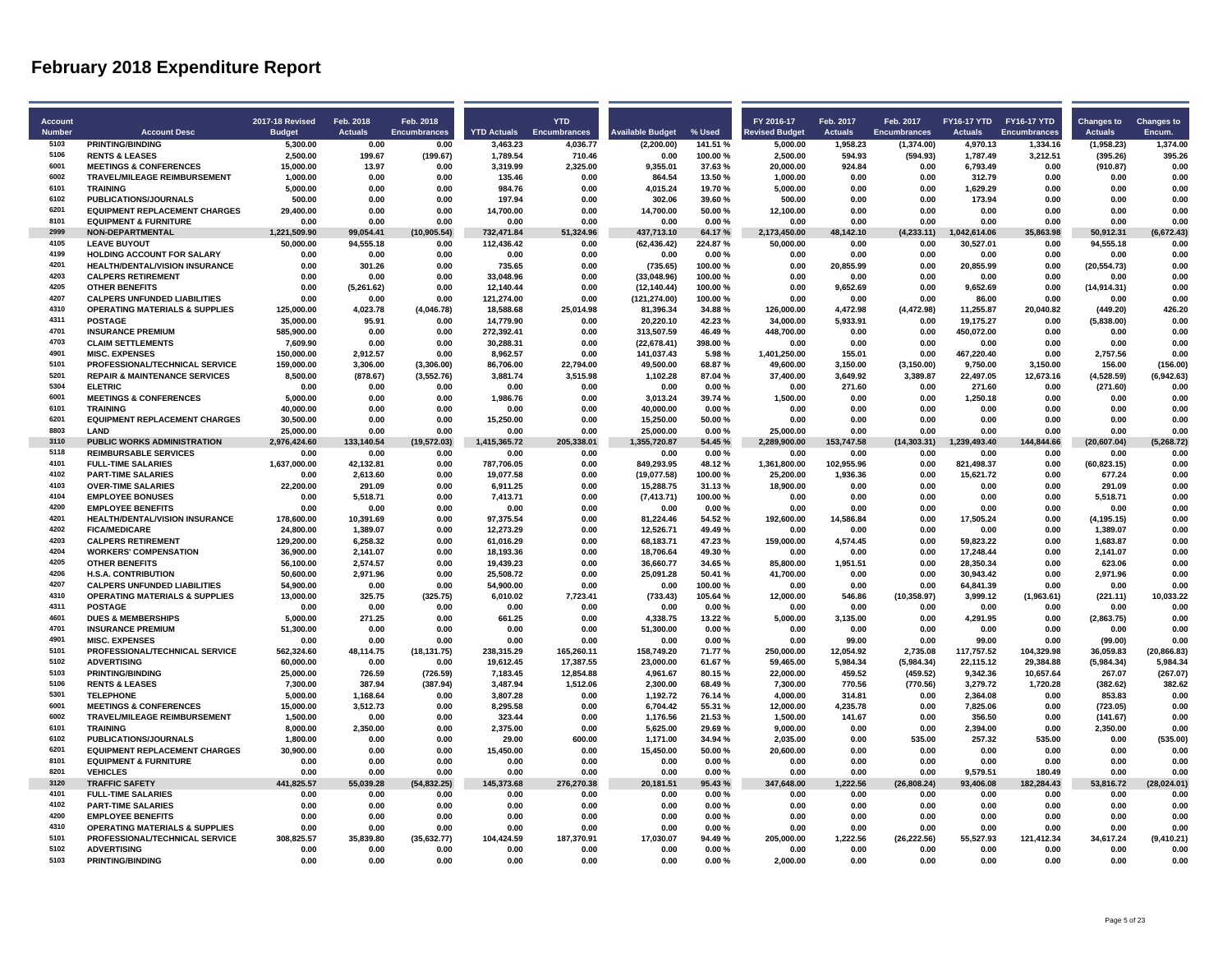| <b>Account</b> |                                                           | <b>2017-18 Revised</b> | Feb. 2018         | Feb. 2018           |                    | <b>YTD</b>          |                         |                  | FY 2016-17            | Feb. 2017        | Feb. 2017           | FY16-17 YTD FY16-17 YTD |              | <b>Changes to</b>  | <b>Changes to</b> |
|----------------|-----------------------------------------------------------|------------------------|-------------------|---------------------|--------------------|---------------------|-------------------------|------------------|-----------------------|------------------|---------------------|-------------------------|--------------|--------------------|-------------------|
| <b>Number</b>  | <b>Account Desc</b>                                       | <b>Budget</b>          | <b>Actuals</b>    | <b>Encumbrances</b> | <b>YTD Actuals</b> | <b>Encumbrances</b> | <b>Available Budget</b> | % Used           | <b>Revised Budget</b> | <b>Actuals</b>   | <b>Encumbrances</b> | <b>Actuals</b>          | Encumbrances | <b>Actuals</b>     | Encum.            |
| 5103           | <b>PRINTING/BINDING</b>                                   | 5.300.00               | 0.00              | 0.00                | 3.463.23           | 4.036.77            | (2.200.00)              | 141.51%          | 5.000.00              | 1.958.23         | (1.374.00)          | 4.970.13                | 1.334.16     | (1,958.23)         | 1.374.00          |
| 5106           | <b>RENTS &amp; LEASES</b>                                 | 2,500.00               | 199.67            | (199.67)            | 1,789.54           | 710.46              | 0.00                    | 100.00%          | 2,500.00              | 594.93           | (594.93)            | 1,787.49                | 3,212.51     | (395.26)           | 395.26            |
| 6001           | <b>MEETINGS &amp; CONFERENCES</b>                         | 15,000.00              | 13.97             | 0.00                | 3,319.99           | 2,325.00            | 9,355.01                | 37.63%           | 20,000.00             | 924.84           | 0.00                | 6,793.49                | 0.00         | (910.87)           | 0.00              |
| 6002           | <b>TRAVEL/MILEAGE REIMBURSEMENT</b>                       | 1.000.00               | 0.00              | 0.00                | 135.46             | 0.00                | 864.54                  | 13.50%           | 1.000.00              | 0.00             | 0.00                | 312.79                  | 0.00         | 0.00               | 0.00              |
| 6101           | <b>TRAINING</b>                                           | 5.000.00               | 0.00              | 0.00                | 984.76             | 0.00                | 4.015.24                | 19.70%           | 5.000.00              | 0.00             | 0.00                | 1.629.29                | 0.00         | 0.00               | 0.00              |
| 6102<br>6201   | PUBLICATIONS/JOURNALS                                     | 500.00                 | 0.00              | 0.00                | 197.94             | 0.00                | 302.06                  | 39.60%           | 500.00                | 0.00             | 0.00                | 173.94                  | 0.00         | 0.00               | 0.00              |
| 8101           | <b>EQUIPMENT REPLACEMENT CHARGES</b>                      | 29.400.00              | 0.00              | 0.00                | 14.700.00          | 0.00                | 14,700.00               | 50.00%           | 12.100.00             | 0.00             | 0.00                | 0.00                    | 0.00         | 0.00               | 0.00              |
| 2999           | <b>EQUIPMENT &amp; FURNITURE</b>                          | 0.00                   | 0.00              | 0.00                | 0.00               | 0.00                | 0.00                    | 0.00%            | 0.00                  | 0.00             | 0.00                | 0.00                    | 0.00         | 0.00               | 0.00              |
| 4105           | NON-DEPARTMENTAL                                          | 1,221,509.90           | 99,054.41         | (10, 905.54)        | 732,471.84         | 51,324.96           | 437,713.10              | 64.17%           | 2,173,450.00          | 48,142.10        | (4,233.11)          | 1,042,614.06            | 35,863.98    | 50,912.31          | (6,672.43)        |
| 4199           | <b>LEAVE BUYOUT</b><br><b>HOLDING ACCOUNT FOR SALARY</b>  | 50,000.00<br>0.00      | 94,555.18<br>0.00 | 0.00<br>0.00        | 112,436.42<br>0.00 | 0.00<br>0.00        | (62, 436.42)<br>0.00    | 224.87%<br>0.00% | 50,000.00<br>0.00     | 0.00<br>0.00     | 0.00<br>0.00        | 30,527.01<br>0.00       | 0.00<br>0.00 | 94,555.18<br>0.00  | 0.00<br>0.00      |
| 4201           | <b>HEALTH/DENTAL/VISION INSURANCE</b>                     | 0.00                   | 301.26            | 0.00                | 735.65             | 0.00                |                         | 100.00%          | 0.00                  | 20,855.99        | 0.00                | 20,855.99               | 0.00         | (20, 554.73)       | 0.00              |
| 4203           | <b>CALPERS RETIREMENT</b>                                 | 0.00                   | 0.00              | 0.00                | 33,048.96          | 0.00                | (735.65)<br>(33,048.96) | 100.00%          | 0.00                  | 0.00             | 0.00                | 0.00                    | 0.00         | 0.00               | 0.00              |
| 4205           | <b>OTHER BENEFITS</b>                                     | 0.00                   | (5, 261.62)       | 0.00                | 12.140.44          | 0.00                | (12, 140.44)            | 100.00%          | 0.00                  | 9.652.69         | 0.00                | 9.652.69                | 0.00         | (14, 914.31)       | 0.00              |
| 4207           | <b>CALPERS UNFUNDED LIABILITIES</b>                       | 0.00                   | 0.00              | 0.00                | 121.274.00         | 0.00                | (121, 274.00)           | 100.00%          | 0.00                  | 0.00             | 0.00                | 86.00                   | 0.00         | 0.00               | 0.00              |
| 4310           | <b>OPERATING MATERIALS &amp; SUPPLIES</b>                 | 125,000.00             | 4,023.78          | (4,046.78)          | 18,588.68          | 25,014.98           | 81,396.34               | 34.88%           | 126,000.00            | 4,472.98         | (4,472.98)          | 11,255.87               | 20,040.82    | (449.20)           | 426.20            |
| 4311           | <b>POSTAGE</b>                                            | 35,000.00              | 95.91             | 0.00                | 14,779.90          | 0.00                | 20,220.10               | 42.23%           | 34,000.00             | 5,933.91         | 0.00                | 19,175.27               | 0.00         | (5,838.00)         | 0.00              |
| 4701           | <b>INSURANCE PREMIUM</b>                                  | 585.900.00             | 0.00              | 0.00                | 272.392.41         | 0.00                | 313.507.59              | 46.49%           | 448.700.00            | 0.00             | 0.00                | 450,072.00              | 0.00         | 0.00               | 0.00              |
| 4703           | <b>CLAIM SETTLEMENTS</b>                                  | 7,609.90               | 0.00              | 0.00                | 30,288.31          | 0.00                | (22, 678.41)            | 398.00%          | 0.00                  | 0.00             | 0.00                | 0.00                    | 0.00         | 0.00               | 0.00              |
| 4901           | <b>MISC. EXPENSES</b>                                     | 150,000.00             | 2,912.57          | 0.00                | 8,962.57           | 0.00                | 141,037.43              | 5.98%            | 1,401,250.00          | 155.01           | 0.00                | 467,220.40              | 0.00         | 2,757.56           | 0.00              |
| 5101           | PROFESSIONAL/TECHNICAL SERVICE                            | 159.000.00             | 3.306.00          | (3.306.00)          | 86.706.00          | 22.794.00           | 49.500.00               | 68.87%           | 49.600.00             | 3.150.00         | (3.150.00)          | 9.750.00                | 3.150.00     | 156.00             | (156.00)          |
| 5201           | <b>REPAIR &amp; MAINTENANCE SERVICES</b>                  | 8.500.00               | (878.67)          | (3,552.76)          | 3,881.74           | 3,515.98            | 1,102.28                | 87.04%           | 37,400.00             | 3,649.92         | 3,389.87            | 22,497.05               | 12,673.16    | (4,528.59)         | (6,942.63)        |
| 5304           | <b>ELETRIC</b>                                            | 0.00                   | 0.00              | 0.00                | 0.00               | 0.00                | 0.00                    | 0.00%            | 0.00                  | 271.60           | 0.00                | 271.60                  | 0.00         | (271.60)           | 0.00              |
| 6001           | <b>MEETINGS &amp; CONFERENCES</b>                         | 5.000.00               | 0.00              | 0.00                | 1,986.76           | 0.00                | 3,013.24                | 39.74%           | 1.500.00              | 0.00             | 0.00                | 1.250.18                | 0.00         | 0.00               | 0.00              |
| 6101           | <b>TRAINING</b>                                           | 40.000.00              | 0.00              | 0.00                | 0.00               | 0.00                | 40.000.00               | 0.00%            | 0.00                  | 0.00             | 0.00                | 0.00                    | 0.00         | 0.00               | 0.00              |
| 6201           | <b>EQUIPMENT REPLACEMENT CHARGES</b>                      | 30,500.00              | 0.00              | 0.00                | 15,250.00          | 0.00                | 15,250.00               | 50.00%           | 0.00                  | 0.00             | 0.00                | 0.00                    | 0.00         | 0.00               | 0.00              |
| 8803           | LAND                                                      | 25,000.00              | 0.00              | 0.00                | 0.00               | 0.00                | 25,000.00               | 0.00%            | 25,000.00             | 0.00             | 0.00                | 0.00                    | 0.00         | 0.00               | 0.00              |
| 3110           | <b>PUBLIC WORKS ADMINISTRATION</b>                        | 2.976.424.60           | 133,140.54        | (19, 572.03)        | 1,415,365.72       | 205.338.01          | 1.355.720.87            | 54.45%           | 2.289.900.00          | 153.747.58       | (14, 303.31)        | 1,239,493.40            | 144.844.66   | (20, 607.04)       | (5,268.72)        |
| 5118           | <b>REIMBURSABLE SERVICES</b>                              | 0.00                   | 0.00              | 0.00                | 0.00               | 0.00                | 0.00                    | 0.00%            | 0.00                  | 0.00             | 0.00                | 0.00                    | 0.00         | 0.00               | 0.00              |
| 4101           | <b>FULL-TIME SALARIES</b>                                 | 1,637,000.00           | 42,132.81         | 0.00                | 787,706.05         | 0.00                | 849,293.95              | 48.12%           | 1,361,800.00          | 102,955.96       | 0.00                | 821,498.37              | 0.00         | (60, 823.15)       | 0.00              |
| 4102           | <b>PART-TIME SALARIES</b>                                 | 0.00                   | 2,613.60          | 0.00                | 19,077.58          | 0.00                | (19,077.58)             | 100.00%          | 25,200.00             | 1,936.36         | 0.00                | 15,621.72               | 0.00         | 677.24             | 0.00              |
| 4103           | <b>OVER-TIME SALARIES</b>                                 | 22.200.00              | 291.09            | 0.00                | 6.911.25           | 0.00                | 15,288.75               | 31.13%           | 18.900.00             | 0.00             | 0.00                | 0.00                    | 0.00         | 291.09             | 0.00              |
| 4104           | <b>EMPLOYEE BONUSES</b>                                   | 0.00                   | 5,518.71          | 0.00                | 7,413.71           | 0.00                | (7, 413.71)             | 100.00%          | 0.00                  | 0.00             | 0.00                | 0.00                    | 0.00         | 5,518.71           | 0.00              |
| 4200           | <b>EMPLOYEE BENEFITS</b>                                  | 0.00                   | 0.00              | 0.00                | 0.00               | 0.00                | 0.00                    | 0.00%            | 0.00                  | 0.00             | 0.00                | 0.00                    | 0.00         | 0.00               | 0.00              |
| 4201           | <b>HEALTH/DENTAL/VISION INSURANCE</b>                     | 178.600.00             | 10.391.69         | 0.00                | 97.375.54          | 0.00                | 81.224.46               | 54.52%           | 192.600.00            | 14.586.84        | 0.00                | 17.505.24               | 0.00         | (4.195.15)         | 0.00              |
| 4202           | <b>FICA/MEDICARE</b>                                      | 24,800.00              | 1,389.07          | 0.00                | 12,273.29          | 0.00                | 12,526.71               | 49.49%           | 0.00                  | 0.00             | 0.00                | 0.00                    | 0.00         | 1,389.07           | 0.00              |
| 4203           | <b>CALPERS RETIREMENT</b>                                 | 129,200.00             | 6,258.32          | 0.00                | 61,016.29          | 0.00                | 68,183.71               | 47.23%           | 159,000.00            | 4,574.45         | 0.00                | 59,823.22               | 0.00         | 1,683.87           | 0.00              |
| 4204           | <b>WORKERS' COMPENSATION</b>                              | 36.900.00              | 2.141.07          | 0.00                | 18.193.36          | 0.00                | 18.706.64               | 49.30%           | 0.00                  | 0.00             | 0.00                | 17.248.44               | 0.00         | 2.141.07           | 0.00              |
| 4205           | <b>OTHER BENEFITS</b>                                     | 56,100.00              | 2.574.57          | 0.00                | 19,439.23          | 0.00                | 36.660.77               | 34.65%           | 85.800.00             | 1,951.51         | 0.00                | 28.350.34               | 0.00         | 623.06             | 0.00              |
| 4206           | <b>H.S.A. CONTRIBUTION</b>                                | 50,600.00              | 2,971.96          | 0.00                | 25,508.72          | 0.00                | 25,091.28               | 50.41%           | 41,700.00             | 0.00             | 0.00                | 30,943.42               | 0.00         | 2,971.96           | 0.00              |
| 4207<br>4310   | <b>CALPERS UNFUNDED LIABILITIES</b>                       | 54.900.00              | 0.00              | 0.00                | 54,900.00          | 0.00                | 0.00                    | 100.00%          | 0.00                  | 0.00             | 0.00                | 64.841.39               | 0.00         | 0.00               | 0.00              |
| 4311           | <b>OPERATING MATERIALS &amp; SUPPLIES</b>                 | 13.000.00              | 325.75            | (325.75)            | 6.010.02           | 7.723.41            | (733.43)                | 105.64%          | 12.000.00             | 546.86           | (10, 358.97)        | 3,999.12                | (1,963.61)   | (221.11)           | 10.033.22<br>0.00 |
| 4601           | <b>POSTAGE</b>                                            | 0.00<br>5,000.00       | 0.00              | 0.00<br>0.00        | 0.00               | 0.00<br>0.00        | 0.00                    | 0.00%            | 0.00                  | 0.00             | 0.00<br>0.00        | 0.00                    | 0.00<br>0.00 | 0.00               | 0.00              |
| 4701           | <b>DUES &amp; MEMBERSHIPS</b><br><b>INSURANCE PREMIUM</b> | 51.300.00              | 271.25<br>0.00    | 0.00                | 661.25<br>0.00     | 0.00                | 4,338.75<br>51,300.00   | 13.22%<br>0.00%  | 5,000.00<br>0.00      | 3,135.00<br>0.00 | 0.00                | 4,291.95<br>0.00        | 0.00         | (2,863.75)<br>0.00 | 0.00              |
| 4901           | <b>MISC. EXPENSES</b>                                     | 0.00                   | 0.00              | 0.00                | 0.00               | 0.00                | 0.00                    | 0.00%            | 0.00                  | 99.00            | 0.00                | 99.00                   | 0.00         | (99.00)            | 0.00              |
| 5101           | PROFESSIONAL/TECHNICAL SERVICE                            | 562,324.60             | 48,114.75         | (18, 131.75)        | 238,315.29         | 165,260.11          | 158,749.20              | 71.77%           | 250,000.00            | 12,054.92        | 2,735.08            | 117,757.52              | 104,329.98   | 36,059.83          | (20, 866.83)      |
| 5102           | <b>ADVERTISING</b>                                        | 60.000.00              | 0.00              | 0.00                | 19.612.45          | 17,387.55           | 23.000.00               | 61.67%           | 59,465.00             | 5,984.34         | (5,984.34)          | 22,115.12               | 29.384.88    | (5,984.34)         | 5.984.34          |
| 5103           | <b>PRINTING/BINDING</b>                                   | 25.000.00              | 726.59            | (726.59)            | 7,183.45           | 12.854.88           | 4.961.67                | 80.15%           | 22,000.00             | 459.52           | (459.52)            | 9,342.36                | 10,657.64    | 267.07             | (267.07)          |
| 5106           | <b>RENTS &amp; LEASES</b>                                 | 7,300.00               | 387.94            | (387.94)            | 3,487.94           | 1,512.06            | 2,300.00                | 68.49%           | 7,300.00              | 770.56           | (770.56)            | 3,279.72                | 1,720.28     | (382.62)           | 382.62            |
| 5301           | <b>TELEPHONE</b>                                          | 5.000.00               | 1,168.64          | 0.00                | 3.807.28           | 0.00                | 1,192.72                | 76.14%           | 4.000.00              | 314.81           | 0.00                | 2.364.08                | 0.00         | 853.83             | 0.00              |
| 6001           | <b>MEETINGS &amp; CONFERENCES</b>                         | 15.000.00              | 3.512.73          | 0.00                | 8.295.58           | 0.00                | 6.704.42                | 55.31%           | 12.000.00             | 4.235.78         | 0.00                | 7.825.06                | 0.00         | (723.05)           | 0.00              |
| 6002           | TRAVEL/MILEAGE REIMBURSEMENT                              | 1,500.00               | 0.00              | 0.00                | 323.44             | 0.00                | 1,176.56                | 21.53%           | 1,500.00              | 141.67           | 0.00                | 356.50                  | 0.00         | (141.67)           | 0.00              |
| 6101           | <b>TRAINING</b>                                           | 8,000.00               | 2,350.00          | 0.00                | 2,375.00           | 0.00                | 5,625.00                | 29.69%           | 9,000.00              | 0.00             | 0.00                | 2,394.00                | 0.00         | 2,350.00           | 0.00              |
| 6102           | <b>PUBLICATIONS/JOURNALS</b>                              | 1.800.00               | 0.00              | 0.00                | 29.00              | 600.00              | 1,171.00                | 34.94%           | 2,035.00              | 0.00             | 535.00              | 257.32                  | 535.00       | 0.00               | (535.00)          |
| 6201           | <b>EQUIPMENT REPLACEMENT CHARGES</b>                      | 30,900.00              | 0.00              | 0.00                | 15,450.00          | 0.00                | 15,450.00               | 50.00%           | 20,600.00             | 0.00             | 0.00                | 0.00                    | 0.00         | 0.00               | 0.00              |
| 8101           | <b>EQUIPMENT &amp; FURNITURE</b>                          | 0.00                   | 0.00              | 0.00                | 0.00               | 0.00                | 0.00                    | 0.00%            | 0.00                  | 0.00             | 0.00                | 0.00                    | 0.00         | 0.00               | 0.00              |
| 8201           | <b>VEHICLES</b>                                           | 0.00                   | 0.00              | 0.00                | 0.00               | 0.00                | 0.00                    | 0.00%            | 0.00                  | 0.00             | 0.00                | 9,579.51                | 180.49       | 0.00               | 0.00              |
| 3120           | <b>TRAFFIC SAFETY</b>                                     | 441.825.57             | 55.039.28         | (54, 832.25)        | 145.373.68         | 276.270.38          | 20.181.51               | 95.43%           | 347.648.00            | 1.222.56         | (26, 808.24)        | 93.406.08               | 182.284.43   | 53.816.72          | (28, 024.01)      |
| 4101           | <b>FULL-TIME SALARIES</b>                                 | 0.00                   | 0.00              | 0.00                | 0.00               | 0.00                | 0.00                    | 0.00%            | 0.00                  | 0.00             | 0.00                | 0.00                    | 0.00         | 0.00               | 0.00              |
| 4102           | <b>PART-TIME SALARIES</b>                                 | 0.00                   | 0.00              | 0.00                | 0.00               | 0.00                | 0.00                    | 0.00%            | 0.00                  | 0.00             | 0.00                | 0.00                    | 0.00         | 0.00               | 0.00              |
| 4200           | <b>EMPLOYEE BENEFITS</b>                                  | 0.00                   | 0.00              | 0.00                | 0.00               | 0.00                | 0.00                    | 0.00%            | 0.00                  | 0.00             | 0.00                | 0.00                    | 0.00         | 0.00               | 0.00              |
| 4310           | <b>OPERATING MATERIALS &amp; SUPPLIES</b>                 | 0.00                   | 0.00              | 0.00                | 0.00               | 0.00                | 0.00                    | 0.00%            | 0.00                  | 0.00             | 0.00                | 0.00                    | 0.00         | 0.00               | 0.00              |
| 5101           | PROFESSIONAL/TECHNICAL SERVICE                            | 308,825.57             | 35,839.80         | (35, 632.77)        | 104,424.59         | 187,370.91          | 17,030.07               | 94.49%           | 205,000.00            | 1,222.56         | (26, 222.56)        | 55,527.93               | 121,412.34   | 34,617.24          | (9,410.21)        |
| 5102           | <b>ADVERTISING</b>                                        | 0.00                   | 0.00              | 0.00                | 0.00               | 0.00                | 0.00                    | 0.00%            | 0.00                  | 0.00             | 0.00                | 0.00                    | 0.00         | 0.00               | 0.00              |
| 5103           | <b>PRINTING/BINDING</b>                                   | 0.00                   | 0.00              | 0.00                | 0.00               | 0.00                | 0.00                    | 0.00%            | 2.000.00              | 0.00             | 0.00                | 0.00                    | 0.00         | 0.00               | 0.00              |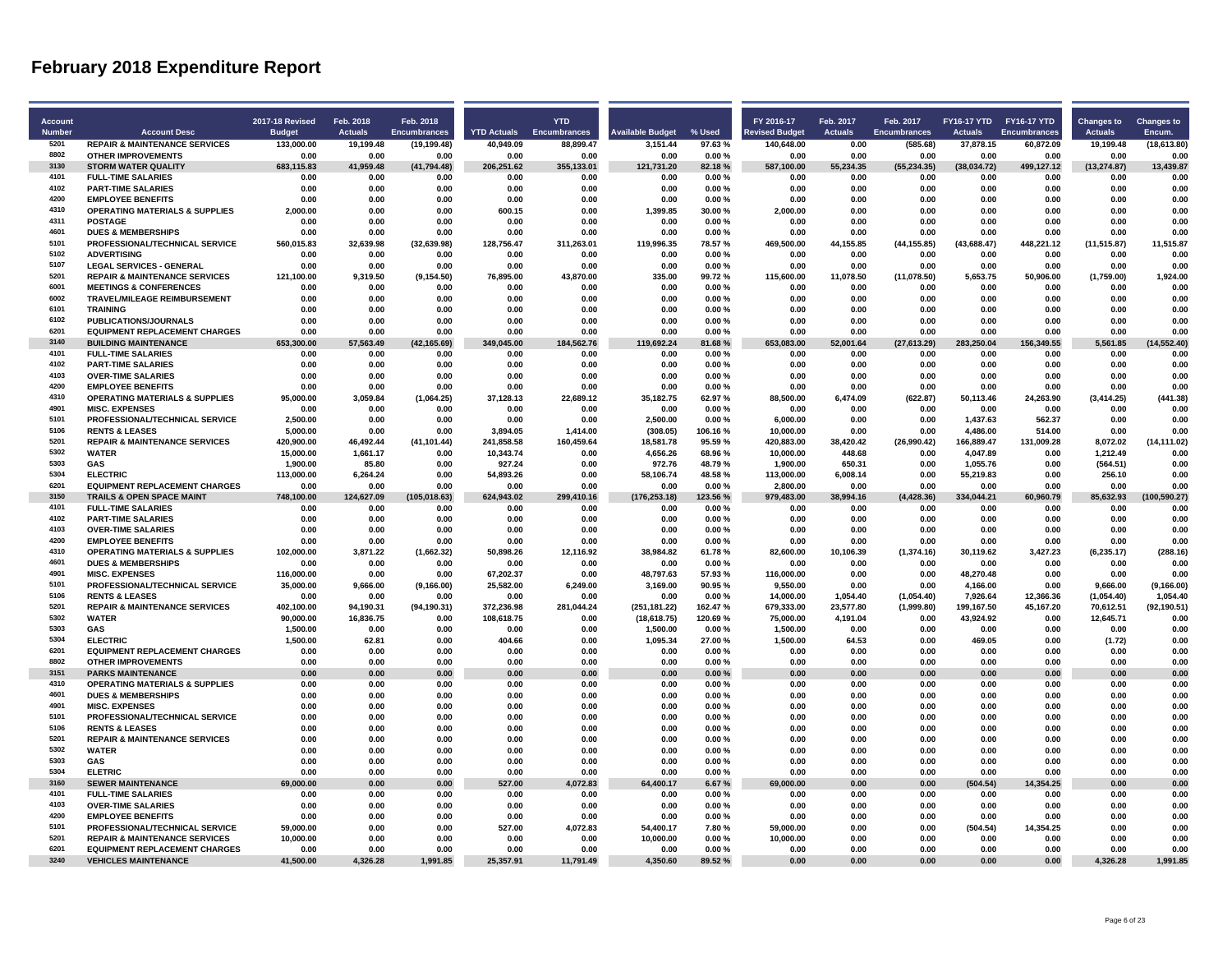| <b>Account</b> |                                                                       | 2017-18 Revised    | Feb. 2018         | Feb. 2018            |                    | <b>YTD</b>          |                         |                 | FY 2016-17            | Feb. 2017         | Feb. 2017            | FY16-17 YTD FY16-17 YTD |                    | <b>Changes to</b>    | <b>Changes to</b> |
|----------------|-----------------------------------------------------------------------|--------------------|-------------------|----------------------|--------------------|---------------------|-------------------------|-----------------|-----------------------|-------------------|----------------------|-------------------------|--------------------|----------------------|-------------------|
| <b>Number</b>  | <b>Account Desc</b>                                                   | <b>Budget</b>      | <b>Actuals</b>    | Encumbrances         | <b>YTD Actuals</b> | <b>Encumbrances</b> | <b>Available Budget</b> | % Used          | <b>Revised Budget</b> | <b>Actuals</b>    | <b>Encumbrances</b>  | <b>Actuals</b>          | Encumbrances       | <b>Actuals</b>       | Encum.            |
| 5201           | <b>REPAIR &amp; MAINTENANCE SERVICES</b>                              | 133.000.00         | 19.199.48         | (19, 199.48)         | 40.949.09          | 88.899.47           | 3.151.44                | 97.63%          | 140.648.00            | 0.00              | (585.68)             | 37.878.15               | 60.872.09          | 19.199.48            | (18, 613.80)      |
| 8802           | <b>OTHER IMPROVEMENTS</b>                                             | 0.00               | 0.00              | 0.00                 | 0.00               | 0.00                | 0.00                    | 0.00%           | 0.00                  | 0.00              | 0.00                 | 0.00                    | 0.00               | 0.00                 | 0.00              |
| 3130           | <b>STORM WATER QUALITY</b>                                            | 683,115.83         | 41,959.48         | (41, 794.48)         | 206,251.62         | 355,133.01          | 121,731.20              | 82.18%          | 587,100.00            | 55,234.35         | (55, 234.35)         | (38,034.72)             | 499,127.12         | (13, 274.87)         | 13,439.87         |
| 4101           | <b>FULL-TIME SALARIES</b>                                             | 0.00               | 0.00              | 0.00                 | 0.00               | 0.00                | 0.00                    | 0.00%           | 0.00                  | 0.00              | 0.00                 | 0.00                    | 0.00               | 0.00                 | 0.00              |
| 4102           | <b>PART-TIME SALARIES</b>                                             | 0.00               | 0.00              | 0.00                 | 0.00               | 0.00                | 0.00                    | 0.00%           | 0.00                  | 0.00              | 0.00                 | 0.00                    | 0.00               | 0.00                 | 0.00              |
| 4200           | <b>EMPLOYEE BENEFITS</b>                                              | 0.00               | 0.00              | 0.00                 | 0.00               | 0.00                | 0.00                    | 0.00%           | 0.00                  | 0.00              | 0.00                 | 0.00                    | 0.00               | 0.00                 | 0.00              |
| 4310           | <b>OPERATING MATERIALS &amp; SUPPLIES</b>                             | 2,000.00           | 0.00              | 0.00                 | 600.15             | 0.00                | 1,399.85                | 30.00%          | 2,000.00              | 0.00              | 0.00                 | 0.00                    | 0.00               | 0.00                 | 0.00              |
| 4311<br>4601   | <b>POSTAGE</b>                                                        | 0.00               | 0.00              | 0.00                 | 0.00               | 0.00                | 0.00                    | 0.00%           | 0.00                  | 0.00              | 0.00                 | 0.00                    | 0.00               | 0.00                 | 0.00              |
| 5101           | <b>DUES &amp; MEMBERSHIPS</b><br>PROFESSIONAL/TECHNICAL SERVICE       | 0.00<br>560,015.83 | 0.00<br>32,639.98 | 0.00                 | 0.00<br>128,756.47 | 0.00<br>311,263.01  | 0.00<br>119,996.35      | 0.00%<br>78.57% | 0.00<br>469,500.00    | 0.00<br>44,155.85 | 0.00                 | 0.00<br>(43, 688.47)    | 0.00<br>448,221.12 | 0.00<br>(11, 515.87) | 0.00<br>11,515.87 |
| 5102           | <b>ADVERTISING</b>                                                    | 0.00               | 0.00              | (32, 639.98)<br>0.00 | 0.00               | 0.00                | 0.00                    | 0.00%           | 0.00                  | 0.00              | (44, 155.85)<br>0.00 | 0.00                    | 0.00               | 0.00                 | 0.00              |
| 5107           | <b>LEGAL SERVICES - GENERAL</b>                                       | 0.00               | 0.00              | 0.00                 | 0.00               | 0.00                | 0.00                    | 0.00%           | 0.00                  | 0.00              | 0.00                 | 0.00                    | 0.00               | 0.00                 | 0.00              |
| 5201           | <b>REPAIR &amp; MAINTENANCE SERVICES</b>                              | 121,100.00         | 9,319.50          | (9, 154.50)          | 76,895.00          | 43,870.00           | 335.00                  | 99.72%          | 115,600.00            | 11,078.50         | (11,078.50)          | 5,653.75                | 50,906.00          | (1,759.00)           | 1,924.00          |
| 6001           | <b>MEETINGS &amp; CONFERENCES</b>                                     | 0.00               | 0.00              | 0.00                 | 0.00               | 0.00                | 0.00                    | 0.00%           | 0.00                  | 0.00              | 0.00                 | 0.00                    | 0.00               | 0.00                 | 0.00              |
| 6002           | <b>TRAVEL/MILEAGE REIMBURSEMENT</b>                                   | 0.00               | 0.00              | 0.00                 | 0.00               | 0.00                | 0.00                    | 0.00%           | 0.00                  | 0.00              | 0.00                 | 0.00                    | 0.00               | 0.00                 | 0.00              |
| 6101           | <b>TRAINING</b>                                                       | 0.00               | 0.00              | 0.00                 | 0.00               | 0.00                | 0.00                    | 0.00%           | 0.00                  | 0.00              | 0.00                 | 0.00                    | 0.00               | 0.00                 | 0.00              |
| 6102           | PUBLICATIONS/JOURNALS                                                 | 0.00               | 0.00              | 0.00                 | 0.00               | 0.00                | 0.00                    | 0.00%           | 0.00                  | 0.00              | 0.00                 | 0.00                    | 0.00               | 0.00                 | 0.00              |
| 6201           | <b>EQUIPMENT REPLACEMENT CHARGES</b>                                  | 0.00               | 0.00              | 0.00                 | 0.00               | 0.00                | 0.00                    | 0.00%           | 0.00                  | 0.00              | 0.00                 | 0.00                    | 0.00               | 0.00                 | 0.00              |
| 3140           | <b>BUILDING MAINTENANCE</b>                                           | 653.300.00         | 57,563.49         | (42, 165.69)         | 349,045.00         | 184,562.76          | 119,692.24              | 81.68%          | 653,083.00            | 52,001.64         | (27, 613.29)         | 283,250.04              | 156,349.55         | 5,561.85             | (14, 552.40)      |
| 4101           | <b>FULL-TIME SALARIES</b>                                             | 0.00               | 0.00              | 0.00                 | 0.00               | 0.00                | 0.00                    | 0.00%           | 0.00                  | 0.00              | 0.00                 | 0.00                    | 0.00               | 0.00                 | 0.00              |
| 4102           | <b>PART-TIME SALARIES</b>                                             | 0.00               | 0.00              | 0.00                 | 0.00               | 0.00                | 0.00                    | 0.00%           | 0.00                  | 0.00              | 0.00                 | 0.00                    | 0.00               | 0.00                 | 0.00              |
| 4103<br>4200   | <b>OVER-TIME SALARIES</b>                                             | 0.00               | 0.00              | 0.00                 | 0.00               | 0.00                | 0.00                    | 0.00%           | 0.00                  | 0.00              | 0.00                 | 0.00<br>0.00            | 0.00<br>0.00       | 0.00                 | 0.00              |
| 4310           | <b>EMPLOYEE BENEFITS</b>                                              | 0.00               | 0.00              | 0.00                 | 0.00               | 0.00                | 0.00                    | 0.00%           | 0.00                  | 0.00              | 0.00                 |                         |                    | 0.00                 | 0.00<br>(441.38)  |
| 4901           | <b>OPERATING MATERIALS &amp; SUPPLIES</b><br><b>MISC. EXPENSES</b>    | 95,000.00<br>0.00  | 3,059.84<br>0.00  | (1,064.25)<br>0.00   | 37,128.13<br>0.00  | 22,689.12<br>0.00   | 35,182.75<br>0.00       | 62.97%<br>0.00% | 88,500.00<br>0.00     | 6,474.09<br>0.00  | (622.87)<br>0.00     | 50,113.46<br>0.00       | 24,263.90<br>0.00  | (3, 414.25)<br>0.00  | 0.00              |
| 5101           | PROFESSIONAL/TECHNICAL SERVICE                                        | 2,500.00           | 0.00              | 0.00                 | 0.00               | 0.00                | 2,500.00                | 0.00%           | 6,000.00              | 0.00              | 0.00                 | 1,437.63                | 562.37             | 0.00                 | 0.00              |
| 5106           | <b>RENTS &amp; LEASES</b>                                             | 5,000.00           | 0.00              | 0.00                 | 3,894.05           | 1,414.00            | (308.05)                | 106.16%         | 10,000.00             | 0.00              | 0.00                 | 4,486.00                | 514.00             | 0.00                 | 0.00              |
| 5201           | <b>REPAIR &amp; MAINTENANCE SERVICES</b>                              | 420,900.00         | 46,492.44         | (41, 101.44)         | 241,858.58         | 160,459.64          | 18,581.78               | 95.59%          | 420,883.00            | 38,420.42         | (26,990.42)          | 166,889.47              | 131,009.28         | 8,072.02             | (14, 111.02)      |
| 5302           | <b>WATER</b>                                                          | 15,000.00          | 1,661.17          | 0.00                 | 10,343.74          | 0.00                | 4,656.26                | 68.96%          | 10,000.00             | 448.68            | 0.00                 | 4,047.89                | 0.00               | 1,212.49             | 0.00              |
| 5303           | <b>GAS</b>                                                            | 1,900.00           | 85.80             | 0.00                 | 927.24             | 0.00                | 972.76                  | 48.79%          | 1,900.00              | 650.31            | 0.00                 | 1,055.76                | 0.00               | (564.51)             | 0.00              |
| 5304           | <b>ELECTRIC</b>                                                       | 113,000.00         | 6,264.24          | 0.00                 | 54,893.26          | 0.00                | 58,106.74               | 48.58%          | 113,000.00            | 6,008.14          | 0.00                 | 55,219.83               | 0.00               | 256.10               | 0.00              |
| 6201           | <b>EQUIPMENT REPLACEMENT CHARGES</b>                                  | 0.00               | 0.00              | 0.00                 | 0.00               | 0.00                | 0.00                    | 0.00%           | 2,800.00              | 0.00              | 0.00                 | 0.00                    | 0.00               | 0.00                 | 0.00              |
| 3150           | <b>TRAILS &amp; OPEN SPACE MAINT</b>                                  | 748.100.00         | 124,627.09        | (105, 018.63)        | 624.943.02         | 299,410.16          | (176, 253.18)           | 123.56%         | 979,483.00            | 38,994.16         | (4, 428.36)          | 334,044.21              | 60,960.79          | 85,632.93            | (100, 590.27)     |
| 4101           | <b>FULL-TIME SALARIES</b>                                             | 0.00               | 0.00              | 0.00                 | 0.00               | 0.00                | 0.00                    | 0.00%           | 0.00                  | 0.00              | 0.00                 | 0.00                    | 0.00               | 0.00                 | 0.00              |
| 4102           | <b>PART-TIME SALARIES</b>                                             | 0.00               | 0.00              | 0.00                 | 0.00               | 0.00                | 0.00                    | 0.00%           | 0.00                  | 0.00              | 0.00                 | 0.00                    | 0.00               | 0.00                 | 0.00              |
| 4103<br>4200   | <b>OVER-TIME SALARIES</b>                                             | 0.00               | 0.00              | 0.00                 | 0.00               | 0.00                | 0.00                    | 0.00%           | 0.00                  | 0.00              | 0.00                 | 0.00                    | 0.00               | 0.00                 | 0.00              |
| 4310           | <b>EMPLOYEE BENEFITS</b><br><b>OPERATING MATERIALS &amp; SUPPLIES</b> | 0.00<br>102.000.00 | 0.00<br>3,871.22  | 0.00<br>(1,662.32)   | 0.00<br>50.898.26  | 0.00<br>12,116.92   | 0.00<br>38.984.82       | 0.00%<br>61.78% | 0.00<br>82.600.00     | 0.00<br>10,106.39 | 0.00<br>(1,374.16)   | 0.00<br>30,119.62       | 0.00<br>3,427.23   | 0.00<br>(6, 235.17)  | 0.00<br>(288.16)  |
| 4601           | <b>DUES &amp; MEMBERSHIPS</b>                                         | 0.00               | 0.00              | 0.00                 | 0.00               | 0.00                | 0.00                    | 0.00%           | 0.00                  | 0.00              | 0.00                 | 0.00                    | 0.00               | 0.00                 | 0.00              |
| 4901           | <b>MISC. EXPENSES</b>                                                 | 116,000.00         | 0.00              | 0.00                 | 67,202.37          | 0.00                | 48,797.63               | 57.93%          | 116,000.00            | 0.00              | 0.00                 | 48,270.48               | 0.00               | 0.00                 | 0.00              |
| 5101           | PROFESSIONAL/TECHNICAL SERVICE                                        | 35,000.00          | 9,666.00          | (9, 166.00)          | 25,582.00          | 6,249.00            | 3,169.00                | 90.95%          | 9,550.00              | 0.00              | 0.00                 | 4,166.00                | 0.00               | 9,666.00             | (9, 166.00)       |
| 5106           | <b>RENTS &amp; LEASES</b>                                             | 0.00               | 0.00              | 0.00                 | 0.00               | 0.00                | 0.00                    | 0.00%           | 14,000.00             | 1,054.40          | (1,054.40)           | 7,926.64                | 12,366.36          | (1,054.40)           | 1,054.40          |
| 5201           | <b>REPAIR &amp; MAINTENANCE SERVICES</b>                              | 402.100.00         | 94.190.31         | (94, 190.31)         | 372.236.98         | 281,044.24          | (251, 181.22)           | 162.47%         | 679,333.00            | 23.577.80         | (1,999.80)           | 199,167.50              | 45,167.20          | 70,612.51            | (92, 190.51)      |
| 5302           | <b>WATER</b>                                                          | 90,000.00          | 16,836.75         | 0.00                 | 108,618.75         | 0.00                | (18, 618.75)            | 120.69%         | 75,000.00             | 4,191.04          | 0.00                 | 43,924.92               | 0.00               | 12,645.71            | 0.00              |
| 5303           | <b>GAS</b>                                                            | 1,500.00           | 0.00              | 0.00                 | 0.00               | 0.00                | 1,500.00                | 0.00%           | 1,500.00              | 0.00              | 0.00                 | 0.00                    | 0.00               | 0.00                 | 0.00              |
| 5304           | <b>ELECTRIC</b>                                                       | 1.500.00           | 62.81             | 0.00                 | 404.66             | 0.00                | 1.095.34                | 27.00%          | 1,500.00              | 64.53             | 0.00                 | 469.05                  | 0.00               | (1.72)               | 0.00              |
| 6201<br>8802   | <b>EQUIPMENT REPLACEMENT CHARGES</b>                                  | 0.00               | 0.00              | 0.00                 | 0.00               | 0.00                | 0.00                    | 0.00%           | 0.00                  | 0.00              | 0.00                 | 0.00                    | 0.00               | 0.00                 | 0.00              |
| 3151           | <b>OTHER IMPROVEMENTS</b><br><b>PARKS MAINTENANCE</b>                 | 0.00<br>0.00       | 0.00<br>0.00      | 0.00<br>0.00         | 0.00<br>0.00       | 0.00<br>0.00        | 0.00<br>0.00            | 0.00%<br>0.00%  | 0.00<br>0.00          | 0.00<br>0.00      | 0.00<br>0.00         | 0.00<br>0.00            | 0.00<br>0.00       | 0.00<br>0.00         | 0.00<br>0.00      |
| 4310           | <b>OPERATING MATERIALS &amp; SUPPLIES</b>                             | 0.00               | 0.00              | 0.00                 | 0.00               | 0.00                | 0.00                    | 0.00%           | 0.00                  | 0.00              | 0.00                 | 0.00                    | 0.00               | 0.00                 | 0.00              |
| 4601           | <b>DUES &amp; MEMBERSHIPS</b>                                         | 0.00               | 0.00              | 0.00                 | 0.00               | 0.00                | 0.00                    | 0.00%           | 0.00                  | 0.00              | 0.00                 | 0.00                    | 0.00               | 0.00                 | 0.00              |
| 4901           | <b>MISC. EXPENSES</b>                                                 | 0.00               | 0.00              | 0.00                 | 0.00               | 0.00                | 0.00                    | 0.00%           | 0.00                  | 0.00              | 0.00                 | 0.00                    | 0.00               | 0.00                 | 0.00              |
| 5101           | PROFESSIONAL/TECHNICAL SERVICE                                        | 0.00               | 0.00              | 0.00                 | 0.00               | 0.00                | 0.00                    | 0.00%           | 0.00                  | 0.00              | 0.00                 | 0.00                    | 0.00               | 0.00                 | 0.00              |
| 5106           | <b>RENTS &amp; LEASES</b>                                             | 0.00               | 0.00              | 0.00                 | 0.00               | 0.00                | 0.00                    | 0.00%           | 0.00                  | 0.00              | 0.00                 | 0.00                    | 0.00               | 0.00                 | 0.00              |
| 5201           | <b>REPAIR &amp; MAINTENANCE SERVICES</b>                              | 0.00               | 0.00              | 0.00                 | 0.00               | 0.00                | 0.00                    | 0.00%           | 0.00                  | 0.00              | 0.00                 | 0.00                    | 0.00               | 0.00                 | 0.00              |
| 5302           | <b>WATER</b>                                                          | 0.00               | 0.00              | 0.00                 | 0.00               | 0.00                | 0.00                    | 0.00%           | 0.00                  | 0.00              | 0.00                 | 0.00                    | 0.00               | 0.00                 | 0.00              |
| 5303           | <b>GAS</b>                                                            | 0.00               | 0.00              | 0.00                 | 0.00               | 0.00                | 0.00                    | 0.00%           | 0.00                  | 0.00              | 0.00                 | 0.00                    | 0.00               | 0.00                 | 0.00              |
| 5304           | <b>ELETRIC</b>                                                        | 0.00               | 0.00              | 0.00                 | 0.00               | 0.00                | 0.00                    | 0.00%           | 0.00                  | 0.00              | 0.00                 | 0.00                    | 0.00               | 0.00                 | 0.00              |
| 3160           | <b>SEWER MAINTENANCE</b>                                              | 69,000.00          | 0.00              | 0.00                 | 527.00             | 4,072.83            | 64,400.17               | 6.67%           | 69,000.00             | 0.00              | 0.00                 | (504.54)                | 14,354.25          | 0.00                 | 0.00              |
| 4101<br>4103   | <b>FULL-TIME SALARIES</b>                                             | 0.00               | 0.00              | 0.00                 | 0.00               | 0.00                | 0.00                    | 0.00%           | 0.00                  | 0.00              | 0.00                 | 0.00                    | 0.00               | 0.00                 | 0.00              |
| 4200           | <b>OVER-TIME SALARIES</b><br><b>EMPLOYEE BENEFITS</b>                 | 0.00<br>0.00       | 0.00<br>0.00      | 0.00<br>0.00         | 0.00<br>0.00       | 0.00<br>0.00        | 0.00<br>0.00            | 0.00%<br>0.00%  | 0.00<br>0.00          | 0.00<br>0.00      | 0.00<br>0.00         | 0.00<br>0.00            | 0.00<br>0.00       | 0.00<br>0.00         | 0.00<br>0.00      |
| 5101           | PROFESSIONAL/TECHNICAL SERVICE                                        | 59,000.00          | 0.00              | 0.00                 | 527.00             | 4,072.83            | 54,400.17               | 7.80%           | 59,000.00             | 0.00              | 0.00                 | (504.54)                | 14,354.25          | 0.00                 | 0.00              |
| 5201           | <b>REPAIR &amp; MAINTENANCE SERVICES</b>                              | 10.000.00          | 0.00              | 0.00                 | 0.00               | 0.00                | 10.000.00               | 0.00%           | 10.000.00             | 0.00              | 0.00                 | 0.00                    | 0.00               | 0.00                 | 0.00              |
| 6201           | <b>EQUIPMENT REPLACEMENT CHARGES</b>                                  | 0.00               | 0.00              | 0.00                 | 0.00               | 0.00                | 0.00                    | 0.00%           | 0.00                  | 0.00              | 0.00                 | 0.00                    | 0.00               | 0.00                 | 0.00              |
| 3240           | <b>VEHICLES MAINTENANCE</b>                                           | 41,500.00          | 4,326.28          | 1,991.85             | 25,357.91          | 11,791.49           | 4,350.60                | 89.52%          | 0.00                  | 0.00              | 0.00                 | 0.00                    | 0.00               | 4,326.28             | 1,991.85          |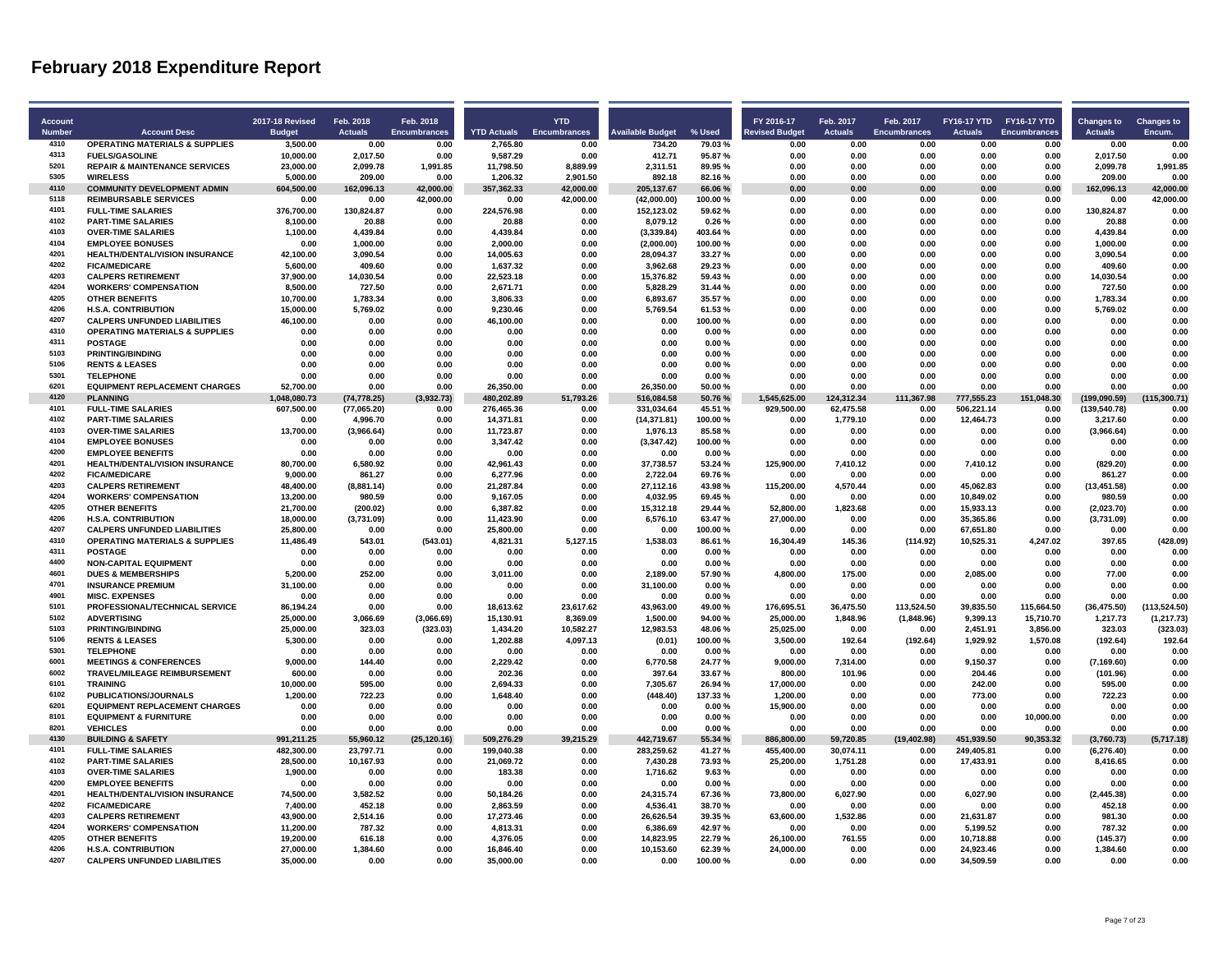| <b>Account</b>        |                                           | <b>2017-18 Revised</b> | Feb. 2018      | Feb. 2018           |                    | <b>YTD</b>          |                         |         | FY 2016-17            | Feb. 2017      | Feb. 2017           | FY16-17 YTD FY16-17 YTD |                     | <b>Changes to</b> | <b>Changes to</b> |
|-----------------------|-------------------------------------------|------------------------|----------------|---------------------|--------------------|---------------------|-------------------------|---------|-----------------------|----------------|---------------------|-------------------------|---------------------|-------------------|-------------------|
| <b>Number</b><br>4310 | <b>Account Desc</b>                       | <b>Budget</b>          | <b>Actuals</b> | <b>Encumbrances</b> | <b>YTD Actuals</b> | <b>Encumbrances</b> | <b>Available Budget</b> | % Used  | <b>Revised Budget</b> | <b>Actuals</b> | <b>Encumbrances</b> | <b>Actuals</b>          | <b>Encumbrances</b> | <b>Actuals</b>    | Encum.            |
|                       | <b>OPERATING MATERIALS &amp; SUPPLIES</b> | 3,500.00               | 0.00           | 0.00                | 2,765.80           | 0.00                | 734.20                  | 79.03%  | 0.00                  | 0.00           | 0.00                | 0.00                    | 0.00                | 0.00              | 0.00              |
| 4313<br>5201          | <b>FUELS/GASOLINE</b>                     | 10,000.00              | 2,017.50       | 0.00                | 9,587.29           | 0.00                | 412.71                  | 95.87%  | 0.00                  | 0.00           | 0.00                | 0.00                    | 0.00                | 2,017.50          | 0.00              |
| 5305                  | <b>REPAIR &amp; MAINTENANCE SERVICES</b>  | 23.000.00              | 2.099.78       | 1.991.85            | 11.798.50          | 8.889.99            | 2.311.51                | 89.95%  | 0.00                  | 0.00           | 0.00                | 0.00                    | 0.00                | 2.099.78          | 1.991.85          |
| 4110                  | <b>WIRELESS</b>                           | 5,000.00               | 209.00         | 0.00                | 1,206.32           | 2,901.50            | 892.18                  | 82.16%  | 0.00                  | 0.00           | 0.00                | 0.00                    | 0.00                | 209.00            | 0.00              |
|                       | <b>COMMUNITY DEVELOPMENT ADMIN</b>        | 604,500.00             | 162,096.13     | 42,000.00           | 357,362.33         | 42,000.00           | 205, 137.67             | 66.06%  | 0.00                  | 0.00           | 0.00                | 0.00                    | 0.00                | 162,096.13        | 42.000.00         |
| 5118                  | <b>REIMBURSABLE SERVICES</b>              | 0.00                   | 0.00           | 42,000.00           | 0.00               | 42,000.00           | (42,000.00)             | 100.00% | 0.00                  | 0.00           | 0.00                | 0.00                    | 0.00                | 0.00              | 42,000.00         |
| 4101<br>4102          | <b>FULL-TIME SALARIES</b>                 | 376.700.00             | 130,824.87     | 0.00                | 224.576.98         | 0.00                | 152,123.02              | 59.62%  | 0.00                  | 0.00           | 0.00                | 0.00                    | 0.00                | 130.824.87        | 0.00              |
|                       | <b>PART-TIME SALARIES</b>                 | 8,100.00               | 20.88          | 0.00                | 20.88              | 0.00                | 8,079.12                | 0.26%   | 0.00                  | 0.00           | 0.00                | 0.00                    | 0.00                | 20.88             | 0.00              |
| 4103                  | <b>OVER-TIME SALARIES</b>                 | 1.100.00               | 4,439.84       | 0.00                | 4,439.84           | 0.00                | (3,339.84)              | 403.64% | 0.00                  | 0.00           | 0.00                | 0.00                    | 0.00                | 4,439.84          | 0.00              |
| 4104                  | <b>EMPLOYEE BONUSES</b>                   | 0.00                   | 1.000.00       | 0.00                | 2.000.00           | 0.00                | (2.000.00)              | 100.00% | 0.00                  | 0.00           | 0.00                | 0.00                    | 0.00                | 1.000.00          | 0.00              |
| 4201                  | <b>HEALTH/DENTAL/VISION INSURANCE</b>     | 42,100.00              | 3,090.54       | 0.00                | 14,005.63          | 0.00                | 28,094.37               | 33.27%  | 0.00                  | 0.00           | 0.00                | 0.00                    | 0.00                | 3,090.54          | 0.00              |
| 4202                  | <b>FICA/MEDICARE</b>                      | 5,600.00               | 409.60         | 0.00                | 1,637.32           | 0.00                | 3,962.68                | 29.23%  | 0.00                  | 0.00           | 0.00                | 0.00                    | 0.00                | 409.60            | 0.00              |
| 4203                  | <b>CALPERS RETIREMENT</b>                 | 37.900.00              | 14.030.54      | 0.00                | 22.523.18          | 0.00                | 15.376.82               | 59.43%  | 0.00                  | 0.00           | 0.00                | 0.00                    | 0.00                | 14.030.54         | 0.00              |
| 4204                  | <b>WORKERS' COMPENSATION</b>              | 8.500.00               | 727.50         | 0.00                | 2.671.71           | 0.00                | 5.828.29                | 31.44%  | 0.00                  | 0.00           | 0.00                | 0.00                    | 0.00                | 727.50            | 0.00              |
| 4205                  | <b>OTHER BENEFITS</b>                     | 10,700.00              | 1,783.34       | 0.00                | 3,806.33           | 0.00                | 6,893.67                | 35.57%  | 0.00                  | 0.00           | 0.00                | 0.00                    | 0.00                | 1,783.34          | 0.00              |
| 4206                  | <b>H.S.A. CONTRIBUTION</b>                | 15.000.00              | 5,769.02       | 0.00                | 9,230.46           | 0.00                | 5,769.54                | 61.53%  | 0.00                  | 0.00           | 0.00                | 0.00                    | 0.00                | 5,769.02          | 0.00              |
| 4207                  | <b>CALPERS UNFUNDED LIABILITIES</b>       | 46.100.00              | 0.00           | 0.00                | 46.100.00          | 0.00                | 0.00                    | 100.00% | 0.00                  | 0.00           | 0.00                | 0.00                    | 0.00                | 0.00              | 0.00              |
| 4310                  | <b>OPERATING MATERIALS &amp; SUPPLIES</b> | 0.00                   | 0.00           | 0.00                | 0.00               | 0.00                | 0.00                    | 0.00%   | 0.00                  | 0.00           | 0.00                | 0.00                    | 0.00                | 0.00              | 0.00              |
| 4311                  | <b>POSTAGE</b>                            | 0.00                   | 0.00           | 0.00                | 0.00               | 0.00                | 0.00                    | 0.00%   | 0.00                  | 0.00           | 0.00                | 0.00                    | 0.00                | 0.00              | 0.00              |
| 5103                  | <b>PRINTING/BINDING</b>                   | 0.00                   | 0.00           | 0.00                | 0.00               | 0.00                | 0.00                    | 0.00%   | 0.00                  | 0.00           | 0.00                | 0.00                    | 0.00                | 0.00              | 0.00              |
| 5106                  | <b>RENTS &amp; LEASES</b>                 | 0.00                   | 0.00           | 0.00                | 0.00               | 0.00                | 0.00                    | 0.00%   | 0.00                  | 0.00           | 0.00                | 0.00                    | 0.00                | 0.00              | 0.00              |
| 5301                  | <b>TELEPHONE</b>                          | 0.00                   | 0.00           | 0.00                | 0.00               | 0.00                | 0.00                    | 0.00%   | 0.00                  | 0.00           | 0.00                | 0.00                    | 0.00                | 0.00              | 0.00              |
| 6201                  | <b>EQUIPMENT REPLACEMENT CHARGES</b>      | 52,700.00              | 0.00           | 0.00                | 26,350.00          | 0.00                | 26,350.00               | 50.00%  | 0.00                  | 0.00           | 0.00                | 0.00                    | 0.00                | 0.00              | 0.00              |
| 4120                  | <b>PLANNING</b>                           | 1.048.080.73           | (74.778.25)    | (3.932.73)          | 480.202.89         | 51.793.26           | 516.084.58              | 50.76%  | 1.545.625.00          | 124.312.34     | 111.367.98          | 777.555.23              | 151.048.30          | (199.090.59)      | (115.300.71)      |
| 4101                  | <b>FULL-TIME SALARIES</b>                 | 607,500.00             | (77,065.20)    | 0.00                | 276,465.36         | 0.00                | 331,034.64              | 45.51%  | 929,500.00            | 62,475.58      | 0.00                | 506,221.14              | 0.00                | (139, 540.78)     | 0.00              |
| 4102                  | <b>PART-TIME SALARIES</b>                 | 0.00                   | 4,996.70       | 0.00                | 14,371.81          | 0.00                | (14, 371.81)            | 100.00% | 0.00                  | 1,779.10       | 0.00                | 12,464.73               | 0.00                | 3,217.60          | 0.00              |
| 4103                  | <b>OVER-TIME SALARIES</b>                 | 13,700.00              | (3,966.64)     | 0.00                | 11,723.87          | 0.00                | 1,976.13                | 85.58%  | 0.00                  | 0.00           | 0.00                | 0.00                    | 0.00                | (3,966.64)        | 0.00              |
| 4104                  | <b>EMPLOYEE BONUSES</b>                   | 0.00                   | 0.00           | 0.00                | 3,347.42           | 0.00                | (3,347.42)              | 100.00% | 0.00                  | 0.00           | 0.00                | 0.00                    | 0.00                | 0.00              | 0.00              |
| 4200                  | <b>EMPLOYEE BENEFITS</b>                  | 0.00                   | 0.00           | 0.00                | 0.00               | 0.00                | 0.00                    | 0.00%   | 0.00                  | 0.00           | 0.00                | 0.00                    | 0.00                | 0.00              | 0.00              |
| 4201                  | HEALTH/DENTAL/VISION INSURANCE            | 80,700.00              | 6,580.92       | 0.00                | 42,961.43          | 0.00                | 37,738.57               | 53.24 % | 125,900.00            | 7,410.12       | 0.00                | 7,410.12                | 0.00                | (829.20)          | 0.00              |
| 4202                  | <b>FICA/MEDICARE</b>                      | 9.000.00               | 861.27         | 0.00                | 6.277.96           | 0.00                | 2.722.04                | 69.76%  | 0.00                  | 0.00           | 0.00                | 0.00                    | 0.00                | 861.27            | 0.00              |
| 4203                  | <b>CALPERS RETIREMENT</b>                 | 48,400.00              | (8,881.14)     | 0.00                | 21,287.84          | 0.00                | 27,112.16               | 43.98%  | 115,200.00            | 4,570.44       | 0.00                | 45,062.83               | 0.00                | (13, 451.58)      | 0.00              |
| 4204                  | <b>WORKERS' COMPENSATION</b>              | 13,200.00              | 980.59         | 0.00                | 9,167.05           | 0.00                | 4,032.95                | 69.45%  | 0.00                  | 0.00           | 0.00                | 10,849.02               | 0.00                | 980.59            | 0.00              |
| 4205                  | <b>OTHER BENEFITS</b>                     | 21,700.00              | (200.02)       | 0.00                | 6,387.82           | 0.00                | 15,312.18               | 29.44 % | 52,800.00             | 1,823.68       | 0.00                | 15,933.13               | 0.00                | (2,023.70)        | 0.00              |
| 4206                  | <b>H.S.A. CONTRIBUTION</b>                | 18,000.00              | (3,731.09)     | 0.00                | 11,423.90          | 0.00                | 6,576.10                | 63.47%  | 27,000.00             | 0.00           | 0.00                | 35,365.86               | 0.00                | (3,731.09)        | 0.00              |
| 4207                  | <b>CALPERS UNFUNDED LIABILITIES</b>       | 25,800.00              | 0.00           | 0.00                | 25,800.00          | 0.00                | 0.00                    | 100.00% | 0.00                  | 0.00           | 0.00                | 67,651.80               | 0.00                | 0.00              | 0.00              |
| 4310                  | <b>OPERATING MATERIALS &amp; SUPPLIES</b> | 11,486.49              | 543.01         | (543.01)            | 4,821.31           | 5,127.15            | 1,538.03                | 86.61%  | 16,304.49             | 145.36         | (114.92)            | 10,525.31               | 4,247.02            | 397.65            | (428.09)          |
| 4311                  | <b>POSTAGE</b>                            | 0.00                   | 0.00           | 0.00                | 0.00               | 0.00                | 0.00                    | 0.00%   | 0.00                  | 0.00           | 0.00                | 0.00                    | 0.00                | 0.00              | 0.00              |
| 4400                  | <b>NON-CAPITAL EQUIPMENT</b>              | 0.00                   | 0.00           | 0.00                | 0.00               | 0.00                | 0.00                    | 0.00%   | 0.00                  | 0.00           | 0.00                | 0.00                    | 0.00                | 0.00              | 0.00              |
| 4601                  | <b>DUES &amp; MEMBERSHIPS</b>             | 5,200.00               | 252.00         | 0.00                | 3,011.00           | 0.00                | 2,189.00                | 57.90%  | 4,800.00              | 175.00         | 0.00                | 2,085.00                | 0.00                | 77.00             | 0.00              |
| 4701                  | <b>INSURANCE PREMIUM</b>                  | 31,100.00              | 0.00           | 0.00                | 0.00               | 0.00                | 31,100.00               | 0.00%   | 0.00                  | 0.00           | 0.00                | 0.00                    | 0.00                | 0.00              | 0.00              |
| 4901                  | <b>MISC. EXPENSES</b>                     | 0.00                   | 0.00           | 0.00                | 0.00               | 0.00                | 0.00                    | 0.00%   | 0.00                  | 0.00           | 0.00                | 0.00                    | 0.00                | 0.00              | 0.00              |
| 5101                  | PROFESSIONAL/TECHNICAL SERVICE            | 86,194.24              | 0.00           | 0.00                | 18,613.62          | 23,617.62           | 43,963.00               | 49.00%  | 176,695.51            | 36,475.50      | 113,524.50          | 39,835.50               | 115,664.50          | (36, 475.50)      | (113, 524.50)     |
| 5102                  | <b>ADVERTISING</b>                        | 25,000.00              | 3,066.69       | (3,066.69)          | 15,130.91          | 8,369.09            | 1,500.00                | 94.00%  | 25,000.00             | 1,848.96       | (1,848.96)          | 9,399.13                | 15,710.70           | 1,217.73          | (1, 217.73)       |
| 5103                  | <b>PRINTING/BINDING</b>                   | 25,000.00              | 323.03         | (323.03)            | 1,434.20           | 10,582.27           | 12,983.53               | 48.06%  | 25,025.00             | 0.00           | 0.00                | 2,451.91                | 3,856.00            | 323.03            | (323.03)          |
| 5106                  | <b>RENTS &amp; LEASES</b>                 | 5,300.00               | 0.00           | 0.00                | 1,202.88           | 4,097.13            | (0.01)                  | 100.00% | 3,500.00              | 192.64         | (192.64)            | 1,929.92                | 1,570.08            | (192.64)          | 192.64            |
| 5301                  | <b>TELEPHONE</b>                          | 0.00                   | 0.00           | 0.00                | 0.00               | 0.00                | 0.00                    | 0.00%   | 0.00                  | 0.00           | 0.00                | 0.00                    | 0.00                | 0.00              | 0.00              |
| 6001                  | <b>MEETINGS &amp; CONFERENCES</b>         | 9,000.00               | 144.40         | 0.00                | 2,229.42           | 0.00                | 6,770.58                | 24.77%  | 9,000.00              | 7,314.00       | 0.00                | 9,150.37                | 0.00                | (7, 169.60)       | 0.00              |
| 6002                  | TRAVEL/MILEAGE REIMBURSEMENT              | 600.00                 | 0.00           | 0.00                | 202.36             | 0.00                | 397.64                  | 33.67%  | 800.00                | 101.96         | 0.00                | 204.46                  | 0.00                | (101.96)          | 0.00              |
| 6101                  | <b>TRAINING</b>                           | 10,000.00              | 595.00         | 0.00                | 2,694.33           | 0.00                | 7,305.67                | 26.94%  | 17,000.00             | 0.00           | 0.00                | 242.00                  | 0.00                | 595.00            | 0.00              |
| 6102                  | <b>PUBLICATIONS/JOURNALS</b>              | 1,200.00               | 722.23         | 0.00                | 1,648.40           | 0.00                | (448.40)                | 137.33% | 1,200.00              | 0.00           | 0.00                | 773.00                  | 0.00                | 722.23            | 0.00              |
| 6201                  | <b>EQUIPMENT REPLACEMENT CHARGES</b>      | 0.00                   | 0.00           | 0.00                | 0.00               | 0.00                | 0.00                    | 0.00%   | 15,900.00             | 0.00           | 0.00                | 0.00                    | 0.00                | 0.00              | 0.00              |
| 8101                  | <b>EQUIPMENT &amp; FURNITURE</b>          | 0.00                   | 0.00           | 0.00                | 0.00               | 0.00                | 0.00                    | 0.00%   | 0.00                  | 0.00           | 0.00                | 0.00                    | 10,000.00           | 0.00              | 0.00              |
| 8201                  | <b>VEHICLES</b>                           | 0.00                   | 0.00           | 0.00                | 0.00               | 0.00                | 0.00                    | 0.00%   | 0.00                  | 0.00           | 0.00                | 0.00                    | 0.00                | 0.00              | 0.00              |
| 4130                  | <b>BUILDING &amp; SAFETY</b>              | 991,211.25             | 55,960.12      | (25, 120.16)        | 509,276.29         | 39,215.29           | 442,719.67              | 55.34 % | 886,800.00            | 59,720.85      | (19, 402.98)        | 451,939.50              | 90,353.32           | (3,760.73)        | (5,717.18)        |
| 4101                  | <b>FULL-TIME SALARIES</b>                 | 482,300.00             | 23,797.71      | 0.00                | 199,040.38         | 0.00                | 283,259.62              | 41.27%  | 455,400.00            | 30,074.11      | 0.00                | 249,405.81              | 0.00                | (6, 276.40)       | 0.00              |
| 4102                  | <b>PART-TIME SALARIES</b>                 | 28,500.00              | 10,167.93      | 0.00                | 21,069.72          | 0.00                | 7,430.28                | 73.93%  | 25,200.00             | 1,751.28       | 0.00                | 17,433.91               | 0.00                | 8,416.65          | 0.00              |
| 4103                  | <b>OVER-TIME SALARIES</b>                 | 1,900.00               | 0.00           | 0.00                | 183.38             | 0.00                | 1,716.62                | 9.63%   | 0.00                  | 0.00           | 0.00                | 0.00                    | 0.00                | 0.00              | 0.00              |
| 4200                  | <b>EMPLOYEE BENEFITS</b>                  | 0.00                   | 0.00           | 0.00                | 0.00               | 0.00                | 0.00                    | 0.00%   | 0.00                  | 0.00           | 0.00                | 0.00                    | 0.00                | 0.00              | 0.00              |
| 4201                  | HEALTH/DENTAL/VISION INSURANCE            | 74,500.00              | 3,582.52       | 0.00                | 50,184.26          | 0.00                | 24,315.74               | 67.36%  | 73,800.00             | 6,027.90       | 0.00                | 6,027.90                | 0.00                | (2, 445.38)       | 0.00              |
| 4202                  | <b>FICA/MEDICARE</b>                      | 7.400.00               | 452.18         | 0.00                | 2,863.59           | 0.00                | 4,536.41                | 38.70%  | 0.00                  | 0.00           | 0.00                | 0.00                    | 0.00                | 452.18            | 0.00              |
| 4203                  | <b>CALPERS RETIREMENT</b>                 | 43.900.00              | 2.514.16       | 0.00                | 17,273.46          | 0.00                | 26.626.54               | 39.35%  | 63.600.00             | 1,532.86       | 0.00                | 21.631.87               | 0.00                | 981.30            | 0.00              |
| 4204                  | <b>WORKERS' COMPENSATION</b>              | 11,200.00              | 787.32         | 0.00                | 4,813.31           | 0.00                | 6,386.69                | 42.97%  | 0.00                  | 0.00           | 0.00                | 5,199.52                | 0.00                | 787.32            | 0.00              |
| 4205                  | <b>OTHER BENEFITS</b>                     | 19,200.00              | 616.18         | 0.00                | 4,376.05           | 0.00                | 14,823.95               | 22.79%  | 26,100.00             | 761.55         | 0.00                | 10,718.88               | 0.00                | (145.37)          | 0.00              |
| 4206                  | <b>H.S.A. CONTRIBUTION</b>                | 27,000.00              | 1,384.60       | 0.00                | 16,846.40          | 0.00                | 10,153.60               | 62.39%  | 24,000.00             | 0.00           | 0.00                | 24,923.46               | 0.00                | 1,384.60          | 0.00              |
| 4207                  | <b>CALPERS UNFUNDED LIABILITIES</b>       | 35.000.00              | 0.00           | 0.00                | 35.000.00          | 0.00                | 0.00                    | 100.00% | 0.00                  | 0.00           | 0.00                | 34,509.59               | 0.00                | 0.00              | 0.00              |
|                       |                                           |                        |                |                     |                    |                     |                         |         |                       |                |                     |                         |                     |                   |                   |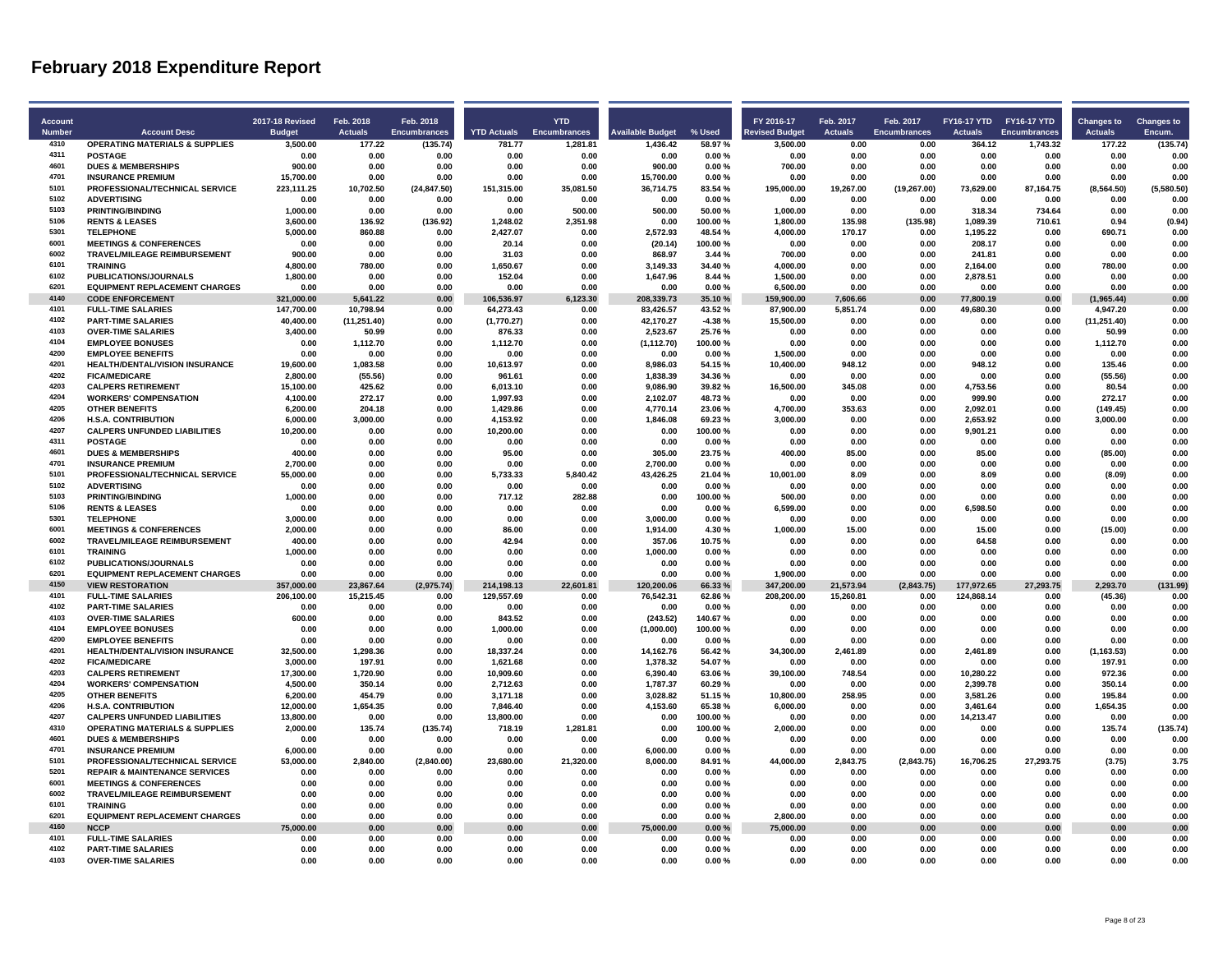| <b>Account</b> |                                                           | <b>2017-18 Revised</b>   | Feb. 2018              | Feb. 2018           |                          | <b>YTD</b>          |                         |                  | FY 2016-17               | Feb. 2017              | Feb. 2017           | FY16-17 YTD FY16-17 YTD  |                     | <b>Changes to</b>   | <b>Changes to</b> |
|----------------|-----------------------------------------------------------|--------------------------|------------------------|---------------------|--------------------------|---------------------|-------------------------|------------------|--------------------------|------------------------|---------------------|--------------------------|---------------------|---------------------|-------------------|
| <b>Number</b>  | <b>Account Desc</b>                                       | <b>Budget</b>            | <b>Actuals</b>         | <b>Encumbrances</b> | <b>YTD Actuals</b>       | <b>Encumbrances</b> | <b>Available Budget</b> | % Used           | <b>Revised Budget</b>    | <b>Actuals</b>         | <b>Encumbrances</b> | <b>Actuals</b>           | <b>Encumbrances</b> | <b>Actuals</b>      | Encum.            |
| 4310           | <b>OPERATING MATERIALS &amp; SUPPLIES</b>                 | 3.500.00                 | 177.22                 | (135.74)            | 781.77                   | 1.281.81            | 1.436.42                | 58.97%           | 3.500.00                 | 0.00                   | 0.00                | 364.12                   | 1.743.32            | 177.22              | (135.74)          |
| 4311<br>4601   | <b>POSTAGE</b>                                            | 0.00                     | 0.00                   | 0.00                | 0.00                     | 0.00                | 0.00                    | 0.00%            | 0.00                     | 0.00                   | 0.00                | 0.00                     | 0.00                | 0.00                | 0.00              |
| 4701           | <b>DUES &amp; MEMBERSHIPS</b><br><b>INSURANCE PREMIUM</b> | 900.00<br>15.700.00      | 0.00<br>0.00           | 0.00<br>0.00        | 0.00<br>0.00             | 0.00<br>0.00        | 900.00<br>15.700.00     | 0.00%<br>0.00%   | 700.00<br>0.00           | 0.00<br>0.00           | 0.00<br>0.00        | 0.00<br>0.00             | 0.00<br>0.00        | 0.00<br>0.00        | 0.00<br>0.00      |
| 5101           | PROFESSIONAL/TECHNICAL SERVICE                            | 223.111.25               | 10.702.50              | (24, 847.50)        | 151.315.00               | 35.081.50           | 36.714.75               | 83.54%           | 195.000.00               | 19.267.00              | (19, 267.00)        | 73.629.00                | 87.164.75           | (8,564.50)          | (5,580.50)        |
| 5102           | <b>ADVERTISING</b>                                        | 0.00                     | 0.00                   | 0.00                | 0.00                     | 0.00                | 0.00                    | 0.00%            | 0.00                     | 0.00                   | 0.00                | 0.00                     | 0.00                | 0.00                | 0.00              |
| 5103           | <b>PRINTING/BINDING</b>                                   | 1.000.00                 | 0.00                   | 0.00                | 0.00                     | 500.00              | 500.00                  | 50.00%           | 1.000.00                 | 0.00                   | 0.00                | 318.34                   | 734.64              | 0.00                | 0.00              |
| 5106           | <b>RENTS &amp; LEASES</b>                                 | 3.600.00                 | 136.92                 | (136.92)            | 1.248.02                 | 2.351.98            | 0.00                    | 100.00%          | 1.800.00                 | 135.98                 | (135.98)            | 1.089.39                 | 710.61              | 0.94                | (0.94)            |
| 5301           | <b>TELEPHONE</b>                                          | 5,000.00                 | 860.88                 | 0.00                | 2,427.07                 | 0.00                | 2,572.93                | 48.54 %          | 4,000.00                 | 170.17                 | 0.00                | 1,195.22                 | 0.00                | 690.71              | 0.00              |
| 6001           | <b>MEETINGS &amp; CONFERENCES</b>                         | 0.00                     | 0.00                   | 0.00                | 20.14                    | 0.00                | (20.14)                 | 100.00%          | 0.00                     | 0.00                   | 0.00                | 208.17                   | 0.00                | 0.00                | 0.00              |
| 6002           | <b>TRAVEL/MILEAGE REIMBURSEMENT</b>                       | 900.00                   | 0.00                   | 0.00                | 31.03                    | 0.00                | 868.97                  | 3.44 %           | 700.00                   | 0.00                   | 0.00                | 241.81                   | 0.00                | 0.00                | 0.00              |
| 6101           | <b>TRAINING</b>                                           | 4,800.00                 | 780.00                 | 0.00                | 1,650.67                 | 0.00                | 3,149.33                | 34.40%           | 4,000.00                 | 0.00                   | 0.00                | 2,164.00                 | 0.00                | 780.00              | 0.00              |
| 6102           | PUBLICATIONS/JOURNALS                                     | 1,800.00                 | 0.00                   | 0.00                | 152.04                   | 0.00                | 1,647.96                | 8.44 %           | 1,500.00                 | 0.00                   | 0.00                | 2,878.51                 | 0.00                | 0.00                | 0.00              |
| 6201           | <b>EQUIPMENT REPLACEMENT CHARGES</b>                      | 0.00                     | 0.00                   | 0.00                | 0.00                     | 0.00                | 0.00                    | 0.00%            | 6,500.00                 | 0.00                   | 0.00                | 0.00                     | 0.00                | 0.00                | 0.00              |
| 4140           | <b>CODE ENFORCEMENT</b>                                   | 321.000.00               | 5.641.22               | 0.00                | 106.536.97               | 6,123.30            | 208.339.73              | 35.10%           | 159.900.00               | 7.606.66               | 0.00                | 77.800.19                | 0.00                | (1,965.44)          | 0.00              |
| 4101           | <b>FULL-TIME SALARIES</b>                                 | 147,700.00               | 10,798.94              | 0.00                | 64,273.43                | 0.00                | 83,426.57               | 43.52%           | 87,900.00                | 5,851.74               | 0.00                | 49,680.30                | 0.00                | 4,947.20            | 0.00              |
| 4102           | <b>PART-TIME SALARIES</b>                                 | 40,400.00                | (11, 251.40)           | 0.00                | (1,770.27)               | 0.00                | 42,170.27               | $-4.38%$         | 15,500.00                | 0.00                   | 0.00                | 0.00                     | 0.00                | (11, 251.40)        | 0.00              |
| 4103           | <b>OVER-TIME SALARIES</b>                                 | 3.400.00                 | 50.99                  | 0.00                | 876.33                   | 0.00                | 2.523.67                | 25.76%           | 0.00                     | 0.00                   | 0.00                | 0.00                     | 0.00                | 50.99               | 0.00              |
| 4104           | <b>EMPLOYEE BONUSES</b>                                   | 0.00                     | 1,112.70               | 0.00                | 1,112.70                 | 0.00                | (1, 112.70)             | 100.00%          | 0.00                     | 0.00                   | 0.00                | 0.00                     | 0.00                | 1,112.70            | 0.00              |
| 4200           | <b>EMPLOYEE BENEFITS</b>                                  | 0.00                     | 0.00                   | 0.00                | 0.00                     | 0.00                | 0.00                    | 0.00%            | 1,500.00                 | 0.00                   | 0.00                | 0.00                     | 0.00                | 0.00                | 0.00              |
| 4201           | <b>HEALTH/DENTAL/VISION INSURANCE</b>                     | 19.600.00                | 1.083.58               | 0.00                | 10.613.97                | 0.00                | 8.986.03                | 54.15%           | 10.400.00                | 948.12                 | 0.00                | 948.12                   | 0.00                | 135.46              | 0.00              |
| 4202           | <b>FICA/MEDICARE</b>                                      | 2.800.00                 | (55.56)                | 0.00                | 961.61                   | 0.00                | 1.838.39                | 34.36%           | 0.00                     | 0.00                   | 0.00                | 0.00                     | 0.00                | (55.56)             | 0.00              |
| 4203           | <b>CALPERS RETIREMENT</b>                                 | 15,100.00                | 425.62                 | 0.00                | 6,013.10                 | 0.00                | 9,086.90                | 39.82%           | 16,500.00                | 345.08                 | 0.00                | 4,753.56                 | 0.00                | 80.54               | 0.00              |
| 4204           | <b>WORKERS' COMPENSATION</b>                              | 4.100.00                 | 272.17                 | 0.00                | 1,997.93                 | 0.00                | 2,102.07                | 48.73%           | 0.00                     | 0.00                   | 0.00                | 999.90                   | 0.00                | 272.17              | 0.00              |
| 4205           | <b>OTHER BENEFITS</b>                                     | 6.200.00                 | 204.18                 | 0.00                | 1.429.86                 | 0.00                | 4.770.14                | 23.06%           | 4.700.00                 | 353.63                 | 0.00                | 2.092.01                 | 0.00                | (149.45)            | 0.00              |
| 4206           | <b>H.S.A. CONTRIBUTION</b>                                | 6,000.00                 | 3,000.00               | 0.00                | 4,153.92                 | 0.00                | 1,846.08                | 69.23%           | 3,000.00                 | 0.00                   | 0.00                | 2,653.92                 | 0.00                | 3,000.00            | 0.00              |
| 4207           | <b>CALPERS UNFUNDED LIABILITIES</b>                       | 10,200.00                | 0.00                   | 0.00                | 10,200.00                | 0.00                | 0.00                    | 100.00%          | 0.00                     | 0.00                   | 0.00                | 9,901.21                 | 0.00                | 0.00                | 0.00              |
| 4311           | <b>POSTAGE</b>                                            | 0.00                     | 0.00                   | 0.00                | 0.00                     | 0.00                | 0.00                    | 0.00%            | 0.00                     | 0.00                   | 0.00                | 0.00                     | 0.00                | 0.00                | 0.00              |
| 4601           | <b>DUES &amp; MEMBERSHIPS</b>                             | 400.00                   | 0.00                   | 0.00                | 95.00                    | 0.00                | 305.00                  | 23.75%           | 400.00                   | 85.00                  | 0.00                | 85.00                    | 0.00                | (85.00)             | 0.00              |
| 4701           | <b>INSURANCE PREMIUM</b>                                  | 2.700.00                 | 0.00                   | 0.00                | 0.00                     | 0.00                | 2,700.00                | 0.00%            | 0.00                     | 0.00                   | 0.00                | 0.00                     | 0.00                | 0.00                | 0.00              |
| 5101           | PROFESSIONAL/TECHNICAL SERVICE                            | 55.000.00                | 0.00                   | 0.00                | 5,733.33                 | 5,840.42            | 43,426.25               | 21.04%           | 10,001.00                | 8.09                   | 0.00                | 8.09                     | 0.00                | (8.09)              | 0.00              |
| 5102           | <b>ADVERTISING</b>                                        | 0.00                     | 0.00                   | 0.00                | 0.00                     | 0.00                | 0.00                    | 0.00%            | 0.00                     | 0.00                   | 0.00                | 0.00                     | 0.00                | 0.00                | 0.00              |
| 5103           | <b>PRINTING/BINDING</b>                                   | 1,000.00                 | 0.00                   | 0.00                | 717.12                   | 282.88              | 0.00                    | 100.00%          | 500.00                   | 0.00                   | 0.00                | 0.00                     | 0.00                | 0.00                | 0.00              |
| 5106           | <b>RENTS &amp; LEASES</b>                                 | 0.00                     | 0.00                   | 0.00                | 0.00                     | 0.00                | 0.00                    | 0.00%            | 6.599.00                 | 0.00                   | 0.00                | 6.598.50                 | 0.00                | 0.00                | 0.00              |
| 5301           | <b>TELEPHONE</b>                                          | 3.000.00                 | 0.00                   | 0.00                | 0.00                     | 0.00                | 3.000.00                | 0.00%            | 0.00                     | 0.00                   | 0.00                | 0.00                     | 0.00                | 0.00                | 0.00              |
| 6001           | <b>MEETINGS &amp; CONFERENCES</b>                         | 2,000.00                 | 0.00                   | 0.00                | 86.00                    | 0.00                | 1,914.00                | 4.30%            | 1,000.00                 | 15.00                  | 0.00                | 15.00                    | 0.00                | (15.00)             | 0.00              |
| 6002           | TRAVEL/MILEAGE REIMBURSEMENT                              | 400.00                   | 0.00                   | 0.00                | 42.94                    | 0.00                | 357.06                  | 10.75%           | 0.00                     | 0.00                   | 0.00                | 64.58                    | 0.00                | 0.00                | 0.00              |
| 6101           | <b>TRAINING</b>                                           | 1.000.00                 | 0.00                   | 0.00                | 0.00                     | 0.00                | 1.000.00                | 0.00%            | 0.00                     | 0.00                   | 0.00                | 0.00                     | 0.00                | 0.00                | 0.00              |
| 6102<br>6201   | <b>PUBLICATIONS/JOURNALS</b>                              | 0.00                     | 0.00                   | 0.00                | 0.00                     | 0.00                | 0.00                    | 0.00%            | 0.00                     | 0.00                   | 0.00                | 0.00                     | 0.00                | 0.00                | 0.00              |
| 4150           | <b>EQUIPMENT REPLACEMENT CHARGES</b>                      | 0.00                     | 0.00                   | 0.00                | 0.00                     | 0.00                | 0.00                    | 0.00%            | 1,900.00                 | 0.00                   | 0.00                | 0.00                     | 0.00                | 0.00                | 0.00              |
| 4101           | <b>VIEW RESTORATION</b><br><b>FULL-TIME SALARIES</b>      | 357.000.00<br>206.100.00 | 23.867.64<br>15,215.45 | (2,975.74)<br>0.00  | 214.198.13<br>129,557.69 | 22,601.81<br>0.00   | 120.200.06<br>76,542.31 | 66.33%<br>62.86% | 347.200.00<br>208.200.00 | 21,573.94<br>15,260.81 | (2,843.75)<br>0.00  | 177,972.65<br>124,868.14 | 27.293.75<br>0.00   | 2,293.70<br>(45.36) | (131.99)<br>0.00  |
| 4102           | <b>PART-TIME SALARIES</b>                                 |                          |                        | 0.00                |                          | 0.00                |                         | 0.00%            | 0.00                     | 0.00                   | 0.00                | 0.00                     | 0.00                | 0.00                | 0.00              |
| 4103           | <b>OVER-TIME SALARIES</b>                                 | 0.00<br>600.00           | 0.00<br>0.00           | 0.00                | 0.00<br>843.52           | 0.00                | 0.00<br>(243.52)        | 140.67%          | 0.00                     | 0.00                   | 0.00                | 0.00                     | 0.00                | 0.00                | 0.00              |
| 4104           | <b>EMPLOYEE BONUSES</b>                                   | 0.00                     | 0.00                   | 0.00                | 1.000.00                 | 0.00                | (1,000.00)              | 100.00%          | 0.00                     | 0.00                   | 0.00                | 0.00                     | 0.00                | 0.00                | 0.00              |
| 4200           | <b>EMPLOYEE BENEFITS</b>                                  | 0.00                     | 0.00                   | 0.00                | 0.00                     | 0.00                | 0.00                    | 0.00%            | 0.00                     | 0.00                   | 0.00                | 0.00                     | 0.00                | 0.00                | 0.00              |
| 4201           | HEALTH/DENTAL/VISION INSURANCE                            | 32,500.00                | 1,298.36               | 0.00                | 18,337.24                | 0.00                | 14,162.76               | 56.42%           | 34,300.00                | 2,461.89               | 0.00                | 2,461.89                 | 0.00                | (1, 163.53)         | 0.00              |
| 4202           | <b>FICA/MEDICARE</b>                                      | 3.000.00                 | 197.91                 | 0.00                | 1.621.68                 | 0.00                | 1.378.32                | 54.07%           | 0.00                     | 0.00                   | 0.00                | 0.00                     | 0.00                | 197.91              | 0.00              |
| 4203           | <b>CALPERS RETIREMENT</b>                                 | 17.300.00                | 1,720.90               | 0.00                | 10.909.60                | 0.00                | 6.390.40                | 63.06%           | 39.100.00                | 748.54                 | 0.00                | 10.280.22                | 0.00                | 972.36              | 0.00              |
| 4204           | <b>WORKERS' COMPENSATION</b>                              | 4,500.00                 | 350.14                 | 0.00                | 2,712.63                 | 0.00                | 1,787.37                | 60.29%           | 0.00                     | 0.00                   | 0.00                | 2,399.78                 | 0.00                | 350.14              | 0.00              |
| 4205           | <b>OTHER BENEFITS</b>                                     | 6.200.00                 | 454.79                 | 0.00                | 3.171.18                 | 0.00                | 3.028.82                | 51.15%           | 10,800.00                | 258.95                 | 0.00                | 3.581.26                 | 0.00                | 195.84              | 0.00              |
| 4206           | <b>H.S.A. CONTRIBUTION</b>                                | 12.000.00                | 1.654.35               | 0.00                | 7.846.40                 | 0.00                | 4.153.60                | 65.38%           | 6.000.00                 | 0.00                   | 0.00                | 3.461.64                 | 0.00                | 1.654.35            | 0.00              |
| 4207           | <b>CALPERS UNFUNDED LIABILITIES</b>                       | 13,800.00                | 0.00                   | 0.00                | 13,800.00                | 0.00                | 0.00                    | 100.00%          | 0.00                     | 0.00                   | 0.00                | 14,213.47                | 0.00                | 0.00                | 0.00              |
| 4310           | <b>OPERATING MATERIALS &amp; SUPPLIES</b>                 | 2,000.00                 | 135.74                 | (135.74)            | 718.19                   | 1,281.81            | 0.00                    | 100.00%          | 2,000.00                 | 0.00                   | 0.00                | 0.00                     | 0.00                | 135.74              | (135.74)          |
| 4601           | <b>DUES &amp; MEMBERSHIPS</b>                             | 0.00                     | 0.00                   | 0.00                | 0.00                     | 0.00                | 0.00                    | 0.00%            | 0.00                     | 0.00                   | 0.00                | 0.00                     | 0.00                | 0.00                | 0.00              |
| 4701           | <b>INSURANCE PREMIUM</b>                                  | 6.000.00                 | 0.00                   | 0.00                | 0.00                     | 0.00                | 6.000.00                | 0.00%            | 0.00                     | 0.00                   | 0.00                | 0.00                     | 0.00                | 0.00                | 0.00              |
| 5101           | PROFESSIONAL/TECHNICAL SERVICE                            | 53,000.00                | 2,840.00               | (2,840.00)          | 23,680.00                | 21,320.00           | 8,000.00                | 84.91%           | 44,000.00                | 2,843.75               | (2,843.75)          | 16,706.25                | 27,293.75           | (3.75)              | 3.75              |
| 5201           | <b>REPAIR &amp; MAINTENANCE SERVICES</b>                  | 0.00                     | 0.00                   | 0.00                | 0.00                     | 0.00                | 0.00                    | 0.00%            | 0.00                     | 0.00                   | 0.00                | 0.00                     | 0.00                | 0.00                | 0.00              |
| 6001           | <b>MEETINGS &amp; CONFERENCES</b>                         | 0.00                     | 0.00                   | 0.00                | 0.00                     | 0.00                | 0.00                    | 0.00%            | 0.00                     | 0.00                   | 0.00                | 0.00                     | 0.00                | 0.00                | 0.00              |
| 6002           | TRAVEL/MILEAGE REIMBURSEMENT                              | 0.00                     | 0.00                   | 0.00                | 0.00                     | 0.00                | 0.00                    | 0.00%            | 0.00                     | 0.00                   | 0.00                | 0.00                     | 0.00                | 0.00                | 0.00              |
| 6101           | <b>TRAINING</b>                                           | 0.00                     | 0.00                   | 0.00                | 0.00                     | 0.00                | 0.00                    | 0.00%            | 0.00                     | 0.00                   | 0.00                | 0.00                     | 0.00                | 0.00                | 0.00              |
| 6201           | <b>EQUIPMENT REPLACEMENT CHARGES</b>                      | 0.00                     | 0.00                   | 0.00                | 0.00                     | 0.00                | 0.00                    | 0.00%            | 2.800.00                 | 0.00                   | 0.00                | 0.00                     | 0.00                | 0.00                | 0.00              |
| 4160           | <b>NCCP</b>                                               | 75,000.00                | 0.00                   | 0.00                | 0.00                     | 0.00                | 75,000.00               | 0.00%            | 75,000.00                | 0.00                   | 0.00                | 0.00                     | 0.00                | 0.00                | 0.00              |
| 4101           | <b>FULL-TIME SALARIES</b>                                 | 0.00                     | 0.00                   | 0.00                | 0.00                     | 0.00                | 0.00                    | 0.00%            | 0.00                     | 0.00                   | 0.00                | 0.00                     | 0.00                | 0.00                | 0.00              |
| 4102           | <b>PART-TIME SALARIES</b>                                 | 0.00                     | 0.00                   | 0.00                | 0.00                     | 0.00                | 0.00                    | 0.00%            | 0.00                     | 0.00                   | 0.00                | 0.00                     | 0.00                | 0.00                | 0.00              |
| 4103           | <b>OVER-TIME SALARIES</b>                                 | 0.00                     | 0.00                   | 0.00                | 0.00                     | 0.00                | 0.00                    | 0.00%            | 0.00                     | 0.00                   | 0.00                | 0.00                     | 0.00                | 0.00                | 0.00              |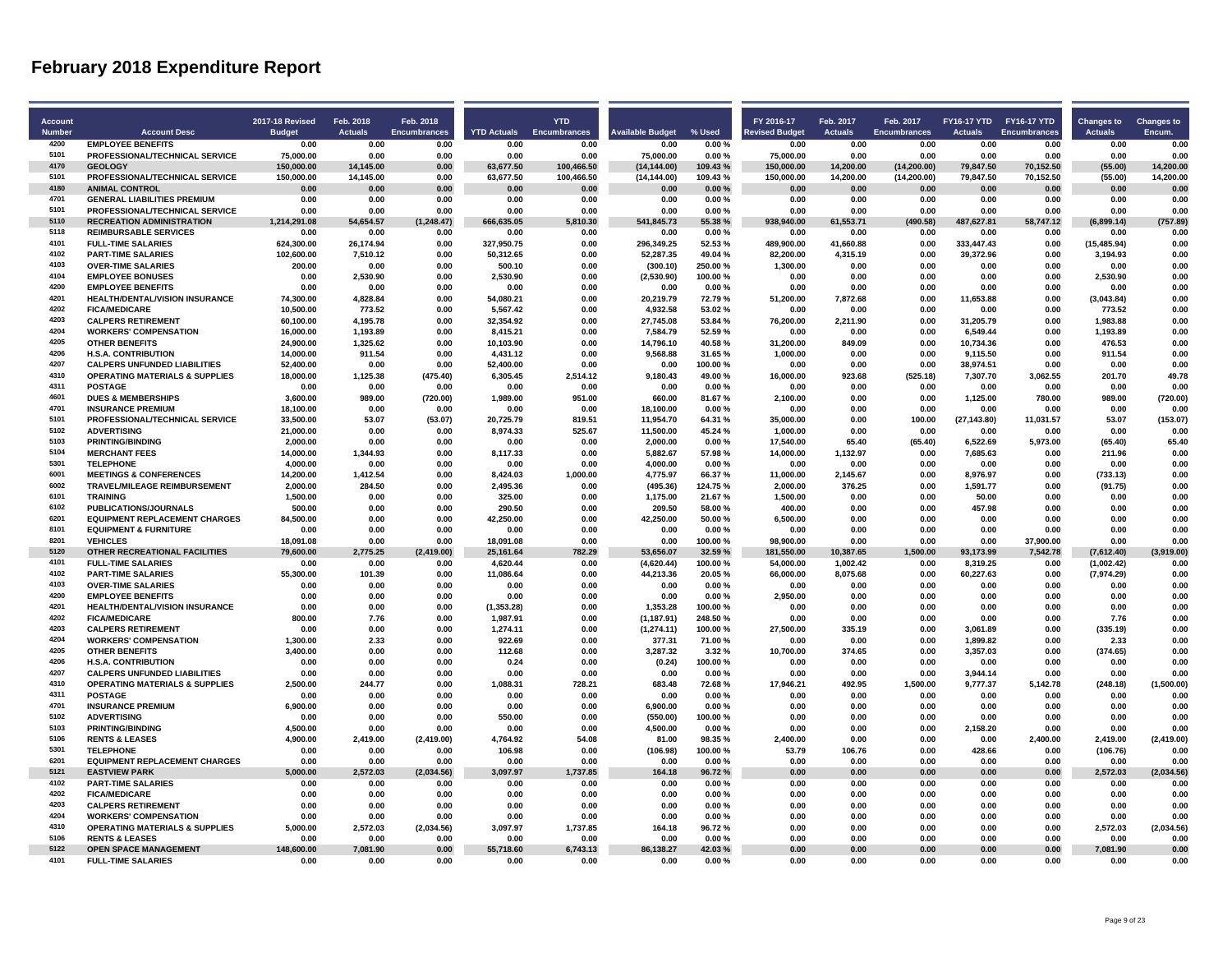| <b>Account</b> |                                                            | <b>2017-18 Revised</b> | Feb. 2018          | Feb. 2018           |                       | <b>YTD</b>          |                         |                   | FY 2016-17              | Feb. 2017         | Feb. 2017           | FY16-17 YTD FY16-17 YTD |                     | <b>Changes to</b>        | <b>Changes to</b>  |
|----------------|------------------------------------------------------------|------------------------|--------------------|---------------------|-----------------------|---------------------|-------------------------|-------------------|-------------------------|-------------------|---------------------|-------------------------|---------------------|--------------------------|--------------------|
| <b>Number</b>  | <b>Account Desc</b>                                        | <b>Budget</b>          | <b>Actuals</b>     | <b>Encumbrances</b> | <b>YTD Actuals</b>    | <b>Encumbrances</b> | <b>Available Budget</b> | % Used            | <b>Revised Budget</b>   | <b>Actuals</b>    | <b>Encumbrances</b> | <b>Actuals</b>          | <b>Encumbrances</b> | <b>Actuals</b>           | Encum.             |
| 4200           | <b>EMPLOYEE BENEFITS</b>                                   | 0.00                   | 0.00               | 0.00                | 0.00                  | 0.00                | 0.00                    | 0.00%             | 0.00                    | 0.00              | 0.00                | 0.00                    | 0.00                | 0.00                     | 0.00               |
| 5101           | PROFESSIONAL/TECHNICAL SERVICE                             | 75,000.00              | 0.00               | 0.00                | 0.00                  | 0.00                | 75.000.00               | 0.00%             | 75,000.00               | 0.00              | 0.00                | 0.00                    | 0.00                | 0.00                     | 0.00               |
| 4170           | <b>GEOLOGY</b>                                             | 150.000.00             | 14.145.00          | 0.00                | 63.677.50             | 100.466.50          | (14, 144.00)            | 109.43%           | 150.000.00              | 14.200.00         | (14.200.00)         | 79.847.50               | 70.152.50           | (55.00)                  | 14.200.00          |
| 5101           | PROFESSIONAL/TECHNICAL SERVICE                             | 150,000.00             | 14,145.00          | 0.00                | 63,677.50             | 100,466.50          | (14, 144.00)            | 109.43%           | 150,000.00              | 14,200.00         | (14, 200.00)        | 79,847.50               | 70,152.50           | (55.00)                  | 14,200.00          |
| 4180           | <b>ANIMAL CONTROL</b>                                      | 0.00                   | 0.00               | 0.00                | 0.00                  | 0.00                | 0.00                    | 0.00%             | 0.00                    | 0.00              | 0.00                | 0.00                    | 0.00                | 0.00                     | 0.00               |
| 4701           | <b>GENERAL LIABILITIES PREMIUM</b>                         | 0.00                   | 0.00               | 0.00                | 0.00                  | 0.00                | 0.00                    | 0.00%             | 0.00                    | 0.00              | 0.00                | 0.00                    | 0.00                | 0.00                     | 0.00               |
| 5101           | PROFESSIONAL/TECHNICAL SERVICE                             | 0.00                   | 0.00               | 0.00                | 0.00                  | 0.00                | 0.00                    | 0.00%             | 0.00                    | 0.00              | 0.00                | 0.00                    | 0.00                | 0.00                     | 0.00               |
| 5110           | <b>RECREATION ADMINISTRATION</b>                           | 1,214,291.08           | 54,654.57          | (1, 248.47)         | 666,635.05            | 5,810.30            | 541,845.73              | 55.38%            | 938,940.00              | 61,553.71         | (490.58)            | 487,627.81              | 58,747.12           | (6,899.14)               | (757.89)           |
| 5118           | <b>REIMBURSABLE SERVICES</b>                               | 0.00                   | 0.00               | 0.00                | 0.00                  | 0.00                | 0.00                    | 0.00%             | 0.00                    | 0.00              | 0.00                | 0.00                    | 0.00                | 0.00                     | 0.00               |
| 4101           | <b>FULL-TIME SALARIES</b>                                  | 624.300.00             | 26.174.94          | 0.00                | 327.950.75            | 0.00                | 296.349.25              | 52.53%            | 489.900.00              | 41.660.88         | 0.00                | 333.447.43              | 0.00                | (15.485.94)              | 0.00               |
| 4102           | <b>PART-TIME SALARIES</b>                                  | 102.600.00             | 7,510.12           | 0.00                | 50,312.65             | 0.00                | 52.287.35               | 49.04%            | 82,200.00               | 4,315.19          | 0.00                | 39,372.96               | 0.00                | 3,194.93                 | 0.00               |
| 4103           | <b>OVER-TIME SALARIES</b>                                  | 200.00                 | 0.00               | 0.00                | 500.10                | 0.00                | (300.10)                | 250.00%           | 1,300.00                | 0.00              | 0.00                | 0.00                    | 0.00                | 0.00                     | 0.00               |
| 4104<br>4200   | <b>EMPLOYEE BONUSES</b>                                    | 0.00                   | 2,530.90           | 0.00                | 2,530.90              | 0.00                | (2,530.90)              | 100.00%           | 0.00                    | 0.00              | 0.00                | 0.00                    | 0.00                | 2,530.90                 | 0.00               |
| 4201           | <b>EMPLOYEE BENEFITS</b><br>HEALTH/DENTAL/VISION INSURANCE | 0.00<br>74.300.00      | 0.00               | 0.00<br>0.00        | 0.00                  | 0.00<br>0.00        | 0.00                    | 0.00%             | 0.00                    | 0.00              | 0.00<br>0.00        | 0.00<br>11,653.88       | 0.00                | 0.00                     | 0.00<br>0.00       |
| 4202           | <b>FICA/MEDICARE</b>                                       | 10,500.00              | 4,828.84<br>773.52 | 0.00                | 54,080.21<br>5,567.42 | 0.00                | 20,219.79<br>4,932.58   | 72.79%<br>53.02%  | 51,200.00<br>0.00       | 7,872.68<br>0.00  | 0.00                | 0.00                    | 0.00<br>0.00        | (3,043.84)<br>773.52     | 0.00               |
| 4203           | <b>CALPERS RETIREMENT</b>                                  | 60,100.00              | 4,195.78           | 0.00                | 32,354.92             | 0.00                | 27,745.08               | 53.84%            | 76,200.00               | 2,211.90          | 0.00                | 31,205.79               | 0.00                | 1,983.88                 | 0.00               |
| 4204           | <b>WORKERS' COMPENSATION</b>                               | 16,000.00              | 1,193.89           | 0.00                | 8,415.21              | 0.00                | 7,584.79                | 52.59%            | 0.00                    | 0.00              | 0.00                | 6,549.44                | 0.00                | 1,193.89                 | 0.00               |
| 4205           | <b>OTHER BENEFITS</b>                                      | 24,900.00              | 1,325.62           | 0.00                | 10,103.90             | 0.00                | 14,796.10               | 40.58%            | 31,200.00               | 849.09            | 0.00                | 10,734.36               | 0.00                | 476.53                   | 0.00               |
| 4206           | <b>H.S.A. CONTRIBUTION</b>                                 | 14,000.00              | 911.54             | 0.00                | 4,431.12              | 0.00                | 9,568.88                | 31.65%            | 1,000.00                | 0.00              | 0.00                | 9,115.50                | 0.00                | 911.54                   | 0.00               |
| 4207           | <b>CALPERS UNFUNDED LIABILITIES</b>                        | 52.400.00              | 0.00               | 0.00                | 52.400.00             | 0.00                | 0.00                    | 100.00%           | 0.00                    | 0.00              | 0.00                | 38.974.51               | 0.00                | 0.00                     | 0.00               |
| 4310           | <b>OPERATING MATERIALS &amp; SUPPLIES</b>                  | 18.000.00              | 1,125.38           | (475.40)            | 6,305.45              | 2.514.12            | 9,180.43                | 49.00%            | 16.000.00               | 923.68            | (525.18)            | 7,307.70                | 3.062.55            | 201.70                   | 49.78              |
| 4311           | <b>POSTAGE</b>                                             | 0.00                   | 0.00               | 0.00                | 0.00                  | 0.00                | 0.00                    | 0.00%             | 0.00                    | 0.00              | 0.00                | 0.00                    | 0.00                | 0.00                     | 0.00               |
| 4601           | <b>DUES &amp; MEMBERSHIPS</b>                              | 3,600.00               | 989.00             | (720.00)            | 1,989.00              | 951.00              | 660.00                  | 81.67%            | 2,100.00                | 0.00              | 0.00                | 1,125.00                | 780.00              | 989.00                   | (720.00)           |
| 4701           | <b>INSURANCE PREMIUM</b>                                   | 18.100.00              | 0.00               | 0.00                | 0.00                  | 0.00                | 18,100.00               | 0.00%             | 0.00                    | 0.00              | 0.00                | 0.00                    | 0.00                | 0.00                     | 0.00               |
| 5101           | PROFESSIONAL/TECHNICAL SERVICE                             | 33,500.00              | 53.07              | (53.07)             | 20,725.79             | 819.51              | 11,954.70               | 64.31%            | 35,000.00               | 0.00              | 100.00              | (27, 143.80)            | 11,031.57           | 53.07                    | (153.07)           |
| 5102           | <b>ADVERTISING</b>                                         | 21.000.00              | 0.00               | 0.00                | 8.974.33              | 525.67              | 11.500.00               | 45.24%            | 1.000.00                | 0.00              | 0.00                | 0.00                    | 0.00                | 0.00                     | 0.00               |
| 5103           | <b>PRINTING/BINDING</b>                                    | 2.000.00               | 0.00               | 0.00                | 0.00                  | 0.00                | 2,000.00                | 0.00%             | 17,540.00               | 65.40             | (65.40)             | 6,522.69                | 5.973.00            | (65.40)                  | 65.40              |
| 5104           | <b>MERCHANT FEES</b>                                       | 14,000.00              | 1,344.93           | 0.00                | 8,117.33              | 0.00                | 5,882.67                | 57.98%            | 14,000.00               | 1,132.97          | 0.00                | 7,685.63                | 0.00                | 211.96                   | 0.00               |
| 5301           | <b>TELEPHONE</b>                                           | 4,000.00               | 0.00               | 0.00                | 0.00                  | 0.00                | 4,000.00                | 0.00%             | 0.00                    | 0.00              | 0.00                | 0.00                    | 0.00                | 0.00                     | 0.00               |
| 6001           | <b>MEETINGS &amp; CONFERENCES</b>                          | 14.200.00              | 1,412.54           | 0.00                | 8,424.03              | 1,000.00            | 4,775.97                | 66.37%            | 11,000.00               | 2,145.67          | 0.00                | 8,976.97                | 0.00                | (733.13)                 | 0.00               |
| 6002           | <b>TRAVEL/MILEAGE REIMBURSEMENT</b>                        | 2.000.00               | 284.50             | 0.00                | 2.495.36              | 0.00                | (495.36)                | 124.75%           | 2,000.00                | 376.25            | 0.00                | 1,591.77                | 0.00                | (91.75)                  | 0.00               |
| 6101           | <b>TRAINING</b>                                            | 1,500.00               | 0.00               | 0.00                | 325.00                | 0.00                | 1,175.00                | 21.67%            | 1,500.00                | 0.00              | 0.00                | 50.00                   | 0.00                | 0.00                     | 0.00               |
| 6102           | PUBLICATIONS/JOURNALS                                      | 500.00                 | 0.00               | 0.00                | 290.50                | 0.00                | 209.50                  | 58.00%            | 400.00                  | 0.00              | 0.00                | 457.98                  | 0.00                | 0.00                     | 0.00               |
| 6201           | <b>EQUIPMENT REPLACEMENT CHARGES</b>                       | 84.500.00              | 0.00               | 0.00                | 42.250.00             | 0.00                | 42.250.00               | 50.00%            | 6.500.00                | 0.00              | 0.00                | 0.00                    | 0.00                | 0.00                     | 0.00               |
| 8101<br>8201   | <b>EQUIPMENT &amp; FURNITURE</b>                           | 0.00                   | 0.00               | 0.00                | 0.00                  | 0.00                | 0.00                    | $0.00 \%$         | 0.00                    | 0.00              | 0.00                | 0.00                    | 0.00                | 0.00                     | 0.00               |
| 5120           | <b>VEHICLES</b><br>OTHER RECREATIONAL FACILITIES           | 18,091.08              | 0.00               | 0.00                | 18,091.08             | 0.00                | 0.00<br>53,656.07       | 100.00%           | 98,900.00               | 0.00<br>10,387.65 | 0.00                | 0.00                    | 37,900.00           | 0.00                     | 0.00               |
| 4101           | <b>FULL-TIME SALARIES</b>                                  | 79,600.00<br>0.00      | 2,775.25<br>0.00   | (2, 419.00)<br>0.00 | 25,161.64<br>4.620.44 | 782.29<br>0.00      | (4.620.44)              | 32.59%<br>100.00% | 181,550.00<br>54.000.00 | 1.002.42          | 1,500.00<br>0.00    | 93,173.99<br>8.319.25   | 7,542.78<br>0.00    | (7,612.40)<br>(1,002.42) | (3,919.00)<br>0.00 |
| 4102           | <b>PART-TIME SALARIES</b>                                  | 55,300.00              | 101.39             | 0.00                | 11,086.64             | 0.00                | 44,213.36               | 20.05%            | 66,000.00               | 8,075.68          | 0.00                | 60,227.63               | 0.00                | (7,974.29)               | 0.00               |
| 4103           | <b>OVER-TIME SALARIES</b>                                  | 0.00                   | 0.00               | 0.00                | 0.00                  | 0.00                | 0.00                    | 0.00%             | 0.00                    | 0.00              | 0.00                | 0.00                    | 0.00                | 0.00                     | 0.00               |
| 4200           | <b>EMPLOYEE BENEFITS</b>                                   | 0.00                   | 0.00               | 0.00                | 0.00                  | 0.00                | 0.00                    | 0.00%             | 2,950.00                | 0.00              | 0.00                | 0.00                    | 0.00                | 0.00                     | 0.00               |
| 4201           | <b>HEALTH/DENTAL/VISION INSURANCE</b>                      | 0.00                   | 0.00               | 0.00                | (1, 353.28)           | 0.00                | 1,353.28                | 100.00%           | 0.00                    | 0.00              | 0.00                | 0.00                    | 0.00                | 0.00                     | 0.00               |
| 4202           | <b>FICA/MEDICARE</b>                                       | 800.00                 | 7.76               | 0.00                | 1,987.91              | 0.00                | (1, 187.91)             | 248.50%           | 0.00                    | 0.00              | 0.00                | 0.00                    | 0.00                | 7.76                     | 0.00               |
| 4203           | <b>CALPERS RETIREMENT</b>                                  | 0.00                   | 0.00               | 0.00                | 1,274.11              | 0.00                | (1, 274.11)             | 100.00%           | 27,500.00               | 335.19            | 0.00                | 3,061.89                | 0.00                | (335.19)                 | 0.00               |
| 4204           | <b>WORKERS' COMPENSATION</b>                               | 1.300.00               | 2.33               | 0.00                | 922.69                | 0.00                | 377.31                  | 71.00%            | 0.00                    | 0.00              | 0.00                | 1.899.82                | 0.00                | 2.33                     | 0.00               |
| 4205           | <b>OTHER BENEFITS</b>                                      | 3.400.00               | 0.00               | 0.00                | 112.68                | 0.00                | 3,287.32                | 3.32%             | 10,700.00               | 374.65            | 0.00                | 3,357.03                | 0.00                | (374.65)                 | 0.00               |
| 4206           | <b>H.S.A. CONTRIBUTION</b>                                 | 0.00                   | 0.00               | 0.00                | 0.24                  | 0.00                | (0.24)                  | 100.00%           | 0.00                    | 0.00              | 0.00                | 0.00                    | 0.00                | 0.00                     | 0.00               |
| 4207           | <b>CALPERS UNFUNDED LIABILITIES</b>                        | 0.00                   | 0.00               | 0.00                | 0.00                  | 0.00                | 0.00                    | 0.00%             | 0.00                    | 0.00              | 0.00                | 3,944.14                | 0.00                | 0.00                     | 0.00               |
| 4310           | <b>OPERATING MATERIALS &amp; SUPPLIES</b>                  | 2.500.00               | 244 77             | 0.00                | 1,088.31              | 728.21              | 683.48                  | 72.68%            | 17,946.21               | 492.95            | 1,500.00            | 9,777.37                | 5,142.78            | (248.18)                 | (1,500.00)         |
| 4311           | <b>POSTAGE</b>                                             | 0.00                   | 0.00               | 0.00                | 0.00                  | 0.00                | 0.00                    | 0.00%             | 0.00                    | 0.00              | 0.00                | 0.00                    | 0.00                | 0.00                     | 0.00               |
| 4701           | <b>INSURANCE PREMIUM</b>                                   | 6,900.00               | 0.00               | 0.00                | 0.00                  | 0.00                | 6,900.00                | 0.00%             | 0.00                    | 0.00              | 0.00                | 0.00                    | 0.00                | 0.00                     | 0.00               |
| 5102           | <b>ADVERTISING</b>                                         | 0.00                   | 0.00               | 0.00                | 550.00                | 0.00                | (550.00)                | 100.00%           | 0.00                    | 0.00              | 0.00                | 0.00                    | 0.00                | 0.00                     | 0.00               |
| 5103           | <b>PRINTING/BINDING</b>                                    | 4,500.00               | 0.00               | 0.00                | 0.00                  | 0.00                | 4,500.00                | 0.00%             | 0.00                    | 0.00              | 0.00                | 2,158.20                | 0.00                | 0.00                     | 0.00               |
| 5106           | <b>RENTS &amp; LEASES</b>                                  | 4,900.00               | 2,419.00           | (2, 419.00)         | 4,764.92              | 54.08               | 81.00                   | 98.35%            | 2,400.00                | 0.00              | 0.00                | 0.00                    | 2,400.00            | 2,419.00                 | (2, 419.00)        |
| 5301<br>6201   | <b>TELEPHONE</b>                                           | 0.00                   | 0.00               | 0.00                | 106.98                | 0.00                | (106.98)                | 100.00%           | 53.79                   | 106.76            | 0.00                | 428.66                  | 0.00                | (106.76)                 | 0.00               |
| 5121           | <b>EQUIPMENT REPLACEMENT CHARGES</b>                       | 0.00                   | 0.00               | 0.00                | 0.00                  | 0.00                | 0.00                    | 0.00%             | 0.00                    | 0.00              | 0.00                | 0.00                    | 0.00                | 0.00                     | 0.00               |
| 4102           | <b>EASTVIEW PARK</b><br><b>PART-TIME SALARIES</b>          | 5,000.00<br>0.00       | 2,572.03           | (2,034.56)<br>0.00  | 3,097.97<br>0.00      | 1,737.85<br>0.00    | 164.18<br>0.00          | 96.72%            | 0.00<br>0.00            | 0.00<br>0.00      | 0.00<br>0.00        | 0.00<br>0.00            | 0.00<br>0.00        | 2,572.03<br>0.00         | (2,034.56)<br>0.00 |
| 4202           | <b>FICA/MEDICARE</b>                                       | 0.00                   | 0.00<br>0.00       | 0.00                | 0.00                  | 0.00                | 0.00                    | 0.00%<br>0.00%    | 0.00                    | 0.00              | 0.00                | 0.00                    | 0.00                | 0.00                     | 0.00               |
| 4203           | <b>CALPERS RETIREMENT</b>                                  | 0.00                   | 0.00               | 0.00                | 0.00                  | 0.00                | 0.00                    | 0.00%             | 0.00                    | 0.00              | 0.00                | 0.00                    | 0.00                | 0.00                     | 0.00               |
| 4204           | <b>WORKERS' COMPENSATION</b>                               | 0.00                   | 0.00               | 0.00                | 0.00                  | 0.00                | 0.00                    | 0.00%             | 0.00                    | 0.00              | 0.00                | 0.00                    | 0.00                | 0.00                     | 0.00               |
| 4310           | <b>OPERATING MATERIALS &amp; SUPPLIES</b>                  | 5,000.00               | 2,572.03           | (2,034.56)          | 3,097.97              | 1,737.85            | 164.18                  | 96.72%            | 0.00                    | 0.00              | 0.00                | 0.00                    | 0.00                | 2,572.03                 | (2,034.56)         |
| 5106           | <b>RENTS &amp; LEASES</b>                                  | 0.00                   | 0.00               | 0.00                | 0.00                  | 0.00                | 0.00                    | 0.00%             | 0.00                    | 0.00              | 0.00                | 0.00                    | 0.00                | 0.00                     | 0.00               |
| 5122           | <b>OPEN SPACE MANAGEMENT</b>                               | 148,600.00             | 7,081.90           | 0.00                | 55,718.60             | 6,743.13            | 86,138.27               | 42.03%            | 0.00                    | 0.00              | 0.00                | 0.00                    | 0.00                | 7,081.90                 | 0.00               |
| 4101           | <b>FULL-TIME SALARIES</b>                                  | 0.00                   | 0.00               | 0.00                | 0.00                  | 0.00                | 0.00                    | 0.00%             | 0.00                    | 0.00              | 0.00                | 0.00                    | 0.00                | 0.00                     | 0.00               |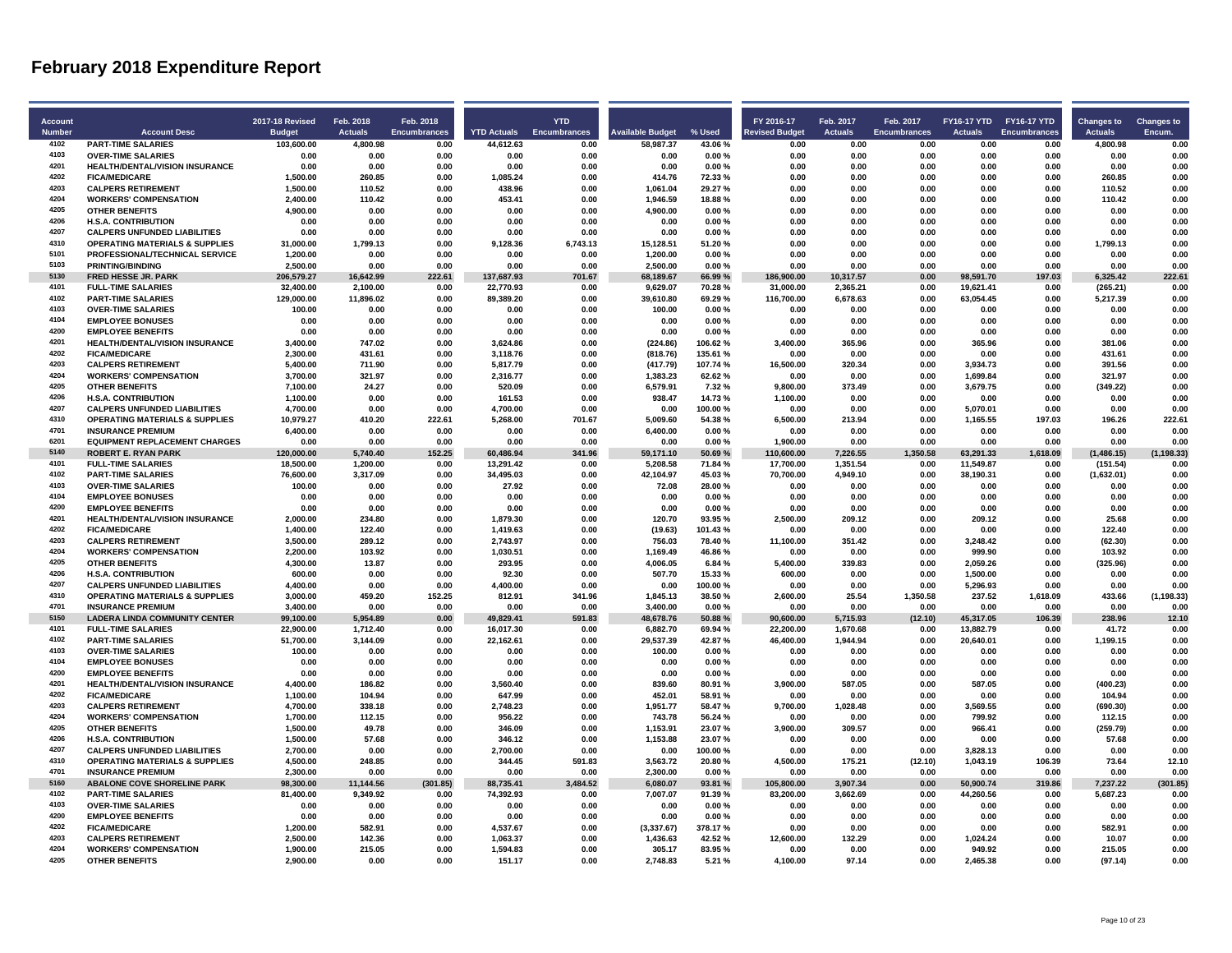| <b>Account</b> |                                                                   |                                         | Feb. 2018       | Feb. 2018           |                    | <b>YTD</b>          |                         |                   | FY 2016-17            | Feb. 2017      |                                  | FY16-17 YTD FY16-17 YTD |                     |                                     |                             |
|----------------|-------------------------------------------------------------------|-----------------------------------------|-----------------|---------------------|--------------------|---------------------|-------------------------|-------------------|-----------------------|----------------|----------------------------------|-------------------------|---------------------|-------------------------------------|-----------------------------|
| <b>Number</b>  | <b>Account Desc</b>                                               | <b>2017-18 Revised</b><br><b>Budget</b> | <b>Actuals</b>  | <b>Encumbrances</b> | <b>YTD Actuals</b> | <b>Encumbrances</b> | <b>Available Budget</b> | % Used            | <b>Revised Budget</b> | <b>Actuals</b> | Feb. 2017<br><b>Encumbrances</b> | <b>Actuals</b>          | <b>Encumbrances</b> | <b>Changes to</b><br><b>Actuals</b> | <b>Changes to</b><br>Encum. |
| 4102           | <b>PART-TIME SALARIES</b>                                         | 103.600.00                              | 4.800.98        | 0.00                | 44.612.63          | 0.00                | 58.987.37               | 43.06%            | 0.00                  | 0.00           | 0.00                             | 0.00                    | 0.00                | 4.800.98                            | 0.00                        |
| 4103           | <b>OVER-TIME SALARIES</b>                                         | 0.00                                    | 0.00            | 0.00                | 0.00               | 0.00                | 0.00                    | 0.00%             | 0.00                  | 0.00           | 0.00                             | 0.00                    | 0.00                | 0.00                                | 0.00                        |
| 4201           | HEALTH/DENTAL/VISION INSURANCE                                    | 0.00                                    | 0.00            | 0.00                | 0.00               | 0.00                | 0.00                    | 0.00%             | 0.00                  | 0.00           | 0.00                             | 0.00                    | 0.00                | 0.00                                | 0.00                        |
| 4202           | <b>FICA/MEDICARE</b>                                              | 1.500.00                                | 260.85          | 0.00                | 1.085.24           | 0.00                | 414.76                  | 72.33%            | 0.00                  | 0.00           | 0.00                             | 0.00                    | 0.00                | 260.85                              | 0.00                        |
| 4203           | <b>CALPERS RETIREMENT</b>                                         | 1.500.00                                | 110.52          | 0.00                | 438.96             | 0.00                | 1.061.04                | 29.27%            | 0.00                  | 0.00           | 0.00                             | 0.00                    | 0.00                | 110.52                              | 0.00                        |
| 4204           | <b>WORKERS' COMPENSATION</b>                                      | 2,400.00                                | 110.42          | 0.00                | 453.41             | 0.00                | 1,946.59                | 18.88%            | 0.00                  | 0.00           | 0.00                             | 0.00                    | 0.00                | 110.42                              | 0.00                        |
| 4205           | <b>OTHER BENEFITS</b>                                             | 4.900.00                                | 0.00            | 0.00                | 0.00               | 0.00                | 4.900.00                | 0.00%             | 0.00                  | 0.00           | 0.00                             | 0.00                    | 0.00                | 0.00                                | 0.00                        |
| 4206           | <b>H.S.A. CONTRIBUTION</b>                                        | 0.00                                    | 0.00            | 0.00                | 0.00               | 0.00                | 0.00                    | 0.00%             | 0.00                  | 0.00           | 0.00                             | 0.00                    | 0.00                | 0.00                                | 0.00                        |
| 4207           | <b>CALPERS UNFUNDED LIABILITIES</b>                               | 0.00                                    | 0.00            | 0.00                | 0.00               | 0.00                | 0.00                    | 0.00%             | 0.00                  | 0.00           | 0.00                             | 0.00                    | 0.00                | 0.00                                | 0.00                        |
| 4310           | <b>OPERATING MATERIALS &amp; SUPPLIES</b>                         | 31,000.00                               | 1,799.13        | 0.00                | 9,128.36           | 6,743.13            | 15,128.51               | 51.20%            | 0.00                  | 0.00           | 0.00                             | 0.00                    | 0.00                | 1,799.13                            | 0.00                        |
| 5101           | PROFESSIONAL/TECHNICAL SERVICE                                    | 1.200.00                                | 0.00            | 0.00                | 0.00               | 0.00                | 1.200.00                | 0.00%             | 0.00                  | 0.00           | 0.00                             | 0.00                    | 0.00                | 0.00                                | 0.00                        |
| 5103           | <b>PRINTING/BINDING</b>                                           | 2,500.00                                | 0.00            | 0.00                | 0.00               | 0.00                | 2,500.00                | 0.00%             | 0.00                  | 0.00           | 0.00                             | 0.00                    | 0.00                | 0.00                                | 0.00                        |
| 5130           | FRED HESSE JR. PARK                                               | 206,579.27                              | 16,642.99       | 222.61              | 137,687.93         | 701.67              | 68,189.67               | 66.99%            | 186,900.00            | 10,317.57      | 0.00                             | 98,591.70               | 197.03              | 6,325.42                            | 222.61                      |
| 4101           | <b>FULL-TIME SALARIES</b>                                         | 32,400.00                               | 2,100.00        | 0.00                | 22,770.93          | 0.00                | 9,629.07                | 70.28%            | 31,000.00             | 2,365.21       | 0.00                             | 19,621.41               | 0.00                | (265.21)                            | 0.00                        |
| 4102           | <b>PART-TIME SALARIES</b>                                         | 129,000.00                              | 11,896.02       | 0.00                | 89,389.20          | 0.00                | 39,610.80               | 69.29%            | 116,700.00            | 6,678.63       | 0.00                             | 63,054.45               | 0.00                | 5,217.39                            | 0.00                        |
| 4103           | <b>OVER-TIME SALARIES</b>                                         | 100.00                                  | 0.00            | 0.00                | 0.00               | 0.00                | 100.00                  | 0.00%             | 0.00                  | 0.00           | 0.00                             | 0.00                    | 0.00                | 0.00                                | 0.00                        |
| 4104           | <b>EMPLOYEE BONUSES</b>                                           | 0.00                                    | 0.00            | 0.00                | 0.00               | 0.00                | 0.00                    | 0.00%             | 0.00                  | 0.00           | 0.00                             | 0.00                    | 0.00                | 0.00                                | 0.00                        |
| 4200           | <b>EMPLOYEE BENEFITS</b>                                          | 0.00                                    | 0.00            | 0.00                | 0.00               | 0.00                | 0.00                    | 0.00%             | 0.00                  | 0.00           | 0.00                             | 0.00                    | 0.00                | 0.00                                | 0.00                        |
| 4201           | HEALTH/DENTAL/VISION INSURANCE                                    | 3,400.00                                | 747.02          | 0.00                | 3,624.86           | 0.00                | (224.86)                | 106.62%           | 3,400.00              | 365.96         | 0.00                             | 365.96                  | 0.00                | 381.06                              | 0.00                        |
| 4202           | <b>FICA/MEDICARE</b>                                              | 2,300.00                                | 431.61          | 0.00                | 3,118.76           | 0.00                | (818.76)                | 135.61%           | 0.00                  | 0.00           | 0.00                             | 0.00                    | 0.00                | 431.61                              | 0.00                        |
| 4203           | <b>CALPERS RETIREMENT</b>                                         | 5.400.00                                | 711.90          | 0.00                | 5.817.79           | 0.00                | (417.79)                | 107.74%           | 16.500.00             | 320.34         | 0.00                             | 3.934.73                | 0.00                | 391.56                              | 0.00                        |
| 4204           | <b>WORKERS' COMPENSATION</b>                                      | 3.700.00                                | 321.97          | 0.00                | 2,316.77           | 0.00                | 1,383.23                | 62.62%            | 0.00                  | 0.00           | 0.00                             | 1,699.84                | 0.00                | 321.97                              | 0.00                        |
| 4205           | <b>OTHER BENEFITS</b>                                             | 7,100.00                                | 24.27           | 0.00                | 520.09             | 0.00                | 6,579.91                | 7.32%             | 9,800.00              | 373.49         | 0.00                             | 3,679.75                | 0.00                | (349.22)                            | 0.00                        |
| 4206           | <b>H.S.A. CONTRIBUTION</b>                                        | 1.100.00                                | 0.00            | 0.00                | 161.53             | 0.00                | 938.47                  | 14.73%            | 1,100.00              | 0.00           | 0.00                             | 0.00                    | 0.00                | 0.00                                | 0.00                        |
| 4207           | <b>CALPERS UNFUNDED LIABILITIES</b>                               | 4.700.00                                | 0.00            | 0.00                | 4,700.00           | 0.00                | 0.00                    | 100.00%           | 0.00                  | 0.00           | 0.00                             | 5.070.01                | 0.00                | 0.00                                | 0.00                        |
| 4310           | <b>OPERATING MATERIALS &amp; SUPPLIES</b>                         | 10,979.27                               | 410.20          | 222.61              | 5,268.00           | 701.67              | 5,009.60                | 54.38%            | 6,500.00              | 213.94         | 0.00                             | 1,165.55                | 197.03              | 196.26                              | 222.61                      |
| 4701           | <b>INSURANCE PREMIUM</b>                                          | 6,400.00                                | 0.00            | 0.00                | 0.00               | 0.00                | 6,400.00                | 0.00%             | 0.00                  | 0.00           | 0.00                             | 0.00                    | 0.00                | 0.00                                | 0.00                        |
| 6201           | <b>EQUIPMENT REPLACEMENT CHARGES</b>                              | 0.00                                    | 0.00            | 0.00                | 0.00               | 0.00                | 0.00                    | 0.00%             | 1.900.00              | 0.00           | 0.00                             | 0.00                    | 0.00                | 0.00                                | 0.00                        |
| 5140           | <b>ROBERT E. RYAN PARK</b>                                        | 120,000.00                              | 5,740.40        | 152.25              | 60,486.94          | 341.96              | 59,171.10               | 50.69%            | 110,600.00            | 7,226.55       | 1,350.58                         | 63,291.33               | 1,618.09            | (1,486.15)                          | (1, 198.33)                 |
| 4101           | <b>FULL-TIME SALARIES</b>                                         | 18,500.00                               | 1,200.00        | 0.00                | 13,291.42          | 0.00                | 5,208.58                | 71.84%            | 17,700.00             | 1,351.54       | 0.00                             | 11,549.87               | 0.00                | (151.54)                            | 0.00                        |
| 4102           | <b>PART-TIME SALARIES</b>                                         | 76,600.00                               | 3,317.09        | 0.00                | 34,495.03          | 0.00                | 42,104.97               | 45.03%            | 70,700.00             | 4,949.10       | 0.00                             | 38,190.31               | 0.00                | (1,632.01)                          | 0.00                        |
| 4103           | <b>OVER-TIME SALARIES</b>                                         | 100.00                                  | 0.00            | 0.00                | 27.92              | 0.00                | 72.08                   | 28.00%            | 0.00                  | 0.00           | 0.00                             | 0.00                    | 0.00                | 0.00                                | 0.00                        |
| 4104           | <b>EMPLOYEE BONUSES</b>                                           | 0.00                                    | 0.00            | 0.00                | 0.00               | 0.00                | 0.00                    | 0.00%             | 0.00                  | 0.00           | 0.00                             | 0.00                    | 0.00                | 0.00                                | 0.00                        |
| 4200           | <b>EMPLOYEE BENEFITS</b>                                          | 0.00                                    | 0.00            | 0.00                | 0.00               | 0.00                | 0.00                    | 0.00%             | 0.00                  | 0.00           | 0.00                             | 0.00                    | 0.00                | 0.00                                | 0.00                        |
| 4201           | <b>HEALTH/DENTAL/VISION INSURANCE</b>                             | 2.000.00                                | 234.80          | 0.00                | 1.879.30           | 0.00                | 120.70                  | 93.95%            | 2.500.00              | 209.12         | 0.00                             | 209.12                  | 0.00                | 25.68                               | 0.00                        |
| 4202<br>4203   | <b>FICA/MEDICARE</b>                                              | 1,400.00                                | 122.40          | 0.00                | 1,419.63           | 0.00                | (19.63)                 | 101.43%           | 0.00                  | 0.00           | 0.00                             | 0.00                    | 0.00                | 122.40                              | 0.00                        |
| 4204           | <b>CALPERS RETIREMENT</b>                                         | 3,500.00                                | 289.12          | 0.00                | 2,743.97           | 0.00                | 756.03                  | 78.40%            | 11,100.00             | 351.42         | 0.00                             | 3,248.42                | 0.00                | (62.30)                             | 0.00                        |
| 4205           | <b>WORKERS' COMPENSATION</b><br><b>OTHER BENEFITS</b>             | 2.200.00<br>4.300.00                    | 103.92<br>13.87 | 0.00<br>0.00        | 1.030.51<br>293.95 | 0.00<br>0.00        | 1.169.49<br>4.006.05    | 46.86%<br>6.84 %  | 0.00<br>5,400.00      | 0.00<br>339.83 | 0.00<br>0.00                     | 999.90<br>2,059.26      | 0.00<br>0.00        | 103.92<br>(325.96)                  | 0.00<br>0.00                |
| 4206           |                                                                   |                                         |                 |                     |                    |                     |                         |                   |                       |                |                                  |                         |                     |                                     |                             |
| 4207           | <b>H.S.A. CONTRIBUTION</b><br><b>CALPERS UNFUNDED LIABILITIES</b> | 600.00<br>4.400.00                      | 0.00<br>0.00    | 0.00<br>0.00        | 92.30<br>4.400.00  | 0.00<br>0.00        | 507.70<br>0.00          | 15.33%<br>100.00% | 600.00<br>0.00        | 0.00<br>0.00   | 0.00<br>0.00                     | 1,500.00<br>5,296.93    | 0.00<br>0.00        | 0.00<br>0.00                        | 0.00<br>0.00                |
| 4310           | <b>OPERATING MATERIALS &amp; SUPPLIES</b>                         | 3.000.00                                | 459.20          | 152.25              | 812.91             | 341.96              | 1.845.13                | 38.50%            | 2.600.00              | 25.54          | 1,350.58                         | 237.52                  | 1.618.09            | 433.66                              | (1, 198.33)                 |
| 4701           | <b>INSURANCE PREMIUM</b>                                          | 3,400.00                                | 0.00            | 0.00                | 0.00               | 0.00                | 3,400.00                | 0.00%             | 0.00                  | 0.00           | 0.00                             | 0.00                    | 0.00                | 0.00                                | 0.00                        |
| 5150           | <b>LADERA LINDA COMMUNITY CENTER</b>                              | 99,100.00                               | 5,954.89        | 0.00                | 49,829.41          | 591.83              | 48,678.76               | 50.88%            | 90,600.00             | 5,715.93       | (12.10)                          | 45,317.05               | 106.39              | 238.96                              | 12.10                       |
| 4101           | <b>FULL-TIME SALARIES</b>                                         | 22.900.00                               | 1,712.40        | 0.00                | 16.017.30          | 0.00                | 6,882.70                | 69.94%            | 22,200.00             | 1,670.68       | 0.00                             | 13,882.79               | 0.00                | 41.72                               | 0.00                        |
| 4102           | <b>PART-TIME SALARIES</b>                                         | 51,700.00                               | 3,144.09        | 0.00                | 22,162.61          | 0.00                | 29,537.39               | 42.87%            | 46,400.00             | 1,944.94       | 0.00                             | 20,640.01               | 0.00                | 1,199.15                            | 0.00                        |
| 4103           | <b>OVER-TIME SALARIES</b>                                         | 100.00                                  | 0.00            | 0.00                | 0.00               | 0.00                | 100.00                  | 0.00%             | 0.00                  | 0.00           | 0.00                             | 0.00                    | 0.00                | 0.00                                | 0.00                        |
| 4104           | <b>EMPLOYEE BONUSES</b>                                           | 0.00                                    | 0.00            | 0.00                | 0.00               | 0.00                | 0.00                    | 0.00%             | 0.00                  | 0.00           | 0.00                             | 0.00                    | 0.00                | 0.00                                | 0.00                        |
| 4200           | <b>EMPLOYEE BENEFITS</b>                                          | 0.00                                    | 0.00            | 0.00                | 0.00               | 0.00                | 0.00                    | 0.00%             | 0.00                  | 0.00           | 0.00                             | 0.00                    | 0.00                | 0.00                                | 0.00                        |
| 4201           | HEALTH/DENTAL/VISION INSURANCE                                    | 4,400.00                                | 186.82          | 0.00                | 3,560.40           | 0.00                | 839.60                  | 80.91%            | 3,900.00              | 587.05         | 0.00                             | 587.05                  | 0.00                | (400.23)                            | 0.00                        |
| 4202           | <b>FICA/MEDICARE</b>                                              | 1.100.00                                | 104.94          | 0.00                | 647.99             | 0.00                | 452.01                  | 58.91%            | 0.00                  | 0.00           | 0.00                             | 0.00                    | 0.00                | 104.94                              | 0.00                        |
| 4203           | <b>CALPERS RETIREMENT</b>                                         | 4.700.00                                | 338.18          | 0.00                | 2.748.23           | 0.00                | 1.951.77                | 58.47%            | 9,700.00              | 1.028.48       | 0.00                             | 3.569.55                | 0.00                | (690.30)                            | 0.00                        |
| 4204           | <b>WORKERS' COMPENSATION</b>                                      | 1,700.00                                | 112.15          | 0.00                | 956.22             | 0.00                | 743.78                  | 56.24%            | 0.00                  | 0.00           | 0.00                             | 799.92                  | 0.00                | 112.15                              | 0.00                        |
| 4205           | <b>OTHER BENEFITS</b>                                             | 1,500.00                                | 49.78           | 0.00                | 346.09             | 0.00                | 1,153.91                | 23.07%            | 3,900.00              | 309.57         | 0.00                             | 966.41                  | 0.00                | (259.79)                            | 0.00                        |
| 4206           | <b>H.S.A. CONTRIBUTION</b>                                        | 1.500.00                                | 57.68           | 0.00                | 346.12             | 0.00                | 1,153.88                | 23.07%            | 0.00                  | 0.00           | 0.00                             | 0.00                    | 0.00                | 57.68                               | 0.00                        |
| 4207           | <b>CALPERS UNFUNDED LIABILITIES</b>                               | 2,700.00                                | 0.00            | 0.00                | 2,700.00           | 0.00                | 0.00                    | 100.00%           | 0.00                  | 0.00           | 0.00                             | 3.828.13                | 0.00                | 0.00                                | 0.00                        |
| 4310           | <b>OPERATING MATERIALS &amp; SUPPLIES</b>                         | 4,500.00                                | 248.85          | 0.00                | 344.45             | 591.83              | 3,563.72                | 20.80%            | 4,500.00              | 175.21         | (12.10)                          | 1,043.19                | 106.39              | 73.64                               | 12.10                       |
| 4701           | <b>INSURANCE PREMIUM</b>                                          | 2.300.00                                | 0.00            | 0.00                | 0.00               | 0.00                | 2,300.00                | 0.00%             | 0.00                  | 0.00           | 0.00                             | 0.00                    | 0.00                | 0.00                                | 0.00                        |
| 5160           | <b>ABALONE COVE SHORELINE PARK</b>                                | 98.300.00                               | 11.144.56       | (301.85)            | 88,735.41          | 3,484.52            | 6.080.07                | 93.81%            | 105.800.00            | 3.907.34       | 0.00                             | 50.900.74               | 319.86              | 7.237.22                            | (301.85)                    |
| 4102           | <b>PART-TIME SALARIES</b>                                         | 81,400.00                               | 9,349.92        | 0.00                | 74,392.93          | 0.00                | 7,007.07                | 91.39%            | 83,200.00             | 3,662.69       | 0.00                             | 44,260.56               | 0.00                | 5,687.23                            | 0.00                        |
| 4103           | <b>OVER-TIME SALARIES</b>                                         | 0.00                                    | 0.00            | 0.00                | 0.00               | 0.00                | 0.00                    | 0.00%             | 0.00                  | 0.00           | 0.00                             | 0.00                    | 0.00                | 0.00                                | 0.00                        |
| 4200           | <b>EMPLOYEE BENEFITS</b>                                          | 0.00                                    | 0.00            | 0.00                | 0.00               | 0.00                | 0.00                    | 0.00%             | 0.00                  | 0.00           | 0.00                             | 0.00                    | 0.00                | 0.00                                | 0.00                        |
| 4202           | <b>FICA/MEDICARE</b>                                              | 1,200.00                                | 582.91          | 0.00                | 4,537.67           | 0.00                | (3,337.67)              | 378.17%           | 0.00                  | 0.00           | 0.00                             | 0.00                    | 0.00                | 582.91                              | 0.00                        |
| 4203           | <b>CALPERS RETIREMENT</b>                                         | 2,500.00                                | 142.36          | 0.00                | 1,063.37           | 0.00                | 1,436.63                | 42.52%            | 12,600.00             | 132.29         | 0.00                             | 1,024.24                | 0.00                | 10.07                               | 0.00                        |
| 4204           | <b>WORKERS' COMPENSATION</b>                                      | 1.900.00                                | 215.05          | 0.00                | 1,594.83           | 0.00                | 305.17                  | 83.95%            | 0.00                  | 0.00           | 0.00                             | 949.92                  | 0.00                | 215.05                              | 0.00                        |
| 4205           | <b>OTHER BENEFITS</b>                                             | 2.900.00                                | 0.00            | 0.00                | 151.17             | 0.00                | 2.748.83                | 5.21%             | 4.100.00              | 97.14          | 0.00                             | 2.465.38                | 0.00                | (97.14)                             | 0.00                        |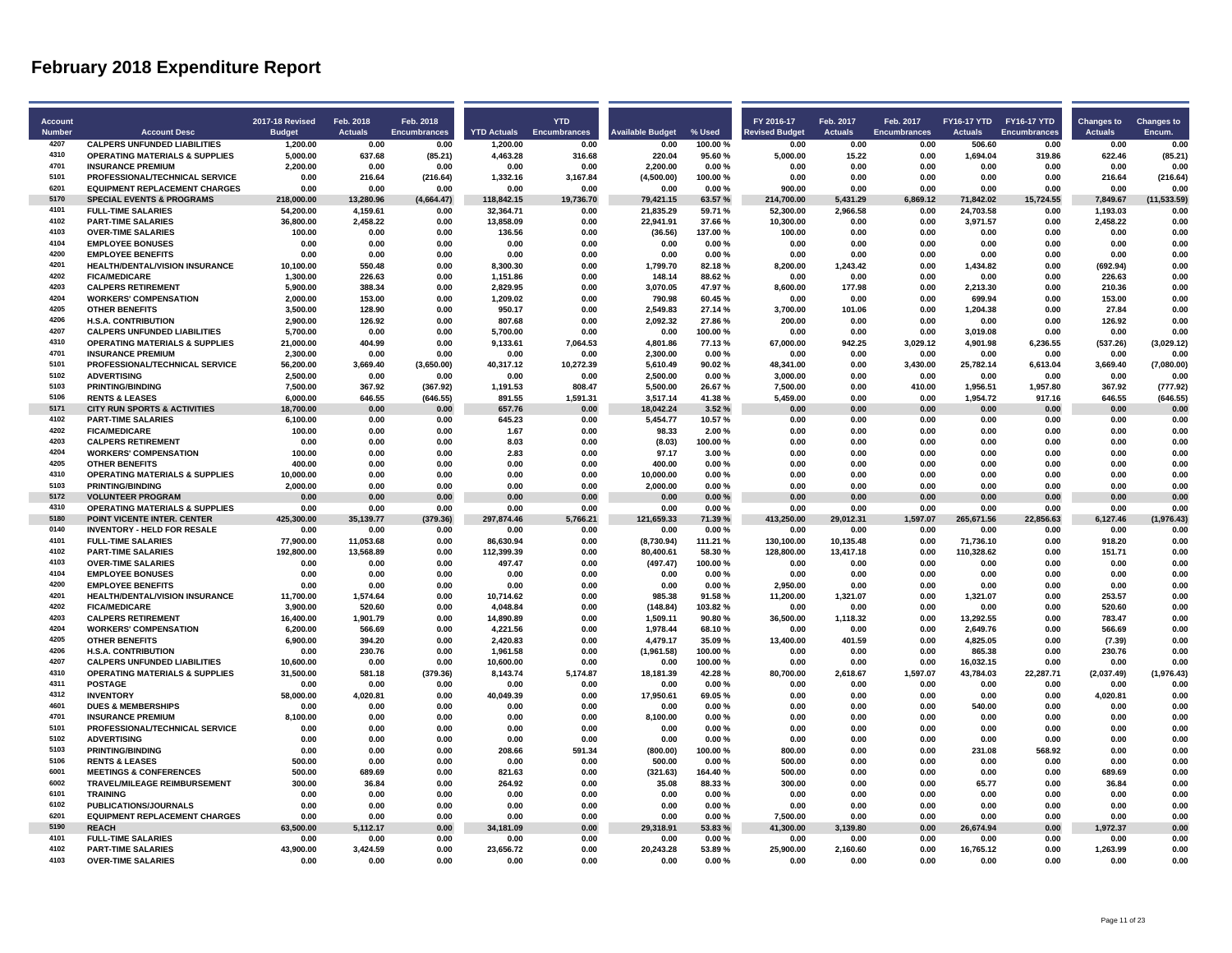| Account<br><b>Number</b> | <b>Account Desc</b>                                    | <b>2017-18 Revised</b><br><b>Budget</b> | Feb. 2018<br><b>Actuals</b> | Feb. 2018<br><b>Encumbrances</b> | <b>YTD Actuals</b>    | <b>YTD</b><br><b>Encumbrances</b> | vailable Budget    | % Used            | FY 2016-17<br><u>levised Budget</u> | Feb. 2017<br><b>Actuals</b> | Feb. 2017<br><b>Encumbrances</b> | <b>Actuals</b>        | FY16-17 YTD FY16-17 YTD<br><b>Encumbrances</b> | <b>Changes to</b><br><b>Actuals</b> | <b>Changes to</b><br>Encum. |
|--------------------------|--------------------------------------------------------|-----------------------------------------|-----------------------------|----------------------------------|-----------------------|-----------------------------------|--------------------|-------------------|-------------------------------------|-----------------------------|----------------------------------|-----------------------|------------------------------------------------|-------------------------------------|-----------------------------|
| 4207                     | <b>CALPERS UNFUNDED LIABILITIES</b>                    | 1,200.00                                | 0.00                        | 0.00                             | 1,200.00              | 0.00                              | 0.00               | 100.00%           | 0.00                                | 0.00                        | 0.00                             | 506.60                | 0.00                                           | 0.00                                | 0.00                        |
| 4310                     | <b>OPERATING MATERIALS &amp; SUPPLIES</b>              | 5.000.00                                | 637.68                      | (85.21)                          | 4,463.28              | 316.68                            | 220.04             | 95.60%            | 5.000.00                            | 15.22                       | 0.00                             | 1.694.04              | 319.86                                         | 622.46                              | (85.21)                     |
| 4701                     | <b>INSURANCE PREMIUM</b>                               | 2,200.00                                | 0.00                        | 0.00                             | 0.00                  | 0.00                              | 2,200.00           | 0.00%             | 0.00                                | 0.00                        | 0.00                             | 0.00                  | 0.00                                           | 0.00                                | 0.00                        |
| 5101                     | PROFESSIONAL/TECHNICAL SERVICE                         | 0.00                                    | 216.64                      | (216.64)                         | 1,332.16              | 3,167.84                          | (4,500.00)         | 100.00%           | 0.00                                | 0.00                        | 0.00                             | 0.00                  | 0.00                                           | 216.64                              | (216.64)                    |
| 6201                     | <b>EQUIPMENT REPLACEMENT CHARGES</b>                   | 0.00                                    | 0.00                        | 0.00                             | 0.00                  | 0.00                              | 0.00               | 0.00%             | 900.00                              | 0.00                        | 0.00                             | 0.00                  | 0.00                                           | 0.00                                | 0.00                        |
| 5170<br>4101             | <b>SPECIAL EVENTS &amp; PROGRAMS</b>                   | 218.000.00                              | 13.280.96                   | (4,664.47)                       | 118,842.15            | 19,736.70                         | 79,421.15          | 63.57%            | 214,700.00                          | 5,431.29                    | 6.869.12                         | 71.842.02             | 15,724.55                                      | 7,849.67                            | (11, 533.59)                |
| 4102                     | <b>FULL-TIME SALARIES</b>                              | 54,200.00                               | 4,159.61                    | 0.00                             | 32,364.71             | 0.00                              | 21,835.29          | 59.71%            | 52,300.00                           | 2,966.58                    | 0.00                             | 24,703.58             | 0.00                                           | 1,193.03                            | 0.00                        |
| 4103                     | <b>PART-TIME SALARIES</b><br><b>OVER-TIME SALARIES</b> | 36,800.00<br>100.00                     | 2,458.22<br>0.00            | 0.00<br>0.00                     | 13,858.09<br>136.56   | 0.00<br>0.00                      | 22,941.91          | 37.66%<br>137.00% | 10,300.00<br>100.00                 | 0.00<br>0.00                | 0.00<br>0.00                     | 3,971.57<br>0.00      | 0.00<br>0.00                                   | 2,458.22<br>0.00                    | 0.00<br>0.00                |
| 4104                     | <b>EMPLOYEE BONUSES</b>                                |                                         |                             |                                  |                       |                                   | (36.56)            |                   |                                     | 0.00                        |                                  |                       |                                                |                                     | 0.00                        |
| 4200                     | <b>EMPLOYEE BENEFITS</b>                               | 0.00<br>0.00                            | 0.00<br>0.00                | 0.00<br>0.00                     | 0.00<br>0.00          | 0.00<br>0.00                      | 0.00<br>0.00       | 0.00%<br>0.00%    | 0.00<br>0.00                        | 0.00                        | 0.00<br>0.00                     | 0.00<br>0.00          | 0.00<br>0.00                                   | 0.00<br>0.00                        | 0.00                        |
| 4201                     | HEALTH/DENTAL/VISION INSURANCE                         | 10.100.00                               | 550.48                      | 0.00                             | 8,300.30              | 0.00                              | 1,799.70           | 82.18%            | 8,200.00                            | 1,243.42                    | 0.00                             | 1,434.82              | 0.00                                           | (692.94)                            | 0.00                        |
| 4202                     | <b>FICA/MEDICARE</b>                                   | 1,300.00                                | 226.63                      | 0.00                             | 1,151.86              | 0.00                              | 148.14             | 88.62%            | 0.00                                | 0.00                        | 0.00                             | 0.00                  | 0.00                                           | 226.63                              | 0.00                        |
| 4203                     | <b>CALPERS RETIREMENT</b>                              | 5,900.00                                | 388.34                      | 0.00                             | 2,829.95              | 0.00                              | 3,070.05           | 47.97%            | 8,600.00                            | 177.98                      | 0.00                             | 2,213.30              | 0.00                                           | 210.36                              | 0.00                        |
| 4204                     | <b>WORKERS' COMPENSATION</b>                           | 2,000.00                                | 153.00                      | 0.00                             | 1,209.02              | 0.00                              | 790.98             | 60.45%            | 0.00                                | 0.00                        | 0.00                             | 699.94                | 0.00                                           | 153.00                              | 0.00                        |
| 4205                     | OTHER RENEFITS                                         | 3.500.00                                | 128.90                      | 0.00                             | 950.17                | 0.00                              | 2.549.83           | 27.14%            | 3,700.00                            | 101.06                      | 0.00                             | 1,204.38              | 0.00                                           | 27.84                               | 0.00                        |
| 4206                     | <b>H.S.A. CONTRIBUTION</b>                             | 2,900.00                                | 126.92                      | 0.00                             | 807.68                | 0.00                              | 2,092.32           | 27.86%            | 200.00                              | 0.00                        | 0.00                             | 0.00                  | 0.00                                           | 126.92                              | 0.00                        |
| 4207                     | <b>CALPERS UNFUNDED LIABILITIES</b>                    | 5.700.00                                | 0.00                        | 0.00                             | 5,700.00              | 0.00                              | 0.00               | 100.00%           | 0.00                                | 0.00                        | 0.00                             | 3,019.08              | 0.00                                           | 0.00                                | 0.00                        |
| 4310                     | <b>OPERATING MATERIALS &amp; SUPPLIES</b>              | 21.000.00                               | 404.99                      | 0.00                             | 9,133.61              | 7.064.53                          | 4.801.86           | 77.13%            | 67.000.00                           | 942.25                      | 3.029.12                         | 4.901.98              | 6.236.55                                       | (537.26)                            | (3,029.12)                  |
| 4701                     | <b>INSURANCE PREMIUM</b>                               | 2,300.00                                | 0.00                        | 0.00                             | 0.00                  | 0.00                              | 2,300.00           | $0.00 \%$         | 0.00                                | 0.00                        | 0.00                             | 0.00                  | 0.00                                           | 0.00                                | 0.00                        |
| 5101                     | PROFESSIONAL/TECHNICAL SERVICE                         | 56.200.00                               | 3,669.40                    | (3,650.00)                       | 40,317.12             | 10,272.39                         | 5,610.49           | 90.02%            | 48,341.00                           | 0.00                        | 3,430.00                         | 25,782.14             | 6,613.04                                       | 3,669.40                            | (7,080.00)                  |
| 5102                     | <b>ADVERTISING</b>                                     | 2,500.00                                | 0.00                        | 0.00                             | 0.00                  | 0.00                              | 2,500.00           | 0.00%             | 3,000.00                            | 0.00                        | 0.00                             | 0.00                  | 0.00                                           | 0.00                                | 0.00                        |
| 5103                     | <b>PRINTING/BINDING</b>                                | 7.500.00                                | 367.92                      | (367.92)                         | 1,191.53              | 808.47                            | 5.500.00           | 26.67%            | 7,500.00                            | 0.00                        | 410.00                           | 1,956.51              | 1,957.80                                       | 367.92                              | (777.92)                    |
| 5106                     | <b>RENTS &amp; LEASES</b>                              | 6,000.00                                | 646.55                      | (646.55)                         | 891.55                | 1,591.31                          | 3,517.14           | 41.38%            | 5,459.00                            | 0.00                        | 0.00                             | 1,954.72              | 917.16                                         | 646.55                              | (646.55)                    |
| 5171                     | <b>CITY RUN SPORTS &amp; ACTIVITIES</b>                | 18.700.00                               | 0.00                        | 0.00                             | 657.76                | 0.00                              | 18,042.24          | 3.52%             | 0.00                                | 0.00                        | 0.00                             | 0.00                  | 0.00                                           | 0.00                                | 0.00                        |
| 4102                     | <b>PART-TIME SALARIES</b>                              | 6.100.00                                | 0.00                        | 0.00                             | 645.23                | 0.00                              | 5,454.77           | 10.57%            | 0.00                                | 0.00                        | 0.00                             | 0.00                  | 0.00                                           | 0.00                                | 0.00                        |
| 4202                     | <b>FICA/MEDICARE</b>                                   | 100.00                                  | 0.00                        | 0.00                             | 1.67                  | 0.00                              | 98.33              | 2.00%             | 0.00                                | 0.00                        | 0.00                             | 0.00                  | 0.00                                           | 0.00                                | 0.00                        |
| 4203                     | <b>CALPERS RETIREMENT</b>                              | 0.00                                    | 0.00                        | 0.00                             | 8.03                  | 0.00                              | (8.03)             | 100.00%           | 0.00                                | 0.00                        | 0.00                             | 0.00                  | 0.00                                           | 0.00                                | 0.00                        |
| 4204                     | <b>WORKERS' COMPENSATION</b>                           | 100.00                                  | 0.00                        | 0.00                             | 2.83                  | 0.00                              | 97.17              | 3.00%             | 0.00                                | 0.00                        | 0.00                             | 0.00                  | 0.00                                           | 0.00                                | 0.00                        |
| 4205                     | <b>OTHER BENEFITS</b>                                  | 400.00                                  | 0.00                        | 0.00                             | 0.00                  | 0.00                              | 400.00             | 0.00%             | 0.00                                | 0.00                        | 0.00                             | 0.00                  | 0.00                                           | 0.00                                | 0.00                        |
| 4310                     | <b>OPERATING MATERIALS &amp; SUPPLIES</b>              | 10.000.00                               | 0.00                        | 0.00                             | 0.00                  | 0.00                              | 10,000.00          | 0.00%             | 0.00                                | 0.00                        | 0.00                             | 0.00                  | 0.00                                           | 0.00                                | 0.00                        |
| 5103                     | <b>PRINTING/BINDING</b>                                | 2.000.00                                | 0.00                        | 0.00                             | 0.00                  | 0.00                              | 2.000.00           | 0.00%             | 0.00                                | 0.00                        | 0.00                             | 0.00                  | 0.00                                           | 0.00                                | 0.00                        |
| 5172                     | <b>VOLUNTEER PROGRAM</b>                               | 0.00                                    | 0.00                        | 0.00                             | 0.00                  | 0.00                              | 0.00               | 0.00%             | 0.00                                | 0.00                        | 0.00                             | 0.00                  | 0.00                                           | 0.00                                | 0.00                        |
| 4310                     | <b>OPERATING MATERIALS &amp; SUPPLIES</b>              | 0.00                                    | 0.00                        | 0.00                             | 0.00                  | 0.00                              | 0.00               | 0.00%             | 0.00                                | 0.00                        | 0.00                             | 0.00                  | 0.00                                           | 0.00                                | 0.00                        |
| 5180                     | POINT VICENTE INTER. CENTER                            | 425,300.00                              | 35,139.77                   | (379.36)                         | 297,874.46            | 5,766.21                          | 121,659.33         | 71.39%            | 413,250.00                          | 29,012.31                   | 1,597.07                         | 265,671.56            | 22,856.63                                      | 6,127.46                            | (1,976.43)                  |
| 0140                     | <b>INVENTORY - HELD FOR RESALE</b>                     | 0.00                                    | 0.00                        | 0.00                             | 0.00                  | 0.00                              | 0.00               | 0.00%             | 0.00                                | 0.00                        | 0.00                             | 0.00                  | 0.00                                           | 0.00                                | 0.00                        |
| 4101                     | <b>FULL-TIME SALARIES</b>                              | 77,900.00                               | 11,053.68                   | 0.00                             | 86,630.94             | 0.00                              | (8,730.94)         | 111.21%           | 130,100.00                          | 10,135.48                   | 0.00                             | 71,736.10             | 0.00                                           | 918.20                              | 0.00                        |
| 4102                     | <b>PART-TIME SALARIES</b>                              | 192,800.00                              | 13,568.89                   | 0.00                             | 112,399.39            | 0.00                              | 80,400.61          | 58.30%            | 128,800.00                          | 13,417.18                   | 0.00                             | 110,328.62            | 0.00                                           | 151.71                              | 0.00                        |
| 4103                     | <b>OVER-TIME SALARIES</b>                              | 0.00                                    | 0.00                        | 0.00                             | 497.47                | 0.00                              | (497.47)           | 100.00%           | 0.00                                | 0.00                        | 0.00                             | 0.00                  | 0.00                                           | 0.00                                | 0.00                        |
| 4104<br>4200             | <b>EMPLOYEE BONUSES</b>                                | 0.00                                    | 0.00                        | 0.00                             | 0.00                  | 0.00                              | 0.00               | 0.00%             | 0.00                                | 0.00                        | 0.00                             | 0.00                  | 0.00                                           | 0.00                                | 0.00                        |
| 4201                     | <b>EMPLOYEE BENEFITS</b>                               | 0.00                                    | 0.00                        | 0.00                             | 0.00                  | 0.00                              | 0.00               | 0.00%             | 2,950.00                            | 0.00                        | 0.00                             | 0.00                  | 0.00                                           | 0.00                                | 0.00                        |
| 4202                     | HEALTH/DENTAL/VISION INSURANCE<br><b>FICA/MEDICARE</b> | 11,700.00<br>3.900.00                   | 1,574.64<br>520.60          | 0.00<br>0.00                     | 10,714.62<br>4.048.84 | 0.00<br>0.00                      | 985.38<br>(148.84) | 91.58%<br>103.82% | 11,200.00<br>0.00                   | 1,321.07<br>0.00            | 0.00<br>0.00                     | 1,321.07<br>0.00      | 0.00<br>0.00                                   | 253.57<br>520.60                    | 0.00<br>0.00                |
| 4203                     | <b>CALPERS RETIREMENT</b>                              | 16,400.00                               |                             | 0.00                             | 14,890.89             | 0.00                              | 1,509.11           |                   |                                     |                             | 0.00                             |                       | 0.00                                           | 783.47                              | 0.00                        |
| 4204                     | <b>WORKERS' COMPENSATION</b>                           | 6,200.00                                | 1,901.79<br>566.69          | 0.00                             | 4,221.56              | 0.00                              | 1,978.44           | 90.80%<br>68.10%  | 36,500.00<br>0.00                   | 1,118.32<br>0.00            | 0.00                             | 13,292.55<br>2,649.76 | 0.00                                           | 566.69                              | 0.00                        |
| 4205                     | <b>OTHER BENEFITS</b>                                  | 6,900.00                                | 394.20                      | 0.00                             | 2,420.83              | 0.00                              | 4,479.17           | 35.09%            | 13,400.00                           | 401.59                      | 0.00                             | 4,825.05              | 0.00                                           | (7.39)                              | 0.00                        |
| 4206                     | <b>H.S.A. CONTRIBUTION</b>                             | 0.00                                    | 230.76                      | 0.00                             | 1.961.58              | 0.00                              | (1,961.58)         | 100.00%           | 0.00                                | 0.00                        | 0.00                             | 865.38                | 0.00                                           | 230.76                              | 0.00                        |
| 4207                     | <b>CALPERS UNFUNDED LIABILITIES</b>                    | 10,600.00                               | 0.00                        | 0.00                             | 10,600.00             | 0.00                              | 0.00               | 100.00%           | 0.00                                | 0.00                        | 0.00                             | 16,032.15             | 0.00                                           | 0.00                                | 0.00                        |
| 4310                     | <b>OPERATING MATERIALS &amp; SUPPLIES</b>              | 31,500.00                               | 581.18                      | (379.36)                         | 8,143.74              | 5,174.87                          | 18,181.39          | 42.28%            | 80,700.00                           | 2,618.67                    | 1,597.07                         | 43,784.03             | 22,287.71                                      | (2,037.49)                          | (1,976.43)                  |
| 4311                     | <b>POSTAGE</b>                                         | 0.00                                    | 0.00                        | 0.00                             | 0.00                  | 0.00                              | 0.00               | 0.00%             | 0.00                                | 0.00                        | 0.00                             | 0.00                  | 0.00                                           | 0.00                                | 0.00                        |
| 4312                     | <b>INVENTORY</b>                                       | 58.000.00                               | 4,020.81                    | 0.00                             | 40,049.39             | 0.00                              | 17,950.61          | 69.05%            | 0.00                                | 0.00                        | 0.00                             | 0.00                  | 0.00                                           | 4,020.81                            | 0.00                        |
| 4601                     | <b>DUES &amp; MEMBERSHIPS</b>                          | 0.00                                    | 0.00                        | 0.00                             | 0.00                  | 0.00                              | 0.00               | 0.00%             | 0.00                                | 0.00                        | 0.00                             | 540.00                | 0.00                                           | 0.00                                | 0.00                        |
| 4701                     | <b>INSURANCE PREMIUM</b>                               | 8,100.00                                | 0.00                        | 0.00                             | 0.00                  | 0.00                              | 8,100.00           | 0.00%             | 0.00                                | 0.00                        | 0.00                             | 0.00                  | 0.00                                           | 0.00                                | 0.00                        |
| 5101                     | PROFESSIONAL/TECHNICAL SERVICE                         | 0.00                                    | 0.00                        | 0.00                             | 0.00                  | 0.00                              | 0.00               | 0.00%             | 0.00                                | 0.00                        | 0.00                             | 0.00                  | 0.00                                           | 0.00                                | 0.00                        |
| 5102                     | <b>ADVERTISING</b>                                     | 0.00                                    | 0.00                        | 0.00                             | 0.00                  | 0.00                              | 0.00               | 0.00%             | 0.00                                | 0.00                        | 0.00                             | 0.00                  | 0.00                                           | 0.00                                | 0.00                        |
| 5103                     | <b>PRINTING/BINDING</b>                                | 0.00                                    | 0.00                        | 0.00                             | 208.66                | 591.34                            | (800.00)           | 100.00%           | 800.00                              | 0.00                        | 0.00                             | 231.08                | 568.92                                         | 0.00                                | 0.00                        |
| 5106                     | <b>RENTS &amp; LEASES</b>                              | 500.00                                  | 0.00                        | 0.00                             | 0.00                  | 0.00                              | 500.00             | 0.00%             | 500.00                              | 0.00                        | 0.00                             | 0.00                  | 0.00                                           | 0.00                                | 0.00                        |
| 6001                     | <b>MEETINGS &amp; CONFERENCES</b>                      | 500.00                                  | 689.69                      | 0.00                             | 821.63                | 0.00                              | (321.63)           | 164.40%           | 500.00                              | 0.00                        | 0.00                             | 0.00                  | 0.00                                           | 689.69                              | 0.00                        |
| 6002                     | TRAVEL/MILEAGE REIMBURSEMENT                           | 300.00                                  | 36.84                       | 0.00                             | 264.92                | 0.00                              | 35.08              | 88.33%            | 300.00                              | 0.00                        | 0.00                             | 65.77                 | 0.00                                           | 36.84                               | 0.00                        |
| 6101                     | <b>TRAINING</b>                                        | 0.00                                    | 0.00                        | 0.00                             | 0.00                  | 0.00                              | 0.00               | 0.00%             | 0.00                                | 0.00                        | 0.00                             | 0.00                  | 0.00                                           | 0.00                                | 0.00                        |
| 6102                     | PUBLICATIONS/JOURNALS                                  | 0.00                                    | 0.00                        | 0.00                             | 0.00                  | 0.00                              | 0.00               | 0.00%             | 0.00                                | 0.00                        | 0.00                             | 0.00                  | 0.00                                           | 0.00                                | 0.00                        |
| 6201                     | <b>EQUIPMENT REPLACEMENT CHARGES</b>                   | 0.00                                    | 0.00                        | 0.00                             | 0.00                  | 0.00                              | 0.00               | 0.00%             | 7,500.00                            | 0.00                        | 0.00                             | 0.00                  | 0.00                                           | 0.00                                | 0.00                        |
| 5190                     | <b>REACH</b>                                           | 63,500.00                               | 5,112.17                    | 0.00                             | 34,181.09             | 0.00                              | 29,318.91          | 53.83%            | 41,300.00                           | 3,139.80                    | 0.00                             | 26,674.94             | 0.00                                           | 1,972.37                            | 0.00                        |
| 4101                     | <b>FULL-TIME SALARIES</b>                              | 0.00                                    | 0.00                        | 0.00                             | 0.00                  | 0.00                              | 0.00               | 0.00%             | 0.00                                | 0.00                        | 0.00                             | 0.00                  | 0.00                                           | 0.00                                | 0.00                        |
| 4102                     | <b>PART-TIME SALARIES</b>                              | 43.900.00                               | 3,424.59                    | 0.00                             | 23.656.72             | 0.00                              | 20.243.28          | 53.89%            | 25,900.00                           | 2,160.60                    | 0.00                             | 16.765.12             | 0.00                                           | 1,263.99                            | 0.00                        |
| 4103                     | <b>OVER-TIME SALARIES</b>                              | 0.00                                    | 0.00                        | 0.00                             | 0.00                  | 0.00                              | 0.00               | 0.00%             | 0.00                                | 0.00                        | 0.00                             | 0.00                  | 0.00                                           | 0.00                                | 0.00                        |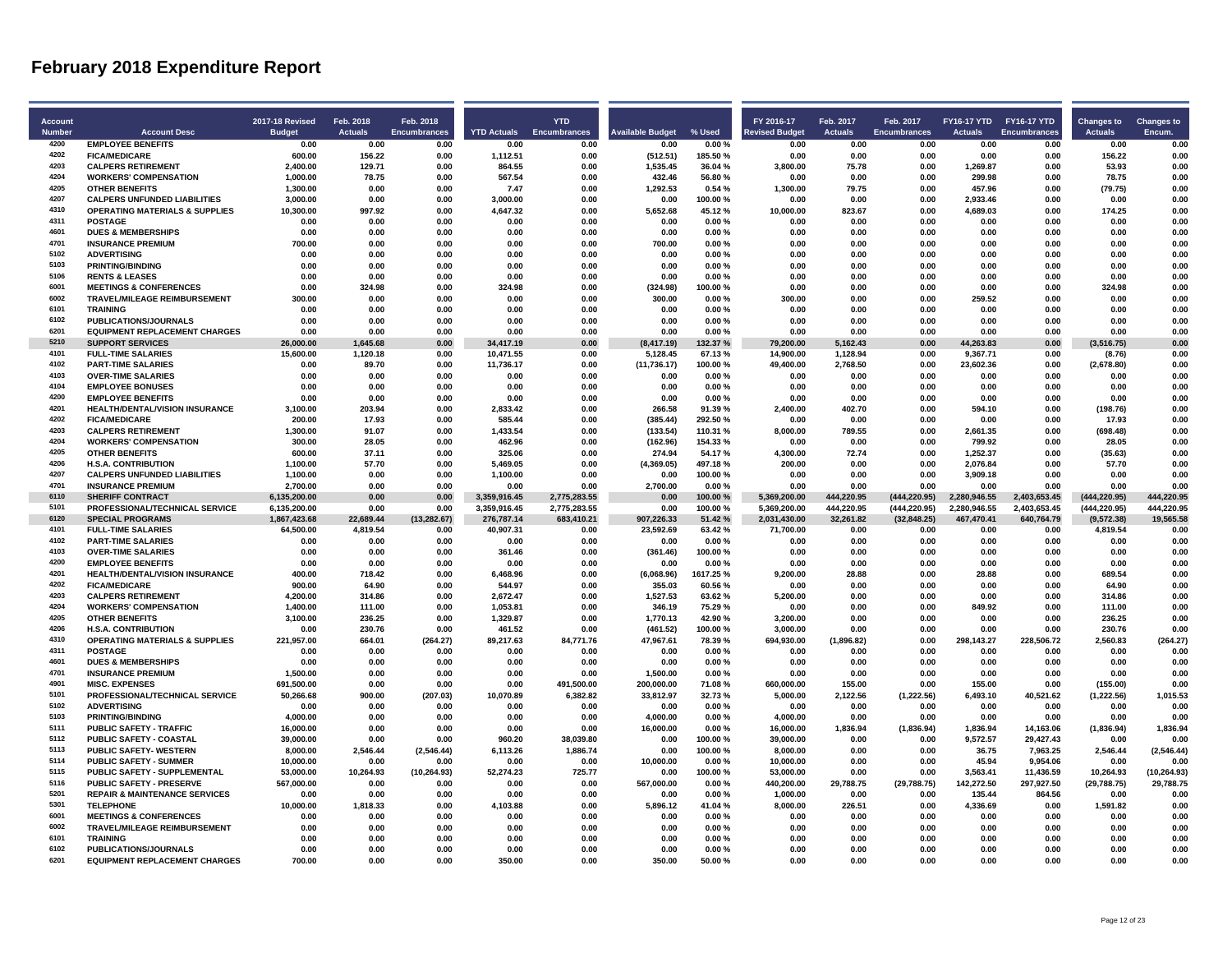|                          |                                                                      |                                  |                             |                           |                      | <b>YTD</b>                   |                         |                    |                                     |                             |                                  |                                           |                      |                                     |                             |
|--------------------------|----------------------------------------------------------------------|----------------------------------|-----------------------------|---------------------------|----------------------|------------------------------|-------------------------|--------------------|-------------------------------------|-----------------------------|----------------------------------|-------------------------------------------|----------------------|-------------------------------------|-----------------------------|
| Account<br><b>Number</b> | <b>Account Desc</b>                                                  | 2017-18 Revised<br><b>Budget</b> | Feb. 2018<br><b>Actuals</b> | Feb. 2018<br>Encumbrances | <b>YTD Actuals</b>   | Encumbrances                 | <b>Available Budget</b> | % Used             | FY 2016-17<br><b>Revised Budget</b> | Feb. 2017<br><b>Actuals</b> | Feb. 2017<br><b>Encumbrances</b> | FY16-17 YTD FY16-17 YTD<br><b>Actuals</b> | Encumbrances         | <b>Changes to</b><br><b>Actuals</b> | <b>Changes to</b><br>Encum. |
| 4200                     | <b>EMPLOYEE BENEFITS</b>                                             | 0.00                             | 0.00                        | 0.00                      | 0.00                 | 0.00                         | 0.00                    | 0.00%              | 0.00                                | 0.00                        | 0.00                             | 0.00                                      | 0.00                 | 0.00                                | 0.00                        |
| 4202                     | <b>FICA/MEDICARE</b>                                                 | 600.00                           | 156.22                      | 0.00                      |                      | 0.00                         |                         | 185.50%            | 0.00                                | 0.00                        | 0.00                             |                                           | 0.00                 | 156.22                              | 0.00                        |
| 4203                     | <b>CALPERS RETIREMENT</b>                                            | 2,400.00                         | 129.71                      | 0.00                      | 1,112.51<br>864.55   | 0.00                         | (512.51)<br>1,535.45    | 36.04%             | 3,800.00                            | 75.78                       | 0.00                             | 0.00                                      | 0.00                 | 53.93                               | 0.00                        |
| 4204                     | <b>WORKERS' COMPENSATION</b>                                         | 1,000.00                         | 78.75                       | 0.00                      | 567.54               | 0.00                         | 432.46                  | 56.80%             | 0.00                                | 0.00                        | 0.00                             | 1,269.87<br>299.98                        | 0.00                 | 78.75                               | 0.00                        |
| 4205                     | <b>OTHER BENEFITS</b>                                                | 1.300.00                         | 0.00                        | 0.00                      | 7.47                 | 0.00                         | 1,292.53                | 0.54 %             | 1,300.00                            | 79.75                       | 0.00                             | 457.96                                    | 0.00                 | (79.75)                             | 0.00                        |
| 4207                     | <b>CALPERS UNFUNDED LIABILITIES</b>                                  | 3,000.00                         | 0.00                        | 0.00                      | 3,000.00             | 0.00                         | 0.00                    | 100.00%            | 0.00                                | 0.00                        | 0.00                             | 2,933.46                                  | 0.00                 | 0.00                                | 0.00                        |
| 4310                     | <b>OPERATING MATERIALS &amp; SUPPLIES</b>                            | 10,300.00                        | 997.92                      | 0.00                      | 4,647.32             | 0.00                         |                         | 45.12%             | 10,000.00                           | 823.67                      | 0.00                             | 4,689.03                                  | 0.00                 | 174.25                              | 0.00                        |
| 4311                     | <b>POSTAGE</b>                                                       | 0.00                             | 0.00                        | 0.00                      | 0.00                 | 0.00                         | 5,652.68<br>0.00        | 0.00%              | 0.00                                | 0.00                        | 0.00                             | 0.00                                      | 0.00                 | 0.00                                | 0.00                        |
| 4601                     | <b>DUES &amp; MEMBERSHIPS</b>                                        | 0.00                             | 0.00                        | 0.00                      | 0.00                 | 0.00                         | 0.00                    | 0.00%              | 0.00                                | 0.00                        | 0.00                             | 0.00                                      | 0.00                 | 0.00                                | 0.00                        |
| 4701                     |                                                                      |                                  |                             |                           |                      |                              |                         |                    |                                     |                             |                                  |                                           |                      |                                     |                             |
| 5102                     | <b>INSURANCE PREMIUM</b><br><b>ADVERTISING</b>                       | 700.00<br>0.00                   | 0.00<br>0.00                | 0.00<br>0.00              | 0.00<br>0.00         | 0.00<br>0.00                 | 700.00<br>0.00          | 0.00%<br>0.00%     | 0.00<br>0.00                        | 0.00<br>0.00                | 0.00<br>0.00                     | 0.00<br>0.00                              | 0.00<br>0.00         | 0.00<br>0.00                        | 0.00<br>0.00                |
| 5103                     | <b>PRINTING/BINDING</b>                                              | 0.00                             | 0.00                        | 0.00                      | 0.00                 |                              | 0.00                    |                    | 0.00                                | 0.00                        | 0.00                             | 0.00                                      | 0.00                 | 0.00                                | 0.00                        |
| 5106                     |                                                                      |                                  |                             |                           |                      | 0.00                         |                         | 0.00%              |                                     | 0.00                        |                                  |                                           |                      |                                     |                             |
| 6001                     | <b>RENTS &amp; LEASES</b><br><b>MEETINGS &amp; CONFERENCES</b>       | 0.00<br>0.00                     | 0.00<br>324.98              | 0.00<br>0.00              | 0.00<br>324.98       | 0.00<br>0.00                 | 0.00                    | 0.00%<br>100.00%   | 0.00<br>0.00                        | 0.00                        | 0.00<br>0.00                     | 0.00<br>0.00                              | 0.00<br>0.00         | 0.00<br>324.98                      | 0.00<br>0.00                |
| 6002                     | <b>TRAVEL/MILEAGE REIMBURSEMENT</b>                                  | 300.00                           | 0.00                        | 0.00                      | 0.00                 | 0.00                         | (324.98)<br>300.00      | 0.00%              | 300.00                              | 0.00                        | 0.00                             | 259.52                                    | 0.00                 | 0.00                                | 0.00                        |
| 6101                     | <b>TRAINING</b>                                                      |                                  |                             | 0.00                      |                      | 0.00                         |                         |                    |                                     | 0.00                        | 0.00                             |                                           | 0.00                 |                                     | 0.00                        |
| 6102                     |                                                                      | 0.00                             | 0.00                        |                           | 0.00                 |                              | 0.00                    | 0.00%              | 0.00                                |                             |                                  | 0.00                                      |                      | 0.00                                |                             |
| 6201                     | <b>PUBLICATIONS/JOURNALS</b><br><b>EQUIPMENT REPLACEMENT CHARGES</b> | 0.00                             | 0.00                        | 0.00                      | 0.00                 | 0.00                         | 0.00                    | 0.00%              | 0.00                                | 0.00                        | 0.00                             | 0.00                                      | 0.00                 | 0.00                                | 0.00                        |
| 5210                     |                                                                      | 0.00                             | 0.00                        | 0.00                      | 0.00                 | 0.00                         | 0.00                    | 0.00%              | 0.00                                | 0.00                        | 0.00                             | 0.00                                      | 0.00                 | 0.00                                | 0.00                        |
| 4101                     | <b>SUPPORT SERVICES</b>                                              | 26.000.00                        | 1.645.68                    | 0.00                      | 34,417.19            | 0.00                         | (8, 417.19)             | 132.37%            | 79,200.00                           | 5,162.43                    | 0.00                             | 44.263.83                                 | 0.00                 | (3,516.75)                          | 0.00                        |
|                          | <b>FULL-TIME SALARIES</b>                                            | 15,600.00                        | 1,120.18                    | 0.00                      | 10,471.55            | 0.00                         | 5,128.45                | 67.13%             | 14,900.00                           | 1,128.94                    | 0.00                             | 9,367.71                                  | 0.00                 | (8.76)                              | 0.00                        |
| 4102<br>4103             | <b>PART-TIME SALARIES</b><br><b>OVER-TIME SALARIES</b>               | 0.00<br>0.00                     | 89.70<br>0.00               | 0.00<br>0.00              | 11,736.17<br>0.00    | 0.00<br>0.00                 | (11, 736.17)<br>0.00    | 100.00%<br>0.00%   | 49,400.00<br>0.00                   | 2,768.50<br>0.00            | 0.00<br>0.00                     | 23,602.36<br>0.00                         | 0.00<br>0.00         | (2,678.80)<br>0.00                  | 0.00<br>0.00                |
| 4104                     |                                                                      |                                  |                             | 0.00                      |                      |                              |                         |                    |                                     | 0.00                        |                                  | 0.00                                      |                      |                                     | 0.00                        |
| 4200                     | <b>EMPLOYEE BONUSES</b>                                              | 0.00                             | 0.00                        |                           | 0.00                 | 0.00                         | 0.00                    | 0.00%              | 0.00                                |                             | 0.00                             |                                           | 0.00                 | 0.00                                |                             |
| 4201                     | <b>EMPLOYEE BENEFITS</b>                                             | 0.00                             | 0.00                        | 0.00                      | 0.00                 | 0.00                         | 0.00                    | 0.00%              | 0.00                                | 0.00                        | 0.00                             | 0.00                                      | 0.00                 | 0.00                                | 0.00                        |
| 4202                     | HEALTH/DENTAL/VISION INSURANCE                                       | 3,100.00                         | 203.94                      | 0.00                      | 2,833.42             | 0.00                         | 266.58                  | 91.39%             | 2,400.00                            | 402.70                      | 0.00                             | 594.10                                    | 0.00                 | (198.76)                            | 0.00                        |
| 4203                     | <b>FICA/MEDICARE</b>                                                 | 200.00                           | 17.93                       | 0.00                      | 585.44               | 0.00                         | (385.44)                | 292.50%            | 0.00                                | 0.00                        | 0.00                             | 0.00                                      | 0.00                 | 17.93                               | 0.00                        |
|                          | <b>CALPERS RETIREMENT</b>                                            | 1,300.00                         | 91.07                       | 0.00                      | 1,433.54             | 0.00                         | (133.54)                | 110.31%            | 8,000.00                            | 789.55                      | 0.00                             | 2,661.35                                  | 0.00                 | (698.48)                            | 0.00                        |
| 4204                     | <b>WORKERS' COMPENSATION</b>                                         | 300.00                           | 28.05                       | 0.00                      | 462.96               | 0.00                         | (162.96)                | 154.33%            | 0.00                                | 0.00                        | 0.00                             | 799.92                                    | 0.00                 | 28.05                               | 0.00                        |
| 4205<br>4206             | <b>OTHER BENEFITS</b>                                                | 600.00                           | 37.11                       | 0.00                      | 325.06               | 0.00                         | 274.94                  | 54.17%             | 4,300.00                            | 72.74                       | 0.00                             | 1,252.37                                  | 0.00                 | (35.63)                             | 0.00                        |
|                          | <b>H.S.A. CONTRIBUTION</b>                                           | 1,100.00                         | 57.70                       | 0.00                      | 5,469.05             | 0.00                         | (4,369.05)              | 497.18%            | 200.00                              | 0.00                        | 0.00                             | 2,076.84                                  | 0.00                 | 57.70                               | 0.00                        |
| 4207<br>4701             | <b>CALPERS UNFUNDED LIABILITIES</b>                                  | 1,100.00                         | 0.00                        | 0.00                      | 1,100.00             | 0.00                         | 0.00                    | 100.00%            | 0.00                                | 0.00                        | 0.00                             | 3,909.18                                  | 0.00                 | 0.00                                | 0.00                        |
| 6110                     | <b>INSURANCE PREMIUM</b><br><b>SHERIFF CONTRACT</b>                  | 2,700.00                         | 0.00<br>0.00                | 0.00                      | 0.00<br>3.359.916.45 | 0.00                         | 2,700.00<br>0.00        | 0.00%              | 0.00<br>5.369.200.00                | 0.00<br>444.220.95          | 0.00                             | 0.00<br>2,280,946.55                      | 0.00<br>2,403,653.45 | 0.00<br>(444, 220.95)               | 0.00<br>444,220.95          |
| 5101                     | PROFESSIONAL/TECHNICAL SERVICE                                       | 6,135,200.00<br>6,135,200.00     | 0.00                        | 0.00<br>0.00              | 3,359,916.45         | 2,775,283.55<br>2,775,283.55 | 0.00                    | 100.00%<br>100.00% | 5,369,200.00                        | 444,220.95                  | (444, 220.95)<br>(444, 220.95)   | 2,280,946.55                              | 2,403,653.45         | (444, 220.95)                       | 444,220.95                  |
| 6120                     | <b>SPECIAL PROGRAMS</b>                                              | 1,867,423.68                     | 22,689.44                   | (13, 282.67)              | 276,787.14           | 683,410.21                   | 907,226.33              | 51.42%             | 2,031,430.00                        | 32,261.82                   | (32, 848.25)                     | 467,470.41                                | 640,764.79           | (9,572.38)                          | 19,565.58                   |
| 4101                     | <b>FULL-TIME SALARIES</b>                                            | 64,500.00                        | 4,819.54                    | 0.00                      | 40,907.31            | 0.00                         | 23.592.69               | 63.42%             | 71,700.00                           | 0.00                        | 0.00                             | 0.00                                      | 0.00                 | 4.819.54                            | 0.00                        |
| 4102                     | <b>PART-TIME SALARIES</b>                                            | 0.00                             | 0.00                        | 0.00                      | 0.00                 | 0.00                         | 0.00                    | 0.00%              | 0.00                                | 0.00                        | 0.00                             | 0.00                                      | 0.00                 | 0.00                                | 0.00                        |
| 4103                     | <b>OVER-TIME SALARIES</b>                                            | 0.00                             | 0.00                        | 0.00                      | 361.46               | 0.00                         | (361.46)                | 100.00%            | 0.00                                | 0.00                        | 0.00                             | 0.00                                      | 0.00                 | 0.00                                | 0.00                        |
| 4200                     | <b>EMPLOYEE BENEFITS</b>                                             | 0.00                             | 0.00                        | 0.00                      | 0.00                 | 0.00                         | 0.00                    | 0.00%              | 0.00                                | 0.00                        | 0.00                             | 0.00                                      | 0.00                 | 0.00                                | 0.00                        |
| 4201                     | <b>HEALTH/DENTAL/VISION INSURANCE</b>                                | 400.00                           | 718.42                      | 0.00                      | 6,468.96             | 0.00                         | (6,068.96)              | 1617.25%           | 9,200.00                            | 28.88                       | 0.00                             | 28.88                                     | 0.00                 | 689.54                              | 0.00                        |
| 4202                     | <b>FICA/MEDICARE</b>                                                 | 900.00                           | 64.90                       | 0.00                      | 544.97               | 0.00                         | 355.03                  | 60.56%             | 0.00                                | 0.00                        | 0.00                             | 0.00                                      | 0.00                 | 64.90                               | 0.00                        |
| 4203                     | <b>CALPERS RETIREMENT</b>                                            | 4,200.00                         | 314.86                      | 0.00                      | 2,672.47             | 0.00                         | 1,527.53                | 63.62%             | 5,200.00                            | 0.00                        | 0.00                             | 0.00                                      | 0.00                 | 314.86                              | 0.00                        |
| 4204                     | <b>WORKERS' COMPENSATION</b>                                         | 1.400.00                         | 111.00                      | 0.00                      | 1,053.81             | 0.00                         | 346.19                  | 75.29%             | 0.00                                | 0.00                        | 0.00                             | 849.92                                    | 0.00                 | 111.00                              | 0.00                        |
| 4205                     | <b>OTHER BENEFITS</b>                                                | 3,100.00                         | 236.25                      | 0.00                      | 1,329.87             | 0.00                         | 1,770.13                | 42.90%             | 3,200.00                            | 0.00                        | 0.00                             | 0.00                                      | 0.00                 | 236.25                              | 0.00                        |
| 4206                     | <b>H.S.A. CONTRIBUTION</b>                                           | 0.00                             | 230.76                      | 0.00                      | 461.52               | 0.00                         | (461.52)                | 100.00%            | 3,000.00                            | 0.00                        | 0.00                             | 0.00                                      | 0.00                 | 230.76                              | 0.00                        |
| 4310                     | <b>OPERATING MATERIALS &amp; SUPPLIES</b>                            | 221,957.00                       | 664.01                      | (264.27)                  | 89,217.63            | 84,771.76                    | 47,967.61               | 78.39%             | 694,930.00                          | (1,896.82)                  | 0.00                             | 298,143.27                                | 228,506.72           | 2,560.83                            | (264.27)                    |
| 4311                     | <b>POSTAGE</b>                                                       | 0.00                             | 0.00                        | 0.00                      | 0.00                 | 0.00                         | 0.00                    | 0.00%              | 0.00                                | 0.00                        | 0.00                             | 0.00                                      | 0.00                 | 0.00                                | 0.00                        |
| 4601                     | <b>DUES &amp; MEMBERSHIPS</b>                                        | 0.00                             | 0.00                        | 0.00                      | 0.00                 | 0.00                         | 0.00                    | 0.00%              | 0.00                                | 0.00                        | 0.00                             | 0.00                                      | 0.00                 | 0.00                                | 0.00                        |
| 4701                     | <b>INSURANCE PREMIUM</b>                                             | 1,500.00                         | 0.00                        | 0.00                      | 0.00                 | 0.00                         | 1,500.00                | 0.00%              | 0.00                                | 0.00                        | 0.00                             | 0.00                                      | 0.00                 | 0.00                                | 0.00                        |
| 4901                     | <b>MISC. EXPENSES</b>                                                | 691,500.00                       | 0.00                        | 0.00                      | 0.00                 | 491.500.00                   | 200,000.00              | 71.08%             | 660.000.00                          | 155.00                      | 0.00                             | 155.00                                    | 0.00                 | (155.00)                            | 0.00                        |
| 5101                     | PROFESSIONAL/TECHNICAL SERVICE                                       | 50,266.68                        | 900.00                      | (207.03)                  | 10,070.89            | 6,382.82                     | 33,812.97               | 32.73%             | 5,000.00                            | 2,122.56                    | (1,222.56)                       | 6,493.10                                  | 40,521.62            | (1,222.56)                          | 1,015.53                    |
| 5102                     | <b>ADVERTISING</b>                                                   | 0.00                             | 0.00                        | 0.00                      | 0.00                 | 0.00                         | 0.00                    | 0.00%              | 0.00                                | 0.00                        | 0.00                             | 0.00                                      | 0.00                 | 0.00                                | 0.00                        |
| 5103                     | <b>PRINTING/BINDING</b>                                              | 4,000.00                         | 0.00                        | 0.00                      | 0.00                 | 0.00                         | 4,000.00                | 0.00%              | 4,000.00                            | 0.00                        | 0.00                             | 0.00                                      | 0.00                 | 0.00                                | 0.00                        |
| 5111                     | <b>PUBLIC SAFETY - TRAFFIC</b>                                       | 16,000.00                        | 0.00                        | 0.00                      | 0.00                 | 0.00                         | 16,000.00               | 0.00%              | 16,000.00                           | 1,836.94                    | (1,836.94)                       | 1,836.94                                  | 14,163.06            | (1,836.94)                          | 1,836.94                    |
| 5112                     | <b>PUBLIC SAFETY - COASTAL</b>                                       | 39,000.00                        | 0.00                        | 0.00                      | 960.20               | 38,039.80                    | 0.00                    | 100.00%            | 39,000.00                           | 0.00                        | 0.00                             | 9,572.57                                  | 29,427.43            | 0.00                                | 0.00                        |
| 5113                     | PUBLIC SAFETY- WESTERN                                               | 8,000.00                         | 2,546.44                    | (2,546.44)                | 6,113.26             | 1,886.74                     | 0.00                    | 100.00%            | 8,000.00                            | 0.00                        | 0.00                             | 36.75                                     | 7,963.25             | 2,546.44                            | (2, 546.44)                 |
| 5114                     | <b>PUBLIC SAFETY - SUMMER</b>                                        | 10,000.00                        | 0.00                        | 0.00                      | 0.00                 | 0.00                         | 10,000.00               | 0.00%              | 10,000.00                           | 0.00                        | 0.00                             | 45.94                                     | 9,954.06             | 0.00                                | 0.00                        |
| 5115                     | PUBLIC SAFETY - SUPPLEMENTAL                                         | 53,000.00                        | 10,264.93                   | (10, 264.93)              | 52,274.23            | 725.77                       | 0.00                    | 100.00%            | 53,000.00                           | 0.00                        | 0.00                             | 3,563.41                                  | 11,436.59            | 10,264.93                           | (10, 264.93)                |
| 5116                     | <b>PUBLIC SAFETY - PRESERVE</b>                                      | 567,000.00                       | 0.00                        | 0.00                      | 0.00                 | 0.00                         | 567,000.00              | 0.00%              | 440,200.00                          | 29,788.75                   | (29, 788.75)                     | 142,272.50                                | 297,927.50           | (29,788.75)                         | 29,788.75                   |
| 5201                     | <b>REPAIR &amp; MAINTENANCE SERVICES</b>                             | 0.00                             | 0.00                        | 0.00                      | 0.00                 | 0.00                         | 0.00                    | 0.00%              | 1,000.00                            | 0.00                        | 0.00                             | 135.44                                    | 864.56               | 0.00                                | 0.00                        |
| 5301                     | <b>TELEPHONE</b>                                                     | 10,000.00                        | 1,818.33                    | 0.00                      | 4,103.88             | 0.00                         | 5,896.12                | 41.04%             | 8,000.00                            | 226.51                      | 0.00                             | 4,336.69                                  | 0.00                 | 1,591.82                            | 0.00                        |
| 6001                     | <b>MEETINGS &amp; CONFERENCES</b>                                    | 0.00                             | 0.00                        | 0.00                      | 0.00                 | 0.00                         | 0.00                    | 0.00%              | 0.00                                | 0.00                        | 0.00                             | 0.00                                      | 0.00                 | 0.00                                | 0.00                        |
| 6002                     | <b>TRAVEL/MILEAGE REIMBURSEMENT</b>                                  | 0.00                             | 0.00                        | 0.00                      | 0.00                 | 0.00                         | 0.00                    | 0.00%              | 0.00                                | 0.00                        | 0.00                             | 0.00                                      | 0.00                 | 0.00                                | 0.00                        |
| 6101                     | <b>TRAINING</b>                                                      | 0.00                             | n nn                        | 0.00                      | 0.00                 | 0.00                         | 0.00                    | 0.00%              | 0.00                                | 0.00                        | 0.00                             | 0.00                                      | 0.00                 | 0.00                                | 0.00                        |
| 6102                     | PUBLICATIONS/JOURNALS                                                | 0.00                             | 0.00                        | 0.00                      | 0.00                 | 0.00                         | 0.00                    | 0.00%              | 0.00                                | 0.00                        | 0.00                             | 0.00                                      | 0.00                 | 0.00                                | 0.00                        |
| 6201                     | <b>EQUIPMENT REPLACEMENT CHARGES</b>                                 | 700.00                           | 0.00                        | 0.00                      | 350.00               | 0.00                         | 350.00                  | 50.00%             | 0.00                                | 0.00                        | 0.00                             | 0.00                                      | 0.00                 | 0.00                                | 0.00                        |
|                          |                                                                      |                                  |                             |                           |                      |                              |                         |                    |                                     |                             |                                  |                                           |                      |                                     |                             |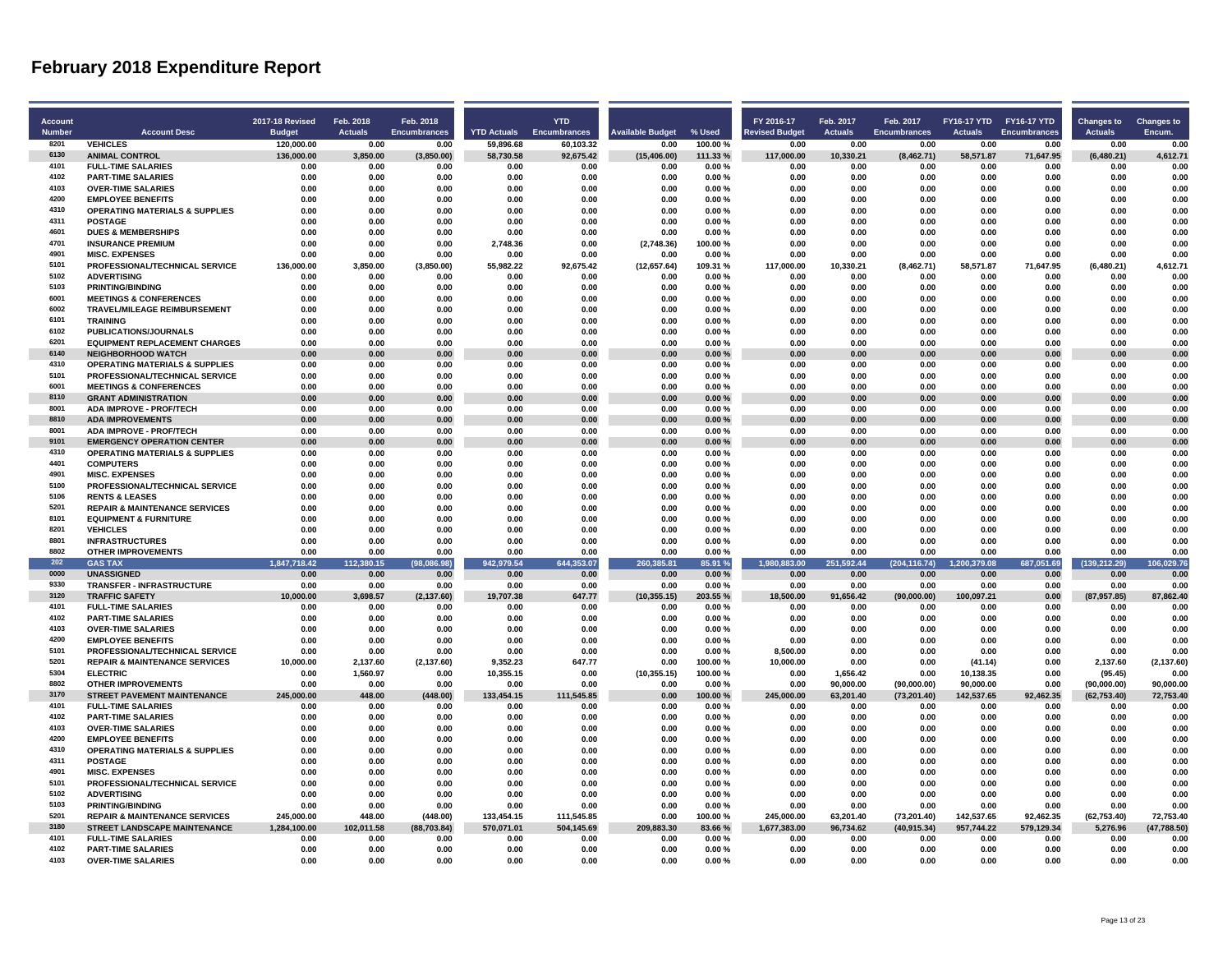| Account       |                                                                          | <b>2017-18 Revised</b> | Feb. 2018          | Feb. 2018           |                    | <b>YTD</b>          |                         |                  | FY 2016-17            | Feb. 2017          | Feb. 2017             |                      | FY16-17 YTD FY16-17 YTD | <b>Changes to</b>     | <b>Changes to</b>  |
|---------------|--------------------------------------------------------------------------|------------------------|--------------------|---------------------|--------------------|---------------------|-------------------------|------------------|-----------------------|--------------------|-----------------------|----------------------|-------------------------|-----------------------|--------------------|
| <b>Number</b> | <b>Account Desc</b>                                                      | <b>Budget</b>          | <b>Actuals</b>     | <b>Encumbrances</b> | <b>YTD Actuals</b> | <b>Encumbrances</b> | <b>Available Budget</b> | % Used           | <b>Revised Budget</b> | <b>Actuals</b>     | <b>Encumbrances</b>   | <b>Actuals</b>       | Encumbrances            | <b>Actuals</b>        | Encum.             |
| 8201          | <b>VEHICLES</b>                                                          | 120,000.00             | 0.00               | 0.00                | 59,896.68          | 60,103.32           | 0.00                    | 100.00%          | 0.00                  | 0.00               | 0.00                  | 0.00                 | 0.00                    | 0.00                  | 0.00               |
| 6130          | <b>ANIMAL CONTROL</b>                                                    | 136.000.00             | 3.850.00           | (3,850.00)          | 58,730.58          | 92,675.42           | (15, 406.00)            | 111.33%          | 117.000.00            | 10.330.21          | (8.462.71)            | 58.571.87            | 71,647.95               | (6,480.21)            | 4.612.71           |
| 4101          | <b>FULL-TIME SALARIES</b>                                                | 0.00                   | 0.00               | 0.00                | 0.00               | 0.00                | 0.00                    | 0.00%            | 0.00                  | 0.00               | 0.00                  | 0.00                 | 0.00                    | 0.00                  | 0.00               |
| 4102          | <b>PART-TIME SALARIES</b>                                                | 0.00                   | 0.00               | 0.00                | 0.00               | 0.00                | 0.00                    | 0.00%            | 0.00                  | 0.00               | 0.00                  | 0.00                 | 0.00                    | 0.00                  | 0.00               |
| 4103          | <b>OVER-TIME SALARIES</b>                                                | 0.00                   | 0.00               | 0.00                | 0.00               | 0.00                | 0.00                    | 0.00%            | 0.00                  | 0.00               | 0.00                  | 0.00                 | 0.00                    | 0.00                  | 0.00               |
| 4200          | <b>EMPLOYEE BENEFITS</b>                                                 | 0.00                   | 0.00               | 0.00                | 0.00               | 0.00                | 0.00                    | 0.00%            | 0.00                  | 0.00               | 0.00                  | 0.00                 | 0.00                    | 0.00                  | 0.00               |
| 4310          | <b>OPERATING MATERIALS &amp; SUPPLIES</b>                                | 0.00                   | 0.00               | 0.00                | 0.00               | 0.00                | 0.00                    | 0.00%            | 0.00                  | 0.00               | 0.00                  | 0.00                 | 0.00                    | 0.00                  | 0.00               |
| 4311          | <b>POSTAGE</b>                                                           | 0.00                   | 0.00               | 0.00                | 0.00               | 0.00                | 0.00                    | 0.00%            | 0.00                  | 0.00               | 0.00                  | 0.00                 | 0.00                    | 0.00                  | 0.00               |
| 4601          | <b>DUES &amp; MEMBERSHIPS</b>                                            | 0.00                   | 0.00               | 0.00                | 0.00               | 0.00                | 0.00                    | 0.00%            | 0.00                  | 0.00               | 0.00                  | 0.00                 | 0.00                    | 0.00                  | 0.00               |
| 4701          | <b>INSURANCE PREMIUM</b>                                                 | 0.00                   | 0.00               | 0.00                | 2.748.36           | 0.00                | (2.748.36)              | 100.00%          | 0.00                  | 0.00               | 0.00                  | 0.00                 | 0.00                    | 0.00                  | 0.00               |
| 4901          | <b>MISC. EXPENSES</b>                                                    | 0.00                   | 0.00               | 0.00                | 0.00               | 0.00                | 0.00                    | 0.00%            | 0.00                  | 0.00               | 0.00                  | 0.00                 | 0.00                    | 0.00                  | 0.00               |
| 5101          | PROFESSIONAL/TECHNICAL SERVICE                                           | 136,000.00             | 3,850.00           | (3,850.00)          | 55,982.22          | 92,675.42           | (12,657.64)             | 109.31%          | 117,000.00            | 10,330.21          | (8,462.71)            | 58,571.87            | 71,647.95               | (6,480.21)            | 4,612.71           |
| 5102          | <b>ADVERTISING</b>                                                       | 0.00                   | 0.00               | 0.00                | 0.00               | 0.00                | 0.00                    | 0.00%            | 0.00                  | 0.00               | 0.00                  | 0.00                 | 0.00                    | 0.00                  | 0.00               |
| 5103          | <b>PRINTING/BINDING</b>                                                  | 0.00<br>0.00           | 0.00               | 0.00<br>0.00        | 0.00<br>0.00       | 0.00<br>0.00        | 0.00<br>0.00            | 0.00%<br>0.00%   | 0.00<br>0.00          | 0.00<br>n nn       | 0.00<br>0.00          | 0.00<br>0.00         | 0.00                    | 0.00                  | 0.00               |
| 6001<br>6002  | <b>MEETINGS &amp; CONFERENCES</b><br><b>TRAVEL/MILEAGE REIMBURSEMENT</b> |                        | 0.00               | 0.00                | 0.00               |                     |                         |                  | 0.00                  | 0.00               |                       |                      | 0.00                    | 0.00                  | 0.00<br>0.00       |
| 6101          | <b>TRAINING</b>                                                          | 0.00<br>0.00           | 0.00<br>0.00       | 0.00                | 0.00               | 0.00<br>0.00        | 0.00<br>0.00            | 0.00%<br>0.00%   | 0.00                  | 0.00               | 0.00<br>0.00          | 0.00<br>0.00         | 0.00<br>0.00            | 0.00<br>0.00          | 0.00               |
| 6102          | <b>PUBLICATIONS/JOURNALS</b>                                             | 0.00                   | 0.00               | 0.00                | 0.00               | 0.00                | 0.00                    | 0.00%            | 0.00                  | n nn               | 0.00                  | 0.00                 | 0.00                    | 0.00                  | 0.00               |
| 6201          | <b>EQUIPMENT REPLACEMENT CHARGES</b>                                     | 0.00                   | 0.00               | 0.00                | 0.00               | 0.00                | 0.00                    | 0.00%            | 0.00                  | 0.00               | 0.00                  | 0.00                 | 0.00                    | 0.00                  | 0.00               |
| 6140          | <b>NEIGHBORHOOD WATCH</b>                                                | 0.00                   | 0.00               | 0.00                | 0.00               | 0.00                | 0.00                    | 0.00%            | 0.00                  | 0.00               | 0.00                  | 0.00                 | 0.00                    | 0.00                  | 0.00               |
| 4310          | <b>OPERATING MATERIALS &amp; SUPPLIES</b>                                | 0.00                   | 0.00               | 0.00                | 0.00               | 0.00                | 0.00                    | 0.00%            | 0.00                  | n nn               | 0.OO                  | 0.00                 | 0.00                    | 0.00                  | 0.00               |
| 5101          | PROFESSIONAL/TECHNICAL SERVICE                                           | 0.00                   | 0.00               | 0.00                | 0.00               | 0.00                | 0.00                    | 0.00%            | 0.00                  | 0.00               | 0.00                  | 0.00                 | 0.00                    | 0.00                  | 0.00               |
| 6001          | <b>MEETINGS &amp; CONFERENCES</b>                                        | 0.00                   | 0.00               | 0.00                | 0.00               | 0.00                | 0.00                    | 0.00%            | 0.00                  | 0.00               | 0.00                  | 0.00                 | 0.00                    | 0.00                  | 0.00               |
| 8110          | <b>GRANT ADMINISTRATION</b>                                              | 0.00                   | 0.00               | 0.00                | 0.00               | 0.00                | 0.00                    | 0.00%            | 0.00                  | 0.00               | 0.00                  | 0.00                 | 0.00                    | 0.00                  | 0.00               |
| 8001          | <b>ADA IMPROVE - PROF/TECH</b>                                           | 0.00                   | 0.00               | 0.00                | 0.00               | 0.00                | 0.00                    | 0.00%            | 0.00                  | 0.00               | 0.00                  | 0.00                 | 0.00                    | 0.00                  | 0.00               |
| 8810          | <b>ADA IMPROVEMENTS</b>                                                  | 0.00                   | 0.00               | 0.00                | 0.00               | 0.00                | 0.00                    | 0.00%            | 0.00                  | 0.00               | 0.00                  | 0.00                 | 0.00                    | 0.00                  | 0.00               |
| 8001          | <b>ADA IMPROVE - PROF/TECH</b>                                           | 0.00                   | 0.00               | 0.00                | 0.00               | 0.00                | 0.00                    | 0.00%            | 0.00                  | 0.00               | 0.00                  | 0.00                 | 0.00                    | 0.00                  | 0.00               |
| 9101          | <b>EMERGENCY OPERATION CENTER</b>                                        | 0.00                   | 0.00               | 0.00                | 0.00               | 0.00                | 0.00                    | 0.00%            | 0.00                  | 0.00               | 0.00                  | 0.00                 | 0.00                    | 0.00                  | 0.00               |
| 4310          | <b>OPERATING MATERIALS &amp; SUPPLIES</b>                                | 0.00                   | 0.00               | 0.00                | 0.00               | 0.00                | 0.00                    | 0.00%            | 0.00                  | 0.00               | 0.00                  | 0.00                 | 0.00                    | 0.00                  | 0.00               |
| 4401          | <b>COMPUTERS</b>                                                         | 0.00                   | 0.00               | 0.00                | 0.00               | 0.00                | 0.00                    | 0.00%            | 0.00                  | 0.00               | 0.00                  | 0.00                 | 0.00                    | 0.00                  | 0.00               |
| 4901          | <b>MISC. EXPENSES</b>                                                    | 0.00                   | 0.00               | 0.00                | 0.00               | 0.00                | 0.00                    | 0.00%            | 0.00                  | 0.00               | 0.00                  | 0.00                 | 0.00                    | 0.00                  | 0.00               |
| 5100          | PROFESSIONAL/TECHNICAL SERVICE                                           | 0.00                   | 0.00               | 0.00                | 0.00               | 0.00                | 0.00                    | 0.00%            | 0.00                  | 0.00               | 0.00                  | 0.00                 | 0.00                    | 0.00                  | 0.00               |
| 5106          | <b>RENTS &amp; LEASES</b>                                                | 0.00                   | 0.00               | 0.00                | 0.00               | 0.00                | 0.00                    | 0.00%            | 0.00                  | 0.00               | 0.00                  | 0.00                 | 0.00                    | 0.00                  | 0.00               |
| 5201          | <b>REPAIR &amp; MAINTENANCE SERVICES</b>                                 | 0.00                   | 0.00               | 0.00                | 0.00               | 0.00                | 0.00                    | 0.00%            | 0.00                  | 0.00               | 0.00                  | 0.00                 | 0.00                    | 0.00                  | 0.00               |
| 8101          | <b>EQUIPMENT &amp; FURNITURE</b>                                         | 0.00                   | 0.00               | 0.00                | 0.00               | 0.00                | 0.00                    | 0.00%            | 0.00                  | 0.00               | 0.00                  | 0.00                 | 0.00                    | 0.00                  | 0.00               |
| 8201          | <b>VEHICLES</b>                                                          | 0.00                   | 0.00               | 0.00                | 0.00               | 0.00                | 0.00                    | 0.00%            | 0.00                  | 0.00               | 0.00                  | 0.00                 | 0.00                    | 0.00                  | 0.00               |
| 8801          | <b>INFRASTRUCTURES</b>                                                   | 0.00                   | 0.00               | 0.00                | 0.00               | 0.00                | 0.00                    | 0.00%            | 0.00                  | 0.00               | 0.00                  | 0.00                 | 0.00                    | 0.00                  | 0.00               |
| 8802<br>202   | <b>OTHER IMPROVEMENTS</b>                                                | 0.00<br>1.847.718.42   | 0.00<br>112,380.15 | 0.00                | 0.00<br>942,979.54 | 0.00<br>644,353.07  | 0.00                    | 0.00%            | 0.00<br>1.980.883.00  | 0.00<br>251,592.44 | 0.00                  | 0.00                 | 0.00<br>687,051.69      | 0.00<br>(139, 212.29) | 0.00<br>106.029.76 |
| 0000          | <b>GAS TAX</b><br><b>UNASSIGNED</b>                                      | 0.00                   | 0.00               | (98,086.98)<br>0.00 | 0.00               | 0.00                | 260,385.81<br>0.00      | 85.91 %<br>0.00% | 0.00                  | 0.00               | (204, 116.74)<br>0.00 | 1,200,379.08<br>0.00 | 0.00                    | 0.00                  | 0.00               |
| 9330          | TRANSFER - INFRASTRUCTURE                                                | 0.00                   | 0.00               | 0.00                | 0.00               | 0.00                | 0.00                    | 0.00%            | 0.00                  | 0.00               | 0.00                  | 0.00                 | 0.00                    | 0.00                  | 0.00               |
| 3120          | <b>TRAFFIC SAFETY</b>                                                    | 10,000.00              | 3,698.57           | (2, 137.60)         | 19,707.38          | 647.77              | (10, 355.15)            | 203.55%          | 18,500.00             | 91,656.42          | (90,000.00)           | 100,097.21           | 0.00                    | (87, 957.85)          | 87.862.40          |
| 4101          | <b>FULL-TIME SALARIES</b>                                                | 0.00                   | 0.00               | 0.00                | 0.00               | 0.00                | 0.00                    | 0.00%            | 0.00                  | 0.00               | 0.00                  | 0.00                 | 0.00                    | 0.00                  | 0.00               |
| 4102          | <b>PART-TIME SALARIES</b>                                                | 0.00                   | 0.00               | 0.00                | 0.00               | 0.00                | 0.00                    | 0.00%            | 0.00                  | 0.00               | 0.00                  | 0.00                 | 0.00                    | 0.00                  | 0.00               |
| 4103          | <b>OVER-TIME SALARIES</b>                                                | 0.00                   | 0.00               | 0.00                | 0.00               | 0.00                | 0.00                    | 0.00%            | 0.00                  | 0.00               | 0.00                  | 0.00                 | 0.00                    | 0.00                  | 0.00               |
| 4200          | <b>EMPLOYEE BENEFITS</b>                                                 | 0.00                   | 0.00               | 0.00                | 0.00               | 0.00                | 0.00                    | 0.00%            | 0.00                  | 0.00               | 0.00                  | 0.00                 | 0.00                    | 0.00                  | 0.00               |
| 5101          | PROFESSIONAL/TECHNICAL SERVICE                                           | 0.00                   | 0.00               | 0.00                | 0.00               | 0.00                | 0.00                    | 0.00%            | 8.500.00              | 0.00               | 0.00                  | 0.00                 | 0.00                    | 0.00                  | 0.00               |
| 5201          | <b>REPAIR &amp; MAINTENANCE SERVICES</b>                                 | 10.000.00              | 2,137.60           | (2, 137.60)         | 9.352.23           | 647.77              | 0.00                    | 100.00%          | 10,000.00             | 0.00               | 0.00                  | (41.14)              | 0.00                    | 2,137.60              | (2, 137.60)        |
| 5304          | <b>ELECTRIC</b>                                                          | 0.00                   | 1,560.97           | 0.00                | 10,355.15          | 0.00                | (10, 355.15)            | 100.00%          | 0.00                  | 1,656.42           | 0.00                  | 10,138.35            | 0.00                    | (95.45)               | 0.00               |
| 8802          | <b>OTHER IMPROVEMENTS</b>                                                | 0.00                   | 0.00               | 0.00                | 0.00               | 0.00                | 0.00                    | 0.00%            | 0.00                  | 90.000.00          | (90.000.00)           | 90.000.00            | 0.00                    | (90.000.00)           | 90.000.00          |
| 3170          | <b>STREET PAVEMENT MAINTENANCE</b>                                       | 245,000.00             | 448.00             | (448.00)            | 133,454.15         | 111,545.85          | 0.00                    | 100.00%          | 245,000.00            | 63,201.40          | (73, 201.40)          | 142,537.65           | 92,462.35               | (62, 753.40)          | 72.753.40          |
| 4101          | <b>FULL-TIME SALARIES</b>                                                | 0.00                   | 0.00               | 0.00                | 0.00               | 0.00                | 0.00                    | 0.00%            | 0.00                  | 0.00               | 0.00                  | 0.00                 | 0.00                    | 0.00                  | 0.00               |
| 4102          | <b>PART-TIME SALARIES</b>                                                | 0.00                   | 0.00               | 0.00                | 0.00               | 0.00                | 0.00                    | 0.00%            | 0.00                  | 0.00               | 0.00                  | 0.00                 | 0.00                    | 0.00                  | 0.00               |
| 4103          | <b>OVER-TIME SALARIES</b>                                                | 0.00                   | 0.00               | 0.00                | 0.00               | 0.00                | 0.00                    | 0.00%            | 0.00                  | 0.00               | 0.00                  | 0.00                 | 0.00                    | 0.00                  | 0.00               |
| 4200          | <b>EMPLOYEE BENEFITS</b>                                                 | 0.00                   | 0.00               | 0.00                | 0.00               | 0.00                | 0.00                    | 0.00%            | 0.00                  | 0.00               | 0.00                  | 0.00                 | 0.00                    | 0.00                  | 0.00               |
| 4310          | <b>OPERATING MATERIALS &amp; SUPPLIES</b>                                | 0.00                   | 0.00               | 0.00                | 0.00               | 0.00                | 0.00                    | 0.00%            | 0.00                  | 0.00               | 0.00                  | 0.00                 | 0.00                    | 0.00                  | 0.00               |
| 4311<br>4901  | <b>POSTAGE</b>                                                           | 0.00                   | 0.00               | 0.00                | 0.00               | 0.00                | 0.00                    | 0.00%            | 0.00                  | 0.00               | 0.00                  | 0.00                 | 0.00                    | 0.00                  | 0.00               |
| 5101          | <b>MISC. EXPENSES</b>                                                    | 0.00                   | 0.00               | 0.00                | 0.00               | 0.00                | 0.00                    | 0.00%            | 0.00                  | 0.00               | 0.00                  | 0.00                 | 0.00                    | 0.00                  | 0.00               |
| 5102          | PROFESSIONAL/TECHNICAL SERVICE<br><b>ADVERTISING</b>                     | 0.00<br>0.00           | 0.00<br>0.00       | 0.00<br>0.00        | 0.00<br>0.00       | 0.00<br>0.00        | 0.00<br>0.00            | 0.00%<br>0.00%   | 0.00<br>0.00          | 0.00<br>0.00       | 0.00<br>0.00          | 0.00<br>0.00         | 0.00<br>0.00            | 0.00<br>0.00          | 0.00               |
| 5103          |                                                                          |                        |                    |                     |                    |                     |                         |                  |                       |                    |                       |                      |                         |                       | 0.00               |
| 5201          | <b>PRINTING/BINDING</b><br><b>REPAIR &amp; MAINTENANCE SERVICES</b>      | 0.00<br>245.000.00     | 0.00<br>448.00     | 0.00<br>(448.00)    | 0.00<br>133.454.15 | 0.00<br>111.545.85  | 0.00<br>0.00            | 0.00%<br>100.00% | 0.00<br>245.000.00    | 0.00<br>63.201.40  | 0.00<br>(73, 201.40)  | 0.00<br>142.537.65   | 0.00<br>92,462.35       | 0.00<br>(62, 753.40)  | 0.00<br>72.753.40  |
| 3180          | <b>STREET LANDSCAPE MAINTENANCE</b>                                      | 1.284.100.00           | 102.011.58         | (88,703.84)         | 570.071.01         | 504.145.69          | 209.883.30              | 83.66%           | 1.677.383.00          | 96.734.62          | (40, 915.34)          | 957.744.22           | 579,129.34              | 5.276.96              | (47.788.50)        |
| 4101          | <b>FULL-TIME SALARIES</b>                                                | 0.00                   | 0.00               | 0.00                | 0.00               | 0.00                | . በ በበ                  | 0.00%            | 0.00                  | 0.00               | 0.00                  | 0.00                 | 0.00                    | 0.00                  | 0.00               |
| 4102          | <b>PART-TIME SALARIES</b>                                                | 0.00                   | 0.00               | 0.00                | 0.00               | 0.00                | 0.00                    | 0.00%            | 0.00                  | 0.00               | 0.00                  | 0.00                 | 0.00                    | 0.00                  | 0.00               |
| 4103          | <b>OVER-TIME SALARIES</b>                                                | 0.00                   | 0.00               | 0.00                | 0.00               | 0.00                | 0.00                    | 0.00%            | 0.00                  | 0.00               | 0.00                  | 0.00                 | 0.00                    | 0.00                  | 0.00               |
|               |                                                                          |                        |                    |                     |                    |                     |                         |                  |                       |                    |                       |                      |                         |                       |                    |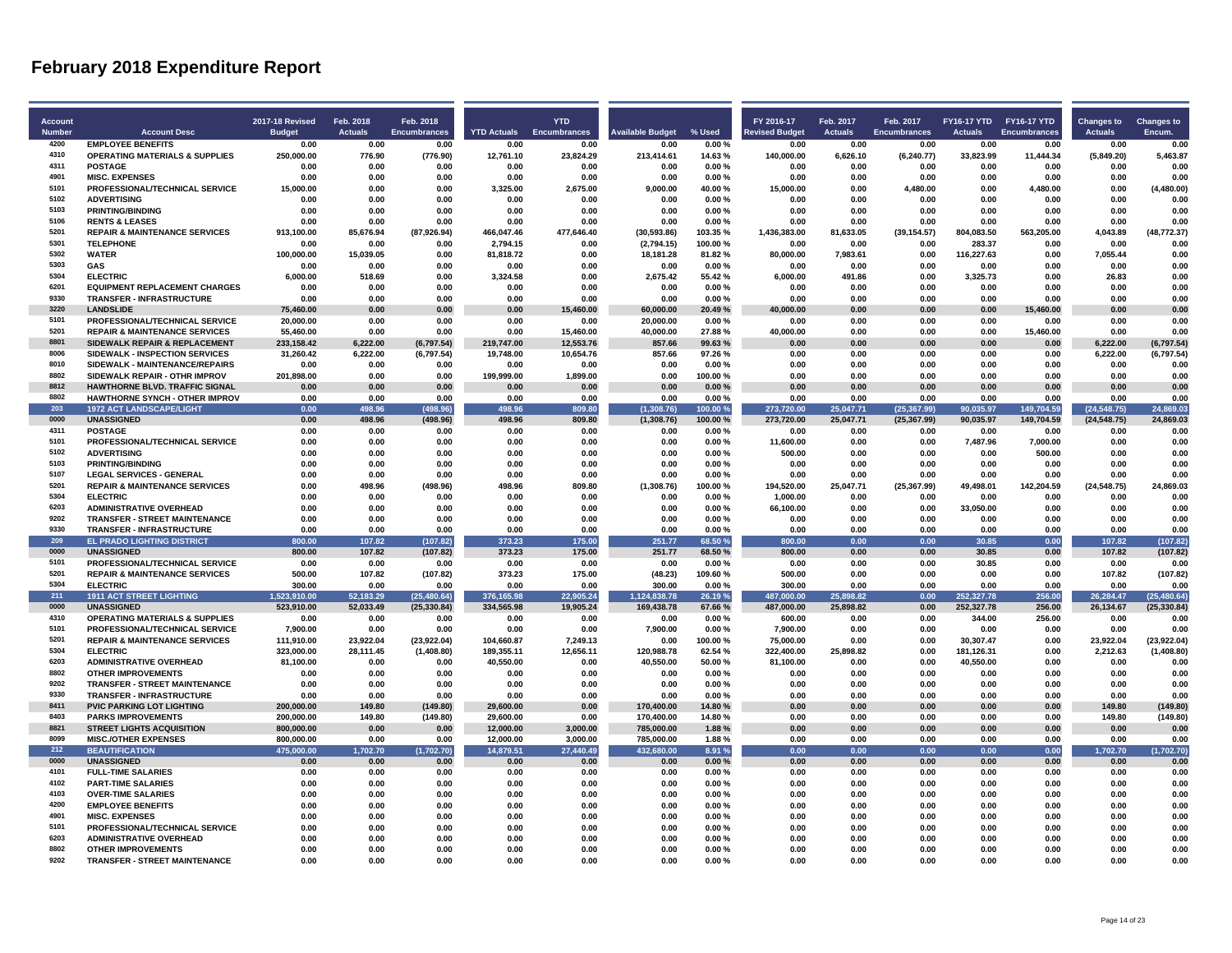| Account       |                                                        | <b>2017-18 Revised</b> | Feb. 2018        | Feb. 2018           |                  | <b>YTD</b>                      |                         |                  | FY 2016-17       | Feb. 2017      | Feb. 2017           | FY16-17 YTD FY16-17 YTD |                     | <b>Changes to</b> | <b>Changes to</b>    |
|---------------|--------------------------------------------------------|------------------------|------------------|---------------------|------------------|---------------------------------|-------------------------|------------------|------------------|----------------|---------------------|-------------------------|---------------------|-------------------|----------------------|
| <b>Number</b> | <b>Account Desc</b>                                    | <b>Budget</b>          | <b>Actuals</b>   | <b>Encumbrances</b> |                  | <b>YTD Actuals Encumbrances</b> | <b>Available Budget</b> | % Used           | evised Budget    | <b>Actuals</b> | <b>Encumbrances</b> | <b>Actuals</b>          | <b>Encumbrances</b> | <b>Actuals</b>    | Encum.               |
| 4200          | <b>EMPLOYEE BENEFITS</b>                               | 0.00                   | 0.00             | 0.00                | 0.00             | 0.00                            | 0.00                    | 0.00%            | 0.00             | 0.00           | 0.00                | 0.00                    | 0.00                | 0.00              | 0.00                 |
| 4310          | <b>OPERATING MATERIALS &amp; SUPPLIES</b>              | 250,000.00             | 776.90           | (776.90)            | 12,761.10        | 23,824.29                       | 213,414.61              | 14.63%           | 140,000.00       | 6,626.10       | (6, 240.77)         | 33,823.99               | 11,444.34           | (5,849.20)        | 5,463.87             |
| 4311          | <b>POSTAGE</b>                                         | 0.00                   | 0.00             | 0.00                | 0.00             | 0.00                            | 0.00                    | 0.00%            | 0.00             | 0.00           | 0.00                | 0.00                    | 0.00                | 0.00              | 0.00                 |
| 4901          | <b>MISC. EXPENSES</b>                                  | 0.00                   | 0.00             | 0.00                | 0.00             | 0.00                            | 0.00                    | 0.00%            | 0.00             | 0.00           | 0.00                | 0.00                    | 0.00                | 0.00              | 0.00                 |
| 5101          | PROFESSIONAL/TECHNICAL SERVICE                         | 15.000.00              | 0.00             | 0.00                | 3,325.00         | 2,675.00                        | 9,000.00                | 40.00%           | 15,000.00        | 0.00           | 4.480.00            | 0.00                    | 4,480.00            | 0.00              | (4, 480.00)          |
| 5102          | <b>ADVERTISING</b>                                     | 0.00                   | 0.00             | 0.00                | 0.00             | 0.00                            | 0.00                    | 0.00%            | 0.00             | 0.00           | 0.00                | 0.00                    | 0.00                | 0.00              | 0.00                 |
| 5103          | <b>PRINTING/BINDING</b>                                | 0.00                   | 0.00             | 0.00                | 0.00             | 0.00                            | 0.00                    | 0.00%            | 0.00             | 0.00           | 0.00                | 0.00                    | 0.00                | 0.00              | 0.00                 |
| 5106          | <b>RENTS &amp; LEASES</b>                              | 0.00                   | 0.00             | 0.00                | 0.00             | 0.00                            | 0.00                    | 0.00%            | 0.00             | 0.00           | 0.00                | 0.00                    | 0.00                | 0.00              | 0.00                 |
| 5201          | <b>REPAIR &amp; MAINTENANCE SERVICES</b>               | 913.100.00             | 85,676.94        | (87,926.94)         | 466.047.46       | 477.646.40                      | (30.593.86)             | 103.35%          | 1.436.383.00     | 81.633.05      | (39, 154.57)        | 804.083.50              | 563,205.00          | 4.043.89          | (48.772.37)          |
| 5301          | <b>TELEPHONE</b>                                       | 0.00                   | 0.00             | 0.00                | 2,794.15         | 0.00                            | (2,794.15)              | 100.00%          | 0.00             | 0.00           | 0.00                | 283.37                  | 0.00                | 0.00              | 0.00                 |
| 5302          | <b>WATER</b>                                           | 100.000.00             | 15,039.05        | 0.00                | 81,818.72        | 0.00                            | 18.181.28               | 81.82%           | 80,000.00        | 7,983.61       | 0.00                | 116,227.63              | 0.00                | 7.055.44          | 0.00                 |
| 5303          | <b>GAS</b>                                             | 0.00                   | 0.00             | 0.00                | 0.00             | 0.00                            | 0.00                    | 0.00%            | 0.00             | 0.00           | 0.00                | 0.00                    | 0.00                | 0.00              | 0.00                 |
| 5304          | <b>ELECTRIC</b>                                        | 6,000.00               | 518.69           | 0.00                | 3,324.58         | 0.00                            | 2,675.42                | 55.42%           | 6,000.00         | 491.86         | 0.00                | 3,325.73                | 0.00                | 26.83             | 0.00                 |
| 6201          | <b>EQUIPMENT REPLACEMENT CHARGES</b>                   | 0.00                   | 0.00             | 0.00                | 0.00             | 0.00                            | 0.00                    | 0.00%            | 0.00             | 0.00           | 0.00                | 0.00                    | 0.00                | 0.00              | 0.00                 |
| 9330          | <b>TRANSFER - INFRASTRUCTURE</b>                       | 0.00                   | 0.00             | 0.00                | 0.00             | 0.00                            | 0.00                    | 0.00%            | 0.00             | 0.00           | 0.00                | 0.00                    | 0.00                | 0.00              | 0.00                 |
| 3220          | <b>LANDSLIDE</b>                                       | 75,460.00              | 0.00             | 0.00                | 0.00             | 15,460.00                       | 60,000.00               | 20.49%           | 40,000.00        | 0.00           | 0.00                | 0.00                    | 15,460.00           | 0.00              | 0.00                 |
| 5101          | PROFESSIONAL/TECHNICAL SERVICE                         | 20,000.00              | 0.00             | 0.00                | 0.00             | 0.00                            | 20,000.00               | 0.00%            | 0.00             | 0.00           | 0.00                | 0.00                    | 0.00                | 0.00              | 0.00                 |
| 5201          | <b>REPAIR &amp; MAINTENANCE SERVICES</b>               | 55,460.00              | 0.00             | 0.00                | 0.00             | 15,460.00                       | 40,000.00               | 27.88%           | 40,000.00        | 0.00           | 0.00                | 0.00                    | 15,460.00           | 0.00              | 0.00                 |
| 8801          | SIDEWALK REPAIR & REPLACEMENT                          | 233,158.42             | 6,222.00         | (6,797.54)          | 219,747.00       | 12,553.76                       | 857.66                  | 99.63%           | 0.00             | 0.00           | 0.00                | 0.00                    | 0.00                | 6,222.00          | (6,797.54)           |
| 8006          | SIDEWALK - INSPECTION SERVICES                         | 31,260.42              | 6,222.00         | (6,797.54)          | 19,748.00        | 10,654.76                       | 857.66                  | 97.26%           | 0.00             | 0.00           | 0.00                | 0.00                    | 0.00                | 6,222.00          | (6,797.54)           |
| 8010          | SIDEWALK - MAINTENANCE/REPAIRS                         | 0.00                   | 0.00             | 0.00                | 0.00             | 0.00                            | 0.00                    | 0.00%            | 0.00             | 0.00           | 0.00                | 0.00                    | 0.00                | 0.00              | 0.00                 |
| 8802          | SIDEWALK REPAIR - OTHR IMPROV                          | 201.898.00             | 0.00             | 0.00                | 199.999.00       | 1.899.00                        | 0.00                    | 100.00%          | 0.00             | 0.00           | 0.00                | 0.00                    | 0.00                | 0.00              | 0.00                 |
| 8812          | HAWTHORNE BLVD. TRAFFIC SIGNAL                         | 0.00                   | 0.00             | 0.00                | 0.00             | 0.00                            | 0.00                    | 0.00%            | 0.00             | 0.00           | 0.00                | 0.00                    | 0.00                | 0.00              | 0.00                 |
| 8802          | <b>HAWTHORNE SYNCH - OTHER IMPROV</b>                  | 0.00                   | 0.00             | 0.00                | 0.00             | 0.00                            | 0.00                    | 0.00%            | 0.00             | 0.00           | 0.00                | 0.00                    | 0.00                | 0.00              | 0.00                 |
| 203           | <b>1972 ACT LANDSCAPE/LIGHT</b>                        | 0.00                   | 498.96           | (498.96)            | 498.96           | 809.80                          | (1.308.76)              | 100.00%          | 273.720.00       | 25.047.71      | (25.367.99)         | 90.035.97               | 149.704.59          | (24.548.75)       | 24.869.03            |
| 0000          | <b>UNASSIGNED</b>                                      | 0.00                   | 498.96           | (498.96)            | 498.96           | 809.80                          | (1,308.76)              | 100.00%          | 273,720.00       | 25,047.71      | (25, 367.99)        | 90,035.97               | 149,704.59          | (24, 548.75)      | 24,869.03            |
| 4311          | <b>POSTAGE</b>                                         | 0.00                   | 0.00             | 0.00                | 0.00             | 0.00                            | 0.00                    | 0.00%            | 0.00             | 0.00           | 0.00                | 0.00                    | 0.00                | 0.00              | 0.00                 |
| 5101          | PROFESSIONAL/TECHNICAL SERVICE                         | 0.00                   | 0.00             | 0.00                | 0.00             | 0.00                            | 0.00                    | 0.00%            | 11.600.00        | 0.00           | 0.00                | 7.487.96                | 7.000.00            | 0.00              | 0.00                 |
| 5102          | <b>ADVERTISING</b>                                     | 0.00                   | 0.00             | 0.00                | 0.00             | 0.00                            | 0.00                    | 0.00%            | 500.00           | 0.00           | 0.00                | 0.00                    | 500.00              | 0.00              | 0.00                 |
| 5103          | <b>PRINTING/BINDING</b>                                | 0.00                   | 0.00             | 0.00                | 0.00             | 0.00                            | 0.00                    | 0.00%            | 0.00             | 0.00           | 0.00                | 0.00                    | 0.00                | 0.00              | 0.00                 |
| 5107          | <b>LEGAL SERVICES - GENERAL</b>                        | 0.00                   | 0.00             | 0.00                | 0.00             | 0.00                            | 0.00                    | 0.00%            | 0.00             | 0.00           | 0.00                | 0.00                    | 0.00                | 0.00              | 0.00                 |
| 5201<br>5304  | <b>REPAIR &amp; MAINTENANCE SERVICES</b>               | 0.00                   | 498.96           | (498.96)            | 498.96           | 809.80                          | (1,308.76)              | 100.00%          | 194.520.00       | 25.047.71      | (25, 367.99)        | 49,498.01               | 142.204.59          | (24, 548.75)      | 24.869.03            |
| 6203          | <b>FLECTRIC</b>                                        | 0.00                   | 0.00             | 0.00                | 0.00             | 0.00                            | 0.00                    | 0.00%            | 1,000.00         | 0.00           | 0.00                | 0.00                    | 0.00                | 0.00              | 0.00                 |
| 9202          | <b>ADMINISTRATIVE OVERHEAD</b>                         | 0.00                   | 0.00             | 0.00                | 0.00             | 0.00                            | 0.00                    | 0.00%            | 66,100.00        | 0.00           | 0.00                | 33,050.00               | 0.00                | 0.00              | 0.00                 |
| 9330          | <b>TRANSFER - STREET MAINTENANCE</b>                   | 0.00                   | 0.00             | 0.00                | 0.00             | 0.00                            | 0.00                    | 0.00%            | 0.00             | 0.00           | 0.00                | 0.00                    | 0.00                | 0.00              | 0.00                 |
| 209           | TRANSFER - INFRASTRUCTURE                              | 0.00                   | 0.00             | 0.00                | 0.00             | 0.00                            | 0.00                    | 0.00%            | 0.00             | 0.00           | 0.00                | 0.00                    | 0.00                | 0.00              | 0.00                 |
| 0000          | <b>EL PRADO LIGHTING DISTRICT</b><br><b>UNASSIGNED</b> | 800.00<br>800.00       | 107.82<br>107.82 | (107.82)            | 373.23<br>373.23 | 175.00                          | 251.77<br>251.77        | 68.50%<br>68.50% | 800.00<br>800.00 | 0.00<br>0.00   | 0.00<br>0.00        | 30.85<br>30.85          | 0.00<br>0.00        | 107.82<br>107.82  | (107.82)<br>(107.82) |
| 5101          | PROFESSIONAL/TECHNICAL SERVICE                         | 0.00                   | 0.00             | (107.82)<br>0.00    | 0.00             | 175.00<br>0.00                  | 0.00                    | 0.00%            | 0.00             | 0.00           | 0.00                | 30.85                   | 0.00                | 0.00              | 0.00                 |
| 5201          | <b>REPAIR &amp; MAINTENANCE SERVICES</b>               | 500.00                 | 107.82           | (107.82)            | 373.23           | 175.00                          | (48.23)                 | 109.60%          | 500.00           | 0.00           | 0.00                | 0.00                    | 0.00                | 107.82            | (107.82)             |
| 5304          | <b>ELECTRIC</b>                                        | 300.00                 | 0.00             | 0.00                | 0.00             | 0.00                            | 300.00                  | 0.00%            | 300.00           | 0.00           | 0.00                | 0.00                    | 0.00                | 0.00              | 0.00                 |
| 211           | <b>1911 ACT STREET LIGHTING</b>                        | 1.523.910.00           | 52,183.29        | (25, 480.64)        | 376,165.98       | 22,905.24                       | 1.124.838.78            | 26.19%           | 487,000.00       | 25.898.82      | 0.00                | 252,327.78              | 256.00              | 26,284.47         | (25, 480.64)         |
| 0000          | <b>UNASSIGNED</b>                                      | 523,910.00             | 52,033.49        | (25, 330.84)        | 334,565.98       | 19,905.24                       | 169,438.78              | 67.66%           | 487,000.00       | 25,898.82      | 0.00                | 252,327.78              | 256.00              | 26,134.67         | (25, 330.84)         |
| 4310          | <b>OPERATING MATERIALS &amp; SUPPLIES</b>              | 0.00                   | 0.00             | 0.00                | 0.00             | 0.00                            | 0.00                    | 0.00%            | 600.00           | 0.00           | 0.00                | 344.00                  | 256.00              | 0.00              | 0.00                 |
| 5101          | PROFESSIONAL/TECHNICAL SERVICE                         | 7,900.00               | 0.00             | 0.00                | 0.00             | 0.00                            | 7,900.00                | 0.00%            | 7,900.00         | 0.00           | 0.00                | 0.00                    | 0.00                | 0.00              | 0.00                 |
| 5201          | <b>REPAIR &amp; MAINTENANCE SERVICES</b>               | 111,910.00             | 23,922.04        | (23,922.04)         | 104,660.87       | 7,249.13                        | 0.00                    | 100.00%          | 75,000.00        | 0.00           | 0.00                | 30,307.47               | 0.00                | 23,922.04         | (23, 922.04)         |
| 5304          | <b>ELECTRIC</b>                                        | 323,000.00             | 28,111.45        | (1,408.80)          | 189,355.11       | 12,656.11                       | 120,988.78              | 62.54%           | 322,400.00       | 25,898.82      | 0.00                | 181,126.31              | 0.00                | 2,212.63          | (1,408.80)           |
| 6203          | <b>ADMINISTRATIVE OVERHEAD</b>                         | 81.100.00              | 0.00             | 0.00                | 40.550.00        | 0.00                            | 40.550.00               | 50.00%           | 81.100.00        | 0.00           | 0.00                | 40.550.00               | 0.00                | 0.00              | 0.00                 |
| 8802          | <b>OTHER IMPROVEMENTS</b>                              | 0.00                   | 0.00             | 0.00                | 0.00             | 0.00                            | 0.00                    | 0.00%            | 0.00             | 0.00           | 0.00                | 0.00                    | 0.00                | 0.00              | 0.00                 |
| 9202          | TRANSFER - STREET MAINTENANCE                          | 0.00                   | 0.00             | 0.00                | 0.00             | 0.00                            | 0.00                    | 0.00%            | 0.00             | 0.00           | 0.00                | 0.00                    | 0.00                | 0.00              | 0.00                 |
| 9330          | <b>TRANSFER - INFRASTRUCTURE</b>                       | 0.00                   | 0.00             | 0.00                | 0.00             | 0.00                            | 0.00                    | 0.00%            | 0.00             | 0.00           | 0.00                | 0.00                    | 0.00                | 0.00              | 0.00                 |
| 8411          | <b>PVIC PARKING LOT LIGHTING</b>                       | 200,000.00             | 149.80           | (149.80)            | 29,600.00        | 0.00                            | 170,400.00              | 14.80%           | 0.00             | 0.00           | 0.00                | 0.00                    | 0.00                | 149.80            | (149.80)             |
| 8403          | <b>PARKS IMPROVEMENTS</b>                              | 200,000.00             | 149.80           | (149.80)            | 29,600.00        | 0.00                            | 170,400.00              | 14.80%           | 0.00             | 0.00           | 0.00                | 0.00                    | 0.00                | 149.80            | (149.80)             |
| 8821          | <b>STREET LIGHTS ACQUISITION</b>                       | 800.000.00             | 0.00             | 0.00                | 12.000.00        | 3.000.00                        | 785.000.00              | 1.88%            | 0.00             | 0.00           | 0.00                | 0.00                    | 0.00                | 0.00              | 0.00                 |
| 8099          | <b>MISC./OTHER EXPENSES</b>                            | 800.000.00             | 0.00             | 0.00                | 12.000.00        | 3.000.00                        | 785,000.00              | 1.88%            | 0.00             | 0.00           | 0.00                | 0.00                    | 0.00                | 0.00              | 0.00                 |
| 212           | <b>BEAUTIFICATION</b>                                  | 475,000.00             | 1,702.70         | (1,702.70)          | 14,879.51        | 27,440.49                       | 432,680.00              | 8.91 %           | 0.00             | 0.00           | 0.00                | 0.00                    | 0.00                | 1,702.70          | (1,702.70)           |
| 0000          | <b>UNASSIGNED</b>                                      | 0.00                   | 0.00             | 0.00                | 0.00             | 0.00                            | 0.00                    | 0.00%            | 0.00             | 0.00           | 0.00                | 0.00                    | 0.00                | 0.00              | 0.00                 |
| 4101          | <b>FULL-TIME SALARIES</b>                              | 0.00                   | 0.00             | 0.00                | 0.00             | 0.00                            | 0.00                    | 0.00%            | 0.00             | 0.00           | 0.00                | 0.00                    | 0.00                | 0.00              | 0.00                 |
| 4102          | <b>PART-TIME SALARIES</b>                              | 0.00                   | 0.00             | 0.00                | 0.00             | 0.00                            | 0.00                    | 0.00%            | 0.00             | 0.00           | 0.00                | 0.00                    | 0.00                | 0.00              | 0.00                 |
| 4103          | <b>OVER-TIME SALARIES</b>                              | 0.00                   | 0.00             | 0.00                | 0.00             | 0.00                            | 0.00                    | 0.00%            | 0.00             | 0.00           | 0.00                | 0.00                    | 0.00                | 0.00              | 0.00                 |
| 4200          | <b>EMPLOYEE BENEFITS</b>                               | 0.00                   | 0.00             | 0.00                | 0.00             | 0.00                            | 0.00                    | 0.00%            | 0.00             | 0.00           | 0.00                | 0.00                    | 0.00                | 0.00              | 0.00                 |
| 4901          | <b>MISC. EXPENSES</b>                                  | 0.00                   | 0.00             | 0.00                | 0.00             | 0.00                            | 0.00                    | 0.00%            | 0.00             | 0.00           | 0.00                | 0.00                    | 0.00                | 0.00              | 0.00                 |
| 5101          | PROFESSIONAL/TECHNICAL SERVICE                         | 0.00                   | 0.00             | 0.00                | 0.00             | 0.00                            | 0.00                    | 0.00%            | 0.00             | 0.00           | 0.00                | 0.00                    | 0.00                | 0.00              | 0.00                 |
| 6203          | <b>ADMINISTRATIVE OVERHEAD</b>                         | 0.00                   | 0.00             | 0.00                | 0.00             | 0.00                            | 0.00                    | 0.00%            | 0.00             | 0.00           | 0.00                | 0.00                    | 0.00                | 0.00              | 0.00                 |
| 8802          | <b>OTHER IMPROVEMENTS</b>                              | 0.00                   | 0.00             | 0.00                | 0.00             | 0.00                            | 0.00                    | 0.00%            | 0.00             | 0.00           | 0.00                | 0.00                    | 0.00                | 0.00              | 0.00                 |
| 9202          | <b>TRANSFER - STREET MAINTENANCE</b>                   | 0.00                   | 0.00             | 0.00                | 0.00             | 0.00                            | 0.00                    | 0.00%            | 0.00             | 0.00           | 0.00                | 0.00                    | 0.00                | 0.00              | 0.00                 |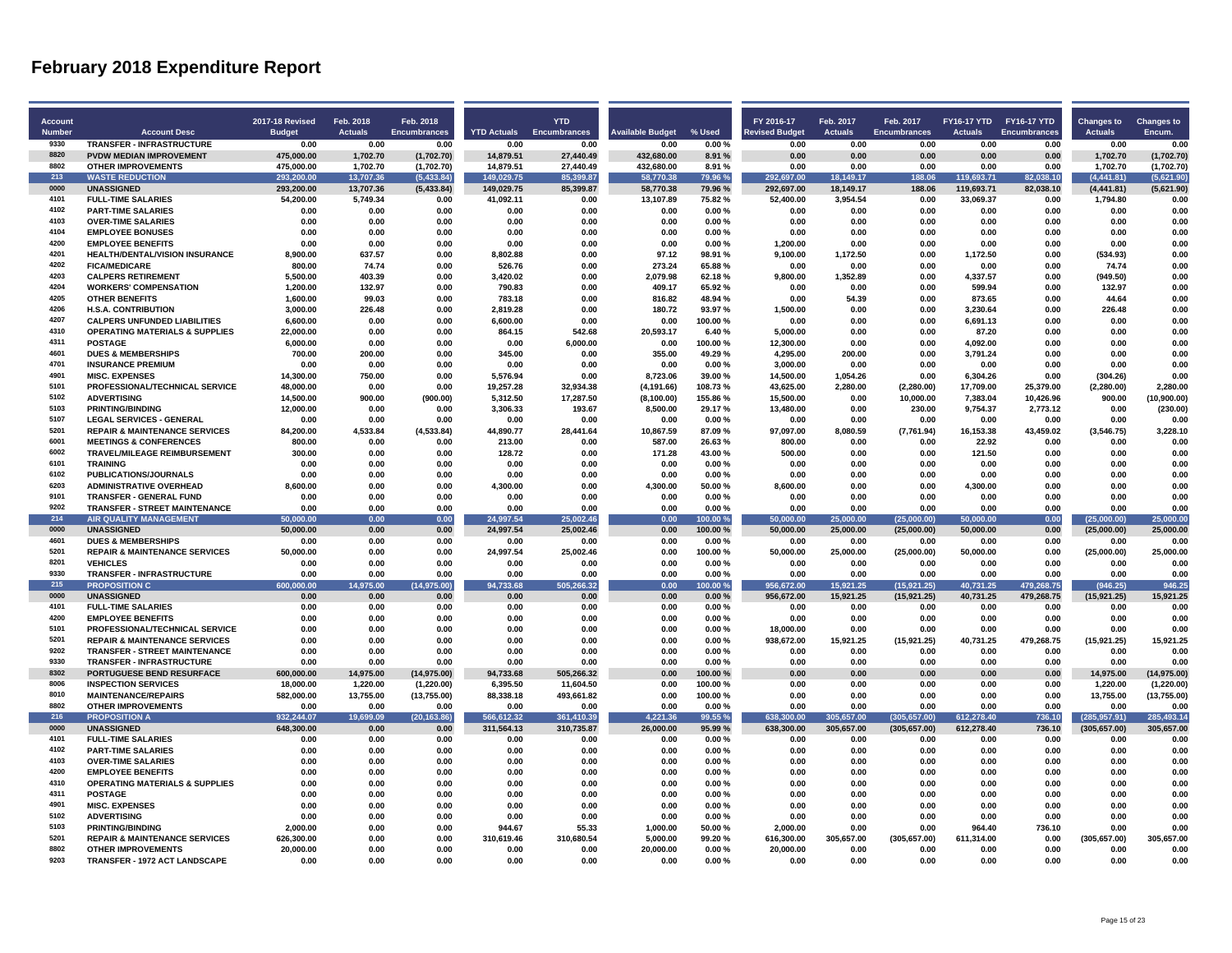| <b>Account</b> |                                                            | 2017-18 Revised    | Feb. 2018             | Feb. 2018                   |                       | <b>YTD</b>          |                         |                    | FY 2016-17            | Feb. 2017        | Feb. 2017           | FY16-17 YTD FY16-17 YTD |                     | <b>Changes to</b>     | <b>Changes to</b>           |
|----------------|------------------------------------------------------------|--------------------|-----------------------|-----------------------------|-----------------------|---------------------|-------------------------|--------------------|-----------------------|------------------|---------------------|-------------------------|---------------------|-----------------------|-----------------------------|
| <b>Number</b>  | <b>Account Desc</b>                                        | <b>Budget</b>      | <b>Actuals</b>        | <b>Encumbrances</b>         | <b>YTD Actuals</b>    | <b>Encumbrances</b> | <b>Available Budget</b> | % Used             | <b>Revised Budget</b> | <b>Actuals</b>   | <b>Encumbrances</b> | <b>Actuals</b>          | <b>Encumbrances</b> | <b>Actuals</b>        | Encum.                      |
| 9330           | <b>TRANSFER - INFRASTRUCTURE</b>                           | 0.00               | 0.00                  | 0.00                        | 0.00                  | 0.00                | 0.00                    | 0.00%              | 0.00                  | 0.00             | 0.00                | 0.00                    | 0.00                | 0.00                  | 0.00                        |
| 8820           | PVDW MEDIAN IMPROVEMENT                                    | 475,000.00         | 1,702.70              | (1,702.70)                  | 14,879.51             | 27,440.49           | 432,680.00              | 8.91%              | 0.00                  | 0.00             | 0.00                | 0.00                    | 0.00                | 1,702.70              | (1,702.70)                  |
| 8802           | <b>OTHER IMPROVEMENTS</b>                                  | 475.000.00         | 1,702.70              | (1,702.70)                  | 14.879.51             | 27,440.49           | 432.680.00              | 8.91%              | 0.00                  | 0.00             | 0.00                | 0.00                    | 0.00                | 1.702.70              | (1,702.70)                  |
| 213            | <b>WASTE REDUCTION</b>                                     | 293,200.00         | 13,707.36             | (5, 433.84)                 | 149,029.75            | 85,399.87           | 58,770.38               | 79.96%             | 292,697.00            | 18,149.17        | 188.06              | 119,693.71              | 82,038.10           | (4,441.81)            | (5,621.90)                  |
| 0000           | <b>UNASSIGNED</b>                                          | 293,200.00         | 13,707.36             | (5,433.84)                  | 149,029.75            | 85,399.87           | 58,770.38               | 79.96%             | 292,697.00            | 18,149.17        | 188.06              | 119,693.71              | 82,038.10           | (4, 441.81)           | (5,621.90)                  |
| 4101           | <b>FULL-TIME SALARIES</b>                                  | 54,200.00          | 5,749.34              | 0.00                        | 41,092.11             | 0.00                | 13,107.89               | 75.82%             | 52,400.00             | 3,954.54         | 0.00                | 33,069.37               | 0.00                | 1,794.80              | 0.00                        |
| 4102           | <b>PART-TIME SALARIES</b>                                  | 0.00               | 0.00                  | 0.00                        | 0.00                  | 0.00                | 0.00                    | 0.00%              | 0.00                  | 0.00             | 0.00                | 0.00                    | 0.00                | 0.00                  | 0.00                        |
| 4103           | <b>OVER-TIME SALARIES</b>                                  | 0.00               | 0.00                  | 0.00                        | 0.00                  | 0.00                | 0.00                    | $0.00 \%$          | 0.00                  | 0.00             | 0.00                | 0.00                    | 0.00                | 0.00                  | 0.00                        |
| 4104           | <b>EMPLOYEE BONUSES</b>                                    | 0.00               | 0.00                  | 0.00                        | 0.00                  | 0.00                | 0.00                    | 0.00%              | 0.00                  | 0.00             | 0.00                | 0.00                    | 0.00                | 0.00                  | 0.00                        |
| 4200           | <b>EMPLOYEE BENEFITS</b>                                   | 0.00               | 0.00                  | 0.00                        | 0.00                  | 0.00                | 0.00                    | 0.00%              | 1.200.00              | 0.00             | 0.00                | 0.00                    | 0.00                | 0.00                  | 0.00                        |
| 4201           | HEALTH/DENTAL/VISION INSURANCE                             | 8.900.00           | 637.57                | 0.00                        | 8,802.88              | 0.00                | 97.12                   | 98.91%             | 9,100.00              | 1,172.50         | 0.00                | 1,172.50                | 0.00                | (534.93)              | 0.00                        |
| 4202           | <b>FICA/MEDICARE</b>                                       | 800.00             | 74.74                 | 0.00                        | 526.76                | 0.00                | 273.24                  | 65.88%             | 0.00                  | 0.00             | 0.00                | 0.00                    | 0.00                | 74.74                 | 0.00                        |
| 4203           | <b>CALPERS RETIREMENT</b>                                  | 5.500.00           | 403.39                | 0.00                        | 3.420.02              | 0.00                | 2.079.98                | 62.18%             | 9.800.00              | 1.352.89         | 0.00                | 4.337.57                | 0.00                | (949.50)              | 0.00                        |
| 4204           | <b>WORKERS' COMPENSATION</b>                               | 1,200.00           | 132.97                | 0.00                        | 790.83                | 0.00                | 409 17                  | 65.92%             | 0.00                  | 0.00             | 0.00                | 599.94                  | 0.00                | 132.97                | 0.00                        |
| 4205           | <b>OTHER BENEFITS</b>                                      | 1,600.00           | 99.03                 | 0.00                        | 783.18                | 0.00                | 816.82                  | 48.94%             | 0.00                  | 54.39            | 0.00                | 873.65                  | 0.00                | 44.64                 | 0.00                        |
| 4206           | <b>H.S.A. CONTRIBUTION</b>                                 | 3,000.00           | 226.48                | 0.00                        | 2,819.28              | 0.00                | 180.72                  | 93.97%             | 1,500.00              | 0.00             | 0.00                | 3,230.64                | 0.00                | 226.48                | 0.00                        |
| 4207           | <b>CALPERS UNFUNDED LIABILITIES</b>                        | 6,600.00           | 0.00                  | 0.00                        | 6,600.00              | 0.00                | 0.00                    | 100.00%            | 0.00                  | 0.00             | 0.00                | 6,691.13                | 0.00                | 0.00                  | 0.00                        |
| 4310           | <b>OPERATING MATERIALS &amp; SUPPLIES</b>                  | 22,000.00          | 0.00                  | 0.00                        | 864.15                | 542.68              | 20,593.17               | 6.40%              | 5,000.00              | 0.00             | 0.00                | 87.20                   | 0.00                | 0.00                  | 0.00                        |
| 4311           | <b>POSTAGE</b>                                             | 6,000.00           | 0.00                  | 0.00                        | 0.00                  | 6,000.00            | 0.00                    | 100.00%            | 12,300.00             | 0.00             | 0.00                | 4,092.00                | 0.00                | 0.00                  | 0.00                        |
| 4601           | <b>DUES &amp; MEMBERSHIPS</b>                              | 700.00             | 200.00                | 0.00                        | 345.00                | 0.00                | 355.00                  | 49.29%             | 4,295.00              | 200.00           | 0.00                | 3,791.24                | 0.00                | 0.00                  | 0.00                        |
| 4701<br>4901   | <b>INSURANCE PREMIUM</b>                                   | 0.00               | 0.00                  | 0.00                        | 0.00                  | 0.00                | 0.00                    | 0.00%              | 3,000.00              | 0.00             | 0.00                | 0.00                    | 0.00                | 0.00                  | 0.00                        |
|                | <b>MISC. EXPENSES</b>                                      | 14,300.00          | 750.00                | 0.00                        | 5,576.94              | 0.00                | 8,723.06                | 39.00%             | 14,500.00             | 1,054.26         | 0.00                | 6,304.26                | 0.00                | (304.26)              | 0.00                        |
| 5101<br>5102   | PROFESSIONAL/TECHNICAL SERVICE                             | 48,000.00          | 0.00                  | 0.00                        | 19,257.28             | 32,934.38           | (4, 191.66)             | 108.73%            | 43,625.00             | 2,280.00         | (2, 280.00)         | 17,709.00<br>7.383.04   | 25,379.00           | (2, 280.00)           | 2,280.00                    |
| 5103           | <b>ADVERTISING</b>                                         | 14.500.00          | 900.00                | (900.00)                    | 5.312.50              | 17.287.50           | (8, 100.00)             | 155.86%            | 15.500.00             | 0.00             | 10,000.00           |                         | 10,426.96           | 900.00                | (10.900.00)                 |
| 5107           | <b>PRINTING/BINDING</b><br><b>LEGAL SERVICES - GENERAL</b> | 12,000.00          | 0.00                  | 0.00                        | 3,306.33              | 193.67              | 8,500.00                | 29.17%             | 13,480.00             | 0.00             | 230.00              | 9,754.37                | 2,773.12            | 0.00                  | (230.00)<br>0.00            |
| 5201           | <b>REPAIR &amp; MAINTENANCE SERVICES</b>                   | 0.00<br>84.200.00  | 0.00<br>4.533.84      | 0.00<br>(4, 533.84)         | 0.00<br>44.890.77     | 0.00<br>28 441 64   | 0.00<br>10.867.59       | 0.00%<br>87.09%    | 0.00<br>97.097.00     | 0.00<br>8.080.59 | 0.00<br>(7,761.94)  | 0.00<br>16,153.38       | 0.00<br>43,459.02   | 0.00<br>(3,546.75)    | 3.228.10                    |
| 6001           | <b>MEETINGS &amp; CONFERENCES</b>                          | 800.00             | 0.00                  | 0.00                        | 213.00                | 0.00                | 587.00                  | 26.63%             | 800.00                | 0.00             | 0.00                | 22.92                   | 0.00                | 0.00                  | 0.00                        |
| 6002           | <b>TRAVEL/MILEAGE REIMBURSEMENT</b>                        | 300.00             | 0.00                  | 0.00                        | 128.72                | 0.00                | 171.28                  | 43.00%             | 500.00                | 0.00             | 0.00                | 121.50                  | 0.00                | 0.00                  | 0.00                        |
| 6101           | <b>TRAINING</b>                                            | 0.00               | 0.00                  | 0.00                        | 0.00                  | 0.00                | 0.00                    | 0.00%              | 0.00                  | 0.00             | 0.00                | 0.00                    | 0.00                | 0.00                  | 0.00                        |
| 6102           | PUBLICATIONS/JOURNALS                                      | 0.00               | 0.00                  | 0.00                        | 0.00                  | 0.00                | 0.00                    | 0.00%              | 0.00                  | 0.00             | 0.00                | 0.00                    | 0.00                | 0.00                  | 0 <sub>0</sub>              |
| 6203           | <b>ADMINISTRATIVE OVERHEAD</b>                             | 8,600.00           | 0.00                  | 0.00                        | 4,300.00              | 0.00                | 4,300.00                | 50.00%             | 8,600.00              | 0.00             | 0.00                | 4,300.00                | 0.00                | 0.00                  | 0.00                        |
| 9101           | <b>TRANSFER - GENERAL FUND</b>                             | 0.00               | 0.00                  | 0.00                        | 0.00                  | 0.00                | 0.00                    | 0.00%              | 0.00                  | 0.00             | 0.00                | 0.00                    | 0.00                | 0.00                  | 0.00                        |
| 9202           | <b>TRANSFER - STREET MAINTENANCE</b>                       | 0.00               | 0.00                  | 0.00                        | 0.00                  | 0.00                | 0.00                    | 0.00%              | 0.00                  | 0.00             | 0.00                | 0.00                    | 0.00                | 0.00                  | 0.00                        |
| 214            | <b>AIR QUALITY MANAGEMENT</b>                              | 50.000.00          | 0.00                  | 0.00                        | 24,997.54             | 25,002.46           | 0.00                    | 100.00%            | 50,000.00             | 25,000.00        | (25,000.00)         | 50,000.00               | 0.00                | (25,000.00)           | 25,000.00                   |
| 0000           | <b>UNASSIGNED</b>                                          | 50,000.00          | 0.00                  | 0.00                        | 24,997.54             | 25,002.46           | 0.00                    | 100.00%            | 50,000.00             | 25,000.00        | (25,000.00)         | 50,000.00               | 0.00                | (25,000.00)           | 25,000.00                   |
| 4601           | <b>DUES &amp; MEMBERSHIPS</b>                              | 0.00               | 0.00                  | 0.00                        | 0.00                  | 0.00                | 0.00                    | 0.00%              | 0.00                  | 0.00             | 0.00                | 0.00                    | 0.00                | 0.00                  | 0.00                        |
| 5201           | <b>REPAIR &amp; MAINTENANCE SERVICES</b>                   | 50,000.00          | 0.00                  | 0.00                        | 24,997.54             | 25,002.46           | 0.00                    | 100.00%            | 50,000.00             | 25,000.00        | (25,000.00)         | 50,000.00               | 0.00                | (25,000.00)           | 25,000.00                   |
| 8201           | <b>VEHICLES</b>                                            | 0.00               | 0.00                  | 0.00                        | 0.00                  | 0.00                | 0.00                    | 0.00%              | 0.00                  | 0.00             | 0.00                | 0.00                    | 0.00                | 0.00                  | 0.00                        |
| 9330           | <b>TRANSFER - INFRASTRUCTURE</b>                           | 0.00               | 0.00                  | 0.00                        | 0.00                  | 0.00                | 0.00                    | 0.00%              | 0.00                  | 0.00             | 0.00                | 0.00                    | 0.00                | 0.00                  | 0.00                        |
| 215            | <b>PROPOSITION C</b>                                       | 600,000.00         | 14.975.00             | (14, 975.00)                | 94 733 68             | 505.266.32          | 0.00                    | 100.00%            | 956.672.00            | 15.921.25        | (15,921.25)         | 40,731.25               | 479,268.75          | (946.25)              | 946.25                      |
| 0000           | <b>UNASSIGNED</b>                                          | 0.00               | 0.00                  | 0.00                        | 0.00                  | 0.00                | 0.00                    | 0.00%              | 956,672.00            | 15,921.25        | (15, 921.25)        | 40,731.25               | 479,268.75          | (15, 921.25)          | 15,921.25                   |
| 4101           | <b>FULL-TIME SALARIES</b>                                  | 0.00               | 0.00                  | 0.00                        | 0.00                  | 0.00                | 0.00                    | 0.00%              | 0.00                  | 0.00             | 0.00                | 0.00                    | 0.00                | 0.00                  | 0.00                        |
| 4200           | <b>EMPLOYEE BENEFITS</b>                                   | 0.00               | 0.00                  | 0.00                        | 0.00                  | 0.00                | 0.00                    | 0.00%              | 0.00                  | 0.00             | 0.00                | 0.00                    | 0.00                | 0.00                  | 0.00                        |
| 5101           | PROFESSIONAL/TECHNICAL SERVICE                             | 0.00               | 0.00                  | 0.00                        | 0.00                  | 0.00                | 0.00                    | 0.00%              | 18,000.00             | 0.00             | 0.00                | 0.00                    | 0.00                | 0.00                  | 0.00                        |
| 5201           | <b>REPAIR &amp; MAINTENANCE SERVICES</b>                   | 0.00               | 0.00                  | 0.00                        | 0.00                  | 0.00                | 0.00                    | 0.00%              | 938.672.00            | 15.921.25        | (15.921.25)         | 40.731.25               | 479.268.75          | (15, 921.25)          | 15.921.25                   |
| 9202<br>9330   | <b>TRANSFER - STREET MAINTENANCE</b>                       | 0.00               | 0.00                  | 0.00                        | 0.00                  | 0.00                | 0.00                    | 0.00%              | 0.00                  | 0.00             | 0.00                | 0.00                    | 0.00                | 0.00                  | 0.00                        |
| 8302           | <b>TRANSFER - INFRASTRUCTURE</b>                           | 0.00<br>600.000.00 | 0.00                  | 0.00                        | 0.00                  | 0.00<br>505.266.32  | 0.00<br>0.00            | 0.00%              | 0.00<br>0.00          | 0.00<br>0.00     | 0.00<br>0.00        | 0.00<br>0.00            | 0.00<br>0.00        | 0.00                  | 0.00                        |
| 8006           | PORTUGUESE BEND RESURFACE<br><b>INSPECTION SERVICES</b>    | 18.000.00          | 14,975.00<br>1.220.00 | (14, 975.00)<br>(1, 220.00) | 94,733.68<br>6.395.50 | 11.604.50           | 0.00                    | 100.00%<br>100.00% | 0.00                  | 0.00             | 0.00                | 0.00                    | 0.00                | 14,975.00<br>1.220.00 | (14, 975.00)<br>(1, 220.00) |
| 8010           | <b>MAINTENANCE/REPAIRS</b>                                 | 582,000.00         | 13,755.00             | (13,755.00)                 | 88,338.18             | 493,661.82          | 0.00                    | 100.00%            | 0.00                  | 0.00             | 0.00                | 0.00                    | 0.00                | 13,755.00             | (13,755.00)                 |
| 8802           | <b>OTHER IMPROVEMENTS</b>                                  | 0.00               | 0.00                  | 0.00                        | 0.00                  | 0.00                | 0.00                    | 0.00%              | 0.00                  | 0.00             | 0.00                | 0.00                    | 0.00                | 0.00                  | 0.00                        |
| 216            | <b>PROPOSITION A</b>                                       | 932.244.07         | 19.699.09             | (20, 163.86)                | 566.612.32            | 361.410.39          | 4.221.36                | 99.55 %            | 638.300.00            | 305.657.00       | (305.657.00)        | 612.278.40              | 736.10              | (285.957.91)          | 285.493.14                  |
| 0000           | <b>UNASSIGNED</b>                                          | 648,300.00         | 0.00                  | 0.00                        | 311,564.13            | 310,735.87          | 26,000.00               | 95.99%             | 638,300.00            | 305,657.00       | (305, 657.00)       | 612,278.40              | 736.10              | (305, 657.00)         | 305,657.00                  |
| 4101           | <b>FULL-TIME SALARIES</b>                                  | 0.00               | 0.00                  | 0.00                        | 0.00                  | 0.00                | 0.00                    | 0.00%              | 0.00                  | 0.00             | 0.00                | 0.00                    | 0.00                | 0.00                  | 0.00                        |
| 4102           | <b>PART-TIME SALARIES</b>                                  | 0.00               | 0.00                  | 0.00                        | 0.00                  | 0.00                | 0.00                    | 0.00%              | 0.00                  | 0.00             | 0.00                | 0.00                    | 0.00                | 0.00                  | 0.00                        |
| 4103           | <b>OVER-TIME SALARIES</b>                                  | 0.00               | 0.00                  | 0.00                        | 0.00                  | 0.00                | 0.00                    | 0.00%              | 0.00                  | 0.00             | 0.00                | 0.00                    | 0.00                | 0.00                  | 0.00                        |
| 4200           | <b>EMPLOYEE BENEFITS</b>                                   | 0.00               | 0.00                  | 0.00                        | 0.00                  | 0.00                | 0.00                    | 0.00%              | 0.00                  | 0.00             | 0.00                | 0.00                    | 0.00                | 0.00                  | 0.00                        |
| 4310           | <b>OPERATING MATERIALS &amp; SUPPLIES</b>                  | 0.00               | 0.00                  | 0.00                        | 0.00                  | 0.00                | 0.00                    | 0.00%              | 0.00                  | 0.00             | 0.00                | 0.00                    | 0.00                | 0.00                  | 0.00                        |
| 4311           | <b>POSTAGE</b>                                             | 0.00               | 0.00                  | 0.00                        | 0.00                  | 0.00                | 0.00                    | 0.00%              | 0.00                  | 0.00             | 0.00                | 0.00                    | 0.00                | 0.00                  | 0.00                        |
| 4901           | <b>MISC. EXPENSES</b>                                      | 0.00               | 0.00                  | 0.00                        | 0.00                  | 0.00                | 0.00                    | 0.00%              | 0.00                  | 0.00             | 0.00                | 0.00                    | 0.00                | 0.00                  | 0.00                        |
| 5102           | <b>ADVERTISING</b>                                         | 0.00               | 0.00                  | 0.00                        | 0.00                  | 0.00                | 0.00                    | 0.00%              | 0.00                  | 0.00             | 0.00                | 0.00                    | 0.00                | 0.00                  | 0.00                        |
| 5103           | <b>PRINTING/BINDING</b>                                    | 2.000.00           | 0.00                  | 0.00                        | 944.67                | 55.33               | 1.000.00                | 50.00%             | 2.000.00              | 0.00             | 0.00                | 964.40                  | 736.10              | 0.00                  | 0.00                        |
| 5201           | <b>REPAIR &amp; MAINTENANCE SERVICES</b>                   | 626,300.00         | 0.00                  | 0.00                        | 310,619.46            | 310,680.54          | 5,000.00                | 99.20%             | 616,300.00            | 305,657.00       | (305, 657.00)       | 611,314.00              | 0.OO                | (305, 657.00)         | 305,657.00                  |
| 8802           | <b>OTHER IMPROVEMENTS</b>                                  | 20,000.00          | 0.00                  | 0.00                        | 0.00                  | 0.00                | 20,000.00               | 0.00%              | 20,000.00             | 0.00             | 0.00                | 0.00                    | 0.00                | 0.00                  | 0.00                        |
| 9203           | TRANSFER - 1972 ACT LANDSCAPE                              | 0.00               | 0.00                  | 0.00                        | 0.00                  | 0.00                | 0.00                    | 0.00%              | 0.00                  | 0.00             | 0.00                | 0.00                    | 0.00                | 0.00                  | 0.00                        |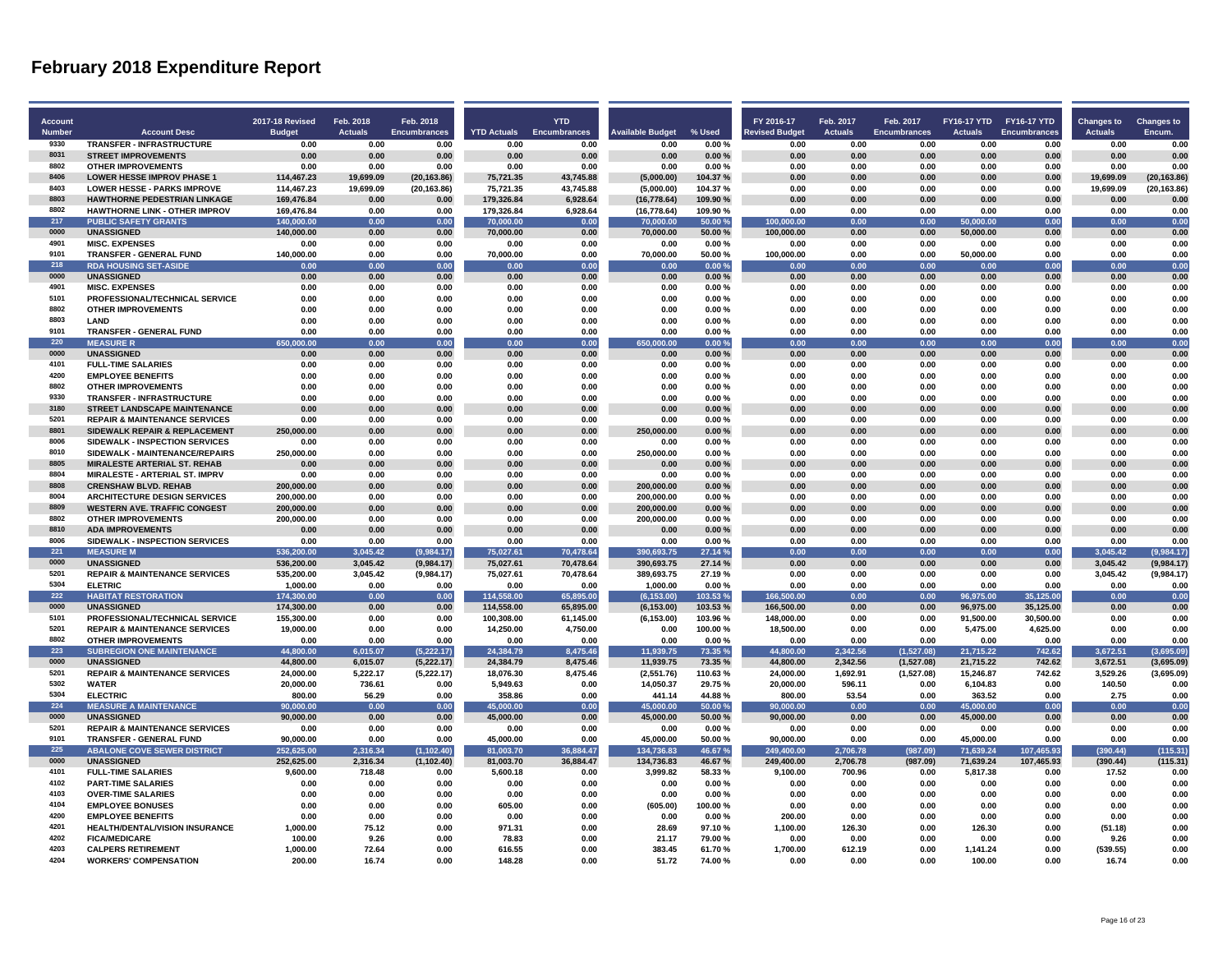| Account               |                                                                       | 2017-18 Revised       | Feb. 2018              | Feb. 2018                   |                            | <b>YTD</b>                  |                                 |                  | FY 2016-17                    | Feb. 2017              | Feb. 2017                   | FY16-17 YTD FY16-17 YTD |                             | <b>Changes to</b>      | <b>Changes to</b> |
|-----------------------|-----------------------------------------------------------------------|-----------------------|------------------------|-----------------------------|----------------------------|-----------------------------|---------------------------------|------------------|-------------------------------|------------------------|-----------------------------|-------------------------|-----------------------------|------------------------|-------------------|
| <b>Number</b><br>9330 | <b>Account Desc</b><br><b>TRANSFER - INFRASTRUCTURE</b>               | <b>Budget</b><br>0.00 | <b>Actuals</b><br>0.00 | <b>Encumbrances</b><br>0.00 | <b>YTD Actuals</b><br>0.00 | <b>Encumbrances</b><br>0.00 | <b>Available Budget</b><br>0.00 | % Used<br>0.00%  | <b>Revised Budget</b><br>0.00 | <b>Actuals</b><br>0.00 | <b>Encumbrances</b><br>0.00 | <b>Actuals</b><br>0.00  | <b>Encumbrances</b><br>0.00 | <b>Actuals</b><br>0.00 | Encum.<br>0.00    |
| 8031                  | <b>STREET IMPROVEMENTS</b>                                            | 0.00                  | 0.00                   | 0.00                        | 0.00                       | 0.00                        | 0.00                            | 0.00%            | 0.00                          | 0.00                   | 0.00                        | 0.00                    | 0.00                        | 0.00                   | 0.00              |
| 8802                  | <b>OTHER IMPROVEMENTS</b>                                             | 0.00                  | 0.00                   | 0.00                        | 0.00                       | 0.00                        | 0.00                            | 0.00%            | 0.00                          | 0.00                   | 0.00                        | 0.00                    | 0.00                        | 0.00                   | 0.00              |
| 8406                  | <b>LOWER HESSE IMPROV PHASE 1</b>                                     | 114.467.23            | 19,699.09              | (20, 163.86)                | 75,721.35                  | 43,745.88                   | (5,000.00)                      | 104.37%          | 0.00                          | 0.00                   | 0.00                        | 0.00                    | 0.00                        | 19,699.09              | (20, 163.86)      |
| 8403                  | <b>LOWER HESSE - PARKS IMPROVE</b>                                    | 114,467.23            | 19,699.09              | (20, 163.86)                | 75,721.35                  | 43,745.88                   | (5,000.00)                      | 104.37%          | 0.00                          | 0.00                   | 0.00                        | 0.00                    | 0.00                        | 19,699.09              | (20, 163.86)      |
| 8803                  | <b>HAWTHORNE PEDESTRIAN LINKAGE</b>                                   | 169,476.84            | 0.00                   | 0.00                        | 179,326.84                 | 6,928.64                    | (16, 778.64)                    | 109.90%          | 0.00                          | 0.00                   | 0.00                        | 0.00                    | 0.00                        | 0.00                   | 0.00              |
| 8802                  | <b>HAWTHORNE LINK - OTHER IMPROV</b>                                  | 169,476.84            | 0.00                   | 0.00                        | 179,326.84                 | 6,928.64                    | (16, 778.64)                    | 109.90%          | 0.00                          | 0.00                   | 0.00                        | 0.00                    | 0.00                        | 0.00                   | 0.00              |
| 217                   | <b>PUBLIC SAFETY GRANTS</b>                                           | 140.000.00            | 0.00                   | 0.00                        | 70.000.00                  | 0.00                        | 70.000.00                       | 50.00%           | 100.000.00                    | 0.00                   | 0.00                        | 50,000,00               | 0.00                        | 0.00                   | 0.00              |
| 0000                  | <b>UNASSIGNED</b>                                                     | 140,000.00            | 0.00                   | 0.00                        | 70,000.00                  | 0.00                        | 70,000.00                       | 50.00%           | 100,000.00                    | 0.00                   | 0.00                        | 50,000.00               | 0.00                        | 0.00                   | 0.00              |
| 4901                  | <b>MISC. EXPENSES</b>                                                 | 0.00                  | 0.00                   | 0.00                        | 0.00                       | 0.00                        | 0.00                            | 0.00%            | 0.00                          | 0.00                   | 0.00                        | 0.00                    | 0.00                        | 0.00                   | 0.00              |
| 9101                  | TRANSFER - GENERAL FUND                                               | 140,000.00            | 0.00                   | 0.00                        | 70,000.00                  | 0.00                        | 70,000.00                       | 50.00%           | 100,000.00                    | 0.00                   | 0.00                        | 50,000.00               | 0.00                        | 0.00                   | 0.00              |
| 218<br>0000           | <b>RDA HOUSING SET-ASIDE</b>                                          | 0.00                  | 0.00                   | 0.00                        | 0.00                       | 0.00                        | 0.00                            | 0.00%            | 0.00                          | 0.00                   | 0.00                        | 0.00                    | 0.00                        | 0.00                   | 0.00              |
| 4901                  | <b>UNASSIGNED</b><br><b>MISC. EXPENSES</b>                            | 0.00<br>0.00          | 0.00<br>0.00           | 0.00<br>0.00                | 0.00<br>0.00               | 0.00<br>0.00                | 0.00<br>0.00                    | 0.00%<br>0.00%   | 0.00<br>0.00                  | 0.00<br>0.00           | 0.00<br>0.00                | 0.00<br>0.00            | 0.00<br>0.00                | 0.00<br>0.00           | 0.00<br>0.00      |
| 5101                  | PROFESSIONAL/TECHNICAL SERVICE                                        | 0.00                  | 0.00                   | 0.00                        | 0.00                       | 0.00                        | 0.00                            | 0.00%            | 0.00                          | 0.00                   | 0.00                        | 0.00                    | 0.00                        | 0.00                   | 0.00              |
| 8802                  | <b>OTHER IMPROVEMENTS</b>                                             | 0.00                  | 0.00                   | 0.00                        | 0.00                       | 0.00                        | 0.00                            | 0.00%            | 0.00                          | 0.00                   | 0.00                        | 0.00                    | 0.00                        | 0.00                   | 0.00              |
| 8803                  | <b>LAND</b>                                                           | 0.00                  | 0.00                   | 0.00                        | 0.00                       | 0.00                        | 0.00                            | 0.00%            | 0.00                          | 0.00                   | 0.00                        | 0.00                    | 0.00                        | 0.00                   | 0.00              |
| 9101                  | TRANSFER - GENERAL FUND                                               | 0.00                  | 0.00                   | 0.00                        | 0.00                       | 0.00                        | 0.00                            | 0.00%            | 0.00                          | 0.00                   | 0.00                        | 0.00                    | 0.00                        | 0.00                   | 0.00              |
| 220                   | <b>MEASURE R</b>                                                      | 650.000.00            | 0.00                   | 0.00                        | 0.00                       | 0.00                        | 650.000.00                      | 0.00%            | 0.00                          | 0.00                   | 0.00                        | 0.00                    | 0.00                        | 0.00                   | 0.00              |
| 0000                  | <b>UNASSIGNED</b>                                                     | 0.00                  | 0.00                   | 0.00                        | 0.00                       | 0.00                        | 0.00                            | 0.00%            | 0.00                          | 0.00                   | 0.00                        | 0.00                    | 0.00                        | 0.00                   | 0.00              |
| 4101                  | <b>FULL-TIME SALARIES</b>                                             | 0.00                  | 0.00                   | 0.00                        | 0.00                       | 0.00                        | 0.00                            | 0.00%            | 0.00                          | 0.00                   | 0.00                        | 0.00                    | 0.00                        | 0.00                   | 0.00              |
| 4200                  | <b>EMPLOYEE BENEFITS</b>                                              | 0.00                  | 0.00                   | 0.00                        | 0.00                       | 0.00                        | 0.00                            | 0.00%            | 0.00                          | 0.00                   | 0.00                        | 0.00                    | 0.00                        | 0.00                   | 0.00              |
| 8802                  | <b>OTHER IMPROVEMENTS</b>                                             | 0.00                  | 0.00                   | 0.00                        | 0.00                       | 0.00                        | 0.00                            | 0.00%            | 0.00                          | 0.00                   | 0.00                        | 0.00                    | 0.00                        | 0.00                   | 0.00              |
| 9330                  | TRANSFER - INFRASTRUCTURE                                             | 0.00                  | 0.00                   | 0.00                        | 0.00                       | 0.00                        | 0.00                            | 0.00%            | 0.00                          | 0.00                   | 0.00                        | 0.00                    | 0.00                        | 0.00                   | 0.00              |
| 3180                  | <b>STREET LANDSCAPE MAINTENANCE</b>                                   | 0.00                  | 0.00                   | 0.00                        | 0.00                       | 0.00                        | 0.00                            | 0.00%            | 0.00                          | 0.00                   | 0.00                        | 0.00                    | 0.00                        | 0.00                   | 0.00              |
| 5201                  | <b>REPAIR &amp; MAINTENANCE SERVICES</b>                              | 0.00                  | 0.00                   | 0.00                        | 0.00                       | 0.00                        | 0.00                            | 0.00%            | 0.00                          | 0.00                   | 0.00                        | 0.00                    | 0.00                        | 0.00                   | 0.00              |
| 8801                  | SIDEWALK REPAIR & REPLACEMENT                                         | 250.000.00            | 0.00                   | 0.00                        | 0.00                       | 0.00                        | 250,000.00                      | 0.00%            | 0.00                          | 0.00                   | 0.00                        | 0.00                    | 0.00                        | 0.00                   | 0.00              |
| 8006                  | SIDEWALK - INSPECTION SERVICES                                        | 0.00                  | 0.00                   | 0.00                        | 0.00                       | 0.00                        | 0.00                            | 0.00%            | 0.00                          | 0.00                   | 0.00                        | 0.00                    | 0.00                        | 0.00                   | 0.00              |
| 8010<br>8805          | SIDEWALK - MAINTENANCE/REPAIRS                                        | 250,000.00            | 0.00                   | 0.00                        | 0.00                       | 0.00                        | 250,000.00                      | 0.00%            | 0.00                          | 0.00                   | 0.00                        | 0.00                    | 0.00                        | 0.00                   | 0.00<br>0.00      |
| 8804                  | <b>MIRALESTE ARTERIAL ST. REHAB</b><br>MIRALESTE - ARTERIAL ST. IMPRV | 0.00<br>0.00          | 0.00<br>0.00           | 0.00<br>0.00                | 0.00<br>0.00               | 0.00<br>0.00                | 0.00<br>0.00                    | 0.00%<br>0.00%   | 0.00<br>0.00                  | 0.00<br>0.00           | 0.00<br>0.00                | 0.00<br>0.00            | 0.00<br>0.00                | 0.00<br>0.00           | 0.00              |
| 8808                  | <b>CRENSHAW BLVD. REHAB</b>                                           | 200,000.00            | 0.00                   | 0.00                        | 0.00                       | 0.00                        | 200,000.00                      | 0.00%            | 0.00                          | 0.00                   | 0.00                        | 0.00                    | 0.00                        | 0.00                   | 0.00              |
| 8004                  | <b>ARCHITECTURE DESIGN SERVICES</b>                                   | 200.000.00            | 0.00                   | 0.00                        | 0.00                       | 0.00                        | 200.000.00                      | 0.00%            | 0.00                          | 0.00                   | 0.00                        | 0.00                    | 0.00                        | 0.00                   | 0.00              |
| 8809                  | <b>WESTERN AVE. TRAFFIC CONGEST</b>                                   | 200,000.00            | 0.00                   | 0.00                        | 0.00                       | 0.00                        | 200,000.00                      | 0.00%            | 0.00                          | 0.00                   | 0.00                        | 0.00                    | 0.00                        | 0.00                   | 0.00              |
| 8802                  | <b>OTHER IMPROVEMENTS</b>                                             | 200,000.00            | 0.00                   | 0.00                        | 0.00                       | 0.00                        | 200,000.00                      | 0.00%            | 0.00                          | 0.00                   | 0.00                        | 0.00                    | 0.00                        | 0.00                   | 0.00              |
| 8810                  | <b>ADA IMPROVEMENTS</b>                                               | 0.00                  | 0.00                   | 0.00                        | 0.00                       | 0.00                        | 0.00                            | 0.00%            | 0.00                          | 0.00                   | 0.00                        | 0.00                    | 0.00                        | 0.00                   | 0.00              |
| 8006                  | SIDEWALK - INSPECTION SERVICES                                        | 0.00                  | 0.00                   | 0.00                        | 0.00                       | 0.00                        | 0.00                            | 0.00%            | 0.00                          | 0.00                   | 0.00                        | 0.00                    | 0.00                        | 0.00                   | 0.00              |
| 221                   | <b>MEASURE M</b>                                                      | 536,200.00            | 3,045.42               | (9,984.17)                  | 75,027.61                  | 70,478.64                   | 390,693.75                      | 27.14 %          | 0.00                          | 0.00                   | 0.00                        | 0.00                    | 0.00                        | 3,045.42               | (9,984.17)        |
| 0000                  | <b>UNASSIGNED</b>                                                     | 536,200.00            | 3.045.42               | (9,984.17)                  | 75,027.61                  | 70,478.64                   | 390,693.75                      | 27.14 %          | 0.00                          | 0.00                   | 0.00                        | 0.00                    | 0.00                        | 3.045.42               | (9,984.17)        |
| 5201                  | <b>REPAIR &amp; MAINTENANCE SERVICES</b>                              | 535,200.00            | 3,045.42               | (9,984.17)                  | 75,027.61                  | 70,478.64                   | 389,693.75                      | 27.19%           | 0.00                          | 0.00                   | 0.00                        | 0.00                    | 0.00                        | 3,045.42               | (9,984.17)        |
| 5304                  | <b>ELETRIC</b>                                                        | 1,000.00              | 0.00                   | 0.00                        | 0.00                       | 0.00                        | 1,000.00                        | 0.00%            | 0.00                          | 0.00                   | 0.00                        | 0.00                    | 0.00                        | 0.00                   | 0.00              |
| 222                   | <b>HABITAT RESTORATION</b>                                            | 174,300.00            | 0.00                   | 0.00                        | 114.558.00                 | 65.895.00                   | (6, 153.00)                     | 103.53%          | 166.500.00                    | 0.00                   | 0.00                        | 96,975.00               | 35,125.00                   | 0.00                   | 0.00              |
| 0000<br>5101          | <b>UNASSIGNED</b>                                                     | 174,300.00            | 0.00                   | 0.00                        | 114,558.00                 | 65.895.00                   | (6, 153.00)                     | 103.53%          | 166.500.00                    | 0.00                   | 0.00                        | 96,975.00               | 35,125.00                   | 0.00                   | 0.00              |
| 5201                  | PROFESSIONAL/TECHNICAL SERVICE                                        | 155,300.00            | 0.00<br>0.00           | 0.00<br>0.00                | 100,308.00                 | 61,145.00                   | (6, 153.00)                     | 103.96%          | 148,000.00                    | 0.00<br>0.00           | 0.00<br>0.00                | 91,500.00               | 30,500.00                   | 0.00<br>0.00           | 0.00<br>0.00      |
| 8802                  | <b>REPAIR &amp; MAINTENANCE SERVICES</b><br><b>OTHER IMPROVEMENTS</b> | 19,000.00<br>0.00     | 0.00                   | 0.00                        | 14,250.00<br>0.00          | 4,750.00<br>0.00            | 0.00<br>0.00                    | 100.00%<br>0.00% | 18,500.00<br>0.00             | 0.00                   | 0.00                        | 5,475.00<br>0.00        | 4,625.00<br>0.00            | 0.00                   | 0.00              |
| 223                   | <b>SUBREGION ONE MAINTENANCE</b>                                      | 44,800.00             | 6,015.07               | (5,222.17)                  | 24.384.79                  | 8.475.46                    | 11,939.75                       | 73.35%           | 44.800.00                     | 2.342.56               | (1,527.08)                  | 21,715.22               | 742.62                      | 3.672.51               | (3,695.09)        |
| 0000                  | <b>UNASSIGNED</b>                                                     | 44,800.00             | 6,015.07               | (5, 222.17)                 | 24,384.79                  | 8,475.46                    | 11,939.75                       | 73.35%           | 44,800.00                     | 2,342.56               | (1,527.08)                  | 21,715.22               | 742.62                      | 3,672.51               | (3,695.09)        |
| 5201                  | <b>REPAIR &amp; MAINTENANCE SERVICES</b>                              | 24,000.00             | 5,222.17               | (5, 222.17)                 | 18,076.30                  | 8,475.46                    | (2,551.76)                      | 110.63%          | 24,000.00                     | 1,692.91               | (1,527.08)                  | 15,246.87               | 742.62                      | 3,529.26               | (3,695.09)        |
| 5302                  | <b>WATER</b>                                                          | 20,000.00             | 736.61                 | 0.00                        | 5,949.63                   | 0.00                        | 14,050.37                       | 29.75%           | 20,000.00                     | 596.11                 | 0.00                        | 6,104.83                | 0.00                        | 140.50                 | 0.00              |
| 5304                  | <b>ELECTRIC</b>                                                       | 800.00                | 56.29                  | 0.00                        | 358.86                     | 0.00                        | 441.14                          | 44.88%           | 800.00                        | 53.54                  | 0.00                        | 363.52                  | 0.00                        | 2.75                   | 0.00              |
| 224                   | <b>MEASURE A MAINTENANCE</b>                                          | 90,000.00             | 0.00                   | 0.00                        | 45,000.00                  | 0.00                        | 45.000.00                       | 50.00 %          | 90,000.00                     | 0.00                   | 0.00                        | 45,000.00               | 0.00                        | 0.00                   | 0.00              |
| 0000                  | <b>UNASSIGNED</b>                                                     | 90,000.00             | 0.00                   | 0.00                        | 45,000.00                  | 0.00                        | 45,000.00                       | 50.00%           | 90,000.00                     | 0.00                   | 0.00                        | 45,000.00               | 0.00                        | 0.00                   | 0.00              |
| 5201                  | <b>REPAIR &amp; MAINTENANCE SERVICES</b>                              | 0.00                  | 0.00                   | 0.00                        | 0.00                       | 0.00                        | 0.00                            | 0.00%            | 0.00                          | 0.00                   | 0.00                        | 0.00                    | 0.00                        | 0.00                   | 0.00              |
| 9101                  | TRANSFER - GENERAL FUND                                               | 90,000.00             | 0.00                   | 0.00                        | 45,000.00                  | 0.00                        | 45,000.00                       | 50.00%           | 90,000.00                     | 0.00                   | 0.00                        | 45,000.00               | 0.00                        | 0.00                   | 0.00              |
| 225                   | <b>ABALONE COVE SEWER DISTRICT</b>                                    | 252.625.00            | 2.316.34               | (1, 102.40)                 | 81.003.70                  | 36.884.47                   | 134.736.83                      | 46.67%           | 249.400.00                    | 2.706.78               | (987.09)                    | 71.639.24               | 107,465.93                  | (390.44)               | (115.31)          |
| 0000                  | <b>UNASSIGNED</b>                                                     | 252,625.00            | 2,316.34               | (1, 102.40)                 | 81,003.70                  | 36,884.47                   | 134,736.83                      | 46.67%           | 249,400.00                    | 2,706.78               | (987.09)                    | 71,639.24               | 107,465.93                  | (390.44)               | (115.31)          |
| 4101<br>4102          | <b>FULL-TIME SALARIES</b><br><b>PART-TIME SALARIES</b>                | 9,600.00<br>0.00      | 718.48<br>0.00         | 0.00<br>0.00                | 5,600.18<br>0.00           | 0.00<br>0.00                | 3,999.82<br>0.00                | 58.33%<br>0.00%  | 9,100.00<br>0.00              | 700.96<br>0.00         | 0.00<br>0.00                | 5,817.38<br>0.00        | 0.00<br>0.00                | 17.52<br>0.00          | 0.00<br>0.00      |
| 4103                  | <b>OVER-TIME SALARIES</b>                                             | 0.00                  | 0.00                   | 0.00                        | 0.00                       | 0.00                        | 0.00                            | 0.00%            | 0.00                          | 0.00                   | 0.00                        | 0.00                    | 0.00                        | 0.00                   | 0.00              |
| 4104                  | <b>EMPLOYEE BONUSES</b>                                               | 0.00                  | 0.00                   | 0.00                        | 605.00                     | 0.00                        | (605.00)                        | 100.00%          | 0.00                          | 0.00                   | 0.00                        | 0.00                    | 0.00                        | 0.00                   | 0.00              |
| 4200                  | <b>EMPLOYEE BENEFITS</b>                                              | 0.00                  | 0.00                   | 0.00                        | 0.00                       | 0.00                        | 0.00                            | 0.00%            | 200.00                        | 0.00                   | 0.00                        | 0.00                    | 0.00                        | 0.00                   | 0.00              |
| 4201                  | <b>HEALTH/DENTAL/VISION INSURANCE</b>                                 | 1.000.00              | 75.12                  | 0.00                        | 971.31                     | 0.00                        | 28.69                           | 97.10%           | 1,100.00                      | 126.30                 | 0.00                        | 126.30                  | 0.00                        | (51.18)                | 0.00              |
| 4202                  | <b>FICA/MEDICARE</b>                                                  | 100.00                | 9.26                   | 0.00                        | 78.83                      | 0.00                        | 21.17                           | 79.00%           | 0.00                          | 0.00                   | 0.00                        | 0.00                    | 0.00                        | 9.26                   | 0.00              |
| 4203                  | <b>CALPERS RETIREMENT</b>                                             | 1.000.00              | 72.64                  | 0.00                        | 616.55                     | 0.00                        | 383.45                          | 61.70%           | 1,700.00                      | 612.19                 | 0.00                        | 1,141.24                | 0.00                        | (539.55)               | 0.00              |
| 4204                  | <b>WORKERS' COMPENSATION</b>                                          | 200.00                | 16.74                  | 0.00                        | 148.28                     | 0.00                        | 51.72                           | 74.00%           | 0.00                          | 0.00                   | 0.00                        | 100.00                  | 0.00                        | 16.74                  | 0.00              |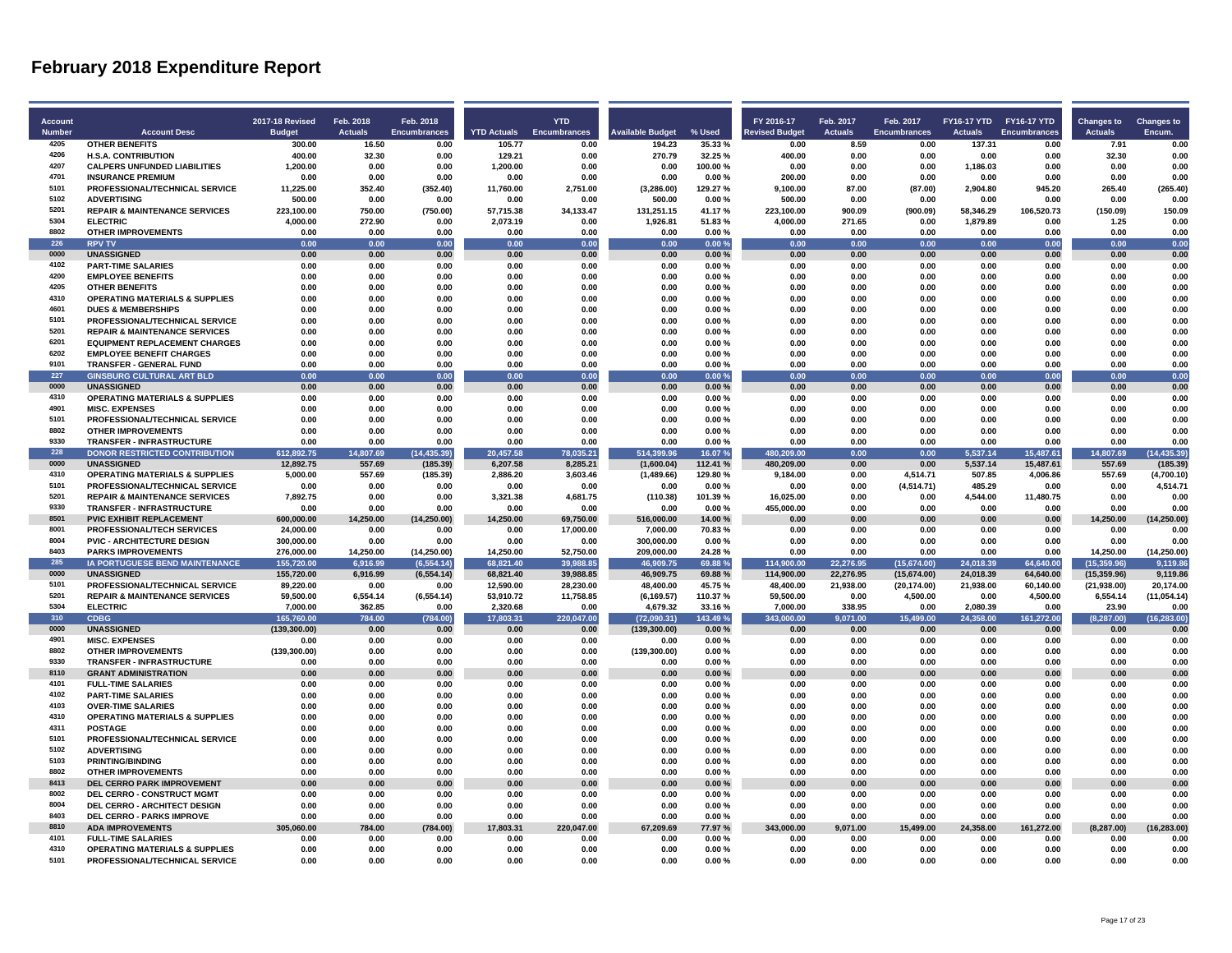| Account<br><b>Number</b> | <b>Account Desc</b>                                                          | 2017-18 Revised<br><b>Budget</b> | Feb. 2018<br><b>Actuals</b> | Feb. 2018<br><b>Encumbrances</b> | <b>YTD Actuals</b> Encumbrances | <b>YTD</b>       | <b>Available Budget</b> | % Used          | FY 2016-17<br><b>Levised Budget</b> | Feb. 2017<br><b>Actuals</b> | Feb. 2017<br><b>Encumbrances</b> | FY16-17 YTD FY16-17 YTD<br><b>Actuals</b> | Encumbrances      | <b>Changes to</b><br><b>Actuals</b> | <b>Changes to</b><br>Encum. |
|--------------------------|------------------------------------------------------------------------------|----------------------------------|-----------------------------|----------------------------------|---------------------------------|------------------|-------------------------|-----------------|-------------------------------------|-----------------------------|----------------------------------|-------------------------------------------|-------------------|-------------------------------------|-----------------------------|
| 4205                     | <b>OTHER BENEFITS</b>                                                        | 300.00                           | 16.50                       | 0.00                             | 105.77                          | 0.00             | 194.23                  | 35.33%          | 0.00                                | 8.59                        | 0.00                             | 137.31                                    | 0.00              | 7.91                                | 0.00                        |
| 4206                     | <b>H.S.A. CONTRIBUTION</b>                                                   | 400.00                           | 32.30                       | 0.00                             | 129.21                          | 0.00             | 270.79                  | 32.25%          | 400.00                              | 0.00                        | 0.00                             | 0.00                                      | 0.00              | 32.30                               | 0.00                        |
| 4207                     | <b>CALPERS UNFUNDED LIABILITIES</b>                                          | 1,200.00                         | 0.00                        | 0.00                             | 1,200.00                        | 0.00             | 0.00                    | 100.00%         | 0.00                                | 0.00                        | 0.00                             | 1,186.03                                  | 0.00              | 0.00                                | 0.00                        |
| 4701                     | <b>INSURANCE PREMIUM</b>                                                     | 0.00                             | 0.00                        | 0.00                             | 0.00                            | 0.00             | 0.00                    | 0.00%           | 200.00                              | 0.00                        | 0.00                             | 0.00                                      | 0.00              | 0.00                                | 0.00                        |
| 5101                     | PROFESSIONAL/TECHNICAL SERVICE                                               | 11,225.00                        | 352.40                      | (352.40)                         | 11,760.00                       | 2,751.00         | (3,286.00)              | 129.27%         | 9,100.00                            | 87.00                       | (87.00)                          | 2,904.80                                  | 945.20            | 265.40                              | (265.40)                    |
| 5102                     | <b>ADVERTISING</b>                                                           | 500.00                           | 0.00                        | 0.00                             | 0.00                            | 0.00             | 500.00                  | 0.00%           | 500.00                              | 0.00                        | 0.00                             | 0.00                                      | 0.00              | 0.00                                | 0.00                        |
| 5201                     | <b>REPAIR &amp; MAINTENANCE SERVICES</b>                                     | 223,100.00                       | 750.00                      | (750.00)                         | 57,715.38                       | 34,133.47        | 131,251.15              | 41.17%          | 223,100.00                          | 900.09                      | (900.09)                         | 58,346.29                                 | 106,520.73        | (150.09)                            | 150.09                      |
| 5304                     | <b>ELECTRIC</b>                                                              | 4,000.00                         | 272.90                      | 0.00                             | 2,073.19                        | 0.00             | 1,926.81                | 51.83%          | 4,000.00                            | 271.65                      | 0.00                             | 1,879.89                                  | 0.00              | 1.25                                | 0.00                        |
| 8802<br>226              | <b>OTHER IMPROVEMENTS</b>                                                    | 0.00                             | 0.00                        | 0.00                             | 0.00                            | 0.00             | 0.00                    | 0.00%           | 0.00                                | 0.00                        | 0.00                             | 0.00                                      | 0.00              | 0.00                                | 0.00                        |
| 0000                     | <b>RPV TV</b><br><b>UNASSIGNED</b>                                           | 0.00<br>0.00                     | 0.00<br>0.00                | 0.00<br>0.00                     | 0.00<br>0.00                    | 0.00<br>0.00     | 0.00<br>0.00            | 0.00%<br>0.00%  | 0.00<br>0.00                        | 0.00<br>0.00                | 0.00<br>0.00                     | 0.00<br>0.00                              | 0.00<br>0.00      | 0.00<br>0.00                        | 0.00<br>0.00                |
| 4102                     | <b>PART-TIME SALARIES</b>                                                    | 0.00                             | 0.00                        | 0.00                             | 0.00                            | 0.00             | 0.00                    | 0.00%           | 0.00                                | 0.00                        | 0.00                             | 0.00                                      | 0.00              | 0.00                                | 0.00                        |
| 4200                     | <b>EMPLOYEE BENEFITS</b>                                                     | 0.00                             | 0.00                        | 0.00                             | 0.00                            | 0.00             | 0.00                    | 0.00%           | 0.00                                | 0.00                        | 0.00                             | 0.00                                      | 0.00              | 0.00                                | 0.00                        |
| 4205                     | <b>OTHER BENEFITS</b>                                                        | 0.00                             | 0.00                        | 0.00                             | 0.00                            | 0.00             | 0.00                    | 0.00%           | 0.00                                | 0.00                        | 0.00                             | 0.00                                      | 0.00              | 0.00                                | 0.00                        |
| 4310                     | <b>OPERATING MATERIALS &amp; SUPPLIES</b>                                    | 0.00                             | 0.00                        | 0.00                             | 0.00                            | 0.00             | 0.00                    | 0.00%           | 0.00                                | 0.00                        | 0.00                             | 0.00                                      | 0.00              | 0.00                                | 0.00                        |
| 4601                     | <b>DUES &amp; MEMBERSHIPS</b>                                                | 0.00                             | 0.00                        | 0.00                             | 0.00                            | 0.00             | 0.00                    | 0.00%           | 0.00                                | 0.00                        | 0.00                             | 0.00                                      | 0.00              | 0.00                                | 0.00                        |
| 5101                     | PROFESSIONAL/TECHNICAL SERVICE                                               | 0.00                             | 0.00                        | 0.00                             | 0.00                            | 0.00             | 0.00                    | 0.00%           | 0.00                                | 0.00                        | 0.00                             | 0.00                                      | 0.00              | 0.00                                | 0.00                        |
| 5201                     | <b>REPAIR &amp; MAINTENANCE SERVICES</b>                                     | 0.00                             | 0.00                        | 0.00                             | 0.00                            | 0.00             | 0.00                    | 0.00%           | 0.00                                | 0.00                        | 0.00                             | 0.00                                      | 0.00              | 0.00                                | 0.00                        |
| 6201                     | <b>EQUIPMENT REPLACEMENT CHARGES</b>                                         | 0.00                             | 0.00                        | 0.00                             | 0.00                            | 0.00             | 0.00                    | 0.00%           | 0.00                                | 0.00                        | 0.00                             | 0.00                                      | 0.00              | 0.00                                | 0.00                        |
| 6202                     | <b>EMPLOYEE BENEFIT CHARGES</b>                                              | 0.00                             | 0.00                        | 0.00                             | 0.00                            | 0.00             | 0.00                    | 0.00%           | 0.00                                | 0.00                        | 0.00                             | 0.00                                      | 0.00              | 0.00                                | 0.00                        |
| 9101<br>227              | <b>TRANSFER - GENERAL FUND</b><br><b>GINSBURG CULTURAL ART BLD</b>           | 0.00<br>0.00                     | 0.00<br>0.00                | 0.00<br>0.00                     | 0.00<br>0.00                    | 0.00<br>0.00     | 0.00<br>0.00            | 0.00%<br>0.00%  | 0.00<br>0.00                        | 0.00<br>0.00                | 0.00<br>0.00                     | 0.00<br>0.00                              | 0.00<br>0.00      | 0.00<br>0.00                        | 0.00<br>0.00                |
| 0000                     | <b>UNASSIGNED</b>                                                            | 0.00                             | 0.00                        | 0.00                             | 0.00                            | 0.00             | 0.00                    | 0.00%           | 0.00                                | 0.00                        | 0.00                             | 0.00                                      | 0.00              | 0.00                                | 0.00                        |
| 4310                     | <b>OPERATING MATERIALS &amp; SUPPLIES</b>                                    | 0.00                             | n nn                        | 0.00                             | 0.00                            | 0.00             | 0.00                    | 0.00%           | 0.00                                | 0.00                        | 0.00                             | 0.00                                      | 0.00              | 0.00                                | 0.00                        |
| 4901                     | <b>MISC. EXPENSES</b>                                                        | 0.00                             | 0.00                        | 0.00                             | 0.00                            | 0.00             | 0.00                    | 0.00%           | 0.00                                | 0.00                        | 0.00                             | 0.00                                      | 0.00              | 0.00                                | 0.00                        |
| 5101                     | PROFESSIONAL/TECHNICAL SERVICE                                               | 0.00                             | 0.00                        | 0.00                             | 0.00                            | 0.00             | 0.00                    | 0.00%           | 0.00                                | 0.00                        | 0.00                             | 0.00                                      | 0.00              | 0.00                                | 0.00                        |
| 8802                     | <b>OTHER IMPROVEMENTS</b>                                                    | 0.00                             | 0.00                        | 0.00                             | 0.00                            | 0.00             | 0.00                    | 0.00%           | 0.00                                | 0.00                        | 0.00                             | 0.00                                      | 0.00              | 0.00                                | 0.00                        |
| 9330                     | <b>TRANSFER - INFRASTRUCTURE</b>                                             | 0.00                             | 0.00                        | 0.00                             | 0.00                            | 0.00             | 0.00                    | 0.00%           | 0.00                                | 0.00                        | 0.00                             | 0.00                                      | 0.00              | 0.00                                | 0.00                        |
| 228                      | <b>DONOR RESTRICTED CONTRIBUTION</b>                                         | 612,892.75                       | 14,807.69                   | (14, 435.39)                     | 20,457.58                       | 78,035.21        | 514,399.96              | 16.07%          | 480,209.00                          | 0.00                        | 0.00                             | 5,537.14                                  | 15,487.61         | 14,807.69                           | (14, 435.39)                |
| 0000                     | <b>UNASSIGNED</b>                                                            | 12,892.75                        | 557.69                      | (185.39)                         | 6,207.58                        | 8,285.21         | (1,600.04)              | 112.41%         | 480,209.00                          | 0.00                        | 0.00                             | 5,537.14                                  | 15,487.61         | 557.69                              | (185.39)                    |
| 4310                     | <b>OPERATING MATERIALS &amp; SUPPLIES</b>                                    | 5,000.00                         | 557.69                      | (185.39)                         | 2,886.20                        | 3,603.46         | (1,489.66)              | 129.80%         | 9,184.00                            | 0.00                        | 4,514.71                         | 507.85                                    | 4,006.86          | 557.69                              | (4,700.10)                  |
| 5101                     | PROFESSIONAL/TECHNICAL SERVICE                                               | 0.00                             | 0.00                        | 0.00                             | 0.00                            | 0.00             | 0.00                    | 0.00%           | 0.00                                | 0.00                        | (4,514.71)                       | 485.29                                    | 0.00              | 0.00                                | 4,514.71                    |
| 5201<br>9330             | <b>REPAIR &amp; MAINTENANCE SERVICES</b><br><b>TRANSFER - INFRASTRUCTURE</b> | 7.892.75<br>0.00                 | 0.00<br>0.00                | 0.00                             | 3.321.38                        | 4,681.75<br>0.00 | (110.38)                | 101.39%         | 16.025.00                           | 0.00<br>0.00                | 0.00                             | 4.544.00                                  | 11.480.75<br>0.00 | 0.00<br>0.00                        | 0.00<br>0.00                |
| 8501                     | PVIC EXHIBIT REPLACEMENT                                                     | 600,000.00                       | 14,250.00                   | 0.00<br>(14, 250.00)             | 0.00<br>14,250.00               | 69,750.00        | 0.00<br>516,000.00      | 0.00%<br>14.00% | 455,000.00<br>0.00                  | 0.00                        | 0.00<br>0.00                     | 0.00<br>0.00                              | 0.00              | 14,250.00                           | (14, 250.00)                |
| 8001                     | <b>PROFESSIONAL/TECH SERVICES</b>                                            | 24.000.00                        | 0.00                        | 0.00                             | 0.00                            | 17.000.00        | 7.000.00                | 70.83%          | 0.00                                | 0.00                        | 0.00                             | 0.00                                      | 0.00              | 0.00                                | 0.00                        |
| 8004                     | <b>PVIC - ARCHITECTURE DESIGN</b>                                            | 300,000.00                       | 0.00                        | 0.00                             | 0.00                            | 0.00             | 300,000.00              | 0.00%           | 0.00                                | 0.00                        | 0.00                             | 0.00                                      | 0.00              | 0.00                                | 0.00                        |
| 8403                     | <b>PARKS IMPROVEMENTS</b>                                                    | 276,000.00                       | 14,250.00                   | (14, 250.00)                     | 14,250.00                       | 52,750.00        | 209,000.00              | 24.28%          | 0.00                                | 0.00                        | 0.00                             | 0.00                                      | 0.00              | 14,250.00                           | (14, 250.00)                |
| 285                      | <b>IA PORTUGUESE BEND MAINTENANCE</b>                                        | 155,720.00                       | 6.916.99                    | (6.554.14)                       | 68.821.40                       | 39.988.85        | 46.909.75               | 69.88%          | 114.900.00                          | 22.276.95                   | (15,674.00)                      | 24.018.39                                 | 64.640.00         | (15.359.96)                         | 9.119.86                    |
| 0000                     | <b>UNASSIGNED</b>                                                            | 155.720.00                       | 6.916.99                    | (6, 554.14)                      | 68.821.40                       | 39.988.85        | 46,909.75               | 69.88%          | 114.900.00                          | 22.276.95                   | (15,674.00)                      | 24,018.39                                 | 64.640.00         | (15, 359.96)                        | 9.119.86                    |
| 5101                     | PROFESSIONAL/TECHNICAL SERVICE                                               | 89,220.00                        | 0.00                        | 0.00                             | 12,590.00                       | 28,230.00        | 48,400.00               | 45.75%          | 48,400.00                           | 21,938.00                   | (20, 174.00)                     | 21,938.00                                 | 60,140.00         | (21, 938.00)                        | 20,174.00                   |
| 5201                     | <b>REPAIR &amp; MAINTENANCE SERVICES</b>                                     | 59,500.00                        | 6,554.14                    | (6, 554.14)                      | 53,910.72                       | 11,758.85        | (6, 169.57)             | 110.37%         | 59,500.00                           | 0.00                        | 4,500.00                         | 0.00                                      | 4,500.00          | 6,554.14                            | (11, 054.14)                |
| 5304                     | <b>ELECTRIC</b>                                                              | 7.000.00                         | 362.85                      | 0.00                             | 2.320.68                        | 0.00             | 4,679.32                | 33.16%          | 7,000.00                            | 338.95                      | 0.00                             | 2,080.39                                  | 0.00              | 23.90                               | 0.00                        |
| 310<br>0000              | <b>CDBG</b>                                                                  | 165,760.00                       | 784.00                      | (784.00)                         | 17,803.31                       | 220,047.00       | (72,090.31)             | 143.49%         | 343.000.00                          | 9,071.00                    | 15,499.00                        | 24,358.00                                 | 161,272.00        | (8, 287.00)                         | (16, 283.00)                |
| 4901                     | <b>UNASSIGNED</b><br><b>MISC. EXPENSES</b>                                   | (139, 300.00)<br>0.00            | 0.00<br>0.00                | 0.00<br>0.00                     | 0.00<br>0.00                    | 0.00<br>0.00     | (139, 300.00)<br>0.00   | 0.00%<br>0.00%  | 0.00<br>0.00                        | 0.00<br>0.00                | 0.00<br>0.00                     | 0.00<br>0.00                              | 0.00<br>0.00      | 0.00<br>0.00                        | 0.00<br>0.00                |
| 8802                     | <b>OTHER IMPROVEMENTS</b>                                                    | (139, 300.00)                    | 0.00                        | 0.00                             | 0.00                            | 0.00             | (139, 300.00)           | 0.00%           | 0.00                                | 0.00                        | 0.00                             | 0.00                                      | 0.00              | 0.00                                | 0.00                        |
| 9330                     | <b>TRANSFER - INFRASTRUCTURE</b>                                             | 0.00                             | 0.00                        | 0.00                             | 0.00                            | 0.00             | 0.00                    | 0.00%           | 0.00                                | 0.00                        | 0.00                             | 0.00                                      | 0.00              | 0.00                                | 0.00                        |
| 8110                     | <b>GRANT ADMINISTRATION</b>                                                  | 0.00                             | 0.00                        | 0.00                             | 0.00                            | 0.00             | 0.00                    | 0.00%           | 0.00                                | 0.00                        | 0.00                             | 0.00                                      | 0.00              | 0.00                                | 0.00                        |
| 4101                     | <b>FULL-TIME SALARIES</b>                                                    | 0.00                             | 0.00                        | 0.00                             | 0.00                            | 0.00             | 0.00                    | 0.00%           | 0.00                                | 0.00                        | 0.00                             | 0.00                                      | 0.00              | 0.00                                | 0.00                        |
| 4102                     | <b>PART-TIME SALARIES</b>                                                    | 0.00                             | 0.00                        | 0.00                             | 0.00                            | 0.00             | 0.00                    | 0.00%           | 0.00                                | 0.00                        | 0.00                             | 0.00                                      | 0.00              | 0.00                                | 0.00                        |
| 4103                     | <b>OVER-TIME SALARIES</b>                                                    | 0.00                             | 0.00                        | 0.00                             | 0.00                            | 0.00             | 0.00                    | 0.00%           | 0.00                                | 0.00                        | 0.00                             | 0.00                                      | 0.00              | 0.00                                | 0.00                        |
| 4310                     | <b>OPERATING MATERIALS &amp; SUPPLIES</b>                                    | 0.00                             | 0.00                        | 0.00                             | 0.00                            | 0.00             | 0.00                    | 0.00%           | 0.00                                | 0.00                        | 0.00                             | 0.00                                      | 0.00              | 0.00                                | 0.00                        |
| 4311                     | <b>POSTAGE</b>                                                               | 0.00                             | 0.00                        | 0.00                             | 0.00                            | 0.00             | 0.00                    | 0.00%           | 0.00                                | 0.00                        | 0.00                             | 0.00                                      | 0.00              | 0.00                                | 0.00                        |
| 5101                     | PROFESSIONAL/TECHNICAL SERVICE                                               | 0.00                             | 0.00                        | 0.00                             | 0.00                            | 0.00             | 0.00                    | 0.00%           | 0.00                                | 0.00                        | 0.00                             | 0.00                                      | 0.00              | 0.00                                | 0.00                        |
| 5102<br>5103             | <b>ADVERTISING</b>                                                           | 0.00                             | 0.00                        | 0.00                             | 0.00                            | 0.00             | 0.00                    | 0.00%           | 0.00                                | 0.00                        | 0.00                             | 0.00                                      | 0.00              | 0.00                                | 0.00                        |
| 8802                     | <b>PRINTING/BINDING</b><br><b>OTHER IMPROVEMENTS</b>                         | 0.00<br>0.00                     | 0.00<br>0.00                | 0.00<br>0.00                     | 0.00<br>0.00                    | 0.00<br>0.00     | 0.00<br>0.00            | 0.00%<br>0.00%  | 0.00<br>0.00                        | 0.00<br>0.00                | 0.00<br>0.00                     | 0.00<br>0.00                              | 0.00<br>0.00      | 0.00<br>0.00                        | 0.00<br>0.00                |
| 8413                     | <b>DEL CERRO PARK IMPROVEMENT</b>                                            | 0.00                             | 0.00                        | 0.00                             | 0.00                            | 0.00             | 0.00                    | 0.00%           | 0.00                                | 0.00                        | 0.00                             | 0.00                                      | 0.00              | 0.00                                | 0.00                        |
| 8002                     | DEL CERRO - CONSTRUCT MGMT                                                   | 0.00                             | 0.00                        | 0.00                             | 0.00                            | 0.00             | 0.00                    | 0.00%           | 0.00                                | 0.00                        | 0.00                             | 0.00                                      | 0.00              | 0.00                                | 0.00                        |
| 8004                     | DEL CERRO - ARCHITECT DESIGN                                                 | 0.00                             | 0.00                        | 0.00                             | 0.00                            | 0.00             | 0.00                    | 0.00%           | 0.00                                | 0.00                        | 0.00                             | 0.00                                      | 0.00              | 0.00                                | 0.00                        |
| 8403                     | <b>DEL CERRO - PARKS IMPROVE</b>                                             | 0.00                             | 0.00                        | 0.00                             | 0.00                            | 0.00             | 0.00                    | 0.00%           | 0.00                                | 0.00                        | 0.00                             | 0.00                                      | 0.00              | 0.00                                | 0.00                        |
| 8810                     | <b>ADA IMPROVEMENTS</b>                                                      | 305,060.00                       | 784.00                      | (784.00)                         | 17,803.31                       | 220,047.00       | 67,209.69               | 77.97%          | 343,000.00                          | 9,071.00                    | 15,499.00                        | 24,358.00                                 | 161,272.00        | (8, 287.00)                         | (16, 283.00)                |
| 4101                     | <b>FULL-TIME SALARIES</b>                                                    | 0.00                             | 0.00                        | 0.00                             | 0.00                            | 0.00             | 0.00                    | 0.00%           | 0.00                                | 0.00                        | 0.00                             | 0.00                                      | 0.00              | 0.00                                | 0.00                        |
| 4310                     | <b>OPERATING MATERIALS &amp; SUPPLIES</b>                                    | 0.00                             | 0.00                        | 0.00                             | 0.00                            | 0.00             | 0.00                    | 0.00%           | 0.00                                | 0.00                        | 0.00                             | 0.00                                      | 0.00              | 0.00                                | 0.00                        |
| 5101                     | PROFESSIONAL/TECHNICAL SERVICE                                               | 0.00                             | 0.00                        | 0.00                             | 0.00                            | 0.00             | 0.00                    | 0.00%           | 0.00                                | 0.00                        | 0.00                             | 0.00                                      | 0.00              | 0.00                                | 0.00                        |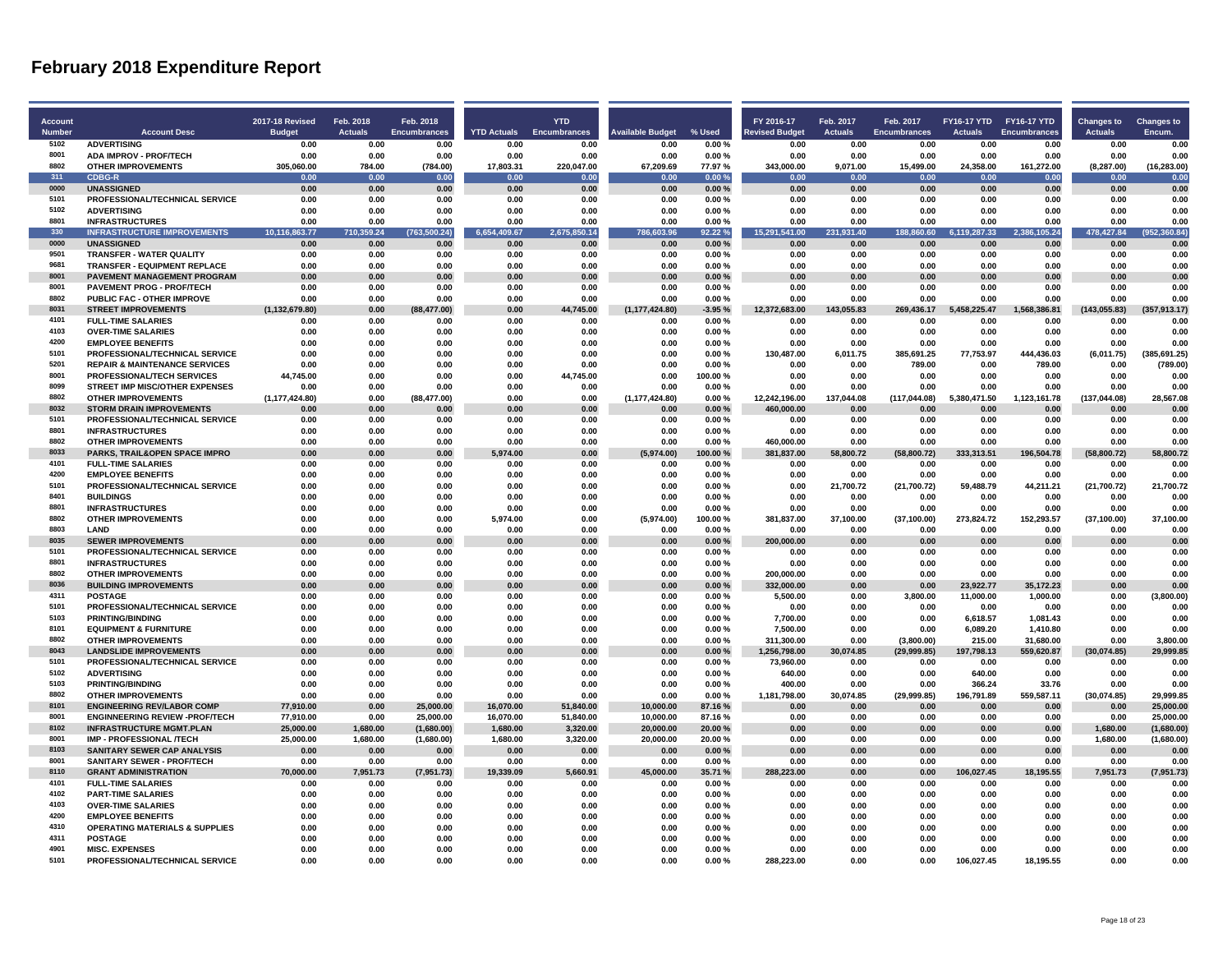| Account<br>Number | <b>Account Desc</b>                                                      | <b>2017-18 Revised</b><br><b>Budget</b> | Feb. 2018<br><b>Actuals</b> | Feb. 2018<br><b>Encumbrances</b> | <b>YTD Actuals</b>   | <b>YTD</b><br><b>Encumbrances</b> | <b>Nvailable Budget</b> | % Used           | FY 2016-17<br>evised Budget | Feb. 2017<br><b>Actuals</b> | Feb. 2017<br><b>Encumbrances</b> | FY16-17 YTD FY16-17 YTD<br><b>Actuals</b> | <b>Encumbrances</b> | <b>Changes to</b><br><b>Actuals</b> | <b>Changes to</b><br>Encum. |
|-------------------|--------------------------------------------------------------------------|-----------------------------------------|-----------------------------|----------------------------------|----------------------|-----------------------------------|-------------------------|------------------|-----------------------------|-----------------------------|----------------------------------|-------------------------------------------|---------------------|-------------------------------------|-----------------------------|
| 5102              | <b>ADVERTISING</b>                                                       | 0.00                                    | 0.00                        | 0.00                             | 0.00                 | 0.00                              | 0.00                    | 0.00%            | 0.00                        | 0.00                        | 0.00                             | 0.00                                      | 0.00                | 0.00                                | 0.00                        |
| 8001              | <b>ADA IMPROV - PROF/TECH</b>                                            | 0.00                                    | 0.00                        | 0.00                             | 0.00                 | 0.00                              | 0.00                    | 0.00%            | 0.00                        | 0.00                        | 0.00                             | 0.00                                      | 0.00                | 0.00                                | 0.00                        |
| 8802              | <b>OTHER IMPROVEMENTS</b>                                                | 305,060.00                              | 784.00                      | (784.00)                         | 17,803.31            | 220,047.00                        | 67,209.69               | 77.97%           | 343,000.00                  | 9,071.00                    | 15,499.00                        | 24,358.00                                 | 161,272.00          | (8, 287.00)                         | (16, 283.00)                |
| 311               | <b>CDBG-R</b>                                                            | 0.00                                    | 0.00                        | 0.00                             | 0.00                 | 0.00                              | 0.00                    | 0.00%            | 0.00                        | 0.00                        | 0.00                             | 0.00                                      | 0.00                | 0.00                                | 0.00                        |
| 0000              | <b>UNASSIGNED</b>                                                        | 0.00                                    | 0.00                        | 0.00                             | 0.00                 | 0.00                              | 0.00                    | 0.00%            | 0.00                        | 0.00                        | 0.00                             | 0.00                                      | 0.00                | 0.00                                | 0.00                        |
| 5101<br>5102      | PROFESSIONAL/TECHNICAL SERVICE                                           | 0.00                                    | 0.00                        | 0.00                             | 0.00                 | 0.00                              | 0.00                    | 0.00%            | 0.00                        | 0.00                        | 0.00                             | 0.00                                      | 0.00                | 0.00                                | 0.00                        |
| 8801              | <b>ADVERTISING</b><br><b>INFRASTRUCTURES</b>                             | 0.00<br>0.00                            | 0.00<br>0.00                | 0.00<br>0.00                     | 0.00<br>0.00         | 0.00<br>0.00                      | 0.00<br>0.00            | 0.00%<br>0.00%   | 0.00<br>0.00                | 0.00<br>0.00                | 0.00<br>0.00                     | 0.00<br>0.00                              | 0.00<br>0.00        | 0.00<br>0.00                        | 0.00<br>0.00                |
| 330               | <b>INFRASTRUCTURE IMPROVEMENTS</b>                                       | 10,116,863.77                           | 710,359.24                  | (763, 500.24)                    | 6,654<br>409.67      | 2,675,850.14                      | 03.96<br>786,           | 92.22%           | 15,291,541.00               | 231<br>931.40               | 188,860.60                       | 6,119,287.33                              | 2,386,105.24        | 478,427.84                          | (952, 360.84)               |
| 0000              | <b>UNASSIGNED</b>                                                        | 0.00                                    | 0.00                        | 0.00                             | 0.00                 | 0.00                              | 0.00                    | 0.00%            | 0.00                        | 0.00                        | 0.00                             | 0.00                                      | 0.00                | 0.00                                | 0.00                        |
| 9501              | <b>TRANSFER - WATER QUALITY</b>                                          | 0.00                                    | 0.00                        | 0.00                             | 0.00                 | 0.00                              | 0.00                    | $0.00 \%$        | 0.00                        | 0.00                        | 0.00                             | 0.00                                      | 0.00                | 0.00                                | 0.00                        |
| 9681              | <b>TRANSFER - EQUIPMENT REPLACE</b>                                      | 0.00                                    | 0.00                        | 0.00                             | 0.00                 | 0.00                              | 0.00                    | 0.00%            | 0.00                        | 0.00                        | 0.00                             | 0.00                                      | 0.00                | 0.00                                | 0.00                        |
| 8001              | PAVEMENT MANAGEMENT PROGRAM                                              | 0.00                                    | 0.00                        | 0.00                             | 0.00                 | 0.00                              | 0.00                    | 0.00%            | 0.00                        | 0.00                        | 0.00                             | 0.00                                      | 0.00                | 0.00                                | 0.00                        |
| 8001              | <b>PAVEMENT PROG - PROF/TECH</b>                                         | 0.00                                    | 0.00                        | 0.00                             | 0.00                 | 0.00                              | 0.00                    | 0.00%            | 0.00                        | 0.00                        | 0.00                             | 0.00                                      | 0.00                | 0.00                                | 0.00                        |
| 8802              | PUBLIC FAC - OTHER IMPROVE                                               | 0.00                                    | 0.00                        | 0.00                             | 0.00                 | 0.00                              | 0.00                    | 0.00%            | 0.00                        | 0.00                        | 0.00                             | 0.00                                      | 0.00                | 0.00                                | 0.00                        |
| 8031              | <b>STREET IMPROVEMENTS</b>                                               | (1, 132, 679.80)                        | 0.00                        | (88, 477.00)                     | 0.00                 | 44.745.00                         | (1, 177, 424.80)        | $-3.95%$         | 12,372,683.00               | 143.055.83                  | 269.436.17                       | 5.458.225.47                              | 1,568,386.81        | (143, 055.83)                       | (357, 913.17)               |
| 4101<br>4103      | <b>FULL-TIME SALARIES</b>                                                | 0.00                                    | 0.00                        | 0.00                             | 0.00                 | 0.00                              | 0.00                    | 0.00%            | 0.00                        | 0.00                        | 0.00                             | 0.00                                      | 0.00                | 0.00                                | 0.00                        |
| 4200              | <b>OVER-TIME SALARIES</b><br><b>EMPLOYEE BENEFITS</b>                    | 0.00<br>0.00                            | 0.00<br>0.00                | 0.00<br>0.00                     | 0.00<br>0.00         | 0.00<br>0.00                      | 0.00<br>0.00            | 0.00%<br>0.00%   | 0.00<br>0.00                | 0.00<br>0.00                | $\bf 0.00$<br>0.00               | 0.00<br>0.00                              | 0.00<br>0.00        | 0.00<br>0.00                        | 0.00<br>0.00                |
| 5101              | PROFESSIONAL/TECHNICAL SERVICE                                           | 0.00                                    | 0.00                        | 0.00                             | 0.00                 | 0.00                              | 0.00                    | 0.00%            | 130.487.00                  | 6,011.75                    | 385.691.25                       | 77,753.97                                 | 444.436.03          | (6,011.75)                          | (385.691.25)                |
| 5201              | <b>REPAIR &amp; MAINTENANCE SERVICES</b>                                 | 0.00                                    | 0.00                        | 0.00                             | 0.00                 | 0.00                              | 0.00                    | 0.00%            | 0.00                        | 0.00                        | 789.00                           | 0.00                                      | 789.00              | 0.00                                | (789.00)                    |
| 8001              | PROFESSIONAL/TECH SERVICES                                               | 44.745.00                               | 0.00                        | 0.00                             | 0.00                 | 44,745.00                         | 0.00                    | 100.00%          | 0.00                        | 0.00                        | 0.00                             | 0.00                                      | 0.00                | 0.00                                | 0.00                        |
| 8099              | STREET IMP MISC/OTHER EXPENSES                                           | 0.00                                    | 0.00                        | 0.00                             | 0.00                 | 0.00                              | 0.00                    | 0.00%            | 0.00                        | 0.00                        | 0.00                             | 0.00                                      | 0.00                | 0.00                                | 0.00                        |
| 8802              | <b>OTHER IMPROVEMENTS</b>                                                | (1, 177, 424.80)                        | 0.00                        | (88, 477.00)                     | 0.00                 | 0.00                              | (1, 177, 424.80)        | 0.00%            | 12,242,196.00               | 137,044.08                  | (117, 044.08)                    | 5,380,471.50                              | 1,123,161.78        | (137, 044.08)                       | 28,567.08                   |
| 8032              | <b>STORM DRAIN IMPROVEMENTS</b>                                          | 0.00                                    | 0.00                        | 0.00                             | 0.00                 | 0.00                              | 0.00                    | 0.00%            | 460,000.00                  | 0.00                        | 0.00                             | 0.00                                      | 0.00                | 0.00                                | 0.00                        |
| 5101              | PROFESSIONAL/TECHNICAL SERVICE                                           | 0.00                                    | 0.00                        | 0.00                             | 0.00                 | 0.00                              | 0.00                    | 0.00%            | 0.00                        | 0.00                        | 0.00                             | 0.00                                      | 0.00                | 0.00                                | 0.00                        |
| 8801              | <b>INFRASTRUCTURES</b>                                                   | 0.00                                    | 0.00                        | 0.00                             | 0.00                 | 0.00                              | 0.00                    | 0.00%            | 0.00                        | 0.00                        | 0.00                             | 0.00                                      | 0.00                | 0.00                                | 0.00                        |
| 8802              | <b>OTHER IMPROVEMENTS</b>                                                | 0.00                                    | 0.00                        | 0.00                             | 0.00                 | 0.00                              | 0.00                    | 0.00%            | 460,000.00                  | 0.00                        | 0.00                             | 0.00                                      | 0.00                | 0.00                                | 0.00                        |
| 8033<br>4101      | PARKS, TRAIL&OPEN SPACE IMPRO                                            | 0.00                                    | 0.00                        | 0.00                             | 5.974.00             | 0.00                              | (5,974.00)              | 100.00%          | 381,837.00                  | 58.800.72                   | (58, 800.72)                     | 333,313.51                                | 196,504.78          | (58, 800.72)                        | 58,800.72                   |
| 4200              | <b>FULL-TIME SALARIES</b><br><b>EMPLOYEE BENEFITS</b>                    | 0.00<br>0.00                            | 0.00<br>0.00                | 0.00<br>0.00                     | 0.00<br>0.00         | 0.00<br>0.00                      | 0.00<br>0.00            | 0.00%<br>0.00%   | 0.00<br>0.00                | 0.00<br>0.00                | 0.00<br>0.00                     | 0.00<br>0.00                              | 0.00<br>0.00        | 0.00<br>0.00                        | 0.00<br>0.00                |
| 5101              | PROFESSIONAL/TECHNICAL SERVICE                                           | 0.00                                    | 0.00                        | 0.00                             | 0.00                 | 0.00                              | 0.00                    | 0.00%            | 0.00                        | 21,700.72                   | (21,700.72)                      | 59,488.79                                 | 44,211.21           | (21,700.72)                         | 21,700.72                   |
| 8401              | <b>BUILDINGS</b>                                                         | 0.00                                    | 0.00                        | 0.00                             | 0.00                 | 0.00                              | 0.00                    | 0.00%            | 0.00                        | 0.00                        | 0.00                             | 0.00                                      | 0.00                | 0.00                                | 0.00                        |
| 8801              | <b>INFRASTRUCTURES</b>                                                   | 0.00                                    | 0.00                        | 0.00                             | 0.00                 | 0.00                              | 0.00                    | 0.00%            | 0.00                        | 0.00                        | 0.00                             | 0.00                                      | 0.00                | 0.00                                | 0.00                        |
| 8802              | <b>OTHER IMPROVEMENTS</b>                                                | 0.00                                    | 0.00                        | 0.00                             | 5,974.00             | 0.00                              | (5,974.00)              | 100.00%          | 381<br>,837.00              | 37,100.00                   | (37, 100.00)                     | 273,824.72                                | 152,293.57          | (37, 100.00)                        | 37,100.00                   |
| 8803              | <b>I AND</b>                                                             | 0.00                                    | 0.00                        | 0.00                             | 0.00                 | 0.00                              | 0.00                    | 0.00%            | 0.00                        | 0.00                        | 0.00                             | 0.00                                      | 0.00                | 0.00                                | 0.00                        |
| 8035              | <b>SEWER IMPROVEMENTS</b>                                                | 0.00                                    | 0.00                        | 0.00                             | 0.00                 | 0.00                              | 0.00                    | 0.00%            | 200,000.00                  | 0.00                        | 0.00                             | 0.00                                      | 0.00                | 0.00                                | 0.00                        |
| 5101              | PROFESSIONAL/TECHNICAL SERVICE                                           | 0.00                                    | 0.00                        | 0.00                             | 0.00                 | 0.00                              | 0.00                    | 0.00%            | 0.00                        | 0.00                        | 0.00                             | 0.00                                      | 0.00                | 0.00                                | 0.00                        |
| 8801              | <b>INFRASTRUCTURES</b>                                                   | 0.00                                    | 0.00                        | 0.00                             | 0.00                 | 0.00                              | 0.00                    | 0.00%            | 0.00                        | 0.00                        | 0.00                             | 0.00                                      | 0.00                | 0.00                                | 0.00                        |
| 8802              | <b>OTHER IMPROVEMENTS</b>                                                | 0.00                                    | 0.00                        | 0.00                             | 0.00                 | 0.00                              | 0.00                    | 0.00%            | 200.000.00                  | 0.00                        | 0.00                             | 0.00                                      | 0.00                | 0.00                                | 0.00                        |
| 8036<br>4311      | <b>BUILDING IMPROVEMENTS</b><br><b>POSTAGE</b>                           | 0.00<br>0.00                            | 0.00                        | 0.00                             | 0.00<br>0.00         | 0.00<br>0.00                      | 0.00<br>0.00            | 0.00%<br>0.00%   | 332,000.00                  | 0.00<br>0.00                | 0.00                             | 23,922.77                                 | 35,172.23           | 0.00<br>0.00                        | 0.00                        |
| 5101              | PROFESSIONAL/TECHNICAL SERVICE                                           | 0.00                                    | 0.00<br>0.00                | 0.00<br>0.00                     | 0.00                 | 0.00                              | 0.00                    | 0.00%            | 5,500.00<br>0.00            | 0.00                        | 3,800.00<br>0.00                 | 11,000.00<br>0.00                         | 1,000.00<br>0.00    | 0.00                                | (3,800.00)<br>0.00          |
| 5103              | PRINTING/BINDING                                                         | 0.00                                    | 0.00                        | 0.00                             | 0.00                 | 0.00                              | 0.00                    | 0.00%            | 7,700.00                    | 0.00                        | 0.00                             | 6,618.57                                  | 1,081.43            | 0.00                                | 0.00                        |
| 8101              | <b>EQUIPMENT &amp; FURNITURE</b>                                         | 0.00                                    | 0.00                        | 0.00                             | 0.00                 | 0.00                              | 0.00                    | 0.00%            | 7.500.00                    | 0.00                        | 0.00                             | 6,089.20                                  | 1,410.80            | 0.00                                | 0.00                        |
| 8802              | <b>OTHER IMPROVEMENTS</b>                                                | 0.00                                    | 0.00                        | 0.00                             | 0.00                 | 0.00                              | 0.00                    | 0.00%            | 311.300.00                  | 0.00                        | (3,800.00)                       | 215.00                                    | 31.680.00           | 0.00                                | 3.800.00                    |
| 8043              | <b>LANDSLIDE IMPROVEMENTS</b>                                            | 0.00                                    | 0.00                        | 0.00                             | 0.00                 | 0.00                              | 0.00                    | 0.00%            | 1,256,798.00                | 30,074.85                   | (29,999.85)                      | 197,798.13                                | 559,620.87          | (30,074.85)                         | 29.999.85                   |
| 5101              | PROFESSIONAL/TECHNICAL SERVICE                                           | 0.00                                    | 0.00                        | 0.00                             | 0.00                 | 0.00                              | 0.00                    | 0.00%            | 73,960.00                   | 0.00                        | 0.00                             | 0.00                                      | 0.00                | 0.00                                | 0.00                        |
| 5102              | <b>ADVERTISING</b>                                                       | 0.00                                    | 0.00                        | 0.00                             | 0.00                 | 0.00                              | 0.00                    | 0.00%            | 640.00                      | 0.00                        | 0.00                             | 640.00                                    | 0.00                | 0.00                                | 0.00                        |
| 5103              | PRINTING/BINDING                                                         | 0.00                                    | 0.00                        | 0.00                             | 0.00                 | 0.00                              | 0.00                    | 0.00%            | 400.00                      | 0.00                        | 0.00                             | 366.24                                    | 33.76               | 0.00                                | 0.00                        |
| 8802              | <b>OTHER IMPROVEMENTS</b>                                                | 0.00                                    | 0.00                        | 0.00                             | 0.00                 | 0.00                              | 0.00                    | 0.00%            | 1,181,798.00                | 30,074.85                   | (29,999.85)                      | 196,791.89                                | 559,587.11          | (30,074.85)                         | 29,999.85                   |
| 8101<br>8001      | <b>ENGINEERING REV/LABOR COMP</b>                                        | 77,910.00                               | 0.00                        | 25,000.00                        | 16,070.00            | 51,840.00                         | 10,000.00               | 87.16%           | 0.00                        | 0.00                        | 0.00                             | 0.00                                      | 0.00                | 0.00                                | 25,000.00                   |
| 8102              | <b>ENGINNEERING REVIEW -PROF/TECH</b><br><b>INFRASTRUCTURE MGMT.PLAN</b> | 77,910.00                               | 0.00                        | 25,000.00                        | 16,070.00            | 51,840.00                         | 10,000.00<br>20,000.00  | 87.16%           | 0.00<br>0.00                | 0.00                        | 0.00                             | 0.00                                      | 0.00                | 0.00                                | 25,000.00                   |
| 8001              | IMP - PROFESSIONAL /TECH                                                 | 25,000.00<br>25,000.00                  | 1,680.00<br>1,680.00        | (1,680.00)<br>(1,680.00)         | 1,680.00<br>1,680.00 | 3,320.00<br>3,320.00              | 20,000.00               | 20.00%<br>20.00% | 0.00                        | 0.00<br>0.00                | 0.00<br>0.00                     | 0.00<br>0.00                              | 0.00<br>0.00        | 1,680.00<br>1,680.00                | (1,680.00)<br>(1,680.00)    |
| 8103              | <b>SANITARY SEWER CAP ANALYSIS</b>                                       | 0.00                                    | 0.00                        | 0.00                             | 0.00                 | 0.00                              | 0.00                    | 0.00%            | 0.00                        | 0.00                        | 0.00                             | 0.00                                      | 0.00                | 0.00                                | 0.00                        |
| 8001              | SANITARY SEWER - PROF/TECH                                               | 0.00                                    | 0.00                        | 0.00                             | 0.00                 | 0.00                              | 0.00                    | 0.00%            | 0.00                        | 0.00                        | 0.00                             | 0.00                                      | 0.00                | 0.00                                | 0.00                        |
| 8110              | <b>GRANT ADMINISTRATION</b>                                              | 70,000.00                               | 7,951.73                    | (7,951.73)                       | 19,339.09            | 5,660.91                          | 45,000.00               | 35.71 %          | 288,223.00                  | 0.00                        | 0.00                             | 106,027.45                                | 18,195.55           | 7,951.73                            | (7, 951.73)                 |
| 4101              | <b>FULL-TIME SALARIES</b>                                                | 0.00                                    | 0.00                        | 0.00                             | 0.00                 | 0.00                              | 0.00                    | 0.00%            | 0.00                        | 0.00                        | 0.00                             | 0.00                                      | 0.00                | 0.00                                | 0.00                        |
| 4102              | <b>PART-TIME SALARIES</b>                                                | 0.00                                    | 0.00                        | 0.00                             | 0.00                 | 0.00                              | 0.00                    | 0.00%            | 0.00                        | 0.00                        | 0.00                             | 0.00                                      | 0.00                | 0.00                                | 0.00                        |
| 4103              | <b>OVER-TIME SALARIES</b>                                                | 0.00                                    | 0.00                        | 0.00                             | 0.00                 | 0.00                              | 0.00                    | 0.00%            | 0.00                        | 0.00                        | 0.00                             | 0.00                                      | 0.00                | 0.00                                | 0.00                        |
| 4200              | <b>EMPLOYEE BENEFITS</b>                                                 | 0.00                                    | 0.00                        | 0.00                             | 0.00                 | 0.00                              | 0.00                    | 0.00%            | 0.00                        | 0.00                        | 0.00                             | 0.00                                      | 0.00                | 0.00                                | 0.00                        |
| 4310              | <b>OPERATING MATERIALS &amp; SUPPLIES</b>                                | 0.00                                    | 0.00                        | 0.00                             | 0.00                 | 0.00                              | 0.00                    | 0.00%            | 0.00                        | 0.00                        | 0.00                             | 0.00                                      | 0.00                | 0.00                                | 0.00                        |
| 4311              | <b>POSTAGE</b>                                                           | 0.00                                    | 0.00                        | 0.00                             | 0.00                 | 0.00                              | 0.00                    | $0.00 \%$        | 0.00                        | 0.00                        | 0.OO                             | 0.00                                      | n na                | 0.00                                | 0.00                        |
| 4901<br>5101      | <b>MISC. EXPENSES</b>                                                    | 0.00                                    | 0.00                        | 0.00                             | 0.00                 | 0.00                              | 0.00                    | 0.00%            | 0.00                        | 0.00                        | 0.00                             | 0.00                                      | 0.00                | 0.00                                | 0.00                        |
|                   | PROFESSIONAL/TECHNICAL SERVICE                                           | 0.00                                    | 0.00                        | 0.00                             | 0.00                 | 0.00                              | 0.00                    | 0.00%            | 288.223.00                  | 0.00                        | 0.00                             | 106.027.45                                | 18.195.55           | 0.00                                | 0.00                        |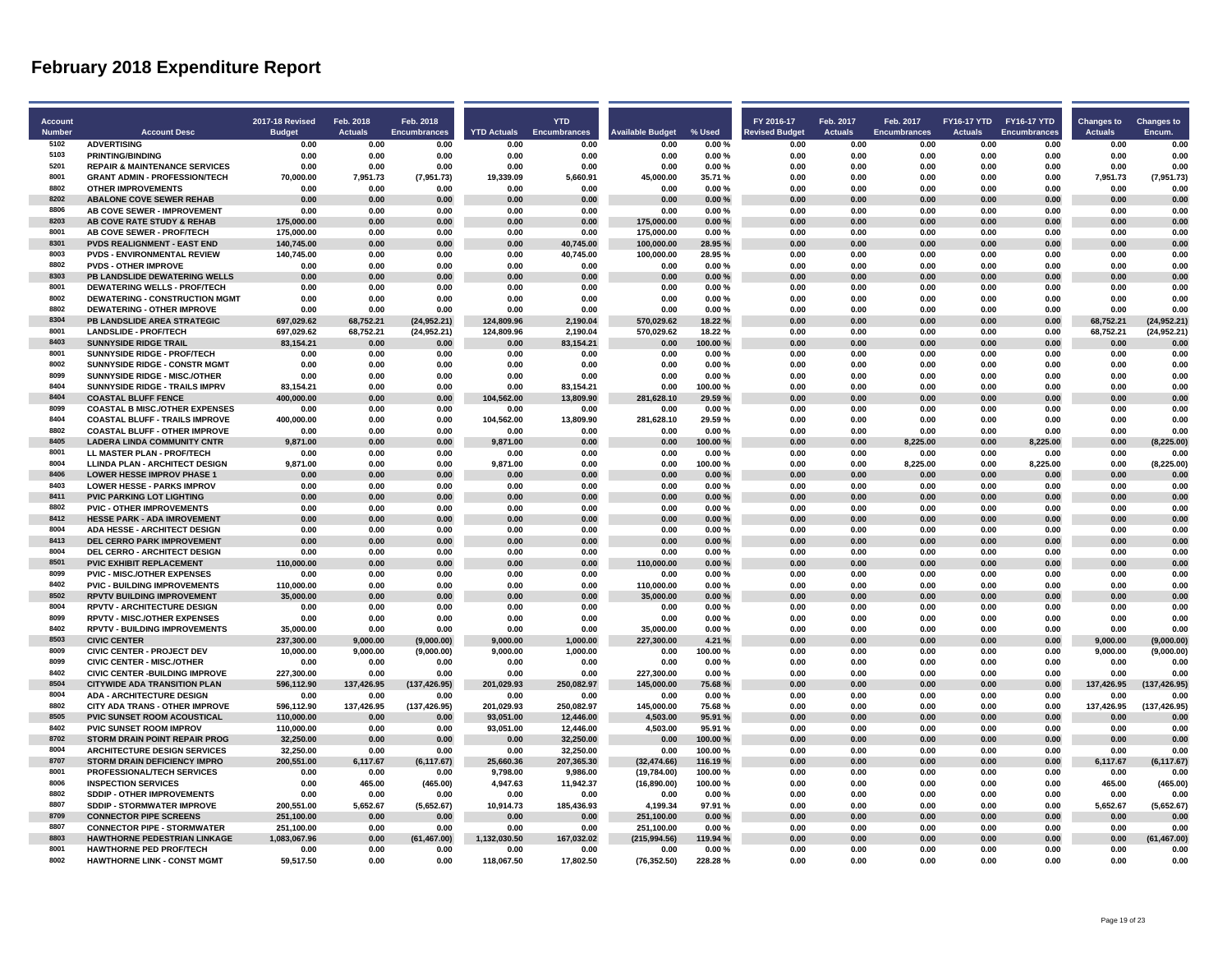| <b>Account</b><br><b>Number</b> | <b>Account Desc</b>                                                      | <b>2017-18 Revised</b><br><b>Budget</b> | Feb. 2018<br><b>Actuals</b> | Feb. 2018<br><b>Encumbrances</b> | <b>YTD Actuals</b>       | <b>YTD</b><br><b>Encumbrances</b> | <b>Available Budget</b>  | % Used             | FY 2016-17<br><b>Revised Budget</b> | Feb. 2017<br><b>Actuals</b> | Feb. 2017<br><b>Encumbrances</b> | FY16-17 YTD FY16-17 YTD<br><b>Actuals</b> | <b>Encumbrances</b> | <b>Changes to</b><br><b>Actuals</b> | <b>Changes to</b><br>Encum. |
|---------------------------------|--------------------------------------------------------------------------|-----------------------------------------|-----------------------------|----------------------------------|--------------------------|-----------------------------------|--------------------------|--------------------|-------------------------------------|-----------------------------|----------------------------------|-------------------------------------------|---------------------|-------------------------------------|-----------------------------|
| 5102                            | <b>ADVERTISING</b>                                                       | 0.00                                    | 0.00                        | 0.00                             | 0.00                     | 0.00                              | 0.00                     | 0.00%              | 0.00                                | 0.00                        | 0.00                             | 0.00                                      | 0.00                | 0.00                                | 0.00                        |
| 5103                            | <b>PRINTING/BINDING</b>                                                  | 0.00                                    | 0.00                        | 0.00                             | 0.00                     | 0.00                              | 0.00                     | 0.00%              | 0.00                                | 0.00                        | 0.00                             | 0.00                                      | 0.00                | 0.00                                | 0.00                        |
| 5201                            | <b>REPAIR &amp; MAINTENANCE SERVICES</b>                                 | 0.00                                    | 0.00                        | 0.00                             | 0.00                     | 0.00                              | 0.00                     | 0.00%              | 0.00                                | 0.00                        | 0.00                             | 0.00                                      | 0.00                | 0.00                                | 0.00                        |
| 8001                            | <b>GRANT ADMIN - PROFESSION/TECH</b>                                     | 70.000.00                               | 7.951.73                    | (7,951.73)                       | 19.339.09                | 5.660.91                          | 45.000.00                | 35.71%             | 0.00                                | 0.00                        | 0.00                             | 0.00                                      | 0.00                | 7.951.73                            | (7.951.73)                  |
| 8802                            | <b>OTHER IMPROVEMENTS</b>                                                | 0.00                                    | 0.00                        | 0.00                             | 0.00                     | 0.00                              | 0.00                     | 0.00%              | 0.00                                | 0.00                        | 0.00                             | 0.00                                      | 0.00                | 0.00                                | 0.00                        |
| 8202                            | <b>ABALONE COVE SEWER REHAB</b>                                          |                                         |                             |                                  | 0.00                     |                                   | 0.00                     |                    | 0.00                                | 0.00                        | 0.00                             | 0.00                                      | 0.00                | 0.00                                | 0.00                        |
| 8806                            | AB COVE SEWER - IMPROVEMENT                                              | 0.00<br>0.00                            | 0.00<br>0.00                | 0.00<br>0.00                     | 0.00                     | 0.00<br>0.00                      | 0.00                     | 0.00%<br>0.00%     | 0.00                                | 0.00                        | 0.00                             | 0.00                                      | 0.00                | 0.00                                | 0.00                        |
| 8203                            | AB COVE RATE STUDY & REHAB                                               | 175.000.00                              | 0.00                        | 0.00                             | 0.00                     | 0.00                              | 175.000.00               | 0.00%              | 0.00                                | 0.00                        | 0.00                             | 0.00                                      | 0.00                | 0.00                                | 0.00                        |
| 8001                            | AB COVE SEWER - PROF/TECH                                                |                                         | 0.00                        | 0.00                             | 0.00                     | 0.00                              |                          | 0.00%              | 0.00                                | 0.00                        | 0.00                             | 0.00                                      | 0.00                | 0.00                                | 0.00                        |
| 8301                            |                                                                          | 175,000.00                              |                             |                                  |                          |                                   | 175,000.00               |                    |                                     |                             |                                  |                                           |                     |                                     |                             |
| 8003                            | <b>PVDS REALIGNMENT - EAST END</b><br><b>PVDS - ENVIRONMENTAL REVIEW</b> | 140,745.00<br>140,745.00                | 0.00<br>0.00                | 0.00<br>0.00                     | 0.00<br>0.00             | 40,745.00<br>40.745.00            | 100,000.00<br>100.000.00 | 28.95 %<br>28.95%  | 0.00<br>0.00                        | 0.00<br>0.00                | 0.00<br>0.00                     | 0.00<br>0.00                              | 0.00<br>0.00        | 0.00<br>0.00                        | 0.00<br>0.00                |
| 8802                            | <b>PVDS - OTHER IMPROVE</b>                                              | 0.00                                    |                             |                                  | 0.00                     |                                   |                          |                    | 0.00                                | 0.00                        | 0.00                             | 0.00                                      | 0.00                | 0.00                                | 0.00                        |
| 8303                            |                                                                          |                                         | 0.00                        | 0.00                             |                          | 0.00                              | 0.00                     | 0.00%              |                                     |                             |                                  |                                           |                     |                                     |                             |
| 8001                            | PB LANDSLIDE DEWATERING WELLS<br><b>DEWATERING WELLS - PROF/TECH</b>     | 0.00<br>0.00                            | 0.00<br>0.00                | 0.00<br>0.00                     | 0.00<br>0.00             | 0.00<br>0.00                      | 0.00<br>0.00             | 0.00%<br>0.00%     | 0.00<br>0.00                        | 0.00<br>0.00                | 0.00<br>0.00                     | 0.00<br>0.00                              | 0.00<br>0.00        | 0.00<br>0.00                        | 0.00<br>0.00                |
| 8002                            | <b>DEWATERING - CONSTRUCTION MGMT</b>                                    | 0.00                                    | 0.00                        | 0.00                             | 0.00                     | 0.00                              | 0.00                     | 0.00%              | 0.00                                | 0.00                        | 0.00                             | 0.00                                      | 0.00                | 0.00                                | 0.00                        |
| 8802                            |                                                                          |                                         |                             |                                  |                          |                                   |                          |                    |                                     |                             |                                  |                                           |                     |                                     |                             |
| 8304                            | <b>DEWATERING - OTHER IMPROVE</b>                                        | 0.00                                    | 0.00                        | 0.00                             | 0.00                     | 0.00                              | 0.00                     | 0.00%              | 0.00                                | 0.00                        | 0.00                             | 0.00                                      | 0.00                | 0.00                                | 0.00                        |
| 8001                            | PB LANDSLIDE AREA STRATEGIC<br><b>LANDSLIDE - PROF/TECH</b>              | 697,029.62<br>697.029.62                | 68,752.21                   | (24,952.21)                      | 124,809.96<br>124.809.96 | 2,190.04<br>2.190.04              | 570,029.62<br>570.029.62 | 18.22%<br>18.22%   | 0.00<br>0.00                        | 0.00<br>0.00                | 0.00<br>0.00                     | 0.00<br>0.00                              | 0.00<br>0.00        | 68,752.21                           | (24, 952.21)                |
| 8403                            |                                                                          |                                         | 68,752.21                   | (24, 952.21)                     |                          |                                   |                          |                    |                                     |                             |                                  |                                           |                     | 68,752.21                           | (24, 952.21)                |
| 8001                            | <b>SUNNYSIDE RIDGE TRAIL</b>                                             | 83,154.21                               | 0.00                        | 0.00                             | 0.00                     | 83,154.21                         | 0.00                     | 100.00%            | 0.00                                | 0.00                        | 0.00                             | 0.00                                      | 0.00                | 0.00                                | 0.00                        |
| 8002                            | SUNNYSIDE RIDGE - PROF/TECH                                              | 0.00                                    | 0.00                        | 0.00                             | 0.00                     | 0.00                              | 0.00                     | 0.00%              | 0.00                                | 0.00                        | 0.00                             | 0.00                                      | 0.00                | 0.00                                | 0.00                        |
| 8099                            | <b>SUNNYSIDE RIDGE - CONSTR MGMT</b>                                     | 0.00<br>0.00                            | 0.00<br>0.00                | 0.00<br>0.00                     | 0.00<br>0.00             | 0.00<br>0.00                      | 0.00<br>0.00             | 0.00%<br>0.00%     | 0.00<br>0.00                        | 0.00<br>0.00                | 0.00<br>0.00                     | 0.00<br>0.00                              | 0.00<br>0.00        | 0.00<br>0.00                        | 0.00<br>0.00                |
| 8404                            | SUNNYSIDE RIDGE - MISC./OTHER                                            |                                         |                             |                                  |                          |                                   |                          |                    |                                     |                             |                                  |                                           |                     |                                     |                             |
| 8404                            | SUNNYSIDE RIDGE - TRAILS IMPRV                                           | 83,154.21                               | 0.00<br>0.00                | 0.00                             | 0.00<br>104.562.00       | 83,154.21                         | 0.00<br>281.628.10       | 100.00%            | 0.00<br>0.00                        | 0.00<br>0.00                | 0.00<br>0.00                     | 0.00<br>0.00                              | 0.00                | 0.00<br>0.00                        | 0.00<br>0.00                |
| 8099                            | <b>COASTAL BLUFF FENCE</b>                                               | 400,000.00                              |                             | 0.00                             |                          | 13,809.90                         |                          | 29.59%             |                                     |                             |                                  |                                           | 0.00                |                                     |                             |
| 8404                            | <b>COASTAL B MISC./OTHER EXPENSES</b>                                    | 0.00                                    | 0.00                        | 0.00                             | 0.00                     | 0.00                              | 0.00                     | 0.00%              | 0.00                                | 0.00                        | 0.00                             | 0.00                                      | 0.00                | 0.00                                | 0.00                        |
| 8802                            | <b>COASTAL BLUFF - TRAILS IMPROVE</b>                                    | 400,000.00                              | 0.00                        | 0.00                             | 104,562.00               | 13,809.90                         | 281,628.10               | 29.59%             | 0.00                                | 0.00                        | 0.00                             | 0.00                                      | 0.00                | 0.00                                | 0.00                        |
| 8405                            | <b>COASTAL BLUFF - OTHER IMPROVE</b>                                     | 0.00                                    | 0.00                        | 0.00                             | 0.00                     | 0.00                              | 0.00                     | 0.00%              | 0.00                                | 0.00                        | 0.00                             | 0.00                                      | 0.00                | 0.00                                | 0.00                        |
| 8001                            | <b>LADERA LINDA COMMUNITY CNTR</b>                                       | 9.871.00                                | 0.00                        | 0.00                             | 9.871.00                 | 0.00                              | 0.00                     | 100.00%            | 0.00                                | 0.00                        | 8.225.00                         | 0.00                                      | 8.225.00            | 0.00                                | (8.225.00)                  |
| 8004                            | LL MASTER PLAN - PROF/TECH                                               | 0.00                                    | 0.00                        | 0.00                             | 0.00                     | 0.00                              | 0.00                     | 0.00%              | 0.00                                | 0.00                        | 0.00                             | 0.00                                      | 0.00                | 0.00                                | 0.00                        |
| 8406                            | <b>LLINDA PLAN - ARCHITECT DESIGN</b>                                    | 9,871.00                                | 0.00                        | 0.00                             | 9,871.00                 | 0.00                              | 0.00                     | 100.00%            | 0.00<br>0.00                        | 0.00<br>0.00                | 8,225.00                         | 0.00                                      | 8,225.00            | 0.00                                | (8, 225.00)<br>0.00         |
| 8403                            | <b>LOWER HESSE IMPROV PHASE 1</b><br><b>LOWER HESSE - PARKS IMPROV</b>   | 0.00<br>0.00                            | 0.00<br>0.00                | 0.00<br>0.00                     | 0.00<br>0.00             | 0.00<br>0.00                      | 0.00<br>0.00             | 0.00%<br>0.00%     | 0.00                                | 0.00                        | 0.00<br>0.00                     | 0.00<br>0.00                              | 0.00<br>0.00        | 0.00<br>0.00                        | 0.00                        |
| 8411                            |                                                                          |                                         |                             |                                  |                          |                                   |                          |                    |                                     |                             |                                  |                                           |                     |                                     |                             |
| 8802                            | <b>PVIC PARKING LOT LIGHTING</b>                                         | 0.00<br>0.00                            | 0.00<br>0.00                | 0.00<br>0.00                     | 0.00<br>0.00             | 0.00                              | 0.00<br>0.00             | $0.00 \%$<br>0.00% | 0.00<br>0.00                        | 0.00<br>0.00                | 0.00<br>0.00                     | 0.00<br>0.00                              | 0.00<br>0.00        | 0.00<br>0.00                        | 0.00<br>0.00                |
| 8412                            | <b>PVIC - OTHER IMPROVEMENTS</b><br><b>HESSE PARK - ADA IMROVEMENT</b>   | 0.00                                    | 0.00                        | 0.00                             | 0.00                     | 0.00<br>0.00                      | 0.00                     |                    | 0.00                                | 0.00                        | 0.00                             | 0.00                                      | 0.00                | 0.00                                | 0.00                        |
| 8004                            |                                                                          | 0.00                                    |                             |                                  | 0.00                     |                                   | 0.00                     | 0.00%              |                                     |                             |                                  |                                           |                     | 0.00                                |                             |
| 8413                            | ADA HESSE - ARCHITECT DESIGN                                             |                                         | 0.00                        | 0.00                             |                          | 0.00                              |                          | 0.00%              | 0.00                                | 0.00                        | 0.00                             | 0.00                                      | 0.00                |                                     | 0.00                        |
| 8004                            | <b>DEL CERRO PARK IMPROVEMENT</b><br><b>DEL CERRO - ARCHITECT DESIGN</b> | 0.00<br>0.00                            | 0.00<br>0.00                | 0.00<br>0.00                     | 0.00<br>0.00             | 0.00<br>0.00                      | 0.00<br>0.00             | 0.00%<br>0.00%     | 0.00<br>0.00                        | 0.00<br>0.00                | 0.00<br>0.00                     | 0.00<br>0.00                              | 0.00<br>0.00        | 0.00<br>0.00                        | 0.00<br>0.00                |
| 8501                            | PVIC EXHIBIT REPLACEMENT                                                 | 110,000.00                              | 0.00                        | 0.00                             | 0.00                     | 0.00                              | 110,000.00               | 0.00%              | 0.00                                | 0.00                        | 0.00                             | 0.00                                      | 0.00                | 0.00                                | 0.00                        |
| 8099                            | <b>PVIC - MISC./OTHER EXPENSES</b>                                       | 0.00                                    | 0.00                        | 0.00                             | 0.00                     | 0.00                              | 0.00                     | 0.00%              | 0.00                                | 0.00                        | 0.00                             | 0.00                                      | 0.00                | 0.00                                | 0.00                        |
| 8402                            | <b>PVIC - BUILDING IMPROVEMENTS</b>                                      | 110,000.00                              | 0.00                        | 0.00                             | 0.00                     | 0.00                              | 110.000.00               | 0.00%              | 0.00                                | 0.00                        | 0.00                             | 0.00                                      | 0.00                | 0.00                                | 0.00                        |
| 8502                            | <b>RPVTV BUILDING IMPROVEMENT</b>                                        | 35.000.00                               | 0.00                        | 0.00                             | 0.00                     | 0.00                              | 35.000.00                | $0.00 \%$          | 0.00                                | 0.00                        | 0.00                             | 0.00                                      | 0.00                | 0.00                                | 0.00                        |
| 8004                            | <b>RPVTV - ARCHITECTURE DESIGN</b>                                       | 0.00                                    | 0.00                        | 0.00                             | 0.00                     | 0.00                              | 0.00                     | 0.00%              | 0.00                                | 0.00                        | 0.00                             | 0.00                                      | 0.00                | 0.00                                | 0.00                        |
| 8099                            | <b>RPVTV - MISC./OTHER EXPENSES</b>                                      | 0.00                                    | 0.00                        | 0.00                             | 0.00                     | 0.00                              | 0.00                     | 0.00%              | 0.00                                | 0.00                        | 0.00                             | 0.00                                      | 0.00                | 0.00                                | 0.00                        |
| 8402                            | <b>RPVTV - BUILDING IMPROVEMENTS</b>                                     | 35.000.00                               | 0.00                        | 0.00                             | 0.00                     | 0.00                              | 35.000.00                | 0.00%              | 0.00                                | 0.00                        | 0.00                             | 0.00                                      | 0.00                | 0.00                                | 0.00                        |
| 8503                            | <b>CIVIC CENTER</b>                                                      | 237,300.00                              | 9,000.00                    | (9,000.00)                       | 9.000.00                 | 1,000.00                          | 227,300.00               | 4.21%              | 0.00                                | 0.00                        | 0.00                             | 0.00                                      | 0.00                | 9,000.00                            | (9,000.00)                  |
| 8009                            | <b>CIVIC CENTER - PROJECT DEV</b>                                        | 10,000.00                               | 9,000.00                    | (9,000.00)                       | 9,000.00                 | 1,000.00                          | 0.00                     | 100.00%            | 0.00                                | 0.00                        | 0.00                             | 0.00                                      | 0.00                | 9,000.00                            | (9,000.00)                  |
| 8099                            | <b>CIVIC CENTER - MISC./OTHER</b>                                        | 0.00                                    | 0.00                        | 0.00                             | 0.00                     | 0.00                              | 0.00                     | 0.00%              | 0.00                                | 0.00                        | 0.00                             | 0.00                                      | 0.00                | 0.00                                | 0.00                        |
| 8402                            | <b>CIVIC CENTER - BUILDING IMPROVE</b>                                   | 227.300.00                              | 0.00                        | 0.00                             | 0.00                     | 0.00                              | 227.300.00               | 0.00%              | 0.00                                | 0.00                        | 0.00                             | 0.00                                      | 0.00                | 0.00                                | 0.00                        |
| 8504                            | <b>CITYWIDE ADA TRANSITION PLAN</b>                                      | 596,112.90                              | 137,426.95                  | (137, 426.95)                    | 201,029.93               | 250,082.97                        | 145,000.00               | 75.68%             | 0.00                                | 0.00                        | 0.00                             | 0.00                                      | 0.00                | 137,426.95                          | (137, 426.95)               |
| 8004                            | <b>ADA - ARCHITECTURE DESIGN</b>                                         | 0.00                                    | 0.00                        | 0.00                             | 0.00                     | 0.00                              | 0.00                     | 0.00%              | 0.00                                | 0.00                        | 0.00                             | 0.00                                      | 0.00                | 0.00                                | 0.00                        |
| 8802                            | CITY ADA TRANS - OTHER IMPROVE                                           | 596,112.90                              | 137,426.95                  | (137, 426.95)                    | 201,029.93               | 250,082.97                        | 145.000.00               | 75.68%             | 0.00                                | 0.00                        | 0.00                             | 0.00                                      | 0.00                | 137.426.95                          | (137.426.95)                |
| 8505                            | PVIC SUNSET ROOM ACOUSTICAL                                              | 110,000.00                              | 0.00                        | 0.00                             | 93,051.00                | 12,446.00                         | 4,503.00                 | 95.91%             | 0.00                                | 0.00                        | 0.00                             | 0.00                                      | 0.00                | 0.00                                | 0.00                        |
| 8402                            | PVIC SUNSET ROOM IMPROV                                                  | 110,000.00                              | 0.00                        | 0.00                             | 93,051.00                | 12,446.00                         | 4,503.00                 | 95.91%             | 0.00                                | 0.00                        | 0.00                             | 0.00                                      | 0.00                | 0.00                                | 0.00                        |
| 8702                            | STORM DRAIN POINT REPAIR PROG                                            | 32,250.00                               | 0.00                        | 0.00                             | 0.00                     | 32,250.00                         | 0.00                     | 100.00%            | 0.00                                | 0.00                        | 0.00                             | 0.00                                      | 0.00                | 0.00                                | 0.00                        |
| 8004                            | <b>ARCHITECTURE DESIGN SERVICES</b>                                      | 32,250.00                               | 0.00                        | 0.00                             | 0.00                     | 32,250.00                         | 0.00                     | 100.00%            | 0.00                                | 0.00                        | 0.00                             | 0.00                                      | 0.00                | 0.00                                | 0.00                        |
| 8707                            | STORM DRAIN DEFICIENCY IMPRO                                             | 200,551.00                              | 6,117.67                    | (6, 117.67)                      | 25,660.36                | 207,365.30                        | (32, 474.66)             | 116.19 %           | 0.00                                | 0.00                        | 0.00                             | 0.00                                      | 0.00                | 6,117.67                            | (6, 117.67)                 |
| 8001                            | PROFESSIONAL/TECH SERVICES                                               | 0.00                                    | 0.00                        | 0.00                             | 9,798.00                 | 9,986.00                          | (19,784.00)              | 100.00%            | 0.00                                | 0.00                        | 0.00                             | 0.00                                      | 0.00                | 0.00                                | 0.00                        |
| 8006                            | <b>INSPECTION SERVICES</b>                                               | 0.00                                    | 465.00                      | (465.00)                         | 4,947.63                 | 11,942.37                         | (16, 890.00)             | 100.00%            | 0.00                                | 0.00                        | 0.00                             | 0.00                                      | 0.00                | 465.00                              | (465.00)                    |
| 8802                            | <b>SDDIP - OTHER IMPROVEMENTS</b>                                        | 0.00                                    | 0.00                        | 0.00                             | 0.00                     | 0.00                              | 0.00                     | 0.00%              | 0.00                                | 0.00                        | 0.00                             | 0.00                                      | 0.00                | 0.00                                | 0.00                        |
| 8807                            | SDDIP - STORMWATER IMPROVE                                               | 200.551.00                              | 5,652.67                    | (5,652.67)                       | 10.914.73                | 185,436.93                        | 4,199.34                 | 97.91%             | 0.00                                | 0.00                        | 0.00                             | 0.00                                      | 0.00                | 5.652.67                            | (5.652.67)                  |
| 8709                            | <b>CONNECTOR PIPE SCREENS</b>                                            | 251.100.00                              | 0.00                        | 0.00                             | 0.00                     | 0.00                              | 251.100.00               | 0.00%              | 0.00                                | 0.00                        | 0.00                             | 0.00                                      | 0.00                | 0.00                                | 0.00                        |
| 8807                            | <b>CONNECTOR PIPE - STORMWATER</b>                                       | 251,100.00                              | 0.00                        | 0.00                             | 0.00                     | 0.00                              | 251,100.00               | 0.00%              | 0.00                                | 0.00                        | 0.00                             | 0.00                                      | 0.00                | 0.00                                | 0.00                        |
| 8803                            | <b>HAWTHORNE PEDESTRIAN LINKAGE</b>                                      | 1,083,067.96                            | 0.00                        | (61, 467.00)                     | 1,132,030.50             | 167,032.02                        | (215, 994.56)            | 119.94 %           | 0.00                                | 0.00                        | 0.00                             | 0.00                                      | 0.00                | $0.00\,$                            | (61, 467.00)                |
| 8001                            | <b>HAWTHORNE PED PROF/TECH</b>                                           | 0.00                                    | 0.00                        | 0.00                             | 0.00                     | 0.00                              | 0.00                     | 0.00%              | 0.00                                | 0.00                        | 0.00                             | 0.00                                      | 0.00                | 0.00                                | 0.00                        |
| 8002                            | <b>HAWTHORNE LINK - CONST MGMT</b>                                       | 59.517.50                               | 0.00                        | 0.00                             | 118.067.50               | 17.802.50                         | (76, 352.50)             | 228.28%            | 0.00                                | 0.00                        | 0.00                             | 0.00                                      | 0.00                | 0.00                                | 0.00                        |
|                                 |                                                                          |                                         |                             |                                  |                          |                                   |                          |                    |                                     |                             |                                  |                                           |                     |                                     |                             |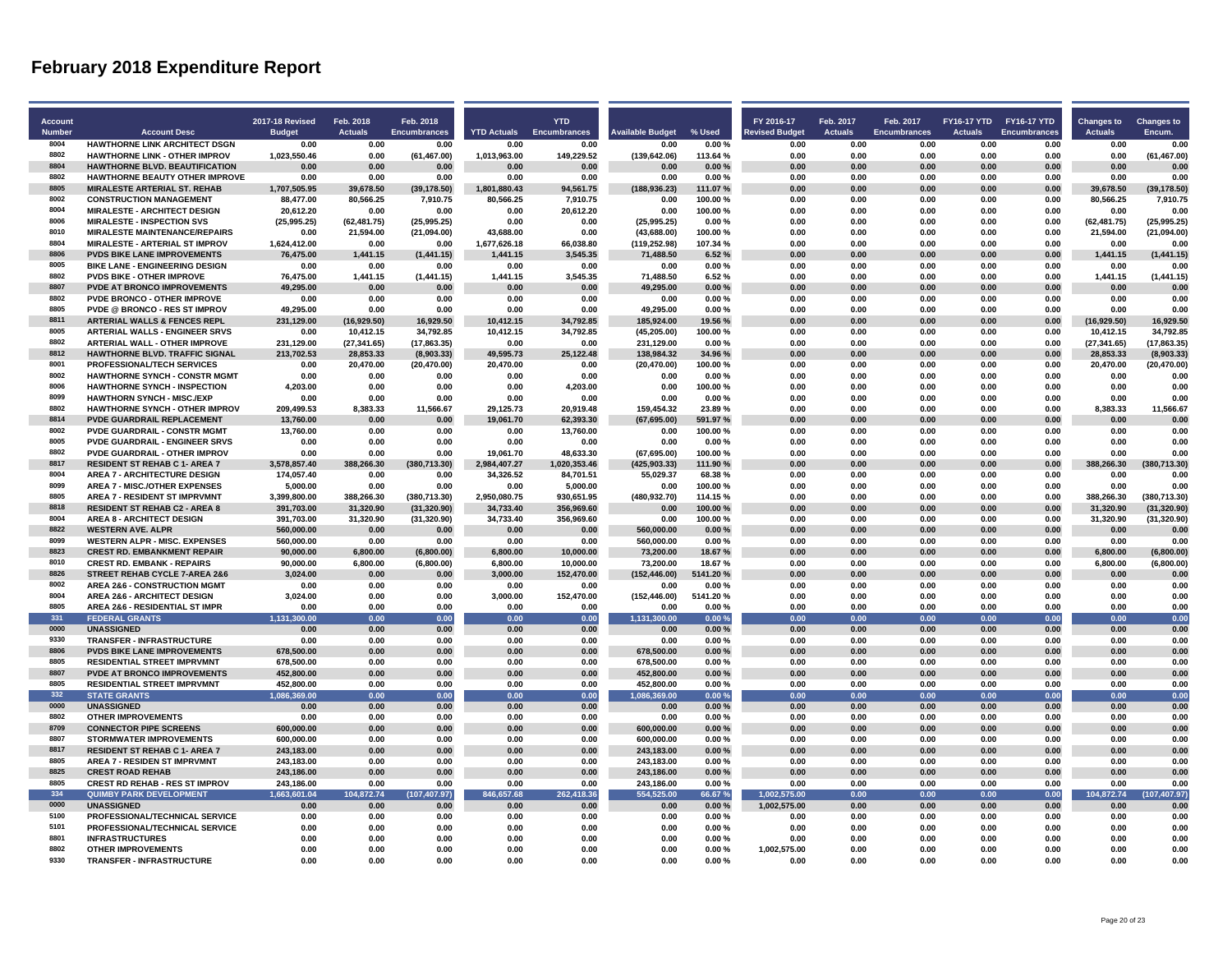Ť

| Account       |                                                                          | <b>2017-18 Revised</b>     | Feb. 2018              | Feb. 2018                    |                        | <b>YTD</b>               |                          |                    | FY 2016-17           | Feb. 2017      | Feb. 2017           |                | FY16-17 YTD FY16-17 YTD | <b>Changes to</b>       | <b>Changes to</b>            |
|---------------|--------------------------------------------------------------------------|----------------------------|------------------------|------------------------------|------------------------|--------------------------|--------------------------|--------------------|----------------------|----------------|---------------------|----------------|-------------------------|-------------------------|------------------------------|
| <b>Number</b> | <b>Account Desc</b>                                                      | <b>Budget</b>              | <b>Actuals</b>         | <b>Encumbrances</b>          | <b>YTD Actuals</b>     | <b>Encumbrances</b>      | <b>Available Budget</b>  | % Used             | evised Budget        | <b>Actuals</b> | <b>Encumbrances</b> | <b>Actuals</b> | <b>Encumbrances</b>     | <b>Actuals</b>          | Encum.                       |
| 8004          | HAWTHORNE LINK ARCHITECT DSGN                                            | 0.00                       | 0.00                   | 0.00                         | 0.00                   | 0.00                     | 0.00                     | 0.00%              | 0.00                 | 0.00           | 0.00                | 0.00           | 0.00                    | 0.00                    | 0.00                         |
| 8802          | <b>HAWTHORNE LINK - OTHER IMPROV</b>                                     | 1,023,550.46               | 0.00                   | (61, 467.00)                 | 1,013,963.00           | 149,229.52               | (139, 642.06)            | 113.64%            | 0.00                 | 0.00           | 0.00                | 0.00           | 0.00                    | 0.00                    | (61, 467.00)                 |
| 8804          | <b>HAWTHORNE BLVD. BEAUTIFICATION</b>                                    | 0.00                       | 0.00                   | 0.00                         | 0.00                   | 0.00                     | 0.00                     | 0.00%              | 0.00                 | 0.00           | 0.00                | 0.00           | 0.00                    | 0.00                    | 0.00                         |
| 8802          | <b>HAWTHORNE BEAUTY OTHER IMPROVE</b>                                    | 0.00                       | 0.00                   | 0.00                         | 0.00                   | 0.00                     | 0.00                     | 0.00%              | 0.00                 | 0.00           | 0.00                | 0.00           | 0.00                    | 0.00                    | 0.00                         |
| 8805          | <b>MIRALESTE ARTERIAL ST. REHAB</b>                                      | 1,707,505.95               | 39,678.50              | (39, 178.50)                 | 1,801,880.43           | 94,561.75                | (188, 936.23)            | 111.07%            | 0.00                 | 0.00           | 0.00                | 0.00           | 0.00                    | 39.678.50               | (39, 178.50)                 |
| 8002          | <b>CONSTRUCTION MANAGEMENT</b>                                           | 88,477.00                  | 80,566.25              | 7,910.75                     | 80,566.25              | 7,910.75                 | 0.00                     | 100.00%            | 0.00                 | 0.00           | 0.00                | 0.00           | 0.00                    | 80,566.25               | 7,910.75                     |
| 8004<br>8006  | <b>MIRALESTE - ARCHITECT DESIGN</b><br><b>MIRALESTE - INSPECTION SVS</b> | 20,612.20<br>(25, 995.25)  | 0.00<br>(62, 481.75)   | 0.00                         | 0.00<br>0.00           | 20,612.20<br>0.00        | 0.00<br>(25, 995.25)     | 100.00%<br>0.00%   | 0.00<br>0.00         | 0.00<br>0.00   | 0.00<br>0.00        | 0.00<br>0.00   | 0.00<br>0.00            | 0.00<br>(62, 481.75)    | 0.00<br>(25, 995.25)         |
| 8010          | <b>MIRALESTE MAINTENANCE/REPAIRS</b>                                     | 0.00                       | 21,594.00              | (25,995.25)                  | 43,688.00              | 0.00                     | (43,688.00)              |                    | 0.00                 | 0.00           | 0.00                | 0.00           | 0.00                    | 21,594.00               | (21, 094.00)                 |
| 8804          | <b>MIRALESTE - ARTERIAL ST IMPROV</b>                                    | 1,624,412.00               | 0.00                   | (21,094.00)<br>0.00          | 1,677,626.18           | 66,038.80                | (119, 252.98)            | 100.00%<br>107.34% | 0.00                 | 0.00           | 0.00                | 0.00           | 0.00                    | 0.00                    | 0.00                         |
| 8806          | <b>PVDS BIKE LANE IMPROVEMENTS</b>                                       | 76,475.00                  | 1,441.15               | (1,441.15)                   | 1,441.15               | 3,545.35                 | 71,488.50                | 6.52%              | 0.00                 | 0.00           | 0.00                | 0.00           | 0.00                    | 1,441.15                | (1,441.15)                   |
| 8005          | <b>BIKE LANE - ENGINEERING DESIGN</b>                                    | 0.00                       | 0.00                   | 0.00                         | 0.00                   | 0.00                     | 0.00                     | 0.00%              | 0.00                 | 0.00           | 0.00                | 0.00           | 0.00                    | 0.00                    | 0.00                         |
| 8802          | <b>PVDS BIKE - OTHER IMPROVE</b>                                         | 76,475.00                  | 1,441.15               | (1,441.15)                   | 1,441.15               | 3,545.35                 | 71,488.50                | 6.52%              | 0.00                 | 0.00           | 0.00                | 0.00           | 0.00                    | 1,441.15                | (1,441.15)                   |
| 8807          | <b>PVDE AT BRONCO IMPROVEMENTS</b>                                       | 49,295.00                  | 0.00                   | 0.00                         | 0.00                   | 0.00                     | 49,295.00                | 0.00%              | 0.00                 | 0.00           | 0.00                | 0.00           | 0.00                    | 0.00                    | 0.00                         |
| 8802          | PVDE BRONCO - OTHER IMPROVE                                              | 0.00                       | 0.00                   | 0.00                         | 0.00                   | 0.00                     | 0.00                     | 0.00%              | 0.00                 | 0.00           | 0.00                | 0.00           | 0.00                    | 0.00                    | 0.00                         |
| 8805          | <b>PVDE @ BRONCO - RES ST IMPROV</b>                                     | 49,295.00                  | 0.00                   | 0.00                         | 0.00                   | 0.00                     | 49,295.00                | 0.00%              | 0.00                 | 0.00           | 0.00                | 0.00           | 0.00                    | 0.00                    | 0.00                         |
| 8811          | <b>ARTERIAL WALLS &amp; FENCES REPL</b>                                  | 231,129.00                 | (16,929.50)            | 16,929.50                    | 10,412.15              | 34,792.85                | 185,924.00               | 19.56 %            | 0.00                 | 0.00           | 0.00                | 0.00           | 0.00                    | (16,929.50)             | 16,929.50                    |
| 8005          | <b>ARTERIAL WALLS - ENGINEER SRVS</b>                                    | 0.00                       | 10,412.15              | 34,792.85                    | 10,412.15              | 34,792.85                | (45, 205.00)             | 100.00%            | 0.00                 | 0.00           | 0.00                | 0.00           | 0.00                    | 10,412.15               | 34,792.85                    |
| 8802          | <b>ARTERIAL WALL - OTHER IMPROVE</b>                                     | 231,129.00                 | (27, 341.65)           | (17, 863.35)                 | 0.00                   | 0.00                     | 231,129.00               | 0.00%              | 0.00                 | 0.00           | 0.00                | 0.00           | 0.00                    | (27, 341.65)            | (17, 863.35)                 |
| 8812<br>8001  | HAWTHORNE BLVD. TRAFFIC SIGNAL<br><b>PROFESSIONAL/TECH SERVICES</b>      | 213,702.53                 | 28,853.33              | (8,903.33)                   | 49,595.73              | 25,122.48<br>0.00        | 138,984.32               | 34.96 %            | 0.00<br>0.00         | 0.00<br>0.00   | 0.00<br>0.00        | 0.00<br>0.00   | 0.00<br>0.00            | 28,853.33               | (8,903.33)<br>(20, 470.00)   |
| 8002          | <b>HAWTHORNE SYNCH - CONSTR MGMT</b>                                     | 0.00<br>0.00               | 20,470.00<br>0.00      | (20, 470.00)<br>0.00         | 20,470.00<br>0.00      | 0.00                     | (20, 470.00)<br>0.00     | 100.00%<br>0.00%   | 0.00                 | 0.00           | 0.00                | 0.00           | 0.00                    | 20,470.00<br>0.00       | 0.00                         |
| 8006          | <b>HAWTHORNE SYNCH - INSPECTION</b>                                      | 4,203.00                   | 0.00                   | 0.00                         | 0.00                   | 4,203.00                 | 0.00                     | 100.00%            | 0.00                 | 0.00           | 0.00                | 0.00           | 0.00                    | 0.00                    | 0.00                         |
| 8099          | <b>HAWTHORN SYNCH - MISC./EXP</b>                                        | 0.00                       | 0.00                   | 0.00                         | 0.00                   | 0.00                     | 0.00                     | 0.00%              | 0.00                 | 0.00           | 0.00                | 0.00           | 0.00                    | 0.00                    | 0.00                         |
| 8802          | <b>HAWTHORNE SYNCH - OTHER IMPROV</b>                                    | 209,499.53                 | 8,383.33               | 11,566.67                    | 29,125.73              | 20,919.48                | 159,454.32               | 23.89%             | 0.00                 | 0.00           | 0.00                | 0.00           | 0.00                    | 8,383.33                | 11,566.67                    |
| 8814          | <b>PVDE GUARDRAIL REPLACEMENT</b>                                        | 13.760.00                  | 0.00                   | 0.00                         | 19.061.70              | 62,393.30                | (67, 695.00)             | 591.97%            | 0.00                 | 0.00           | 0.00                | 0.00           | 0.00                    | 0.00                    | 0.00                         |
| 8002          | <b>PVDE GUARDRAIL - CONSTR MGMT</b>                                      | 13,760.00                  | 0.00                   | 0.00                         | 0.00                   | 13,760.00                | 0.00                     | 100.00%            | 0.00                 | 0.00           | 0.00                | 0.00           | 0.00                    | 0.00                    | 0.00                         |
| 8005          | PVDE GUARDRAIL - ENGINEER SRVS                                           | 0.00                       | 0.00                   | 0.00                         | 0.00                   | 0.00                     | 0.00                     | 0.00%              | 0.00                 | 0.00           | 0.00                | 0.00           | 0.00                    | 0.00                    | 0.00                         |
| 8802          | <b>PVDE GUARDRAIL - OTHER IMPROV</b>                                     | 0.00                       | 0.00                   | 0.00                         | 19.061.70              | 48,633.30                | (67.695.00)              | 100.00%            | 0.00                 | 0.00           | 0.00                | 0.00           | 0.00                    | 0.00                    | 0.00                         |
| 8817          | <b>RESIDENT ST REHAB C 1- AREA 7</b>                                     | 3,578,857.40               | 388,266.30             | (380, 713.30)                | 2,984,407.27           | 1,020,353.46             | (425, 903.33)            | 111.90%            | 0.00                 | 0.00           | 0.00                | 0.00           | 0.00                    | 388,266.30              | (380, 713.30)                |
| 8004          | <b>AREA 7 - ARCHITECTURE DESIGN</b>                                      | 174,057.40                 | 0.00                   | 0.00                         | 34,326.52              | 84,701.51                | 55,029.37                | 68.38%             | 0.00                 | 0.00           | 0.00                | 0.00           | 0.00                    | 0.00                    | 0.00                         |
| 8099<br>8805  | <b>AREA 7 - MISC./OTHER EXPENSES</b>                                     | 5,000.00                   | 0.00                   | 0.00                         | 0.00                   | 5,000.00                 | 0.00                     | 100.00%            | 0.00                 | 0.00           | 0.00                | 0.00           | 0.00                    | 0.00                    | 0.00                         |
| 8818          | <b>AREA 7 - RESIDENT ST IMPRVMNT</b>                                     | 3,399,800.00<br>391,703.00 | 388,266.30             | (380, 713.30)                | 2,950,080.75           | 930,651.95               | (480, 932.70)            | 114.15%<br>100.00% | 0.00<br>0.00         | 0.00<br>0.00   | 0.00<br>0.00        | 0.00<br>0.00   | 0.00                    | 388,266.30<br>31,320.90 | (380, 713.30)                |
| 8004          | <b>RESIDENT ST REHAB C2 - AREA 8</b><br><b>AREA 8 - ARCHITECT DESIGN</b> | 391,703.00                 | 31,320.90<br>31,320.90 | (31, 320.90)<br>(31, 320.90) | 34,733.40<br>34,733.40 | 356,969.60<br>356,969.60 | 0.00<br>0.00             | 100.00%            | 0.00                 | 0.00           | 0.00                | 0.00           | 0.00<br>0.00            | 31,320.90               | (31, 320.90)<br>(31, 320.90) |
| 8822          | <b>WESTERN AVE. ALPR</b>                                                 | 560,000.00                 | 0.00                   | 0.00                         | 0.00                   | 0.00                     | 560,000.00               | 0.00%              | 0.00                 | 0.00           | 0.00                | 0.00           | 0.00                    | 0.00                    | 0.00                         |
| 8099          | <b>WESTERN ALPR - MISC. EXPENSES</b>                                     | 560,000.00                 | 0.00                   | 0.00                         | 0.00                   | 0.00                     | 560,000.00               | 0.00%              | 0.00                 | 0.00           | 0.00                | 0.00           | 0.00                    | 0.00                    | 0.00                         |
| 8823          | <b>CREST RD. EMBANKMENT REPAIR</b>                                       | 90,000.00                  | 6,800.00               | (6,800.00)                   | 6,800.00               | 10,000.00                | 73,200.00                | 18.67%             | 0.00                 | 0.00           | 0.00                | 0.00           | 0.00                    | 6,800.00                | (6,800.00)                   |
| 8010          | <b>CREST RD. EMBANK - REPAIRS</b>                                        | 90,000.00                  | 6,800.00               | (6,800.00)                   | 6,800.00               | 10,000.00                | 73,200.00                | 18.67%             | 0.00                 | 0.00           | 0.00                | 0.00           | 0.00                    | 6,800.00                | (6,800.00)                   |
| 8826          | STREET REHAB CYCLE 7-AREA 2&6                                            | 3.024.00                   | 0.00                   | 0.00                         | 3.000.00               | 152.470.00               | (152.446.00)             | 5141.20%           | 0.00                 | 0.00           | 0.00                | 0.00           | 0.00                    | 0.00                    | 0.00                         |
| 8002          | <b>AREA 2&amp;6 - CONSTRUCTION MGMT</b>                                  | 0.00                       | 0.00                   | 0.00                         | 0.00                   | 0.00                     | 0.00                     | 0.00%              | 0.00                 | 0.00           | 0.00                | 0.00           | 0.00                    | 0.00                    | 0.00                         |
| 8004          | <b>AREA 2&amp;6 - ARCHITECT DESIGN</b>                                   | 3,024.00                   | 0.00                   | 0.00                         | 3,000.00               | 152,470.00               | (152, 446.00)            | 5141.20%           | 0.00                 | 0.00           | 0.00                | 0.00           | 0.00                    | 0.00                    | 0.00                         |
| 8805          | AREA 2&6 - RESIDENTIAL ST IMPR                                           | 0.00                       | 0.00                   | 0.00                         | 0.00                   | 0.00                     | 0.00                     | 0.00%              | 0.00                 | 0.00           | 0.00                | 0.00           | 0.00                    | 0.00                    | 0.00                         |
| 331<br>0000   | <b>FEDERAL GRANTS</b>                                                    | 1,131,300.00               | 0.00                   | 0.00                         | 0.00                   | 0.00                     | 1,131,300.00             | 0.00%              | 0.00                 | 0.00           | 0.00                | 0.00           | 0.00                    | 0.00                    | 0.00                         |
| 9330          | <b>UNASSIGNED</b>                                                        | 0.00                       | 0.00                   | 0.00                         | 0.00                   | 0.00                     | 0.00                     | 0.00%              | 0.00                 | 0.00           | 0.00                | 0.00           | 0.00                    | 0.00                    | 0.00                         |
| 8806          | <b>TRANSFER - INFRASTRUCTURE</b><br><b>PVDS BIKE LANE IMPROVEMENTS</b>   | 0.00<br>678.500.00         | 0.00<br>0.00           | 0.00<br>0.00                 | 0.00<br>0.00           | 0.00<br>0.00             | 0.00<br>678,500.00       | 0.00%<br>$0.00 \%$ | 0.00<br>0.00         | 0.00<br>0.00   | 0.00<br>0.00        | 0.00<br>0.00   | 0.00<br>0.00            | 0.00<br>0.00            | 0.00<br>0.00                 |
| 8805          | <b>RESIDENTIAL STREET IMPRVMNT</b>                                       | 678,500.00                 | 0.00                   | 0.00                         | 0.00                   | 0.00                     | 678,500.00               | 0.00%              | 0.00                 | 0.00           | 0.00                | 0.00           | 0.00                    | 0.00                    | 0.00                         |
| 8807          | <b>PVDE AT BRONCO IMPROVEMENTS</b>                                       | 452,800.00                 | 0.00                   | 0.00                         | 0.00                   | 0.00                     | 452,800.00               | 0.00%              | 0.00                 | 0.00           | 0.00                | 0.00           | 0.00                    | 0.00                    | 0.00                         |
| 8805          | <b>RESIDENTIAL STREET IMPRVMNT</b>                                       | 452,800.00                 | 0.00                   | 0.00                         | 0.00                   | 0.00                     | 452,800.00               | 0.00%              | 0.00                 | 0.00           | 0.00                | 0.00           | 0.00                    | 0.00                    | 0.00                         |
| 332           | <b>STATE GRANTS</b>                                                      | 1.086.369.00               | 0.00                   | 0.00                         | 0.00                   | 0.00                     | 1.086.369.00             | 0.00%              | 0.00                 | 0.00           | 0.00                | 0.00           | 0.00                    | 0.00                    | 0.00                         |
| 0000          | <b>UNASSIGNED</b>                                                        | 0.00                       | 0.00                   | 0.00                         | 0.00                   | 0.00                     | 0.00                     | 0.00%              | 0.00                 | 0.00           | 0.00                | 0.00           | 0.00                    | 0.00                    | 0.00                         |
| 8802          | <b>OTHER IMPROVEMENTS</b>                                                | 0.00                       | 0.00                   | 0.00                         | 0.00                   | 0.00                     | 0.00                     | 0.00%              | 0.00                 | 0.00           | 0.00                | 0.00           | 0.00                    | 0.00                    | 0.00                         |
| 8709          | <b>CONNECTOR PIPE SCREENS</b>                                            | 600,000.00                 | 0.00                   | 0.00                         | 0.00                   | 0.00                     | 600,000.00               | 0.00%              | 0.00                 | 0.00           | 0.00                | 0.00           | 0.00                    | 0.00                    | 0.00                         |
| 8807          | <b>STORMWATER IMPROVEMENTS</b>                                           | 600,000.00                 | 0.00                   | 0.00                         | 0.00                   | 0.00                     | 600,000.00               | 0.00%              | 0.00                 | 0.00           | 0.00                | 0.00           | 0.00                    | 0.00                    | 0.00                         |
| 8817          | <b>RESIDENT ST REHAB C 1- AREA 7</b>                                     | 243,183.00                 | 0.00                   | 0.00                         | 0.00                   | 0.00                     | 243,183.00               | 0.00%              | 0.00                 | 0.00           | 0.00                | 0.00           | 0.00                    | 0.00                    | 0.00                         |
| 8805          | <b>AREA 7 - RESIDEN ST IMPRVMNT</b>                                      | 243,183.00                 | 0.00                   | 0.00                         | 0.00                   | 0.00                     | 243,183.00               | 0.00%              | 0.00                 | 0.00           | 0.00                | 0.00           | 0.00                    | 0.00                    | 0.00                         |
| 8825<br>8805  | <b>CREST ROAD REHAB</b>                                                  | 243,186.00                 | 0.00                   | 0.00                         | 0.00                   | 0.00                     | 243,186.00               | 0.00%              | 0.00                 | 0.00           | 0.00                | 0.00           | 0.00                    | 0.00                    | 0.00                         |
| 334           | <b>CREST RD REHAB - RES ST IMPROV</b><br><b>QUIMBY PARK DEVELOPMENT</b>  | 243,186.00<br>1.663.601.04 | 0.00<br>104.872.74     | 0.00                         | 0.00<br>846.657.68     | 0.00<br>262,418.36       | 243,186.00<br>554.525.00 | 0.00%<br>66.67%    | 0.00<br>1,002,575.00 | 0.00<br>0.00   | 0.00<br>0.00        | 0.00<br>0.00   | 0.00<br>0.00            | 0.00<br>104,872.74      | 0.00                         |
| 0000          | <b>UNASSIGNED</b>                                                        | 0.00                       | 0.00                   | (107, 407.97)<br>0.00        | 0.00                   | 0.00                     | 0.00                     | 0.00%              | 1,002,575.00         | 0.00           | 0.00                | 0.00           | 0.00                    | 0.00                    | (107, 407.97)<br>0.00        |
| 5100          | PROFESSIONAL/TECHNICAL SERVICE                                           | 0.00                       | 0.00                   | 0.00                         | 0.00                   | 0.00                     | 0.00                     | 0.00%              | 0.00                 | 0.00           | 0.00                | 0.00           | 0.00                    | 0.00                    | 0.00                         |
| 5101          | PROFESSIONAL/TECHNICAL SERVICE                                           | 0.00                       | 0.00                   | 0.00                         | 0.00                   | 0.00                     | 0.00                     | 0.00%              | 0.00                 | 0.00           | 0.00                | 0.00           | 0.00                    | 0.00                    | 0.00                         |
| 8801          | <b>INFRASTRUCTURES</b>                                                   | 0.00                       | 0.00                   | 0.00                         | 0.00                   | 0.00                     | 0.00                     | 0.00%              | 0.00                 | 0.00           | 0.00                | 0.00           | 0.00                    | 0.00                    | 0.00                         |
| 8802          | <b>OTHER IMPROVEMENTS</b>                                                | 0.00                       | 0.00                   | 0.00                         | 0.00                   | 0.00                     | 0.00                     | 0.00%              | 1,002,575.00         | 0.00           | 0.00                | 0.00           | 0.00                    | 0.00                    | 0.00                         |
| 9330          | <b>TRANSFER - INFRASTRUCTURE</b>                                         | 0.00                       | 0.00                   | 0.00                         | 0.00                   | 0.00                     | 0.00                     | 0.00%              | 0.00                 | 0.00           | 0.00                | 0.00           | 0.00                    | 0.00                    | 0.00                         |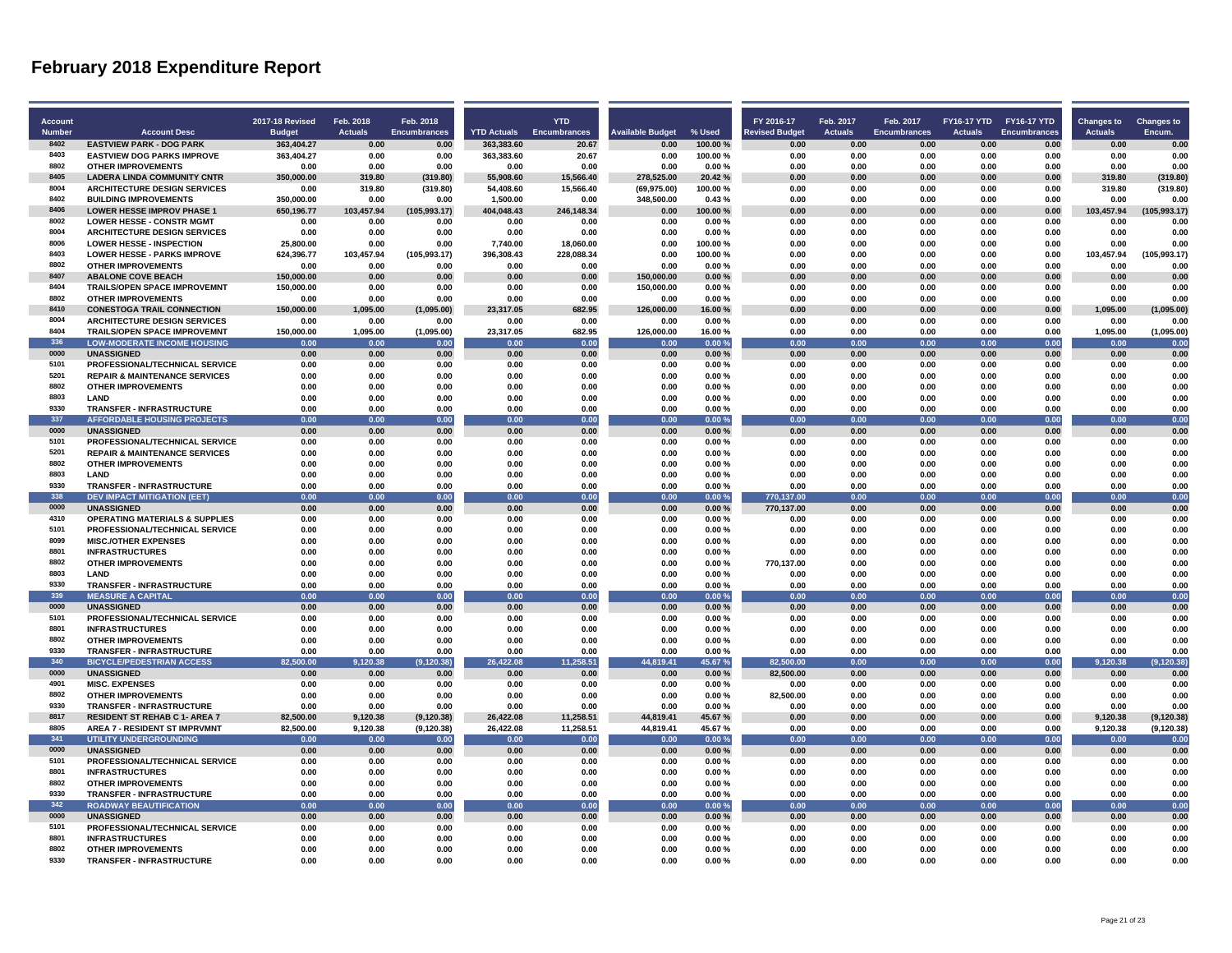л

л

л

| Account       |                                                                           | <b>2017-18 Revised</b> | Feb. 2018            | Feb. 2018                  |                        | <b>YTD</b>             |                            |                   | FY 2016-17            | Feb. 2017      | Feb. 2017           | FY16-17 YTD FY16-17 YTD |                     | <b>Changes to</b>    | <b>Changes to</b>          |
|---------------|---------------------------------------------------------------------------|------------------------|----------------------|----------------------------|------------------------|------------------------|----------------------------|-------------------|-----------------------|----------------|---------------------|-------------------------|---------------------|----------------------|----------------------------|
| <b>Number</b> | <b>Account Desc</b>                                                       | <b>Budget</b>          | <b>Actuals</b>       | <b>Encumbrances</b>        | <b>YTD Actuals</b>     | <b>Encumbrances</b>    | <b>Available Budget</b>    | % Used            | <b>Revised Budget</b> | <b>Actuals</b> | <b>Encumbrances</b> | <b>Actuals</b>          | <b>Encumbrances</b> | <b>Actuals</b>       | Encum.                     |
| 8402          | <b>EASTVIEW PARK - DOG PARK</b>                                           | 363,404.27             | 0.00                 | 0.00                       | 363,383.60             | 20.67                  | 0.00                       | 100.00%           | 0.00                  | 0.00           | 0.00                | 0.00                    | 0.00                | 0.00                 | 0.00                       |
| 8403          | <b>EASTVIEW DOG PARKS IMPROVE</b>                                         | 363,404.27             | 0.00                 | 0.00                       | 363,383.60             | 20.67                  | 0.00                       | 100.00%           | 0.00                  | 0.00           | 0.00                | 0.00                    | 0.00                | 0.00                 | 0.00                       |
| 8802          | <b>OTHER IMPROVEMENTS</b>                                                 | 0.00                   | 0.00                 | 0.00                       | 0.00                   | 0.00                   | 0.00                       | 0.00%             | 0.00                  | 0.00           | 0.00                | 0.00                    | 0.00                | 0.00                 | 0.00                       |
| 8405<br>8004  | <b>LADERA LINDA COMMUNITY CNTR</b><br><b>ARCHITECTURE DESIGN SERVICES</b> | 350.000.00<br>0.00     | 319.80<br>319.80     | (319.80)<br>(319.80)       | 55.908.60<br>54.408.60 | 15.566.40<br>15.566.40 | 278.525.00<br>(69, 975.00) | 20.42%<br>100.00% | 0.00<br>0.00          | 0.00<br>0.00   | 0.00<br>0.00        | 0.00<br>0.00            | 0.00<br>0.00        | 319.80<br>319.80     | (319.80)<br>(319.80)       |
| 8402          | <b>BUILDING IMPROVEMENTS</b>                                              | 350,000.00             | 0.00                 | 0.00                       | 1,500.00               | 0.00                   | 348,500.00                 | 0.43%             | 0.00                  | 0.00           | 0.00                | 0.00                    | 0.00                | 0.00                 | 0.00                       |
| 8406          | <b>LOWER HESSE IMPROV PHASE 1</b>                                         | 650,196.77             | 103,457.94           | (105, 993.17)              | 404,048.43             | 246,148.34             | 0.00                       | 100.00%           | 0.00                  | 0.00           | 0.00                | 0.00                    | 0.00                | 103,457.94           | (105, 993.17)              |
| 8002          | <b>LOWER HESSE - CONSTR MGMT</b>                                          | 0.00                   | 0.00                 | 0.00                       | 0.00                   | 0.00                   | 0.00                       | 0.00%             | 0.00                  | 0.00           | 0.00                | 0.00                    | 0.00                | 0.00                 | 0.00                       |
| 8004          | <b>ARCHITECTURE DESIGN SERVICES</b>                                       | 0.00                   | 0.00                 | 0.00                       | 0.00                   | 0.00                   | 0.00                       | 0.00%             | 0.00                  | 0.00           | 0.00                | 0.00                    | 0.00                | 0.00                 | 0.00                       |
| 8006          | <b>LOWER HESSE - INSPECTION</b>                                           | 25.800.00              | 0.00                 | 0.00                       | 7.740.00               | 18,060.00              | 0.00                       | 100.00%           | 0.00                  | 0.00           | 0.00                | 0.00                    | 0.00                | 0.00                 | 0.00                       |
| 8403          | <b>LOWER HESSE - PARKS IMPROVE</b>                                        | 624.396.77             | 103.457.94           | (105, 993.17)              | 396.308.43             | 228.088.34             | 0.00                       | 100.00%           | 0.00                  | 0.00           | 0.00                | 0.00                    | 0.00                | 103.457.94           | (105, 993.17)              |
| 8802          | <b>OTHER IMPROVEMENTS</b>                                                 | 0.00                   | 0.00                 | 0.00                       | 0.00                   | 0.00                   | 0.00                       | 0.00%             | 0.00                  | 0.00           | 0.00                | 0.00                    | 0.00                | 0.00                 | 0.00                       |
| 8407          | <b>ABALONE COVE BEACH</b>                                                 | 150,000.00             | 0.00                 | 0.00                       | 0.00                   | 0.00                   | 150,000.00                 | 0.00%             | 0.00                  | 0.00           | 0.00                | 0.00                    | 0.00                | 0.00                 | 0.00                       |
| 8404          | <b>TRAILS/OPEN SPACE IMPROVEMNT</b>                                       | 150,000.00             | 0.00                 | 0.00                       | 0.00                   | 0.00                   | 150,000.00                 | 0.00%             | 0.00                  | 0.00           | 0.00                | 0.00                    | 0.00                | 0.00                 | 0.00                       |
| 8802<br>8410  | <b>OTHER IMPROVEMENTS</b>                                                 | 0.00                   | 0.00                 | 0.00                       | 0.00                   | 0.00                   | 0.00                       | 0.00%             | 0.00                  | 0.00           | 0.00                | 0.00                    | 0.00                | 0.00                 | 0.00                       |
| 8004          | <b>CONESTOGA TRAIL CONNECTION</b><br><b>ARCHITECTURE DESIGN SERVICES</b>  | 150,000.00<br>0.00     | 1,095.00<br>0.00     | (1,095.00)<br>0.00         | 23,317.05<br>0.00      | 682.95<br>0.00         | 126,000.00<br>0.00         | 16.00%<br>0.00%   | 0.00<br>0.00          | 0.00<br>0.00   | 0.00<br>0.00        | 0.00<br>0.00            | 0.00<br>0.00        | 1,095.00<br>0.00     | (1,095.00)<br>0.00         |
| 8404          | <b>TRAILS/OPEN SPACE IMPROVEMNT</b>                                       | 150,000.00             | 1,095.00             | (1,095.00)                 | 23.317.05              | 682.95                 | 126,000.00                 | 16.00%            | 0.00                  | 0.00           | 0.00                | 0.00                    | 0.00                | 1,095.00             | (1,095.00)                 |
| 336           | <b>LOW-MODERATE INCOME HOUSING</b>                                        | 0.00                   | 0.00                 | 0.00                       | 0.00                   | 0.00                   | 0.00                       | 0.00%             | 0.00                  | 0.00           | 0.00                | 0.00                    | 0.00                | 0.00                 | 0.00                       |
| 0000          | <b>UNASSIGNED</b>                                                         | 0.00                   | 0.00                 | 0.00                       | 0.00                   | 0.00                   | 0.00                       | 0.00%             | 0.00                  | 0.00           | 0.00                | 0.00                    | 0.00                | 0.00                 | 0.00                       |
| 5101          | PROFESSIONAL/TECHNICAL SERVICE                                            | 0.00                   | 0.00                 | 0.00                       | 0.00                   | 0.00                   | 0.00                       | 0.00%             | 0.00                  | 0.00           | 0.00                | 0.00                    | 0.00                | 0.00                 | 0.00                       |
| 5201          | <b>REPAIR &amp; MAINTENANCE SERVICES</b>                                  | 0.00                   | 0.00                 | 0.00                       | 0.00                   | 0.00                   | 0.00                       | 0.00%             | 0.00                  | 0.00           | 0.00                | 0.00                    | 0.00                | 0.00                 | 0.00                       |
| 8802          | <b>OTHER IMPROVEMENTS</b>                                                 | 0.00                   | 0.00                 | 0.00                       | 0.00                   | 0.00                   | 0.00                       | 0.00%             | 0.00                  | 0.00           | 0.00                | 0.00                    | 0.00                | 0.00                 | 0.00                       |
| 8803          | LAND                                                                      | 0.00                   | 0.00                 | 0.00                       | 0.00                   | 0.00                   | 0.00                       | 0.00%             | 0.00                  | 0.00           | 0.00                | 0.00                    | 0.00                | 0.00                 | 0.00                       |
| 9330          | <b>TRANSFER - INFRASTRUCTURE</b>                                          | 0.00                   | 0.00                 | 0.00                       | 0.00                   | 0.00                   | 0.00                       | 0.00%             | 0.00                  | 0.00           | 0.00                | 0.00                    | 0.00                | 0.00                 | 0.00                       |
| 337           | <b>AFFORDABLE HOUSING PROJECTS</b>                                        | 0.00                   | 0.00                 | 0.00                       | 0.00                   | 0.00                   | 0.00                       | 0.00%             | 0.00                  | 0.00           | 0.00                | 0.00                    | 0.00                | 0.00                 | 0.00                       |
| 0000          | <b>UNASSIGNED</b>                                                         | 0.00                   | 0.00                 | 0.00                       | 0.00                   | 0.00                   | 0.00                       | 0.00%             | 0.00                  | 0.00           | 0.00                | 0.00                    | 0.00                | 0.00                 | 0.00                       |
| 5101<br>5201  | PROFESSIONAL/TECHNICAL SERVICE                                            | 0.00                   | 0.00                 | 0.00                       | 0.00                   | 0.00                   | 0.00                       | 0.00%             | 0.00                  | 0.00           | 0.00                | 0.00                    | 0.00                | 0.00                 | 0.00                       |
| 8802          | <b>REPAIR &amp; MAINTENANCE SERVICES</b><br><b>OTHER IMPROVEMENTS</b>     | 0.00<br>0.00           | 0.00<br>0.00         | 0.00<br>0.00               | 0.00<br>0.00           | 0.00<br>0.00           | 0.00<br>0.00               | 0.00%<br>0.00%    | 0.00<br>0.00          | 0.00<br>0.00   | 0.00<br>0.00        | 0.00<br>0.00            | 0.00<br>0.00        | 0.00<br>0.00         | 0.00<br>0.00               |
| 8803          | LAND                                                                      | 0.00                   | 0.00                 | 0.00                       | 0.00                   | 0.00                   | 0.00                       | 0.00%             | 0.00                  | 0.00           | 0.00                | 0.00                    | 0.00                | 0.00                 | 0.00                       |
| 9330          | <b>TRANSFER - INFRASTRUCTURE</b>                                          | 0.00                   | 0.00                 | 0.00                       | 0.00                   | 0.00                   | 0.00                       | 0.00%             | 0.00                  | 0.00           | 0.00                | 0.00                    | 0.00                | 0.00                 | 0.00                       |
| 338           | <b>DEV IMPACT MITIGATION (EET)</b>                                        | 0.00                   | 0.00                 | 0.00                       | 0.00                   | 0.00                   | 0.00                       | 0.00%             | 770,137.00            | 0.00           | 0.00                | 0.00                    | 0.00                | 0.00                 | 0.00                       |
| 0000          | <b>UNASSIGNED</b>                                                         | 0.00                   | 0.00                 | 0.00                       | 0.00                   | 0.00                   | 0.00                       | 0.00%             | 770,137.00            | 0.00           | 0.00                | 0.00                    | 0.00                | 0.00                 | 0.00                       |
| 4310          | <b>OPERATING MATERIALS &amp; SUPPLIES</b>                                 | 0.00                   | 0.00                 | 0.00                       | 0.00                   | 0.00                   | 0.00                       | 0.00%             | 0.00                  | 0.00           | 0.00                | 0.00                    | 0.00                | 0.00                 | 0.00                       |
| 5101          | PROFESSIONAL/TECHNICAL SERVICE                                            | 0.00                   | 0.00                 | 0.00                       | 0.00                   | 0.00                   | 0.00                       | 0.00%             | 0.00                  | 0.00           | 0.00                | 0.00                    | 0.00                | 0.00                 | 0.00                       |
| 8099          | <b>MISC./OTHER EXPENSES</b>                                               | 0.00                   | 0.00                 | 0.00                       | 0.00                   | 0.00                   | 0.00                       | 0.00%             | 0.00                  | 0.00           | 0.00                | 0.00                    | 0.00                | 0.00                 | 0.00                       |
| 8801          | <b>INFRASTRUCTURES</b>                                                    | 0.00                   | 0.00                 | 0.00                       | 0.00                   | 0.00                   | 0.00                       | 0.00%             | 0.00                  | 0.00           | 0.00                | 0.00                    | 0.00                | 0.00                 | 0.00                       |
| 8802          | <b>OTHER IMPROVEMENTS</b>                                                 | 0.00                   | 0.00                 | 0.00                       | 0.00                   | 0.00                   | 0.00                       | 0.00%             | 770,137.00            | 0.00           | 0.00                | 0.00                    | 0.00                | 0.00                 | 0.00                       |
| 8803<br>9330  | LAND                                                                      | 0.00                   | 0.00                 | 0.00                       | 0.00                   | 0.00                   | 0.00                       | 0.00%             | 0.00                  | 0.00           | 0.00                | 0.00                    | 0.00                | 0.00                 | 0.00                       |
| 339           | <b>TRANSFER - INFRASTRUCTURE</b><br><b>MEASURE A CAPITAL</b>              | 0.00<br>0.00           | 0.00<br>0.00         | 0.00<br>0.00               | 0.00<br>0.00           | 0.00<br>0.00           | 0.00<br>0.00               | 0.00%<br>0.00%    | 0.00<br>0.00          | 0.00<br>0.00   | 0.00<br>0.00        | 0.00<br>0.00            | 0.00<br>0.00        | 0.00<br>0.00         | 0.00<br>0.00               |
| 0000          | <b>UNASSIGNED</b>                                                         | 0.00                   | 0.00                 | 0.00                       | 0.00                   | 0.00                   | 0.00                       | 0.00%             | 0.00                  | 0.00           | 0.00                | 0.00                    | 0.00                | 0.00                 | 0.00                       |
| 5101          | PROFESSIONAL/TECHNICAL SERVICE                                            | 0.00                   | 0.00                 | 0.00                       | 0.00                   | 0.00                   | 0.00                       | 0.00%             | 0.00                  | 0.00           | 0.00                | 0.00                    | 0.00                | 0.00                 | 0.00                       |
| 8801          | <b>INFRASTRUCTURES</b>                                                    | 0.00                   | 0.00                 | 0.00                       | 0.00                   | 0.00                   | 0.00                       | 0.00%             | 0.00                  | 0.00           | 0.00                | 0.00                    | 0.00                | 0.00                 | 0.00                       |
| 8802          | <b>OTHER IMPROVEMENTS</b>                                                 | 0.00                   | 0.00                 | 0.00                       | 0.00                   | 0.00                   | 0.00                       | 0.00%             | 0.00                  | 0.00           | 0.00                | 0.00                    | 0.00                | 0.00                 | 0.00                       |
| 9330          | <b>TRANSFER - INFRASTRUCTURE</b>                                          | 0.00                   | 0.00                 | 0.00                       | 0.00                   | 0.00                   | 0.00                       | 0.00%             | 0.00                  | 0.00           | 0.00                | 0.00                    | 0.00                | 0.00                 | 0.00                       |
| 340           | <b>BICYCLE/PEDESTRIAN ACCESS</b>                                          | 82.500.00              | 9.120.38             | (9, 120.38)                | 26,422.08              | 11,258.51              | 44.819.41                  | 45.67%            | 82.500.00             | 0.00           | 0.00                | 0.00                    | 0.00                | 9,120.38             | (9, 120.38)                |
| 0000          | <b>UNASSIGNED</b>                                                         | 0.00                   | 0.00                 | 0.00                       | 0.00                   | 0.00                   | 0.00                       | 0.00%             | 82,500.00             | 0.00           | 0.00                | 0.00                    | 0.00                | 0.00                 | 0.00                       |
| 4901          | <b>MISC. EXPENSES</b>                                                     | 0.00                   | 0.00                 | 0.00                       | 0.00                   | 0.00                   | 0.00                       | 0.00%             | 0.00                  | 0.00           | 0.00                | 0.00                    | 0.00                | 0.00                 | 0.00                       |
| 8802          | <b>OTHER IMPROVEMENTS</b>                                                 | 0.00                   | 0.00                 | 0.00                       | 0.00                   | 0.00                   | 0.00                       | 0.00%             | 82,500.00             | 0.00           | 0.00                | 0.00                    | 0.00                | 0.00                 | 0.00                       |
| 9330<br>8817  | <b>TRANSFER - INFRASTRUCTURE</b>                                          | 0.00                   | 0.00                 | 0.00                       | 0.00                   | 0.00                   | 0.00                       | 0.00%             | 0.00                  | 0.00           | 0.00                | 0.00                    | 0.00                | 0.00                 | 0.00                       |
| 8805          | <b>RESIDENT ST REHAB C 1- AREA 7</b><br>AREA 7 - RESIDENT ST IMPRVMNT     | 82,500.00<br>82,500.00 | 9,120.38<br>9,120.38 | (9, 120.38)<br>(9, 120.38) | 26.422.08<br>26,422.08 | 11,258.51<br>11,258.51 | 44,819.41<br>44.819.41     | 45.67%<br>45.67%  | 0.00<br>0.00          | 0.00<br>0.00   | 0.00<br>0.00        | 0.00<br>0.00            | 0.00<br>0.00        | 9,120.38<br>9,120.38 | (9, 120.38)<br>(9, 120.38) |
| 341           | <b>UTILITY UNDERGROUNDING</b>                                             | 0.00                   | 0.00                 | 0.00                       | 0.00                   | 0.00                   | 0.00                       | 0.00%             | 0.00                  | 0.00           | 0.00                | 0.00                    | 0.00                | 0.00                 | 0.00                       |
| 0000          | <b>UNASSIGNED</b>                                                         | 0.00                   | 0.00                 | 0.00                       | 0.00                   | 0.00                   | 0.00                       | 0.00%             | 0.00                  | 0.00           | 0.00                | 0.00                    | 0.00                | 0.00                 | 0.00                       |
| 5101          | PROFESSIONAL/TECHNICAL SERVICE                                            | 0.00                   | 0.00                 | 0.00                       | 0.00                   | 0.00                   | 0.00                       | 0.00%             | 0.00                  | 0.00           | 0.00                | 0.00                    | 0.00                | 0.00                 | 0.00                       |
| 8801          | <b>INFRASTRUCTURES</b>                                                    | 0.00                   | 0.00                 | 0.00                       | 0.00                   | 0.00                   | 0.00                       | 0.00%             | 0.00                  | 0.00           | 0.00                | 0.00                    | 0.00                | 0.00                 | 0.00                       |
| 8802          | <b>OTHER IMPROVEMENTS</b>                                                 | 0.00                   | 0.00                 | 0.00                       | 0.00                   | 0.00                   | 0.00                       | 0.00%             | 0.00                  | 0.00           | 0.00                | 0.00                    | 0.00                | 0.00                 | 0.00                       |
| 9330          | <b>TRANSFER - INFRASTRUCTURE</b>                                          | 0.00                   | 0.00                 | 0.00                       | 0.00                   | 0.00                   | 0.00                       | 0.00%             | 0.00                  | 0.00           | 0.00                | 0.00                    | 0.00                | 0.00                 | 0.00                       |
| 342           | <b>ROADWAY BEAUTIFICATION</b>                                             | 0.00                   | 0.00                 | 0.00                       | 0.00                   | 0.00                   | 0.00                       | 0.00%             | 0.00                  | 0.00           | 0.00                | 0.00                    | 0.00                | 0.00                 | 0.00                       |
| 0000          | <b>UNASSIGNED</b>                                                         | 0.00                   | 0.00                 | 0.00                       | 0.00                   | 0.00                   | 0.00                       | 0.00%             | 0.00                  | 0.00           | 0.00                | 0.00                    | 0.00                | 0.00                 | 0.00                       |
| 5101<br>8801  | PROFESSIONAL/TECHNICAL SERVICE                                            | 0.00                   | 0.00                 | 0.00                       | 0.00                   | 0.00                   | 0.00                       | 0.00%             | 0.00                  | 0.00           | 0.00                | 0.00                    | 0.00                | 0.00                 | 0.00                       |
| 8802          | <b>INFRASTRUCTURES</b><br><b>OTHER IMPROVEMENTS</b>                       | 0.00<br>0.00           | 0.00<br>0.00         | 0.00<br>0.00               | 0.00<br>0.00           | 0.00<br>0.00           | 0.00<br>0.00               | 0.00%<br>0.00%    | 0.00<br>0.00          | 0.00<br>0.00   | 0.00<br>0.00        | 0.00<br>0.00            | 0.00<br>0.00        | 0.00<br>0.00         | 0.00<br>0.00               |
| 9330          | <b>TRANSFER - INFRASTRUCTURE</b>                                          | 0.00                   | 0.00                 | 0.00                       | 0.00                   | 0.00                   | 0.00                       | 0.00%             | 0.00                  | 0.00           | 0.00                | 0.00                    | 0.00                | 0.00                 | 0.00                       |
|               |                                                                           |                        |                      |                            |                        |                        |                            |                   |                       |                |                     |                         |                     |                      |                            |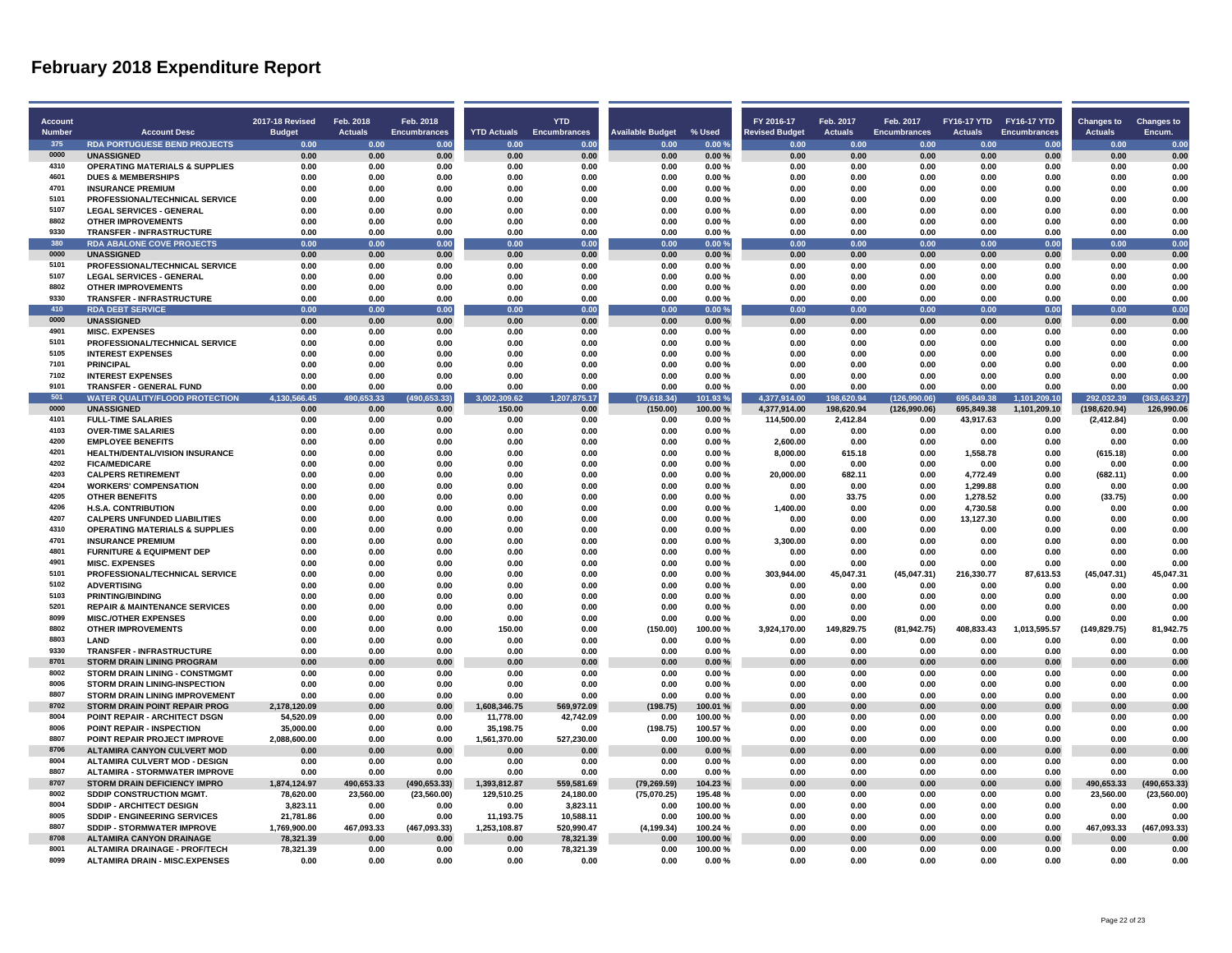| <b>Account</b> |                                           | <b>2017-18 Revised</b> | Feb. 2018      | Feb. 2018           |                    | <b>YTD</b>          |                         |                | FY 2016-17            | Feb. 2017      | Feb. 2017           |                | FY16-17 YTD FY16-17 YTD | <b>Changes to</b> | <b>Changes to</b> |
|----------------|-------------------------------------------|------------------------|----------------|---------------------|--------------------|---------------------|-------------------------|----------------|-----------------------|----------------|---------------------|----------------|-------------------------|-------------------|-------------------|
| <b>Number</b>  | <b>Account Desc</b>                       | <b>Budget</b>          | <b>Actuals</b> | <b>Encumbrances</b> | <b>YTD Actuals</b> | <b>Encumbrances</b> | <b>Available Budget</b> | % Used         | <b>Revised Budget</b> | <b>Actuals</b> | <b>Encumbrances</b> | <b>Actuals</b> | <b>Encumbrances</b>     | <b>Actuals</b>    | Encum.            |
| 375            | <b>RDA PORTUGUESE BEND PROJECTS</b>       | 0.00                   | 0.00           | 0.00                | 0.00               | 0.00                | 0.00                    | 0.00%          | 0.00                  | 0.00           | 0.00                | 0.00           | 0.00                    | 0.00              | 0.00              |
| 0000           | <b>UNASSIGNED</b>                         | 0.00                   | 0.00           | 0.00                | 0.00               | 0.00                | 0.00                    | 0.00%          | 0.00                  | 0.00           | 0.00                | 0.00           | 0.00                    | 0.00              | 0.00              |
| 4310           | OPERATING MATERIALS & SUPPLIES            | 0.00                   | 0.00           | 0.00                | 0.00               | 0.00                | 0.00                    | 0.00%          | 0.00                  | 0.00           | 0.00                | 0.00           | 0.00                    | 0.00              | 0.00              |
| 4601           | <b>DUES &amp; MEMBERSHIPS</b>             | 0.00                   | 0.00           | 0.00                | 0.00               | 0.00                | 0.00                    | 0.00%          | 0.00                  | 0.00           | 0.00                | 0.00           | 0.00                    | 0.00              | 0.00              |
| 4701           | <b>INSURANCE PREMIUM</b>                  | 0.00                   | 0.00           | 0.00                | 0.00               | 0.00                | 0.00                    | 0.00%          | 0.00                  | 0.00           | 0.00                | 0.00           | 0.00                    | 0.00              | 0.00              |
| 5101           | PROFESSIONAL/TECHNICAL SERVICE            | 0.00                   | 0.00           | 0.00                | 0.00               | 0.00                | 0.00                    | 0.00%          | 0.00                  | 0.00           | 0.00                | 0.00           | 0.00                    | 0.00              | 0.00              |
| 5107           | <b>LEGAL SERVICES - GENERAL</b>           | 0.00                   | 0.00           | 0.00                | 0.00               | 0.00                | 0.00                    | 0.00%          | 0.00                  | 0.00           | 0.00                | 0.00           | 0.00                    | 0.00              | 0.00              |
| 8802           | <b>OTHER IMPROVEMENTS</b>                 | 0.00                   | 0.00           | 0.00                | 0.00               | 0.00                | 0.00                    | 0.00%          | 0.00                  | 0.00           | 0.00                | 0.00           | 0.00                    | 0.00              | 0.00              |
| 9330           | <b>TRANSFER - INFRASTRUCTURE</b>          | 0.00                   | 0.00           | 0.00                | 0.00               | 0.00                | 0.00                    | 0.00%          | 0.00                  | 0.00           | 0.00                | 0.00           | 0.00                    | 0.00              | 0.00              |
| 380            | <b>RDA ABALONE COVE PROJECTS</b>          | 0.00                   | 0.00           | 0.00                | 0.00               | 0.00                | 0.00                    | 0.00%          | 0.00                  | 0.00           | 0.00                | 0.00           | 0.00                    | 0.00              | 0.00              |
| 0000           | <b>UNASSIGNED</b>                         | 0.00                   | 0.00           | 0.00                | 0.00               | 0.00                | 0.00                    | 0.00%          | 0.00                  | 0.00           | 0.00                | 0.00           | 0.00                    | 0.00              | 0.00              |
| 5101           | PROFESSIONAL/TECHNICAL SERVICE            | 0.00                   | 0.00           | 0.00                | 0.00               | 0.00                | 0.00                    | 0.00%          | 0.00                  | 0.00           | 0.00                | 0.00           | 0.00                    | 0.00              | 0.00              |
| 5107           | <b>LEGAL SERVICES - GENERAL</b>           | 0.00                   | 0.00           | 0.00                | 0.00               | 0.00                | 0.00                    | 0.00%          | 0.00                  | 0.00           | 0.00                | 0.00           | 0.00                    | 0.00              | 0.00              |
| 8802           | <b>OTHER IMPROVEMENTS</b>                 | 0.00                   | 0.00           | 0.00                | 0.00               | 0.00                | 0.00                    | 0.00%          | 0.00                  | 0.00           | 0.00                | 0.00           | 0.00                    | 0.00              | 0.00              |
| 9330           | <b>TRANSFER - INFRASTRUCTURE</b>          | 0.00                   | 0.00           | 0.00                | 0.00               | 0.00                | 0.00                    | 0.00%          | 0.00                  | 0.00           | 0.00                | 0.00           | 0.00                    | 0.00              | 0.00              |
| 410            | <b>RDA DEBT SERVICE</b>                   | 0.00                   | 0.00           | 0.00                | 0.00               | 0.00                | 0.00                    | 0.00%          | 0.00                  | 0.00           | 0.00                | 0.00           | 0.00                    | 0.00              | 0.00              |
| 0000           | <b>UNASSIGNED</b>                         | 0.00                   | 0.00           | 0.00                | 0.00               | 0.00                | 0.00                    | $0.00 \%$      | 0.00                  | 0.00           | 0.00                | 0.00           | 0.00                    | 0.00              | 0.00              |
| 4901           | <b>MISC. EXPENSES</b>                     | 0.00                   | 0.00           | 0.00                | 0.00               | 0.00                | 0.00                    | 0.00%          | 0.00                  | 0.00           | 0.00                | 0.00           | 0.00                    | 0.00              | 0.00              |
| 5101           | PROFESSIONAL/TECHNICAL SERVICE            | 0.00                   | 0.00           | 0.00                | 0.00               | 0.00                | 0.00                    | 0.00%          | 0.00                  | 0.00           | 0.00                | 0.00           | 0.00                    | 0.00              | 0.00              |
| 5105           | <b>INTEREST EXPENSES</b>                  | 0.00                   | 0.00           | 0.00                | 0.00               | 0.00                | 0.00                    | 0.00%          | 0.00                  | 0.00           | 0.00                | 0.00           | 0.00                    | 0.00              | 0.00              |
| 7101           | <b>PRINCIPAL</b>                          | 0.00                   | 0.00           | 0.00                | 0.00               | 0.00                | 0.00                    | 0.00%          | 0.00                  | 0.00           | 0.00                | 0.00           | 0.00                    | 0.00              | 0.00              |
| 7102           | <b>INTEREST EXPENSES</b>                  | 0.00                   | 0.00           | 0.00                | 0.00               | 0.00                | 0.00                    | 0.00%          | 0.00                  | 0.00           | 0.00                | 0.00           | 0.00                    | 0.00              | 0.00              |
| 9101           | <b>TRANSFER - GENERAL FUND</b>            | 0.00                   | 0.00           | 0.00                | 0.00               | 0.00                | 0.00                    | 0.00%          | 0.00                  | 0.00           | 0.00                | 0.00           | 0.00                    | 0.00              | 0.00              |
| 501            | <b>WATER QUALITY/FLOOD PROTECTION</b>     | 4,130,566.45           | 490,653.33     | (490, 653.33)       | 3,002,309.62       | 1,207,875.17        | (79,618.34)             | 101.93 %       | 4,377,914.00          | 198,620.94     | (126,990.06)        | 695,849.38     | 1,101,209.10            | 292,032.39        | (363, 663.27)     |
| 0000           | <b>UNASSIGNED</b>                         | 0.00                   | 0.00           | 0.00                | 150.00             | 0.00                | (150.00)                | 100.00%        | 4.377.914.00          | 198.620.94     | (126,990.06)        | 695.849.38     | 1,101,209.10            | (198, 620.94)     | 126.990.06        |
| 4101           | <b>FULL-TIME SALARIES</b>                 | 0.00                   | 0.00           | 0.00                | 0.00               | 0.00                | 0.00                    | 0.00%          | 114,500.00            | 2,412.84       | 0.00                | 43,917.63      | 0.00                    | (2, 412.84)       | 0.00              |
| 4103           | <b>OVER-TIME SALARIES</b>                 | 0.00                   | 0.00           | 0.00                | 0.00               | 0.00                | 0.00                    | 0.00%          | 0.00                  | 0.00           | 0.00                | 0.00           | 0.00                    | 0.00              | 0.00              |
| 4200           | <b>EMPLOYEE BENEFITS</b>                  | 0.00                   | 0.00           | 0.00                | 0.00               | 0.00                | 0.00                    | 0.00%          | 2,600.00              | 0.00           | 0.00                | 0.00           | 0.00                    | 0.00              | 0.00              |
| 4201           | <b>HEALTH/DENTAL/VISION INSURANCE</b>     | 0.00                   | 0.00           | 0.00                | 0.00               | 0.00                | 0.00                    | 0.00%          | 8,000.00              | 615.18         | 0.00                | 1,558.78       | 0.00                    | (615.18)          | 0.00              |
| 4202           | <b>FICA/MEDICARE</b>                      | 0.00                   | 0.00           | 0.00                | 0.00               | 0.00                | 0.00                    | 0.00%          | 0.00                  | 0.00           | 0.00                | 0.00           | 0.00                    | 0.00              | 0.00              |
| 4203           | <b>CALPERS RETIREMENT</b>                 | 0.00                   | 0.00           | 0.00                | 0.00               | 0.00                | 0.00                    | 0.00%          | 20.000.00             | 682.11         | 0.00                | 4,772.49       | 0.00                    | (682.11)          | 0.00              |
| 4204           | <b>WORKERS' COMPENSATION</b>              | 0.00                   | 0.00           | 0.00                | 0.00               | 0.00                | 0.00                    | 0.00%          | 0.00                  | 0.00           | 0.00                | 1,299.88       | 0.00                    | 0.00              | 0.00              |
| 4205           | <b>OTHER BENEFITS</b>                     | 0.00                   | 0.00           | 0.00                | 0.00               | 0.00                | 0.00                    | 0.00%          | 0.00                  | 33.75          | 0.00                | 1,278.52       | 0.00                    | (33.75)           | 0.00              |
| 4206           | <b>H.S.A. CONTRIBUTION</b>                | 0.00                   | 0.00           | 0.00                | 0.00               | 0.00                | 0.00                    | 0.00%          | 1,400.00              | 0.00           | 0.00                | 4.730.58       | 0.00                    | 0.00              | 0.00              |
| 4207           | <b>CALPERS UNFUNDED LIABILITIES</b>       | 0.00                   | 0.00           | 0.00                | 0.00               | 0.00                | 0.00                    | 0.00%          | 0.00                  | 0.00           | 0.00                | 13,127.30      | 0.00                    | 0.00              | 0.00              |
| 4310           | <b>OPERATING MATERIALS &amp; SUPPLIES</b> | 0.00                   | 0.00           | 0.00                | 0.00               | 0.00                | 0.00                    | 0.00%          | 0.00                  | 0.00           | 0.00                | 0.00           | 0.00                    | 0.00              | 0.00              |
| 4701           | <b>INSURANCE PREMIUM</b>                  | 0.00                   | 0.00           | 0.00                | 0.00               | 0.00                | 0.00                    | 0.00%          | 3.300.00              | 0.00           | 0.00                | 0.00           | 0.00                    | 0.00              | 0.00              |
| 4801           | <b>FURNITURE &amp; EQUIPMENT DEP</b>      | 0.00                   | 0.00           | 0.00                | 0.00               | 0.00                | 0.00                    | 0.00%          | 0.00                  | 0.00           | 0.00                | 0.00           | 0.00                    | 0.00              | 0.00              |
| 4901           | <b>MISC. EXPENSES</b>                     | 0.00                   | 0.00           | 0.00                | 0.00               | 0.00                | 0.00                    | 0.00%          | 0.00                  | 0.00           | 0.00                | 0.00           | 0.00                    | 0.00              | 0.00              |
| 5101           | PROFESSIONAL/TECHNICAL SERVICE            | 0.00                   | 0.00           | 0.00                | 0.00               | 0.00                | 0.00                    | 0.00%          | 303,944.00            | 45,047.31      | (45,047.31)         | 216,330.77     | 87,613.53               | (45,047.31)       | 45,047.31         |
| 5102<br>5103   | <b>ADVERTISING</b>                        | 0.00                   | 0.00           | 0.00                | 0.00               | 0.00                | 0.00                    | 0.00%          | 0.00                  | 0.00           | 0.00                | 0.00           | 0.00                    | 0.00              | 0.00              |
|                | <b>PRINTING/BINDING</b>                   | 0.00                   | 0.00           | 0.00                | 0.00               | 0.00                | 0.00                    | 0.00%          | 0.00                  | 0.00           | 0.00                | 0.00           | 0.00                    | 0.00              | 0.00              |
| 5201<br>8099   | <b>REPAIR &amp; MAINTENANCE SERVICES</b>  | 0.00                   | 0.00           | 0.00                | 0.00               | 0.00                | 0.00                    | 0.00%          | 0.00                  | 0.00           | 0.00                | 0.00           | 0.00<br>0.00            | 0.00              | 0.00              |
| 8802           | <b>MISC./OTHER EXPENSES</b>               | 0.00                   | 0.00           | 0.00                | 0.00               | 0.00                | 0.00                    | 0.00%          | 0.00                  | 0.00           | 0.00                | 0.00           |                         | 0.00              | 0.00              |
| 8803           | <b>OTHER IMPROVEMENTS</b><br><b>I AND</b> | 0.00                   | 0.00           | 0.00                | 150.00             | 0.00                | (150.00)                | 100.00%        | 3,924,170.00          | 149,829.75     | (81, 942.75)        | 408,833.43     | 1,013,595.57            | (149, 829.75)     | 81,942.75         |
| 9330           | <b>TRANSFER - INFRASTRUCTURE</b>          | 0.00<br>0.00           | 0.00<br>0.00   | 0.00<br>0.00        | 0.00<br>0.00       | 0.00<br>0.00        | 0.00<br>0.00            | 0.00%<br>0.00% | 0.00<br>0.00          | 0.00<br>0.00   | 0.00<br>0.00        | 0.00<br>0.00   | 0.00<br>0.00            | 0.00<br>0.00      | 0.00<br>0.00      |
| 8701           | <b>STORM DRAIN LINING PROGRAM</b>         | 0.00                   | 0.00           | 0.00                | 0.00               | 0.00                | 0.00                    | 0.00%          | 0.00                  | 0.00           | 0.00                | 0.00           | 0.00                    | 0.00              | 0.00              |
| 8002           | STORM DRAIN LINING - CONSTMGMT            | 0.00                   | 0.00           | 0.00                | 0.00               | 0.00                | 0.00                    | 0.00%          | 0.00                  | 0.00           | 0.00                | 0.00           | 0.00                    | 0.00              | 0.00              |
| 8006           | <b>STORM DRAIN LINING-INSPECTION</b>      | 0.00                   | 0.00           | 0.00                | 0.00               | 0.00                | 0.00                    | 0.00%          | 0.00                  | 0.00           | 0.00                | 0.00           | 0.00                    | 0.00              | 0.00              |
| 8807           | STORM DRAIN LINING IMPROVEMENT            | 0.00                   | 0.00           | 0.00                | 0.00               | 0.00                | 0.00                    | 0.00%          | 0.00                  | 0.00           | 0.00                | 0.00           | 0.00                    | 0.00              | 0.00              |
| 8702           | STORM DRAIN POINT REPAIR PROG             | 2,178,120.09           | 0.00           | 0.00                | 1,608,346.75       | 569,972.09          | (198.75)                | 100.01%        | 0.00                  | 0.00           | 0.00                | 0.00           | 0.00                    | 0.00              | 0.00              |
| 8004           | POINT REPAIR - ARCHITECT DSGN             | 54,520.09              | 0.00           | 0.00                | 11,778.00          | 42,742.09           | 0.00                    | 100.00%        | 0.00                  | 0.00           | 0.00                | 0.00           | 0.00                    | 0.00              | 0.00              |
| 8006           | POINT REPAIR - INSPECTION                 | 35,000.00              | 0.00           | 0.00                | 35,198.75          | 0.00                | (198.75)                | 100.57%        | 0.00                  | 0.00           | 0.00                | 0.00           | 0.00                    | 0.00              | 0.00              |
| 8807           | POINT REPAIR PROJECT IMPROVE              | 2,088,600.00           | 0.00           | 0.00                | 1,561,370.00       | 527,230.00          | 0.00                    | 100.00%        | 0.00                  | 0.00           | 0.00                | 0.00           | 0.00                    | 0.00              | 0.00              |
| 8706           | <b>ALTAMIRA CANYON CULVERT MOD</b>        | 0.00                   | 0.00           | 0.00                | 0.00               | 0.00                | 0.00                    | 0.00%          | 0.00                  | 0.00           | 0.00                | 0.00           | 0.00                    | 0.00              | 0.00              |
| 8004           | <b>ALTAMIRA CULVERT MOD - DESIGN</b>      | 0.00                   | 0.00           | 0.00                | 0.00               | 0.00                | 0.00                    | 0.00%          | 0.00                  | 0.00           | 0.00                | 0.00           | 0.00                    | 0.00              | 0.00              |
| 8807           | <b>ALTAMIRA - STORMWATER IMPROVE</b>      | 0.00                   | 0.00           | 0.00                | 0.00               | 0.00                | 0.00                    | 0.00%          | 0.00                  | 0.00           | 0.00                | 0.00           | 0.00                    | 0.00              | 0.00              |
| 8707           | STORM DRAIN DEFICIENCY IMPRO              | 1,874,124.97           | 490,653.33     | (490, 653.33)       | 1,393,812.87       | 559,581.69          | (79, 269.59)            | 104.23%        | 0.00                  | 0.00           | 0.00                | 0.00           | 0.00                    | 490,653.33        | (490, 653.33)     |
| 8002           | SDDIP CONSTRUCTION MGMT.                  | 78,620.00              | 23,560.00      | (23,560.00)         | 129,510.25         | 24,180.00           | (75,070.25)             | 195.48%        | 0.00                  | 0.00           | 0.00                | 0.00           | 0.00                    | 23,560.00         | (23, 560.00)      |
| 8004           | <b>SDDIP - ARCHITECT DESIGN</b>           | 3,823.11               | 0.00           | 0.00                | 0.00               | 3,823.11            | 0.00                    | 100.00%        | 0.00                  | 0.00           | 0.00                | 0.00           | 0.00                    | 0.00              | 0.00              |
| 8005           | SDDIP - ENGINEERING SERVICES              | 21,781.86              | 0.00           | 0.00                | 11,193.75          | 10,588.11           | 0.00                    | 100.00%        | 0.00                  | 0.00           | 0.00                | 0.00           | 0.00                    | 0.00              | 0.00              |
| 8807           | <b>SDDIP - STORMWATER IMPROVE</b>         | 1,769,900.00           | 467,093.33     | (467,093.33)        | 1,253,108.87       | 520,990.47          | (4, 199.34)             | 100.24%        | 0.00                  | 0.00           | 0.00                | 0.00           | 0.00                    | 467.093.33        | (467,093.33)      |
| 8708           | <b>ALTAMIRA CANYON DRAINAGE</b>           | 78,321.39              | 0.00           | 0.00                | 0.00               | 78,321.39           | 0.00                    | 100.00%        | 0.00                  | 0.00           | 0.00                | 0.00           | 0.00                    | 0.00              | 0.00              |
| 8001           | ALTAMIRA DRAINAGE - PROF/TECH             | 78,321.39              | 0.00           | 0.00                | 0.00               | 78,321.39           | 0.00                    | 100.00%        | 0.00                  | 0.00           | 0.00                | 0.00           | 0.00                    | 0.00              | 0.00              |
| 8099           | <b>ALTAMIRA DRAIN - MISC.EXPENSES</b>     | 0.00                   | 0.00           | 0.00                | 0.00               | 0.00                | 0.00                    | 0.00%          | 0.00                  | 0.00           | 0.00                | 0.00           | 0.00                    | 0.00              | 0.00              |
|                |                                           |                        |                |                     |                    |                     |                         |                |                       |                |                     |                |                         |                   |                   |